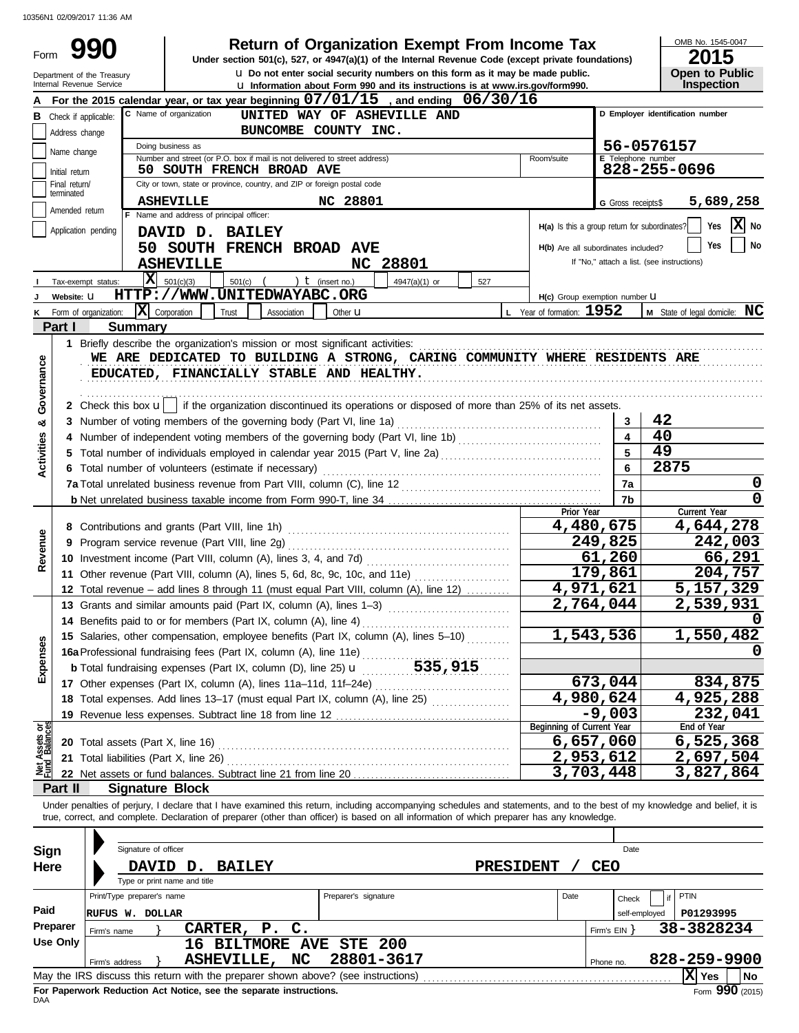| Form              |                             |                            |                                                              |                                                                                   |                      | <b>Return of Organization Exempt From Income Tax</b><br>Under section 501(c), 527, or 4947(a)(1) of the Internal Revenue Code (except private foundations)                                                                                                                                                               |                                               |                                     | OMB No. 1545-0047<br>2015                  |
|-------------------|-----------------------------|----------------------------|--------------------------------------------------------------|-----------------------------------------------------------------------------------|----------------------|--------------------------------------------------------------------------------------------------------------------------------------------------------------------------------------------------------------------------------------------------------------------------------------------------------------------------|-----------------------------------------------|-------------------------------------|--------------------------------------------|
|                   |                             | Department of the Treasury |                                                              |                                                                                   |                      | <b>u</b> Do not enter social security numbers on this form as it may be made public.                                                                                                                                                                                                                                     |                                               |                                     | <b>Open to Public</b>                      |
|                   |                             | Internal Revenue Service   |                                                              |                                                                                   |                      | La Information about Form 990 and its instructions is at www.irs.gov/form990.                                                                                                                                                                                                                                            |                                               |                                     | Inspection                                 |
|                   |                             |                            |                                                              |                                                                                   |                      | For the 2015 calendar year, or tax year beginning $07/01/15$ , and ending $06/30/16$                                                                                                                                                                                                                                     |                                               |                                     | D Employer identification number           |
| в                 | Check if applicable:        |                            | C Name of organization                                       |                                                                                   |                      | UNITED WAY OF ASHEVILLE AND                                                                                                                                                                                                                                                                                              |                                               |                                     |                                            |
|                   | Address change              |                            | Doing business as                                            |                                                                                   | BUNCOMBE COUNTY INC. |                                                                                                                                                                                                                                                                                                                          |                                               |                                     | 56-0576157                                 |
|                   | Name change                 |                            |                                                              | Number and street (or P.O. box if mail is not delivered to street address)        |                      |                                                                                                                                                                                                                                                                                                                          | Room/suite                                    | E Telephone number                  |                                            |
|                   | Initial return              |                            |                                                              | 50 SOUTH FRENCH BROAD AVE                                                         |                      |                                                                                                                                                                                                                                                                                                                          |                                               |                                     | 828-255-0696                               |
|                   | Final return/<br>terminated |                            |                                                              | City or town, state or province, country, and ZIP or foreign postal code          |                      |                                                                                                                                                                                                                                                                                                                          |                                               |                                     |                                            |
|                   | Amended return              |                            | <b>ASHEVILLE</b><br>F Name and address of principal officer: |                                                                                   | NC 28801             |                                                                                                                                                                                                                                                                                                                          |                                               | G Gross receipts\$                  | 5,689,258                                  |
|                   |                             | Application pending        | DAVID D. BAILEY                                              |                                                                                   |                      |                                                                                                                                                                                                                                                                                                                          | H(a) Is this a group return for subordinates? |                                     | $ \mathbf{X} $ No<br>Yes                   |
|                   |                             |                            |                                                              | 50 SOUTH FRENCH BROAD AVE                                                         |                      |                                                                                                                                                                                                                                                                                                                          |                                               | H(b) Are all subordinates included? | No<br>Yes                                  |
|                   |                             |                            | <b>ASHEVILLE</b>                                             |                                                                                   |                      | NC 28801                                                                                                                                                                                                                                                                                                                 |                                               |                                     | If "No," attach a list. (see instructions) |
|                   |                             | x <br>Tax-exempt status:   | 501(c)(3)                                                    | $501(c)$ (                                                                        | ) $t$ (insert no.)   | 4947(a)(1) or<br>527                                                                                                                                                                                                                                                                                                     |                                               |                                     |                                            |
|                   | Website: U                  |                            |                                                              | HTTP://WWW.UNITEDWAYABC.ORG                                                       |                      |                                                                                                                                                                                                                                                                                                                          | H(c) Group exemption number LI                |                                     |                                            |
|                   |                             | Form of organization:      | $\overline{\mathbf{X}}$ Corporation                          | Trust<br>Association                                                              | Other <b>u</b>       |                                                                                                                                                                                                                                                                                                                          | L Year of formation: 1952                     |                                     | M State of legal domicile: NC              |
|                   | Part I                      | <b>Summary</b>             |                                                              |                                                                                   |                      |                                                                                                                                                                                                                                                                                                                          |                                               |                                     |                                            |
|                   |                             |                            |                                                              | 1 Briefly describe the organization's mission or most significant activities:     |                      |                                                                                                                                                                                                                                                                                                                          |                                               |                                     |                                            |
|                   |                             |                            |                                                              |                                                                                   |                      | WE ARE DEDICATED TO BUILDING A STRONG, CARING COMMUNITY WHERE RESIDENTS ARE                                                                                                                                                                                                                                              |                                               |                                     |                                            |
| Governance        |                             |                            |                                                              | EDUCATED, FINANCIALLY STABLE AND HEALTHY.                                         |                      |                                                                                                                                                                                                                                                                                                                          |                                               |                                     |                                            |
|                   |                             |                            |                                                              |                                                                                   |                      |                                                                                                                                                                                                                                                                                                                          |                                               |                                     |                                            |
|                   |                             |                            |                                                              |                                                                                   |                      | 2 Check this box $\mathbf{u}$ if the organization discontinued its operations or disposed of more than 25% of its net assets.                                                                                                                                                                                            |                                               |                                     | 42                                         |
| œ                 |                             |                            |                                                              |                                                                                   |                      |                                                                                                                                                                                                                                                                                                                          |                                               | 3<br>$\blacktriangle$               | 40                                         |
|                   |                             |                            |                                                              |                                                                                   |                      |                                                                                                                                                                                                                                                                                                                          |                                               | 5                                   | 49                                         |
| <b>Activities</b> |                             |                            |                                                              | 6 Total number of volunteers (estimate if necessary)                              |                      |                                                                                                                                                                                                                                                                                                                          |                                               | 6                                   | 2875                                       |
|                   |                             |                            |                                                              |                                                                                   |                      |                                                                                                                                                                                                                                                                                                                          |                                               | 7a                                  | 0                                          |
|                   |                             |                            |                                                              |                                                                                   |                      |                                                                                                                                                                                                                                                                                                                          |                                               | 7b                                  | 0                                          |
|                   |                             |                            |                                                              |                                                                                   |                      |                                                                                                                                                                                                                                                                                                                          | Prior Year                                    |                                     | Current Year                               |
|                   |                             |                            |                                                              |                                                                                   |                      |                                                                                                                                                                                                                                                                                                                          |                                               | 4,480,675                           | 4,644,278                                  |
|                   |                             |                            |                                                              |                                                                                   |                      |                                                                                                                                                                                                                                                                                                                          |                                               | 249,825                             | 242,003                                    |
| Revenue           |                             |                            |                                                              |                                                                                   |                      |                                                                                                                                                                                                                                                                                                                          |                                               | 61,260                              | 66,291                                     |
|                   |                             |                            |                                                              |                                                                                   |                      | 11 Other revenue (Part VIII, column (A), lines 5, 6d, 8c, 9c, 10c, and 11e)                                                                                                                                                                                                                                              |                                               | 179,861                             | 204,757                                    |
|                   |                             |                            |                                                              |                                                                                   |                      | 12 Total revenue - add lines 8 through 11 (must equal Part VIII, column (A), line 12)                                                                                                                                                                                                                                    |                                               | 4,971,621                           | 5,157,329                                  |
|                   |                             |                            |                                                              |                                                                                   |                      | 13 Grants and similar amounts paid (Part IX, column (A), lines 1-3) [[[[[[[[[[[[[[[[[[[[[[[[[[[[[[[[                                                                                                                                                                                                                     |                                               | 2,764,044                           | 2,539,931                                  |
|                   |                             |                            |                                                              | 14 Benefits paid to or for members (Part IX, column (A), line 4)                  |                      |                                                                                                                                                                                                                                                                                                                          |                                               | 1,543,536                           | 1,550,482                                  |
| Expenses          |                             |                            |                                                              |                                                                                   |                      | 15 Salaries, other compensation, employee benefits (Part IX, column (A), lines 5-10)                                                                                                                                                                                                                                     |                                               |                                     | 0                                          |
|                   |                             |                            |                                                              |                                                                                   |                      |                                                                                                                                                                                                                                                                                                                          |                                               |                                     |                                            |
|                   |                             |                            |                                                              |                                                                                   |                      |                                                                                                                                                                                                                                                                                                                          |                                               | 673,044                             | 834,875                                    |
|                   |                             |                            |                                                              |                                                                                   |                      | 18 Total expenses. Add lines 13-17 (must equal Part IX, column (A), line 25)                                                                                                                                                                                                                                             |                                               | 4,980,624                           | 4,925,288                                  |
|                   |                             |                            |                                                              |                                                                                   |                      |                                                                                                                                                                                                                                                                                                                          |                                               | $-9,003$                            | 232,041                                    |
|                   |                             |                            |                                                              |                                                                                   |                      |                                                                                                                                                                                                                                                                                                                          | Beginning of Current Year                     |                                     | End of Year                                |
|                   |                             |                            |                                                              |                                                                                   |                      |                                                                                                                                                                                                                                                                                                                          |                                               | 6,657,060                           | 6,525,368                                  |
| Net Assets or     |                             |                            |                                                              |                                                                                   |                      |                                                                                                                                                                                                                                                                                                                          |                                               | 2,953,612                           | 2,697,504                                  |
|                   |                             |                            |                                                              |                                                                                   |                      |                                                                                                                                                                                                                                                                                                                          |                                               | 3,703,448                           | 3,827,864                                  |
|                   | Part II                     | <b>Signature Block</b>     |                                                              |                                                                                   |                      |                                                                                                                                                                                                                                                                                                                          |                                               |                                     |                                            |
|                   |                             |                            |                                                              |                                                                                   |                      | Under penalties of perjury, I declare that I have examined this return, including accompanying schedules and statements, and to the best of my knowledge and belief, it is<br>true, correct, and complete. Declaration of preparer (other than officer) is based on all information of which preparer has any knowledge. |                                               |                                     |                                            |
|                   |                             |                            |                                                              |                                                                                   |                      |                                                                                                                                                                                                                                                                                                                          |                                               |                                     |                                            |
| Sign              |                             | Signature of officer       |                                                              |                                                                                   |                      |                                                                                                                                                                                                                                                                                                                          |                                               | Date                                |                                            |
| Here              |                             |                            | DAVID D. BAILEY                                              |                                                                                   |                      |                                                                                                                                                                                                                                                                                                                          | <b>PRESIDENT</b>                              | <b>CEO</b>                          |                                            |
|                   |                             |                            | Type or print name and title                                 |                                                                                   |                      |                                                                                                                                                                                                                                                                                                                          |                                               |                                     |                                            |
|                   |                             | Print/Type preparer's name |                                                              |                                                                                   | Preparer's signature |                                                                                                                                                                                                                                                                                                                          | Date                                          | Check                               | <b>PTIN</b>                                |
| Paid              |                             | RUFUS W. DOLLAR            |                                                              |                                                                                   |                      |                                                                                                                                                                                                                                                                                                                          |                                               | self-employed                       | P01293995                                  |
|                   | Preparer                    | Firm's name                |                                                              | CARTER, P. C.                                                                     |                      |                                                                                                                                                                                                                                                                                                                          |                                               | Firm's $EIN$ }                      | 38-3828234                                 |
|                   | <b>Use Only</b>             |                            |                                                              | 16 BILTMORE AVE STE 200                                                           |                      |                                                                                                                                                                                                                                                                                                                          |                                               |                                     |                                            |
|                   |                             | Firm's address             |                                                              | ASHEVILLE, NC                                                                     | 28801-3617           |                                                                                                                                                                                                                                                                                                                          |                                               | Phone no.                           | 828-259-9900                               |
|                   |                             |                            |                                                              | May the IRS discuss this return with the preparer shown above? (see instructions) |                      |                                                                                                                                                                                                                                                                                                                          |                                               |                                     | X Yes<br><b>No</b>                         |

| Sign        | Signature of officer                                                              | Date                           |
|-------------|-----------------------------------------------------------------------------------|--------------------------------|
| <b>Here</b> | <b>BAILEY</b><br><b>DAVID</b><br>D.                                               | CEO<br><b>PRESIDENT</b>        |
|             | Type or print name and title                                                      |                                |
|             | Preparer's signature<br>Print/Type preparer's name                                | Date<br>PTIN<br>Check          |
| Paid        | RUFUS W. DOLLAR                                                                   | P01293995<br>self-emploved     |
| Preparer    | CARTER,<br>P. C.<br>Firm's name                                                   | 38-3828234<br>Firm's EIN Y     |
| Use Only    | <b>BILTMORE AVE STE 200</b>                                                       |                                |
|             | 28801-3617<br>NC<br><b>ASHEVILLE,</b><br>Firm's address                           | 828-259-9900<br>Phone no.      |
|             | May the IRS discuss this return with the preparer shown above? (see instructions) | IХI<br>  No<br>Yes             |
|             | Ear Danaruark Reduction Act Notice, can the congrate instructions                 | $F_{\text{max}}$ 000 $(0.045)$ |

**For**<br>DAA **Separate instructions.**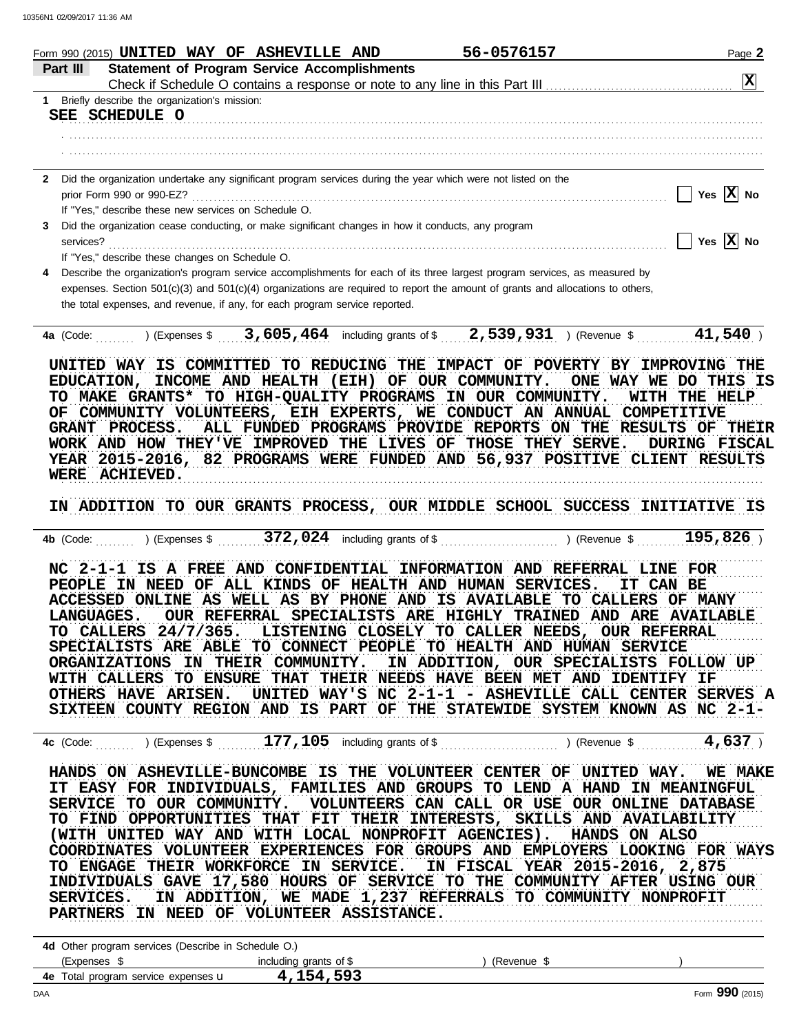| Form 990 (2015) $\textbf{UNITED}$ WAY OF ASHEVILLE AND                                                                                             | 56-0576157                                                    | Page 2                  |
|----------------------------------------------------------------------------------------------------------------------------------------------------|---------------------------------------------------------------|-------------------------|
| <b>Statement of Program Service Accomplishments</b><br>Part III                                                                                    |                                                               | $\boxed{\mathbf{X}}$    |
| 1 Briefly describe the organization's mission:                                                                                                     |                                                               |                         |
| SEE SCHEDULE O                                                                                                                                     |                                                               |                         |
|                                                                                                                                                    |                                                               |                         |
|                                                                                                                                                    |                                                               |                         |
| Did the organization undertake any significant program services during the year which were not listed on the<br>$\mathbf{2}$                       |                                                               |                         |
|                                                                                                                                                    |                                                               | Yes $ \overline{X} $ No |
| If "Yes," describe these new services on Schedule O.                                                                                               |                                                               |                         |
| Did the organization cease conducting, or make significant changes in how it conducts, any program<br>3                                            |                                                               | Yes $\overline{X}$ No   |
| If "Yes," describe these changes on Schedule O.                                                                                                    |                                                               |                         |
| Describe the organization's program service accomplishments for each of its three largest program services, as measured by<br>4                    |                                                               |                         |
| expenses. Section 501(c)(3) and 501(c)(4) organizations are required to report the amount of grants and allocations to others,                     |                                                               |                         |
| the total expenses, and revenue, if any, for each program service reported.                                                                        |                                                               |                         |
| 4a (Code: ) (Expenses \$3,605,464 including grants of \$2,539,931) (Revenue \$41,540)                                                              |                                                               |                         |
|                                                                                                                                                    |                                                               |                         |
| UNITED WAY IS COMMITTED TO REDUCING THE IMPACT OF POVERTY BY IMPROVING THE                                                                         |                                                               |                         |
| EDUCATION, INCOME AND HEALTH (EIH) OF OUR COMMUNITY. ONE WAY WE DO THIS IS                                                                         |                                                               |                         |
| TO MAKE GRANTS* TO HIGH-QUALITY PROGRAMS IN OUR COMMUNITY.                                                                                         |                                                               | <b>WITH THE HELP</b>    |
| OF COMMUNITY VOLUNTEERS, EIH EXPERTS, WE CONDUCT AN ANNUAL COMPETITIVE                                                                             |                                                               |                         |
| GRANT PROCESS.                                                                                                                                     | ALL FUNDED PROGRAMS PROVIDE REPORTS ON THE RESULTS OF THEIR   |                         |
| WORK AND HOW THEY'VE IMPROVED THE LIVES OF THOSE THEY SERVE.                                                                                       |                                                               | <b>DURING FISCAL</b>    |
| YEAR 2015-2016, 82 PROGRAMS WERE FUNDED AND 56,937 POSITIVE CLIENT RESULTS                                                                         |                                                               |                         |
| WERE ACHIEVED.                                                                                                                                     |                                                               |                         |
|                                                                                                                                                    |                                                               |                         |
| IN ADDITION TO OUR GRANTS PROCESS, OUR MIDDLE SCHOOL SUCCESS INITIATIVE IS                                                                         |                                                               |                         |
|                                                                                                                                                    |                                                               |                         |
| NC 2-1-1 IS A FREE AND CONFIDENTIAL INFORMATION AND REFERRAL LINE FOR                                                                              |                                                               |                         |
| PEOPLE IN NEED OF ALL KINDS OF HEALTH AND HUMAN SERVICES.                                                                                          |                                                               | IT CAN BE               |
| ACCESSED ONLINE AS WELL AS BY PHONE AND IS AVAILABLE TO CALLERS OF MANY                                                                            |                                                               |                         |
| <b>LANGUAGES.</b>                                                                                                                                  | OUR REFERRAL SPECIALISTS ARE HIGHLY TRAINED AND ARE AVAILABLE |                         |
| TO CALLERS 24/7/365. LISTENING CLOSELY TO CALLER NEEDS, OUR REFERRAL                                                                               |                                                               |                         |
| SPECIALISTS ARE ABLE TO CONNECT PEOPLE TO HEALTH AND HUMAN SERVICE                                                                                 |                                                               |                         |
| ORGANIZATIONS IN THEIR COMMUNITY. IN ADDITION, OUR SPECIALISTS FOLLOW UP                                                                           |                                                               |                         |
| WITH CALLERS TO ENSURE THAT THEIR NEEDS HAVE BEEN MET AND IDENTIFY IF                                                                              |                                                               |                         |
| OTHERS HAVE ARISEN. UNITED WAY'S NC 2-1-1 - ASHEVILLE CALL CENTER SERVES A                                                                         |                                                               |                         |
| SIXTEEN COUNTY REGION AND IS PART OF THE STATEWIDE SYSTEM KNOWN AS NC 2-1-                                                                         |                                                               |                         |
|                                                                                                                                                    |                                                               |                         |
|                                                                                                                                                    |                                                               |                         |
| HANDS ON ASHEVILLE-BUNCOMBE IS THE VOLUNTEER CENTER OF UNITED WAY. WE MAKE                                                                         |                                                               |                         |
| IT EASY FOR INDIVIDUALS, FAMILIES AND GROUPS TO LEND A HAND IN MEANINGFUL                                                                          |                                                               |                         |
| SERVICE TO OUR COMMUNITY. VOLUNTEERS CAN CALL OR USE OUR ONLINE DATABASE                                                                           |                                                               |                         |
| TO FIND OPPORTUNITIES THAT FIT THEIR INTERESTS, SKILLS AND AVAILABILITY                                                                            |                                                               |                         |
| (WITH UNITED WAY AND WITH LOCAL NONPROFIT AGENCIES). HANDS ON ALSO                                                                                 |                                                               |                         |
| COORDINATES VOLUNTEER EXPERIENCES FOR GROUPS AND EMPLOYERS LOOKING FOR WAYS                                                                        |                                                               |                         |
| TO ENGAGE THEIR WORKFORCE IN SERVICE. IN FISCAL YEAR 2015-2016, 2,875<br>INDIVIDUALS GAVE 17,580 HOURS OF SERVICE TO THE COMMUNITY AFTER USING OUR |                                                               |                         |
| SERVICES. IN ADDITION, WE MADE 1,237 REFERRALS TO COMMUNITY NONPROFIT                                                                              |                                                               |                         |
| PARTNERS IN NEED OF VOLUNTEER ASSISTANCE.                                                                                                          |                                                               |                         |
|                                                                                                                                                    |                                                               |                         |
| 4d Other program services (Describe in Schedule O.)                                                                                                |                                                               |                         |
| 4.154,593 4e Total program service expenses u                                                                                                      |                                                               |                         |
|                                                                                                                                                    |                                                               |                         |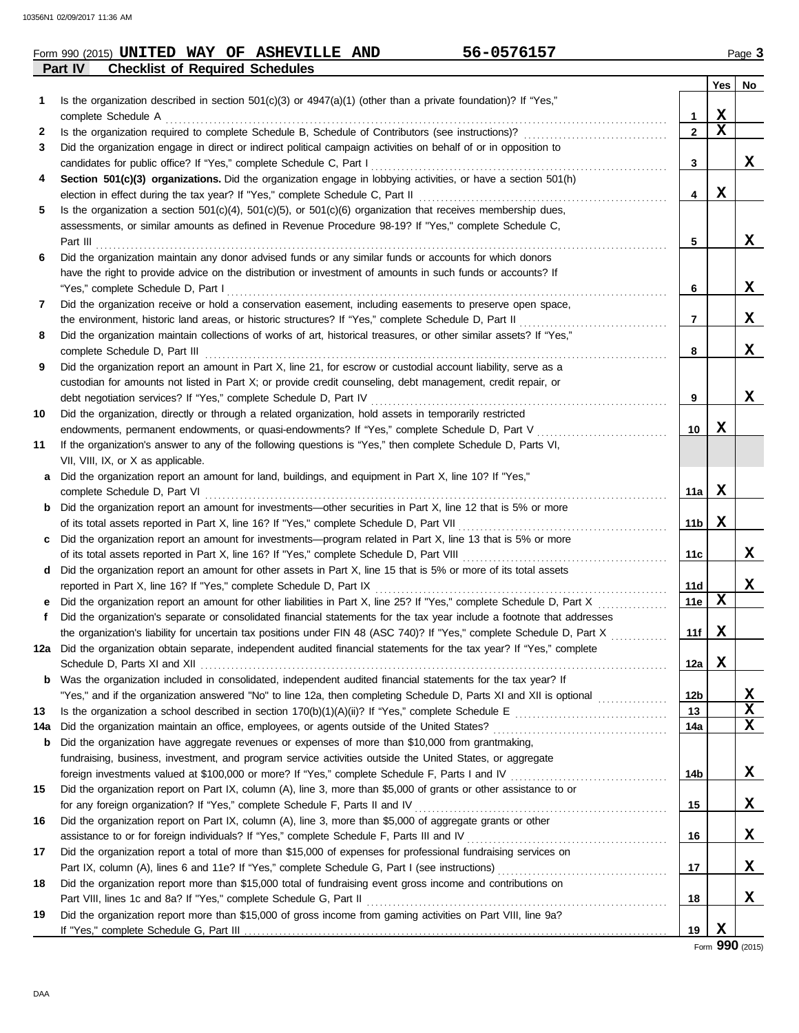## **Part IV Checklist of Required Schedules Form 990 (2015) UNITED WAY OF ASHEVILLE AND 56-0576157** Page 3

| Is the organization described in section 501(c)(3) or 4947(a)(1) (other than a private foundation)? If "Yes,"<br>1<br>X<br>1<br>X<br>$\overline{2}$<br>2<br>Did the organization engage in direct or indirect political campaign activities on behalf of or in opposition to<br>3<br>X<br>3<br>4<br>Section 501(c)(3) organizations. Did the organization engage in lobbying activities, or have a section 501(h)<br>X<br>4<br>Is the organization a section $501(c)(4)$ , $501(c)(5)$ , or $501(c)(6)$ organization that receives membership dues,<br>5<br>assessments, or similar amounts as defined in Revenue Procedure 98-19? If "Yes," complete Schedule C,<br>X<br>5<br>Did the organization maintain any donor advised funds or any similar funds or accounts for which donors<br>6<br>have the right to provide advice on the distribution or investment of amounts in such funds or accounts? If<br>X.<br>6<br>Did the organization receive or hold a conservation easement, including easements to preserve open space,<br>7<br>X.<br>$\overline{7}$<br>Did the organization maintain collections of works of art, historical treasures, or other similar assets? If "Yes,"<br>8<br>x<br>8<br>Did the organization report an amount in Part X, line 21, for escrow or custodial account liability, serve as a<br>9<br>custodian for amounts not listed in Part X; or provide credit counseling, debt management, credit repair, or<br>x<br>9<br>Did the organization, directly or through a related organization, hold assets in temporarily restricted<br>10<br>x<br>endowments, permanent endowments, or quasi-endowments? If "Yes," complete Schedule D, Part V<br>10<br>If the organization's answer to any of the following questions is "Yes," then complete Schedule D, Parts VI,<br>11<br>VII, VIII, IX, or X as applicable.<br>Did the organization report an amount for land, buildings, and equipment in Part X, line 10? If "Yes,"<br>a<br>x<br>11a<br><b>b</b> Did the organization report an amount for investments—other securities in Part X, line 12 that is 5% or more<br>x<br>11b<br>Did the organization report an amount for investments—program related in Part X, line 13 that is 5% or more<br>C<br>X<br>11c<br>Did the organization report an amount for other assets in Part X, line 15 that is 5% or more of its total assets<br>d<br>x<br>reported in Part X, line 16? If "Yes," complete Schedule D, Part IX [11] [12] [12] [13] [13] [13] [13] [13] [1<br>11d<br>X<br>Did the organization report an amount for other liabilities in Part X, line 25? If "Yes," complete Schedule D, Part X<br>11e<br>е<br>Did the organization's separate or consolidated financial statements for the tax year include a footnote that addresses<br>f<br>Х<br>the organization's liability for uncertain tax positions under FIN 48 (ASC 740)? If "Yes," complete Schedule D, Part X<br>11f<br>12a Did the organization obtain separate, independent audited financial statements for the tax year? If "Yes," complete<br>X<br>12a  <br>Was the organization included in consolidated, independent audited financial statements for the tax year? If<br>X<br>12 <sub>b</sub><br>X<br>13<br>13<br>X<br>14a<br>14a<br>Did the organization have aggregate revenues or expenses of more than \$10,000 from grantmaking,<br>b<br>fundraising, business, investment, and program service activities outside the United States, or aggregate<br>X<br>foreign investments valued at \$100,000 or more? If "Yes," complete Schedule F, Parts I and IV [[[[[[[[[[[[[[[[<br>14b<br>Did the organization report on Part IX, column (A), line 3, more than \$5,000 of grants or other assistance to or<br>15<br>X<br>for any foreign organization? If "Yes," complete Schedule F, Parts II and IV [[[[[[[[[[[[[[[[[[[[[[[[[[[[[[[[[<br>15<br>Did the organization report on Part IX, column (A), line 3, more than \$5,000 of aggregate grants or other<br>16<br>X<br>16<br>Did the organization report a total of more than \$15,000 of expenses for professional fundraising services on<br>17<br>X<br>17<br>Did the organization report more than \$15,000 total of fundraising event gross income and contributions on<br>18<br>x<br>18<br>Did the organization report more than \$15,000 of gross income from gaming activities on Part VIII, line 9a?<br>19<br>19 |  | Yes | No |
|----------------------------------------------------------------------------------------------------------------------------------------------------------------------------------------------------------------------------------------------------------------------------------------------------------------------------------------------------------------------------------------------------------------------------------------------------------------------------------------------------------------------------------------------------------------------------------------------------------------------------------------------------------------------------------------------------------------------------------------------------------------------------------------------------------------------------------------------------------------------------------------------------------------------------------------------------------------------------------------------------------------------------------------------------------------------------------------------------------------------------------------------------------------------------------------------------------------------------------------------------------------------------------------------------------------------------------------------------------------------------------------------------------------------------------------------------------------------------------------------------------------------------------------------------------------------------------------------------------------------------------------------------------------------------------------------------------------------------------------------------------------------------------------------------------------------------------------------------------------------------------------------------------------------------------------------------------------------------------------------------------------------------------------------------------------------------------------------------------------------------------------------------------------------------------------------------------------------------------------------------------------------------------------------------------------------------------------------------------------------------------------------------------------------------------------------------------------------------------------------------------------------------------------------------------------------------------------------------------------------------------------------------------------------------------------------------------------------------------------------------------------------------------------------------------------------------------------------------------------------------------------------------------------------------------------------------------------------------------------------------------------------------------------------------------------------------------------------------------------------------------------------------------------------------------------------------------------------------------------------------------------------------------------------------------------------------------------------------------------------------------------------------------------------------------------------------------------------------------------------------------------------------------------------------------------------------------------------------------------------------------------------------------------------------------------------------------------------------------------------------------------------------------------------------------------------------------------------------------------------------------------------------------------------------------------------------------------------------------------------------------------------------------------------------------------------------------------------------------------------------------------------------------------------------------------------------------------------------------------------------------------------------------------------------------------------------------------------------------------------------------------|--|-----|----|
|                                                                                                                                                                                                                                                                                                                                                                                                                                                                                                                                                                                                                                                                                                                                                                                                                                                                                                                                                                                                                                                                                                                                                                                                                                                                                                                                                                                                                                                                                                                                                                                                                                                                                                                                                                                                                                                                                                                                                                                                                                                                                                                                                                                                                                                                                                                                                                                                                                                                                                                                                                                                                                                                                                                                                                                                                                                                                                                                                                                                                                                                                                                                                                                                                                                                                                                                                                                                                                                                                                                                                                                                                                                                                                                                                                                                                                                                                                                                                                                                                                                                                                                                                                                                                                                                                                                                                                                        |  |     |    |
|                                                                                                                                                                                                                                                                                                                                                                                                                                                                                                                                                                                                                                                                                                                                                                                                                                                                                                                                                                                                                                                                                                                                                                                                                                                                                                                                                                                                                                                                                                                                                                                                                                                                                                                                                                                                                                                                                                                                                                                                                                                                                                                                                                                                                                                                                                                                                                                                                                                                                                                                                                                                                                                                                                                                                                                                                                                                                                                                                                                                                                                                                                                                                                                                                                                                                                                                                                                                                                                                                                                                                                                                                                                                                                                                                                                                                                                                                                                                                                                                                                                                                                                                                                                                                                                                                                                                                                                        |  |     |    |
|                                                                                                                                                                                                                                                                                                                                                                                                                                                                                                                                                                                                                                                                                                                                                                                                                                                                                                                                                                                                                                                                                                                                                                                                                                                                                                                                                                                                                                                                                                                                                                                                                                                                                                                                                                                                                                                                                                                                                                                                                                                                                                                                                                                                                                                                                                                                                                                                                                                                                                                                                                                                                                                                                                                                                                                                                                                                                                                                                                                                                                                                                                                                                                                                                                                                                                                                                                                                                                                                                                                                                                                                                                                                                                                                                                                                                                                                                                                                                                                                                                                                                                                                                                                                                                                                                                                                                                                        |  |     |    |
|                                                                                                                                                                                                                                                                                                                                                                                                                                                                                                                                                                                                                                                                                                                                                                                                                                                                                                                                                                                                                                                                                                                                                                                                                                                                                                                                                                                                                                                                                                                                                                                                                                                                                                                                                                                                                                                                                                                                                                                                                                                                                                                                                                                                                                                                                                                                                                                                                                                                                                                                                                                                                                                                                                                                                                                                                                                                                                                                                                                                                                                                                                                                                                                                                                                                                                                                                                                                                                                                                                                                                                                                                                                                                                                                                                                                                                                                                                                                                                                                                                                                                                                                                                                                                                                                                                                                                                                        |  |     |    |
|                                                                                                                                                                                                                                                                                                                                                                                                                                                                                                                                                                                                                                                                                                                                                                                                                                                                                                                                                                                                                                                                                                                                                                                                                                                                                                                                                                                                                                                                                                                                                                                                                                                                                                                                                                                                                                                                                                                                                                                                                                                                                                                                                                                                                                                                                                                                                                                                                                                                                                                                                                                                                                                                                                                                                                                                                                                                                                                                                                                                                                                                                                                                                                                                                                                                                                                                                                                                                                                                                                                                                                                                                                                                                                                                                                                                                                                                                                                                                                                                                                                                                                                                                                                                                                                                                                                                                                                        |  |     |    |
|                                                                                                                                                                                                                                                                                                                                                                                                                                                                                                                                                                                                                                                                                                                                                                                                                                                                                                                                                                                                                                                                                                                                                                                                                                                                                                                                                                                                                                                                                                                                                                                                                                                                                                                                                                                                                                                                                                                                                                                                                                                                                                                                                                                                                                                                                                                                                                                                                                                                                                                                                                                                                                                                                                                                                                                                                                                                                                                                                                                                                                                                                                                                                                                                                                                                                                                                                                                                                                                                                                                                                                                                                                                                                                                                                                                                                                                                                                                                                                                                                                                                                                                                                                                                                                                                                                                                                                                        |  |     |    |
|                                                                                                                                                                                                                                                                                                                                                                                                                                                                                                                                                                                                                                                                                                                                                                                                                                                                                                                                                                                                                                                                                                                                                                                                                                                                                                                                                                                                                                                                                                                                                                                                                                                                                                                                                                                                                                                                                                                                                                                                                                                                                                                                                                                                                                                                                                                                                                                                                                                                                                                                                                                                                                                                                                                                                                                                                                                                                                                                                                                                                                                                                                                                                                                                                                                                                                                                                                                                                                                                                                                                                                                                                                                                                                                                                                                                                                                                                                                                                                                                                                                                                                                                                                                                                                                                                                                                                                                        |  |     |    |
|                                                                                                                                                                                                                                                                                                                                                                                                                                                                                                                                                                                                                                                                                                                                                                                                                                                                                                                                                                                                                                                                                                                                                                                                                                                                                                                                                                                                                                                                                                                                                                                                                                                                                                                                                                                                                                                                                                                                                                                                                                                                                                                                                                                                                                                                                                                                                                                                                                                                                                                                                                                                                                                                                                                                                                                                                                                                                                                                                                                                                                                                                                                                                                                                                                                                                                                                                                                                                                                                                                                                                                                                                                                                                                                                                                                                                                                                                                                                                                                                                                                                                                                                                                                                                                                                                                                                                                                        |  |     |    |
|                                                                                                                                                                                                                                                                                                                                                                                                                                                                                                                                                                                                                                                                                                                                                                                                                                                                                                                                                                                                                                                                                                                                                                                                                                                                                                                                                                                                                                                                                                                                                                                                                                                                                                                                                                                                                                                                                                                                                                                                                                                                                                                                                                                                                                                                                                                                                                                                                                                                                                                                                                                                                                                                                                                                                                                                                                                                                                                                                                                                                                                                                                                                                                                                                                                                                                                                                                                                                                                                                                                                                                                                                                                                                                                                                                                                                                                                                                                                                                                                                                                                                                                                                                                                                                                                                                                                                                                        |  |     |    |
|                                                                                                                                                                                                                                                                                                                                                                                                                                                                                                                                                                                                                                                                                                                                                                                                                                                                                                                                                                                                                                                                                                                                                                                                                                                                                                                                                                                                                                                                                                                                                                                                                                                                                                                                                                                                                                                                                                                                                                                                                                                                                                                                                                                                                                                                                                                                                                                                                                                                                                                                                                                                                                                                                                                                                                                                                                                                                                                                                                                                                                                                                                                                                                                                                                                                                                                                                                                                                                                                                                                                                                                                                                                                                                                                                                                                                                                                                                                                                                                                                                                                                                                                                                                                                                                                                                                                                                                        |  |     |    |
|                                                                                                                                                                                                                                                                                                                                                                                                                                                                                                                                                                                                                                                                                                                                                                                                                                                                                                                                                                                                                                                                                                                                                                                                                                                                                                                                                                                                                                                                                                                                                                                                                                                                                                                                                                                                                                                                                                                                                                                                                                                                                                                                                                                                                                                                                                                                                                                                                                                                                                                                                                                                                                                                                                                                                                                                                                                                                                                                                                                                                                                                                                                                                                                                                                                                                                                                                                                                                                                                                                                                                                                                                                                                                                                                                                                                                                                                                                                                                                                                                                                                                                                                                                                                                                                                                                                                                                                        |  |     |    |
|                                                                                                                                                                                                                                                                                                                                                                                                                                                                                                                                                                                                                                                                                                                                                                                                                                                                                                                                                                                                                                                                                                                                                                                                                                                                                                                                                                                                                                                                                                                                                                                                                                                                                                                                                                                                                                                                                                                                                                                                                                                                                                                                                                                                                                                                                                                                                                                                                                                                                                                                                                                                                                                                                                                                                                                                                                                                                                                                                                                                                                                                                                                                                                                                                                                                                                                                                                                                                                                                                                                                                                                                                                                                                                                                                                                                                                                                                                                                                                                                                                                                                                                                                                                                                                                                                                                                                                                        |  |     |    |
|                                                                                                                                                                                                                                                                                                                                                                                                                                                                                                                                                                                                                                                                                                                                                                                                                                                                                                                                                                                                                                                                                                                                                                                                                                                                                                                                                                                                                                                                                                                                                                                                                                                                                                                                                                                                                                                                                                                                                                                                                                                                                                                                                                                                                                                                                                                                                                                                                                                                                                                                                                                                                                                                                                                                                                                                                                                                                                                                                                                                                                                                                                                                                                                                                                                                                                                                                                                                                                                                                                                                                                                                                                                                                                                                                                                                                                                                                                                                                                                                                                                                                                                                                                                                                                                                                                                                                                                        |  |     |    |
|                                                                                                                                                                                                                                                                                                                                                                                                                                                                                                                                                                                                                                                                                                                                                                                                                                                                                                                                                                                                                                                                                                                                                                                                                                                                                                                                                                                                                                                                                                                                                                                                                                                                                                                                                                                                                                                                                                                                                                                                                                                                                                                                                                                                                                                                                                                                                                                                                                                                                                                                                                                                                                                                                                                                                                                                                                                                                                                                                                                                                                                                                                                                                                                                                                                                                                                                                                                                                                                                                                                                                                                                                                                                                                                                                                                                                                                                                                                                                                                                                                                                                                                                                                                                                                                                                                                                                                                        |  |     |    |
|                                                                                                                                                                                                                                                                                                                                                                                                                                                                                                                                                                                                                                                                                                                                                                                                                                                                                                                                                                                                                                                                                                                                                                                                                                                                                                                                                                                                                                                                                                                                                                                                                                                                                                                                                                                                                                                                                                                                                                                                                                                                                                                                                                                                                                                                                                                                                                                                                                                                                                                                                                                                                                                                                                                                                                                                                                                                                                                                                                                                                                                                                                                                                                                                                                                                                                                                                                                                                                                                                                                                                                                                                                                                                                                                                                                                                                                                                                                                                                                                                                                                                                                                                                                                                                                                                                                                                                                        |  |     |    |
|                                                                                                                                                                                                                                                                                                                                                                                                                                                                                                                                                                                                                                                                                                                                                                                                                                                                                                                                                                                                                                                                                                                                                                                                                                                                                                                                                                                                                                                                                                                                                                                                                                                                                                                                                                                                                                                                                                                                                                                                                                                                                                                                                                                                                                                                                                                                                                                                                                                                                                                                                                                                                                                                                                                                                                                                                                                                                                                                                                                                                                                                                                                                                                                                                                                                                                                                                                                                                                                                                                                                                                                                                                                                                                                                                                                                                                                                                                                                                                                                                                                                                                                                                                                                                                                                                                                                                                                        |  |     |    |
|                                                                                                                                                                                                                                                                                                                                                                                                                                                                                                                                                                                                                                                                                                                                                                                                                                                                                                                                                                                                                                                                                                                                                                                                                                                                                                                                                                                                                                                                                                                                                                                                                                                                                                                                                                                                                                                                                                                                                                                                                                                                                                                                                                                                                                                                                                                                                                                                                                                                                                                                                                                                                                                                                                                                                                                                                                                                                                                                                                                                                                                                                                                                                                                                                                                                                                                                                                                                                                                                                                                                                                                                                                                                                                                                                                                                                                                                                                                                                                                                                                                                                                                                                                                                                                                                                                                                                                                        |  |     |    |
|                                                                                                                                                                                                                                                                                                                                                                                                                                                                                                                                                                                                                                                                                                                                                                                                                                                                                                                                                                                                                                                                                                                                                                                                                                                                                                                                                                                                                                                                                                                                                                                                                                                                                                                                                                                                                                                                                                                                                                                                                                                                                                                                                                                                                                                                                                                                                                                                                                                                                                                                                                                                                                                                                                                                                                                                                                                                                                                                                                                                                                                                                                                                                                                                                                                                                                                                                                                                                                                                                                                                                                                                                                                                                                                                                                                                                                                                                                                                                                                                                                                                                                                                                                                                                                                                                                                                                                                        |  |     |    |
|                                                                                                                                                                                                                                                                                                                                                                                                                                                                                                                                                                                                                                                                                                                                                                                                                                                                                                                                                                                                                                                                                                                                                                                                                                                                                                                                                                                                                                                                                                                                                                                                                                                                                                                                                                                                                                                                                                                                                                                                                                                                                                                                                                                                                                                                                                                                                                                                                                                                                                                                                                                                                                                                                                                                                                                                                                                                                                                                                                                                                                                                                                                                                                                                                                                                                                                                                                                                                                                                                                                                                                                                                                                                                                                                                                                                                                                                                                                                                                                                                                                                                                                                                                                                                                                                                                                                                                                        |  |     |    |
|                                                                                                                                                                                                                                                                                                                                                                                                                                                                                                                                                                                                                                                                                                                                                                                                                                                                                                                                                                                                                                                                                                                                                                                                                                                                                                                                                                                                                                                                                                                                                                                                                                                                                                                                                                                                                                                                                                                                                                                                                                                                                                                                                                                                                                                                                                                                                                                                                                                                                                                                                                                                                                                                                                                                                                                                                                                                                                                                                                                                                                                                                                                                                                                                                                                                                                                                                                                                                                                                                                                                                                                                                                                                                                                                                                                                                                                                                                                                                                                                                                                                                                                                                                                                                                                                                                                                                                                        |  |     |    |
|                                                                                                                                                                                                                                                                                                                                                                                                                                                                                                                                                                                                                                                                                                                                                                                                                                                                                                                                                                                                                                                                                                                                                                                                                                                                                                                                                                                                                                                                                                                                                                                                                                                                                                                                                                                                                                                                                                                                                                                                                                                                                                                                                                                                                                                                                                                                                                                                                                                                                                                                                                                                                                                                                                                                                                                                                                                                                                                                                                                                                                                                                                                                                                                                                                                                                                                                                                                                                                                                                                                                                                                                                                                                                                                                                                                                                                                                                                                                                                                                                                                                                                                                                                                                                                                                                                                                                                                        |  |     |    |
|                                                                                                                                                                                                                                                                                                                                                                                                                                                                                                                                                                                                                                                                                                                                                                                                                                                                                                                                                                                                                                                                                                                                                                                                                                                                                                                                                                                                                                                                                                                                                                                                                                                                                                                                                                                                                                                                                                                                                                                                                                                                                                                                                                                                                                                                                                                                                                                                                                                                                                                                                                                                                                                                                                                                                                                                                                                                                                                                                                                                                                                                                                                                                                                                                                                                                                                                                                                                                                                                                                                                                                                                                                                                                                                                                                                                                                                                                                                                                                                                                                                                                                                                                                                                                                                                                                                                                                                        |  |     |    |
|                                                                                                                                                                                                                                                                                                                                                                                                                                                                                                                                                                                                                                                                                                                                                                                                                                                                                                                                                                                                                                                                                                                                                                                                                                                                                                                                                                                                                                                                                                                                                                                                                                                                                                                                                                                                                                                                                                                                                                                                                                                                                                                                                                                                                                                                                                                                                                                                                                                                                                                                                                                                                                                                                                                                                                                                                                                                                                                                                                                                                                                                                                                                                                                                                                                                                                                                                                                                                                                                                                                                                                                                                                                                                                                                                                                                                                                                                                                                                                                                                                                                                                                                                                                                                                                                                                                                                                                        |  |     |    |
|                                                                                                                                                                                                                                                                                                                                                                                                                                                                                                                                                                                                                                                                                                                                                                                                                                                                                                                                                                                                                                                                                                                                                                                                                                                                                                                                                                                                                                                                                                                                                                                                                                                                                                                                                                                                                                                                                                                                                                                                                                                                                                                                                                                                                                                                                                                                                                                                                                                                                                                                                                                                                                                                                                                                                                                                                                                                                                                                                                                                                                                                                                                                                                                                                                                                                                                                                                                                                                                                                                                                                                                                                                                                                                                                                                                                                                                                                                                                                                                                                                                                                                                                                                                                                                                                                                                                                                                        |  |     |    |
|                                                                                                                                                                                                                                                                                                                                                                                                                                                                                                                                                                                                                                                                                                                                                                                                                                                                                                                                                                                                                                                                                                                                                                                                                                                                                                                                                                                                                                                                                                                                                                                                                                                                                                                                                                                                                                                                                                                                                                                                                                                                                                                                                                                                                                                                                                                                                                                                                                                                                                                                                                                                                                                                                                                                                                                                                                                                                                                                                                                                                                                                                                                                                                                                                                                                                                                                                                                                                                                                                                                                                                                                                                                                                                                                                                                                                                                                                                                                                                                                                                                                                                                                                                                                                                                                                                                                                                                        |  |     |    |
|                                                                                                                                                                                                                                                                                                                                                                                                                                                                                                                                                                                                                                                                                                                                                                                                                                                                                                                                                                                                                                                                                                                                                                                                                                                                                                                                                                                                                                                                                                                                                                                                                                                                                                                                                                                                                                                                                                                                                                                                                                                                                                                                                                                                                                                                                                                                                                                                                                                                                                                                                                                                                                                                                                                                                                                                                                                                                                                                                                                                                                                                                                                                                                                                                                                                                                                                                                                                                                                                                                                                                                                                                                                                                                                                                                                                                                                                                                                                                                                                                                                                                                                                                                                                                                                                                                                                                                                        |  |     |    |
|                                                                                                                                                                                                                                                                                                                                                                                                                                                                                                                                                                                                                                                                                                                                                                                                                                                                                                                                                                                                                                                                                                                                                                                                                                                                                                                                                                                                                                                                                                                                                                                                                                                                                                                                                                                                                                                                                                                                                                                                                                                                                                                                                                                                                                                                                                                                                                                                                                                                                                                                                                                                                                                                                                                                                                                                                                                                                                                                                                                                                                                                                                                                                                                                                                                                                                                                                                                                                                                                                                                                                                                                                                                                                                                                                                                                                                                                                                                                                                                                                                                                                                                                                                                                                                                                                                                                                                                        |  |     |    |
|                                                                                                                                                                                                                                                                                                                                                                                                                                                                                                                                                                                                                                                                                                                                                                                                                                                                                                                                                                                                                                                                                                                                                                                                                                                                                                                                                                                                                                                                                                                                                                                                                                                                                                                                                                                                                                                                                                                                                                                                                                                                                                                                                                                                                                                                                                                                                                                                                                                                                                                                                                                                                                                                                                                                                                                                                                                                                                                                                                                                                                                                                                                                                                                                                                                                                                                                                                                                                                                                                                                                                                                                                                                                                                                                                                                                                                                                                                                                                                                                                                                                                                                                                                                                                                                                                                                                                                                        |  |     |    |
|                                                                                                                                                                                                                                                                                                                                                                                                                                                                                                                                                                                                                                                                                                                                                                                                                                                                                                                                                                                                                                                                                                                                                                                                                                                                                                                                                                                                                                                                                                                                                                                                                                                                                                                                                                                                                                                                                                                                                                                                                                                                                                                                                                                                                                                                                                                                                                                                                                                                                                                                                                                                                                                                                                                                                                                                                                                                                                                                                                                                                                                                                                                                                                                                                                                                                                                                                                                                                                                                                                                                                                                                                                                                                                                                                                                                                                                                                                                                                                                                                                                                                                                                                                                                                                                                                                                                                                                        |  |     |    |
|                                                                                                                                                                                                                                                                                                                                                                                                                                                                                                                                                                                                                                                                                                                                                                                                                                                                                                                                                                                                                                                                                                                                                                                                                                                                                                                                                                                                                                                                                                                                                                                                                                                                                                                                                                                                                                                                                                                                                                                                                                                                                                                                                                                                                                                                                                                                                                                                                                                                                                                                                                                                                                                                                                                                                                                                                                                                                                                                                                                                                                                                                                                                                                                                                                                                                                                                                                                                                                                                                                                                                                                                                                                                                                                                                                                                                                                                                                                                                                                                                                                                                                                                                                                                                                                                                                                                                                                        |  |     |    |
|                                                                                                                                                                                                                                                                                                                                                                                                                                                                                                                                                                                                                                                                                                                                                                                                                                                                                                                                                                                                                                                                                                                                                                                                                                                                                                                                                                                                                                                                                                                                                                                                                                                                                                                                                                                                                                                                                                                                                                                                                                                                                                                                                                                                                                                                                                                                                                                                                                                                                                                                                                                                                                                                                                                                                                                                                                                                                                                                                                                                                                                                                                                                                                                                                                                                                                                                                                                                                                                                                                                                                                                                                                                                                                                                                                                                                                                                                                                                                                                                                                                                                                                                                                                                                                                                                                                                                                                        |  |     |    |
|                                                                                                                                                                                                                                                                                                                                                                                                                                                                                                                                                                                                                                                                                                                                                                                                                                                                                                                                                                                                                                                                                                                                                                                                                                                                                                                                                                                                                                                                                                                                                                                                                                                                                                                                                                                                                                                                                                                                                                                                                                                                                                                                                                                                                                                                                                                                                                                                                                                                                                                                                                                                                                                                                                                                                                                                                                                                                                                                                                                                                                                                                                                                                                                                                                                                                                                                                                                                                                                                                                                                                                                                                                                                                                                                                                                                                                                                                                                                                                                                                                                                                                                                                                                                                                                                                                                                                                                        |  |     |    |
|                                                                                                                                                                                                                                                                                                                                                                                                                                                                                                                                                                                                                                                                                                                                                                                                                                                                                                                                                                                                                                                                                                                                                                                                                                                                                                                                                                                                                                                                                                                                                                                                                                                                                                                                                                                                                                                                                                                                                                                                                                                                                                                                                                                                                                                                                                                                                                                                                                                                                                                                                                                                                                                                                                                                                                                                                                                                                                                                                                                                                                                                                                                                                                                                                                                                                                                                                                                                                                                                                                                                                                                                                                                                                                                                                                                                                                                                                                                                                                                                                                                                                                                                                                                                                                                                                                                                                                                        |  |     |    |
|                                                                                                                                                                                                                                                                                                                                                                                                                                                                                                                                                                                                                                                                                                                                                                                                                                                                                                                                                                                                                                                                                                                                                                                                                                                                                                                                                                                                                                                                                                                                                                                                                                                                                                                                                                                                                                                                                                                                                                                                                                                                                                                                                                                                                                                                                                                                                                                                                                                                                                                                                                                                                                                                                                                                                                                                                                                                                                                                                                                                                                                                                                                                                                                                                                                                                                                                                                                                                                                                                                                                                                                                                                                                                                                                                                                                                                                                                                                                                                                                                                                                                                                                                                                                                                                                                                                                                                                        |  |     |    |
|                                                                                                                                                                                                                                                                                                                                                                                                                                                                                                                                                                                                                                                                                                                                                                                                                                                                                                                                                                                                                                                                                                                                                                                                                                                                                                                                                                                                                                                                                                                                                                                                                                                                                                                                                                                                                                                                                                                                                                                                                                                                                                                                                                                                                                                                                                                                                                                                                                                                                                                                                                                                                                                                                                                                                                                                                                                                                                                                                                                                                                                                                                                                                                                                                                                                                                                                                                                                                                                                                                                                                                                                                                                                                                                                                                                                                                                                                                                                                                                                                                                                                                                                                                                                                                                                                                                                                                                        |  |     |    |
|                                                                                                                                                                                                                                                                                                                                                                                                                                                                                                                                                                                                                                                                                                                                                                                                                                                                                                                                                                                                                                                                                                                                                                                                                                                                                                                                                                                                                                                                                                                                                                                                                                                                                                                                                                                                                                                                                                                                                                                                                                                                                                                                                                                                                                                                                                                                                                                                                                                                                                                                                                                                                                                                                                                                                                                                                                                                                                                                                                                                                                                                                                                                                                                                                                                                                                                                                                                                                                                                                                                                                                                                                                                                                                                                                                                                                                                                                                                                                                                                                                                                                                                                                                                                                                                                                                                                                                                        |  |     |    |
|                                                                                                                                                                                                                                                                                                                                                                                                                                                                                                                                                                                                                                                                                                                                                                                                                                                                                                                                                                                                                                                                                                                                                                                                                                                                                                                                                                                                                                                                                                                                                                                                                                                                                                                                                                                                                                                                                                                                                                                                                                                                                                                                                                                                                                                                                                                                                                                                                                                                                                                                                                                                                                                                                                                                                                                                                                                                                                                                                                                                                                                                                                                                                                                                                                                                                                                                                                                                                                                                                                                                                                                                                                                                                                                                                                                                                                                                                                                                                                                                                                                                                                                                                                                                                                                                                                                                                                                        |  |     |    |
|                                                                                                                                                                                                                                                                                                                                                                                                                                                                                                                                                                                                                                                                                                                                                                                                                                                                                                                                                                                                                                                                                                                                                                                                                                                                                                                                                                                                                                                                                                                                                                                                                                                                                                                                                                                                                                                                                                                                                                                                                                                                                                                                                                                                                                                                                                                                                                                                                                                                                                                                                                                                                                                                                                                                                                                                                                                                                                                                                                                                                                                                                                                                                                                                                                                                                                                                                                                                                                                                                                                                                                                                                                                                                                                                                                                                                                                                                                                                                                                                                                                                                                                                                                                                                                                                                                                                                                                        |  |     |    |
|                                                                                                                                                                                                                                                                                                                                                                                                                                                                                                                                                                                                                                                                                                                                                                                                                                                                                                                                                                                                                                                                                                                                                                                                                                                                                                                                                                                                                                                                                                                                                                                                                                                                                                                                                                                                                                                                                                                                                                                                                                                                                                                                                                                                                                                                                                                                                                                                                                                                                                                                                                                                                                                                                                                                                                                                                                                                                                                                                                                                                                                                                                                                                                                                                                                                                                                                                                                                                                                                                                                                                                                                                                                                                                                                                                                                                                                                                                                                                                                                                                                                                                                                                                                                                                                                                                                                                                                        |  |     |    |
|                                                                                                                                                                                                                                                                                                                                                                                                                                                                                                                                                                                                                                                                                                                                                                                                                                                                                                                                                                                                                                                                                                                                                                                                                                                                                                                                                                                                                                                                                                                                                                                                                                                                                                                                                                                                                                                                                                                                                                                                                                                                                                                                                                                                                                                                                                                                                                                                                                                                                                                                                                                                                                                                                                                                                                                                                                                                                                                                                                                                                                                                                                                                                                                                                                                                                                                                                                                                                                                                                                                                                                                                                                                                                                                                                                                                                                                                                                                                                                                                                                                                                                                                                                                                                                                                                                                                                                                        |  |     |    |
|                                                                                                                                                                                                                                                                                                                                                                                                                                                                                                                                                                                                                                                                                                                                                                                                                                                                                                                                                                                                                                                                                                                                                                                                                                                                                                                                                                                                                                                                                                                                                                                                                                                                                                                                                                                                                                                                                                                                                                                                                                                                                                                                                                                                                                                                                                                                                                                                                                                                                                                                                                                                                                                                                                                                                                                                                                                                                                                                                                                                                                                                                                                                                                                                                                                                                                                                                                                                                                                                                                                                                                                                                                                                                                                                                                                                                                                                                                                                                                                                                                                                                                                                                                                                                                                                                                                                                                                        |  |     |    |
|                                                                                                                                                                                                                                                                                                                                                                                                                                                                                                                                                                                                                                                                                                                                                                                                                                                                                                                                                                                                                                                                                                                                                                                                                                                                                                                                                                                                                                                                                                                                                                                                                                                                                                                                                                                                                                                                                                                                                                                                                                                                                                                                                                                                                                                                                                                                                                                                                                                                                                                                                                                                                                                                                                                                                                                                                                                                                                                                                                                                                                                                                                                                                                                                                                                                                                                                                                                                                                                                                                                                                                                                                                                                                                                                                                                                                                                                                                                                                                                                                                                                                                                                                                                                                                                                                                                                                                                        |  |     |    |
|                                                                                                                                                                                                                                                                                                                                                                                                                                                                                                                                                                                                                                                                                                                                                                                                                                                                                                                                                                                                                                                                                                                                                                                                                                                                                                                                                                                                                                                                                                                                                                                                                                                                                                                                                                                                                                                                                                                                                                                                                                                                                                                                                                                                                                                                                                                                                                                                                                                                                                                                                                                                                                                                                                                                                                                                                                                                                                                                                                                                                                                                                                                                                                                                                                                                                                                                                                                                                                                                                                                                                                                                                                                                                                                                                                                                                                                                                                                                                                                                                                                                                                                                                                                                                                                                                                                                                                                        |  |     |    |
|                                                                                                                                                                                                                                                                                                                                                                                                                                                                                                                                                                                                                                                                                                                                                                                                                                                                                                                                                                                                                                                                                                                                                                                                                                                                                                                                                                                                                                                                                                                                                                                                                                                                                                                                                                                                                                                                                                                                                                                                                                                                                                                                                                                                                                                                                                                                                                                                                                                                                                                                                                                                                                                                                                                                                                                                                                                                                                                                                                                                                                                                                                                                                                                                                                                                                                                                                                                                                                                                                                                                                                                                                                                                                                                                                                                                                                                                                                                                                                                                                                                                                                                                                                                                                                                                                                                                                                                        |  |     |    |
|                                                                                                                                                                                                                                                                                                                                                                                                                                                                                                                                                                                                                                                                                                                                                                                                                                                                                                                                                                                                                                                                                                                                                                                                                                                                                                                                                                                                                                                                                                                                                                                                                                                                                                                                                                                                                                                                                                                                                                                                                                                                                                                                                                                                                                                                                                                                                                                                                                                                                                                                                                                                                                                                                                                                                                                                                                                                                                                                                                                                                                                                                                                                                                                                                                                                                                                                                                                                                                                                                                                                                                                                                                                                                                                                                                                                                                                                                                                                                                                                                                                                                                                                                                                                                                                                                                                                                                                        |  |     |    |
|                                                                                                                                                                                                                                                                                                                                                                                                                                                                                                                                                                                                                                                                                                                                                                                                                                                                                                                                                                                                                                                                                                                                                                                                                                                                                                                                                                                                                                                                                                                                                                                                                                                                                                                                                                                                                                                                                                                                                                                                                                                                                                                                                                                                                                                                                                                                                                                                                                                                                                                                                                                                                                                                                                                                                                                                                                                                                                                                                                                                                                                                                                                                                                                                                                                                                                                                                                                                                                                                                                                                                                                                                                                                                                                                                                                                                                                                                                                                                                                                                                                                                                                                                                                                                                                                                                                                                                                        |  |     |    |
|                                                                                                                                                                                                                                                                                                                                                                                                                                                                                                                                                                                                                                                                                                                                                                                                                                                                                                                                                                                                                                                                                                                                                                                                                                                                                                                                                                                                                                                                                                                                                                                                                                                                                                                                                                                                                                                                                                                                                                                                                                                                                                                                                                                                                                                                                                                                                                                                                                                                                                                                                                                                                                                                                                                                                                                                                                                                                                                                                                                                                                                                                                                                                                                                                                                                                                                                                                                                                                                                                                                                                                                                                                                                                                                                                                                                                                                                                                                                                                                                                                                                                                                                                                                                                                                                                                                                                                                        |  |     |    |
|                                                                                                                                                                                                                                                                                                                                                                                                                                                                                                                                                                                                                                                                                                                                                                                                                                                                                                                                                                                                                                                                                                                                                                                                                                                                                                                                                                                                                                                                                                                                                                                                                                                                                                                                                                                                                                                                                                                                                                                                                                                                                                                                                                                                                                                                                                                                                                                                                                                                                                                                                                                                                                                                                                                                                                                                                                                                                                                                                                                                                                                                                                                                                                                                                                                                                                                                                                                                                                                                                                                                                                                                                                                                                                                                                                                                                                                                                                                                                                                                                                                                                                                                                                                                                                                                                                                                                                                        |  |     |    |
|                                                                                                                                                                                                                                                                                                                                                                                                                                                                                                                                                                                                                                                                                                                                                                                                                                                                                                                                                                                                                                                                                                                                                                                                                                                                                                                                                                                                                                                                                                                                                                                                                                                                                                                                                                                                                                                                                                                                                                                                                                                                                                                                                                                                                                                                                                                                                                                                                                                                                                                                                                                                                                                                                                                                                                                                                                                                                                                                                                                                                                                                                                                                                                                                                                                                                                                                                                                                                                                                                                                                                                                                                                                                                                                                                                                                                                                                                                                                                                                                                                                                                                                                                                                                                                                                                                                                                                                        |  |     |    |
|                                                                                                                                                                                                                                                                                                                                                                                                                                                                                                                                                                                                                                                                                                                                                                                                                                                                                                                                                                                                                                                                                                                                                                                                                                                                                                                                                                                                                                                                                                                                                                                                                                                                                                                                                                                                                                                                                                                                                                                                                                                                                                                                                                                                                                                                                                                                                                                                                                                                                                                                                                                                                                                                                                                                                                                                                                                                                                                                                                                                                                                                                                                                                                                                                                                                                                                                                                                                                                                                                                                                                                                                                                                                                                                                                                                                                                                                                                                                                                                                                                                                                                                                                                                                                                                                                                                                                                                        |  |     |    |
|                                                                                                                                                                                                                                                                                                                                                                                                                                                                                                                                                                                                                                                                                                                                                                                                                                                                                                                                                                                                                                                                                                                                                                                                                                                                                                                                                                                                                                                                                                                                                                                                                                                                                                                                                                                                                                                                                                                                                                                                                                                                                                                                                                                                                                                                                                                                                                                                                                                                                                                                                                                                                                                                                                                                                                                                                                                                                                                                                                                                                                                                                                                                                                                                                                                                                                                                                                                                                                                                                                                                                                                                                                                                                                                                                                                                                                                                                                                                                                                                                                                                                                                                                                                                                                                                                                                                                                                        |  |     |    |
|                                                                                                                                                                                                                                                                                                                                                                                                                                                                                                                                                                                                                                                                                                                                                                                                                                                                                                                                                                                                                                                                                                                                                                                                                                                                                                                                                                                                                                                                                                                                                                                                                                                                                                                                                                                                                                                                                                                                                                                                                                                                                                                                                                                                                                                                                                                                                                                                                                                                                                                                                                                                                                                                                                                                                                                                                                                                                                                                                                                                                                                                                                                                                                                                                                                                                                                                                                                                                                                                                                                                                                                                                                                                                                                                                                                                                                                                                                                                                                                                                                                                                                                                                                                                                                                                                                                                                                                        |  |     |    |
|                                                                                                                                                                                                                                                                                                                                                                                                                                                                                                                                                                                                                                                                                                                                                                                                                                                                                                                                                                                                                                                                                                                                                                                                                                                                                                                                                                                                                                                                                                                                                                                                                                                                                                                                                                                                                                                                                                                                                                                                                                                                                                                                                                                                                                                                                                                                                                                                                                                                                                                                                                                                                                                                                                                                                                                                                                                                                                                                                                                                                                                                                                                                                                                                                                                                                                                                                                                                                                                                                                                                                                                                                                                                                                                                                                                                                                                                                                                                                                                                                                                                                                                                                                                                                                                                                                                                                                                        |  |     |    |
|                                                                                                                                                                                                                                                                                                                                                                                                                                                                                                                                                                                                                                                                                                                                                                                                                                                                                                                                                                                                                                                                                                                                                                                                                                                                                                                                                                                                                                                                                                                                                                                                                                                                                                                                                                                                                                                                                                                                                                                                                                                                                                                                                                                                                                                                                                                                                                                                                                                                                                                                                                                                                                                                                                                                                                                                                                                                                                                                                                                                                                                                                                                                                                                                                                                                                                                                                                                                                                                                                                                                                                                                                                                                                                                                                                                                                                                                                                                                                                                                                                                                                                                                                                                                                                                                                                                                                                                        |  | Х   |    |

Form **990** (2015)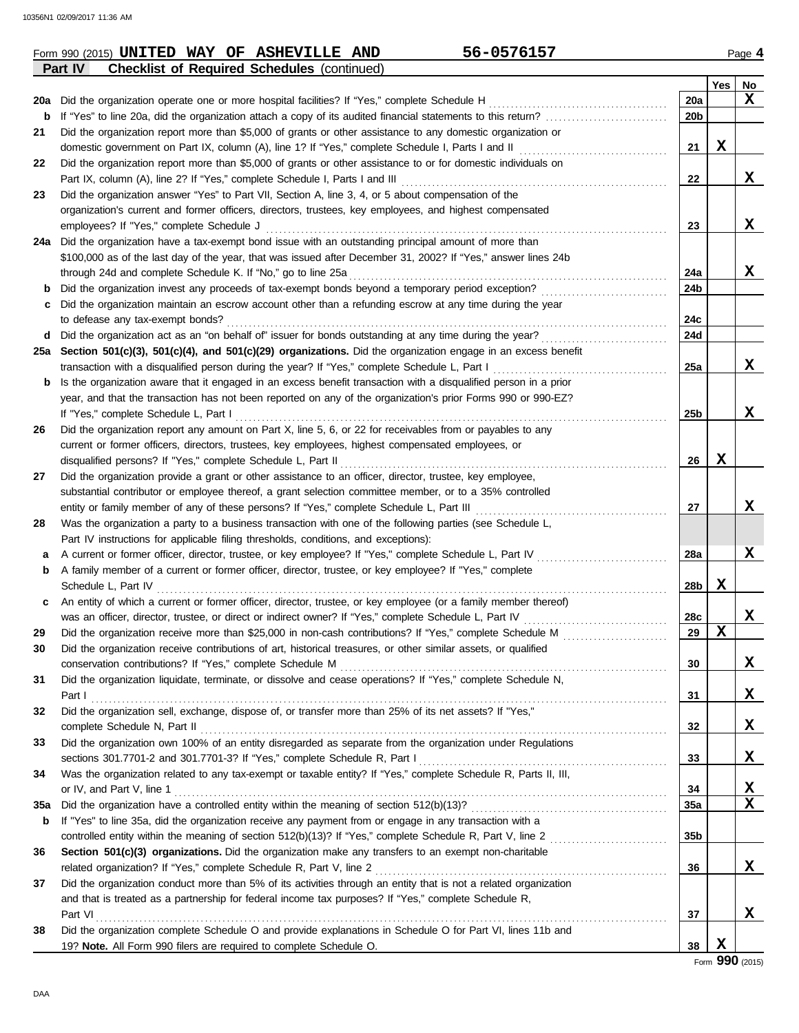|            | <b>Checklist of Required Schedules (continued)</b><br>Part IV                                                                                                                                                     |                 |     |    |
|------------|-------------------------------------------------------------------------------------------------------------------------------------------------------------------------------------------------------------------|-----------------|-----|----|
|            |                                                                                                                                                                                                                   |                 | Yes | No |
| 20a        | Did the organization operate one or more hospital facilities? If "Yes," complete Schedule H                                                                                                                       | 20a             |     | X  |
| b          |                                                                                                                                                                                                                   | 20 <sub>b</sub> |     |    |
| 21         | Did the organization report more than \$5,000 of grants or other assistance to any domestic organization or                                                                                                       |                 |     |    |
|            | domestic government on Part IX, column (A), line 1? If "Yes," complete Schedule I, Parts I and II                                                                                                                 | 21              | х   |    |
| 22         | Did the organization report more than \$5,000 of grants or other assistance to or for domestic individuals on                                                                                                     |                 |     |    |
|            | Part IX, column (A), line 2? If "Yes," complete Schedule I, Parts I and III                                                                                                                                       | 22              |     | X  |
| 23         | Did the organization answer "Yes" to Part VII, Section A, line 3, 4, or 5 about compensation of the                                                                                                               |                 |     |    |
|            | organization's current and former officers, directors, trustees, key employees, and highest compensated                                                                                                           |                 |     |    |
|            | employees? If "Yes," complete Schedule J                                                                                                                                                                          | 23              |     | X  |
| 24a        | Did the organization have a tax-exempt bond issue with an outstanding principal amount of more than                                                                                                               |                 |     |    |
|            | \$100,000 as of the last day of the year, that was issued after December 31, 2002? If "Yes," answer lines 24b                                                                                                     |                 |     |    |
|            | through 24d and complete Schedule K. If "No," go to line 25a                                                                                                                                                      | 24a             |     | X  |
| b          |                                                                                                                                                                                                                   | 24b             |     |    |
| с          | Did the organization maintain an escrow account other than a refunding escrow at any time during the year                                                                                                         |                 |     |    |
|            | to defease any tax-exempt bonds?                                                                                                                                                                                  | 24c             |     |    |
| d          |                                                                                                                                                                                                                   | 24d             |     |    |
| 25а        | Section 501(c)(3), 501(c)(4), and 501(c)(29) organizations. Did the organization engage in an excess benefit                                                                                                      |                 |     |    |
|            | transaction with a disqualified person during the year? If "Yes," complete Schedule L, Part I                                                                                                                     | 25a             |     | X  |
| b          | Is the organization aware that it engaged in an excess benefit transaction with a disqualified person in a prior                                                                                                  |                 |     |    |
|            | year, and that the transaction has not been reported on any of the organization's prior Forms 990 or 990-EZ?                                                                                                      |                 |     |    |
|            | If "Yes," complete Schedule L, Part I                                                                                                                                                                             | 25b             |     | X  |
| 26         | Did the organization report any amount on Part X, line 5, 6, or 22 for receivables from or payables to any                                                                                                        |                 |     |    |
|            | current or former officers, directors, trustees, key employees, highest compensated employees, or                                                                                                                 |                 |     |    |
|            | disqualified persons? If "Yes," complete Schedule L, Part II                                                                                                                                                      | 26              | x   |    |
| 27         | Did the organization provide a grant or other assistance to an officer, director, trustee, key employee,                                                                                                          |                 |     |    |
|            | substantial contributor or employee thereof, a grant selection committee member, or to a 35% controlled                                                                                                           |                 |     | X  |
|            | entity or family member of any of these persons? If "Yes," complete Schedule L, Part III                                                                                                                          | 27              |     |    |
| 28         | Was the organization a party to a business transaction with one of the following parties (see Schedule L,                                                                                                         |                 |     |    |
|            | Part IV instructions for applicable filing thresholds, conditions, and exceptions):                                                                                                                               |                 |     | X  |
| а          | A current or former officer, director, trustee, or key employee? If "Yes," complete Schedule L, Part IV<br>A family member of a current or former officer, director, trustee, or key employee? If "Yes," complete | 28a             |     |    |
| b          | Schedule L, Part IV                                                                                                                                                                                               | 28b             | X   |    |
|            | An entity of which a current or former officer, director, trustee, or key employee (or a family member thereof)                                                                                                   |                 |     |    |
| c          |                                                                                                                                                                                                                   | 28c             |     | X  |
|            | was an officer, director, trustee, or direct or indirect owner? If "Yes," complete Schedule L, Part IV                                                                                                            | 29              | X   |    |
| 29         |                                                                                                                                                                                                                   |                 |     |    |
|            | Did the organization receive contributions of art, historical treasures, or other similar assets, or qualified                                                                                                    | 30              |     | X  |
| 31         | Did the organization liquidate, terminate, or dissolve and cease operations? If "Yes," complete Schedule N,                                                                                                       |                 |     |    |
|            |                                                                                                                                                                                                                   | 31              |     | х  |
| 32         | Did the organization sell, exchange, dispose of, or transfer more than 25% of its net assets? If "Yes,"                                                                                                           |                 |     |    |
|            |                                                                                                                                                                                                                   | 32              |     | х  |
| 33         | Did the organization own 100% of an entity disregarded as separate from the organization under Regulations                                                                                                        |                 |     |    |
|            |                                                                                                                                                                                                                   | 33              |     | X  |
| 34         | Was the organization related to any tax-exempt or taxable entity? If "Yes," complete Schedule R, Parts II, III,                                                                                                   |                 |     |    |
|            |                                                                                                                                                                                                                   | 34              |     | X  |
| <b>35a</b> |                                                                                                                                                                                                                   | <b>35a</b>      |     | X  |
| b          | If "Yes" to line 35a, did the organization receive any payment from or engage in any transaction with a                                                                                                           |                 |     |    |
|            | controlled entity within the meaning of section 512(b)(13)? If "Yes," complete Schedule R, Part V, line 2                                                                                                         | 35b             |     |    |
| 36         | Section 501(c)(3) organizations. Did the organization make any transfers to an exempt non-charitable                                                                                                              |                 |     |    |
|            |                                                                                                                                                                                                                   | 36              |     | X  |
| 37         | Did the organization conduct more than 5% of its activities through an entity that is not a related organization                                                                                                  |                 |     |    |
|            | and that is treated as a partnership for federal income tax purposes? If "Yes," complete Schedule R,                                                                                                              |                 |     |    |
|            | Part VI                                                                                                                                                                                                           | 37              |     | X  |
| 38         | Did the organization complete Schedule O and provide explanations in Schedule O for Part VI, lines 11b and                                                                                                        |                 |     |    |
|            | 19? Note. All Form 990 filers are required to complete Schedule O.                                                                                                                                                | 38              | X   |    |
|            |                                                                                                                                                                                                                   |                 |     |    |

Form 990 (2015) Page **4 UNITED WAY OF ASHEVILLE AND 56-0576157**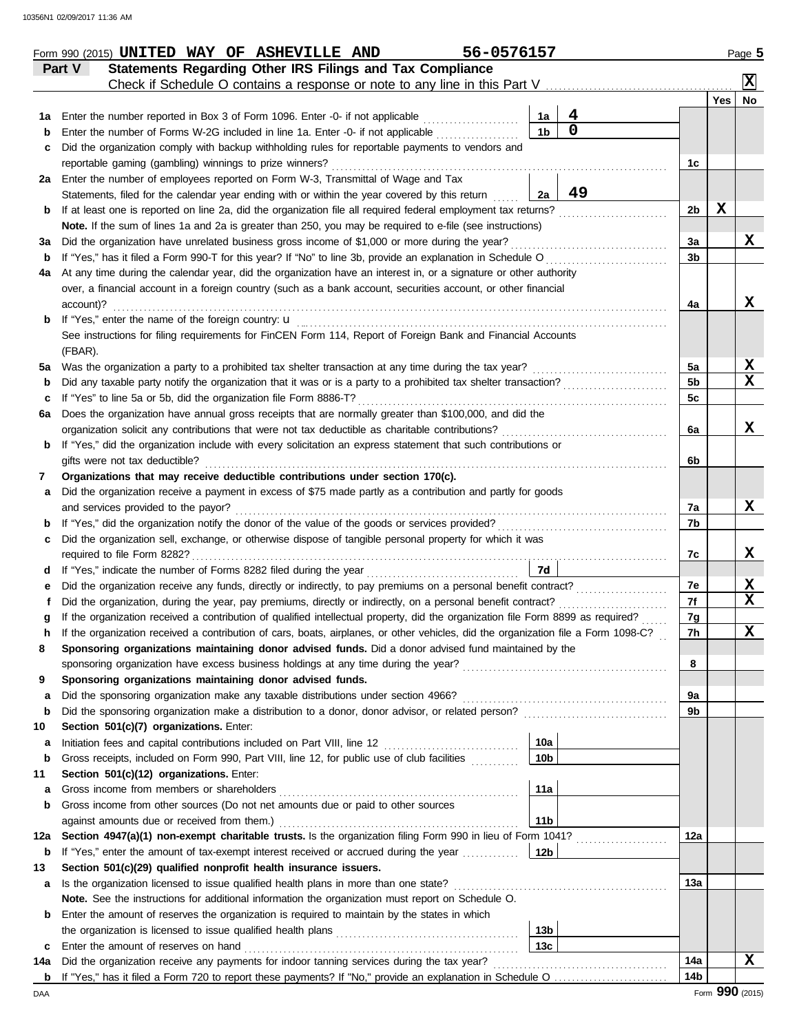|         | Part V    | Statements Regarding Other IRS Filings and Tax Compliance                                                                                                 |                 |             |                |                 | ΙX |
|---------|-----------|-----------------------------------------------------------------------------------------------------------------------------------------------------------|-----------------|-------------|----------------|-----------------|----|
|         |           |                                                                                                                                                           |                 |             |                | Yes $ $         | No |
| 1а      |           | Enter the number reported in Box 3 of Form 1096. Enter -0- if not applicable                                                                              | 1a              | 4           |                |                 |    |
| b       |           | Enter the number of Forms W-2G included in line 1a. Enter -0- if not applicable                                                                           | 1 <sub>b</sub>  | $\mathbf 0$ |                |                 |    |
| c       |           | Did the organization comply with backup withholding rules for reportable payments to vendors and                                                          |                 |             |                |                 |    |
|         |           | reportable gaming (gambling) winnings to prize winners?<br>2a Enter the number of employees reported on Form W-3, Transmittal of Wage and Tax             |                 |             | 1c             |                 |    |
|         |           | Statements, filed for the calendar year ending with or within the year covered by this return                                                             | 2a              | 49          |                |                 |    |
| b       |           | If at least one is reported on line 2a, did the organization file all required federal employment tax returns?                                            |                 |             | 2b             | X               |    |
|         |           | Note. If the sum of lines 1a and 2a is greater than 250, you may be required to e-file (see instructions)                                                 |                 |             |                |                 |    |
| За      |           | Did the organization have unrelated business gross income of \$1,000 or more during the year?                                                             |                 |             | 3a             |                 | x  |
| b       |           | If "Yes," has it filed a Form 990-T for this year? If "No" to line 3b, provide an explanation in Schedule O                                               |                 |             | 3b             |                 |    |
| 4а      |           | At any time during the calendar year, did the organization have an interest in, or a signature or other authority                                         |                 |             |                |                 |    |
|         |           | over, a financial account in a foreign country (such as a bank account, securities account, or other financial                                            |                 |             |                |                 |    |
|         | account)? |                                                                                                                                                           |                 |             | 4a             |                 | x  |
| b       |           |                                                                                                                                                           |                 |             |                |                 |    |
|         |           | See instructions for filing requirements for FinCEN Form 114, Report of Foreign Bank and Financial Accounts                                               |                 |             |                |                 |    |
|         | (FBAR).   |                                                                                                                                                           |                 |             |                |                 |    |
| 5a      |           | Was the organization a party to a prohibited tax shelter transaction at any time during the tax year?                                                     |                 |             | 5a             |                 | X  |
| b       |           | Did any taxable party notify the organization that it was or is a party to a prohibited tax shelter transaction?                                          |                 |             | 5 <sub>b</sub> |                 | X  |
| c       |           | If "Yes" to line 5a or 5b, did the organization file Form 8886-T?                                                                                         |                 |             | 5 <sub>c</sub> |                 |    |
| 6а      |           | Does the organization have annual gross receipts that are normally greater than \$100,000, and did the                                                    |                 |             |                |                 | x  |
|         |           | If "Yes," did the organization include with every solicitation an express statement that such contributions or                                            |                 |             | 6a             |                 |    |
| b       |           | gifts were not tax deductible?                                                                                                                            |                 |             | 6b             |                 |    |
| 7       |           | Organizations that may receive deductible contributions under section 170(c).                                                                             |                 |             |                |                 |    |
| а       |           | Did the organization receive a payment in excess of \$75 made partly as a contribution and partly for goods                                               |                 |             |                |                 |    |
|         |           | and services provided to the payor?                                                                                                                       |                 |             | 7a             |                 | x  |
| b       |           | If "Yes," did the organization notify the donor of the value of the goods or services provided?                                                           |                 |             | 7b             |                 |    |
| c       |           | Did the organization sell, exchange, or otherwise dispose of tangible personal property for which it was                                                  |                 |             |                |                 |    |
|         |           | required to file Form 8282?                                                                                                                               |                 |             | 7c             |                 | x  |
| d       |           |                                                                                                                                                           | <b>7d</b>       |             |                |                 |    |
| е       |           | Did the organization receive any funds, directly or indirectly, to pay premiums on a personal benefit contract?                                           |                 |             | 7e             |                 | X  |
| f       |           | Did the organization, during the year, pay premiums, directly or indirectly, on a personal benefit contract?                                              |                 |             | 7f             |                 | X  |
| g       |           | If the organization received a contribution of qualified intellectual property, did the organization file Form 8899 as required?                          |                 |             | 7g             |                 |    |
| h       |           | If the organization received a contribution of cars, boats, airplanes, or other vehicles, did the organization file a Form 1098-C?                        |                 |             | 7h             |                 | X  |
|         |           | Sponsoring organizations maintaining donor advised funds. Did a donor advised fund maintained by the                                                      |                 |             |                |                 |    |
|         |           |                                                                                                                                                           |                 |             | 8              |                 |    |
| 9       |           | Sponsoring organizations maintaining donor advised funds.                                                                                                 |                 |             |                |                 |    |
| a       |           |                                                                                                                                                           |                 |             | 9a             |                 |    |
| b       |           | Did the sponsoring organization make a distribution to a donor, donor advisor, or related person?                                                         |                 |             | 9b             |                 |    |
| 10<br>а |           | Section 501(c)(7) organizations. Enter:<br>Initiation fees and capital contributions included on Part VIII, line 12 [11][11][11][11][11][11][11][11][11][ | 10a             |             |                |                 |    |
| b       |           | Gross receipts, included on Form 990, Part VIII, line 12, for public use of club facilities                                                               | 10 <sub>b</sub> |             |                |                 |    |
| 11      |           | Section 501(c)(12) organizations. Enter:                                                                                                                  |                 |             |                |                 |    |
| а       |           |                                                                                                                                                           | 11a             |             |                |                 |    |
| b       |           | Gross income from other sources (Do not net amounts due or paid to other sources                                                                          |                 |             |                |                 |    |
|         |           |                                                                                                                                                           | 11 <sub>b</sub> |             |                |                 |    |
| 12a     |           | Section 4947(a)(1) non-exempt charitable trusts. Is the organization filing Form 990 in lieu of Form 1041?                                                |                 |             | 12a            |                 |    |
| b       |           | If "Yes," enter the amount of tax-exempt interest received or accrued during the year                                                                     | 12b             |             |                |                 |    |
| 13      |           | Section 501(c)(29) qualified nonprofit health insurance issuers.                                                                                          |                 |             |                |                 |    |
| а       |           | Is the organization licensed to issue qualified health plans in more than one state?                                                                      |                 |             | 13а            |                 |    |
|         |           | Note. See the instructions for additional information the organization must report on Schedule O.                                                         |                 |             |                |                 |    |
| b       |           | Enter the amount of reserves the organization is required to maintain by the states in which                                                              |                 |             |                |                 |    |
|         |           |                                                                                                                                                           | 13 <sub>b</sub> |             |                |                 |    |
| c       |           | Enter the amount of reserves on hand                                                                                                                      | 13 <sub>c</sub> |             |                |                 |    |
| 14a     |           | Did the organization receive any payments for indoor tanning services during the tax year?                                                                |                 |             | 14a            |                 | X  |
| b       |           |                                                                                                                                                           |                 |             | 14b            |                 |    |
| DAA     |           |                                                                                                                                                           |                 |             |                | Form 990 (2015) |    |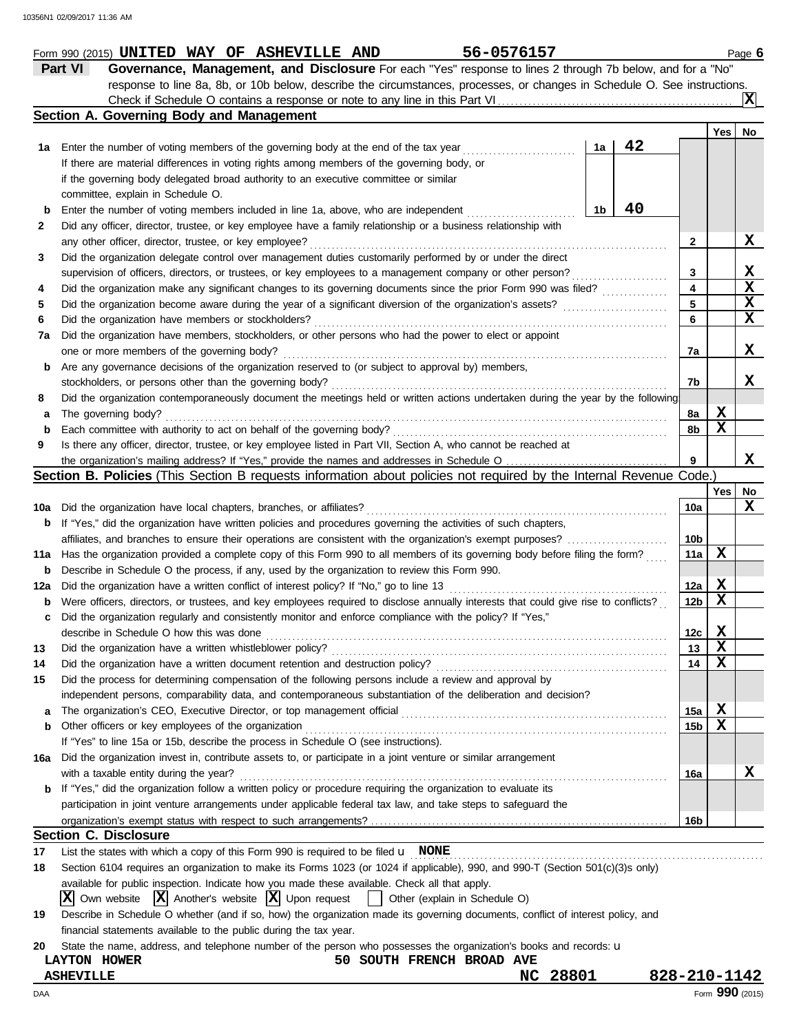|             | response to line 8a, 8b, or 10b below, describe the circumstances, processes, or changes in Schedule O. See instructions.           |                         |                         |    |
|-------------|-------------------------------------------------------------------------------------------------------------------------------------|-------------------------|-------------------------|----|
|             |                                                                                                                                     |                         |                         |    |
|             | Section A. Governing Body and Management                                                                                            |                         |                         |    |
|             |                                                                                                                                     |                         | Yes                     | No |
| 1а          | 42<br>1a<br>Enter the number of voting members of the governing body at the end of the tax year                                     |                         |                         |    |
|             | If there are material differences in voting rights among members of the governing body, or                                          |                         |                         |    |
|             | if the governing body delegated broad authority to an executive committee or similar                                                |                         |                         |    |
|             | committee, explain in Schedule O.                                                                                                   |                         |                         |    |
|             | 40<br>Enter the number of voting members included in line 1a, above, who are independent<br>1b                                      |                         |                         |    |
| 2           | Did any officer, director, trustee, or key employee have a family relationship or a business relationship with                      |                         |                         |    |
|             | any other officer, director, trustee, or key employee?                                                                              | $\mathbf{2}$            |                         | X  |
| 3           | Did the organization delegate control over management duties customarily performed by or under the direct                           |                         |                         |    |
|             | supervision of officers, directors, or trustees, or key employees to a management company or other person?                          | 3                       |                         | X  |
| 4           | Did the organization make any significant changes to its governing documents since the prior Form 990 was filed?                    | $\overline{\mathbf{4}}$ |                         | X  |
| 5           | Did the organization become aware during the year of a significant diversion of the organization's assets?                          | 5                       |                         | X  |
| 6           | Did the organization have members or stockholders?                                                                                  | 6                       |                         | X  |
| 7a          | Did the organization have members, stockholders, or other persons who had the power to elect or appoint                             |                         |                         |    |
|             | one or more members of the governing body?                                                                                          | 7a                      |                         | х  |
| b           | Are any governance decisions of the organization reserved to (or subject to approval by) members,                                   |                         |                         |    |
|             |                                                                                                                                     | 7b                      |                         | x  |
| 8           | Did the organization contemporaneously document the meetings held or written actions undertaken during the year by the following    |                         |                         |    |
| а           | The governing body?                                                                                                                 | 8а                      | X                       |    |
| $\mathbf b$ | Each committee with authority to act on behalf of the governing body?                                                               | 8b                      | $\mathbf x$             |    |
| 9           | Is there any officer, director, trustee, or key employee listed in Part VII, Section A, who cannot be reached at                    |                         |                         |    |
|             | the organization's mailing address? If "Yes," provide the names and addresses in Schedule O                                         | 9                       |                         | x  |
|             | Section B. Policies (This Section B requests information about policies not required by the Internal Revenue Code.)                 |                         |                         |    |
|             |                                                                                                                                     |                         | Yes                     | No |
| 10a         | Did the organization have local chapters, branches, or affiliates?                                                                  | 10a                     |                         | х  |
| b           | If "Yes," did the organization have written policies and procedures governing the activities of such chapters,                      |                         |                         |    |
|             | affiliates, and branches to ensure their operations are consistent with the organization's exempt purposes?                         | 10b                     |                         |    |
| 11a         | Has the organization provided a complete copy of this Form 990 to all members of its governing body before filing the form?         | 11a                     | X                       |    |
| b           | Describe in Schedule O the process, if any, used by the organization to review this Form 990.                                       |                         |                         |    |
| 12a         | Did the organization have a written conflict of interest policy? If "No," go to line 13                                             | 12a                     | X                       |    |
| b           | Were officers, directors, or trustees, and key employees required to disclose annually interests that could give rise to conflicts? | 12 <sub>b</sub>         | $\mathbf x$             |    |
|             | Did the organization regularly and consistently monitor and enforce compliance with the policy? If "Yes,"                           |                         |                         |    |
| c           |                                                                                                                                     | 12c                     | X                       |    |
|             | describe in Schedule O how this was done<br>Did the organization have a written whistleblower policy?                               | 13                      | $\mathbf x$             |    |
| 13          | Did the organization have a written document retention and destruction policy?                                                      | 14                      | $\overline{\mathbf{x}}$ |    |
| 14          | Did the process for determining compensation of the following persons include a review and approval by                              |                         |                         |    |
| 15          |                                                                                                                                     |                         |                         |    |
|             | independent persons, comparability data, and contemporaneous substantiation of the deliberation and decision?                       |                         |                         |    |
| a           | The organization's CEO, Executive Director, or top management official                                                              | 15a                     | X                       |    |
| b           | Other officers or key employees of the organization                                                                                 | 15 <sub>b</sub>         | X                       |    |
|             | If "Yes" to line 15a or 15b, describe the process in Schedule O (see instructions).                                                 |                         |                         |    |
| 16a         | Did the organization invest in, contribute assets to, or participate in a joint venture or similar arrangement                      |                         |                         |    |
|             | with a taxable entity during the year?                                                                                              | 16a                     |                         | х  |
| b           | If "Yes," did the organization follow a written policy or procedure requiring the organization to evaluate its                      |                         |                         |    |
|             | participation in joint venture arrangements under applicable federal tax law, and take steps to safeguard the                       |                         |                         |    |
|             |                                                                                                                                     | 16b                     |                         |    |
|             | <b>Section C. Disclosure</b>                                                                                                        |                         |                         |    |
| 17          | List the states with which a copy of this Form 990 is required to be filed $\mathbf u$ NONE                                         |                         |                         |    |
| 18          | Section 6104 requires an organization to make its Forms 1023 (or 1024 if applicable), 990, and 990-T (Section 501(c)(3)s only)      |                         |                         |    |
|             | available for public inspection. Indicate how you made these available. Check all that apply.                                       |                         |                         |    |
|             | $ \mathbf{X} $ Another's website $ \mathbf{X} $ Upon request<br>ΙXΙ<br>Own website<br>  Other (explain in Schedule O)               |                         |                         |    |
| 19          | Describe in Schedule O whether (and if so, how) the organization made its governing documents, conflict of interest policy, and     |                         |                         |    |
|             | financial statements available to the public during the tax year.                                                                   |                         |                         |    |
| 20          | State the name, address, and telephone number of the person who possesses the organization's books and records: u                   |                         |                         |    |
|             | 50 SOUTH FRENCH BROAD AVE<br>LAYTON HOWER                                                                                           |                         |                         |    |
|             | 28801<br><b>ASHEVILLE</b><br>NC                                                                                                     | 828-210-1142            |                         |    |
| DAA         |                                                                                                                                     |                         | Form 990 (2015)         |    |

|                |  | Form 990 (2015) UNITED WAY OF ASHEVILLE AND | 56-0576157                                                                                                 | Page $6$ |
|----------------|--|---------------------------------------------|------------------------------------------------------------------------------------------------------------|----------|
| <b>Part VI</b> |  |                                             | Governance, Management, and Disclosure For each "Yes" response to lines 2 through 7b below, and for a "No" |          |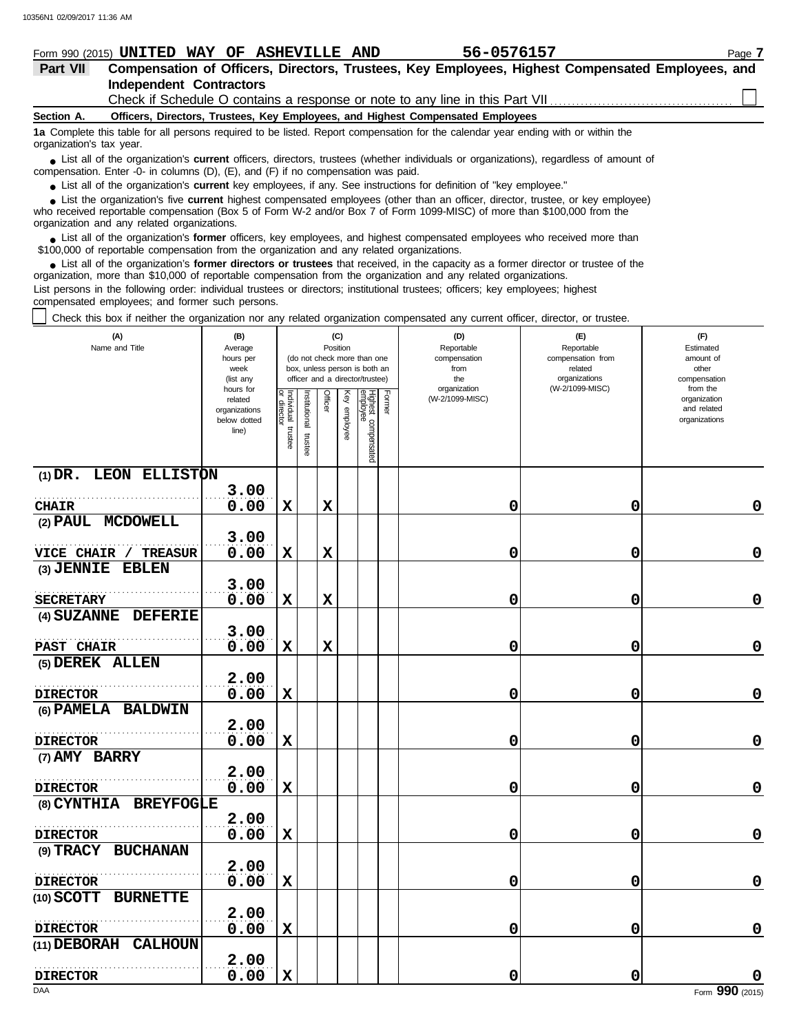#### **Section A. Independent Contractors Part VII Compensation of Officers, Directors, Trustees, Key Employees, Highest Compensated Employees, and Form 990 (2015) UNITED WAY OF ASHEVILLE AND 56-0576157** Page 7 **Officers, Directors, Trustees, Key Employees, and Highest Compensated Employees** Check if Schedule O contains a response or note to any line in this Part VII

**1a** Complete this table for all persons required to be listed. Report compensation for the calendar year ending with or within the organization's tax year.

■ List all of the organization's **current** officers, directors, trustees (whether individuals or organizations), regardless of amount of compensation. Enter -0- in columns (D), (E), and (F) if no compensation was paid.

● List all of the organization's **current** key employees, if any. See instructions for definition of "key employee."

who received reportable compensation (Box 5 of Form W-2 and/or Box 7 of Form 1099-MISC) of more than \$100,000 from the organization and any related organizations. ■ List the organization's five **current** highest compensated employees (other than an officer, director, trustee, or key employee)<br> **•** Preceived reportable compensation (Box 5 of Form W-2 and/or Box 7 of Form 1099-MISC)

■ List all of the organization's **former** officers, key employees, and highest compensated employees who received more than<br>00,000 of reportable compensation from the organization and any related organizations \$100,000 of reportable compensation from the organization and any related organizations.

■ List all of the organization's **former directors or trustees** that received, in the capacity as a former director or trustee of the paratization more than \$10,000 of reportable compensation from the organization and any organization, more than \$10,000 of reportable compensation from the organization and any related organizations. List persons in the following order: individual trustees or directors; institutional trustees; officers; key employees; highest compensated employees; and former such persons.

Check this box if neither the organization nor any related organization compensated any current officer, director, or trustee.

| (A)<br>Name and Title            | (B)<br>Average<br>hours per<br>week<br>(list any<br>hours for |                                   |                         | (C)<br>Position |                 | (do not check more than one<br>box, unless person is both an<br>officer and a director/trustee) |        | (D)<br>Reportable<br>compensation<br>from<br>the<br>organization | (E)<br>Reportable<br>compensation from<br>related<br>organizations<br>(W-2/1099-MISC) | (F)<br>Estimated<br>amount of<br>other<br>compensation<br>from the |
|----------------------------------|---------------------------------------------------------------|-----------------------------------|-------------------------|-----------------|-----------------|-------------------------------------------------------------------------------------------------|--------|------------------------------------------------------------------|---------------------------------------------------------------------------------------|--------------------------------------------------------------------|
|                                  | related<br>organizations<br>below dotted<br>line)             | Individual trustee<br>or director | nstitutional<br>trustee | Officer         | Key<br>enployee | Highest compensated<br>employee                                                                 | Former | (W-2/1099-MISC)                                                  |                                                                                       | organization<br>and related<br>organizations                       |
| (1) DR. LEON ELLISTON            |                                                               |                                   |                         |                 |                 |                                                                                                 |        |                                                                  |                                                                                       |                                                                    |
|                                  | 3.00                                                          |                                   |                         |                 |                 |                                                                                                 |        |                                                                  |                                                                                       |                                                                    |
| <b>CHAIR</b>                     | 0.00                                                          | $\mathbf x$                       |                         | $\mathbf x$     |                 |                                                                                                 |        | 0                                                                | 0                                                                                     | 0                                                                  |
| (2) PAUL MCDOWELL                | 3.00                                                          |                                   |                         |                 |                 |                                                                                                 |        |                                                                  |                                                                                       |                                                                    |
| VICE CHAIR / TREASUR             | 0.00                                                          | X                                 |                         | $\mathbf x$     |                 |                                                                                                 |        | 0                                                                | 0                                                                                     | $\mathbf 0$                                                        |
| (3) JENNIE EBLEN                 |                                                               |                                   |                         |                 |                 |                                                                                                 |        |                                                                  |                                                                                       |                                                                    |
|                                  | 3.00                                                          |                                   |                         |                 |                 |                                                                                                 |        |                                                                  |                                                                                       |                                                                    |
| <b>SECRETARY</b>                 | 0.00                                                          | $\mathbf x$                       |                         | $\mathbf x$     |                 |                                                                                                 |        | 0                                                                | 0                                                                                     | 0                                                                  |
| (4) SUZANNE DEFERIE              |                                                               |                                   |                         |                 |                 |                                                                                                 |        |                                                                  |                                                                                       |                                                                    |
|                                  | 3.00                                                          |                                   |                         |                 |                 |                                                                                                 |        |                                                                  |                                                                                       |                                                                    |
| <b>PAST CHAIR</b>                | 0.00                                                          | $\mathbf x$                       |                         | $\mathbf x$     |                 |                                                                                                 |        | 0                                                                | 0                                                                                     | 0                                                                  |
| (5) DEREK ALLEN                  |                                                               |                                   |                         |                 |                 |                                                                                                 |        |                                                                  |                                                                                       |                                                                    |
|                                  | 2.00                                                          |                                   |                         |                 |                 |                                                                                                 |        |                                                                  |                                                                                       |                                                                    |
| <b>DIRECTOR</b>                  | 0.00                                                          | $\mathbf x$                       |                         |                 |                 |                                                                                                 |        | 0                                                                | 0                                                                                     | $\mathbf 0$                                                        |
| (6) PAMELA BALDWIN               |                                                               |                                   |                         |                 |                 |                                                                                                 |        |                                                                  |                                                                                       |                                                                    |
|                                  | 2.00<br>0.00                                                  |                                   |                         |                 |                 |                                                                                                 |        | 0                                                                | 0                                                                                     | 0                                                                  |
| <b>DIRECTOR</b><br>(7) AMY BARRY |                                                               | X                                 |                         |                 |                 |                                                                                                 |        |                                                                  |                                                                                       |                                                                    |
|                                  | 2.00                                                          |                                   |                         |                 |                 |                                                                                                 |        |                                                                  |                                                                                       |                                                                    |
| <b>DIRECTOR</b>                  | 0.00                                                          | X                                 |                         |                 |                 |                                                                                                 |        | 0                                                                | 0                                                                                     | $\mathbf 0$                                                        |
| (8) CYNTHIA<br><b>BREYFOGLE</b>  |                                                               |                                   |                         |                 |                 |                                                                                                 |        |                                                                  |                                                                                       |                                                                    |
|                                  | 2.00                                                          |                                   |                         |                 |                 |                                                                                                 |        |                                                                  |                                                                                       |                                                                    |
| <b>DIRECTOR</b>                  | 0.00                                                          | $\mathbf x$                       |                         |                 |                 |                                                                                                 |        | 0                                                                | 0                                                                                     | $\mathbf 0$                                                        |
| (9) TRACY BUCHANAN               |                                                               |                                   |                         |                 |                 |                                                                                                 |        |                                                                  |                                                                                       |                                                                    |
|                                  | 2.00                                                          |                                   |                         |                 |                 |                                                                                                 |        |                                                                  |                                                                                       |                                                                    |
| <b>DIRECTOR</b>                  | 0.00                                                          | X                                 |                         |                 |                 |                                                                                                 |        | 0                                                                | 0                                                                                     | $\mathbf 0$                                                        |
| (10) SCOTT BURNETTE              |                                                               |                                   |                         |                 |                 |                                                                                                 |        |                                                                  |                                                                                       |                                                                    |
|                                  | 2.00                                                          |                                   |                         |                 |                 |                                                                                                 |        |                                                                  |                                                                                       |                                                                    |
| <b>DIRECTOR</b>                  | 0.00                                                          | $\mathbf x$                       |                         |                 |                 |                                                                                                 |        | 0                                                                | 0                                                                                     | $\mathbf 0$                                                        |
| (11) DEBORAH CALHOUN             | 2.00                                                          |                                   |                         |                 |                 |                                                                                                 |        |                                                                  |                                                                                       |                                                                    |
| <b>DIRECTOR</b>                  | 0.00                                                          | $\mathbf x$                       |                         |                 |                 |                                                                                                 |        | 0                                                                | 0                                                                                     | O                                                                  |
| DAA                              |                                                               |                                   |                         |                 |                 |                                                                                                 |        |                                                                  |                                                                                       | Form 990 (2015)                                                    |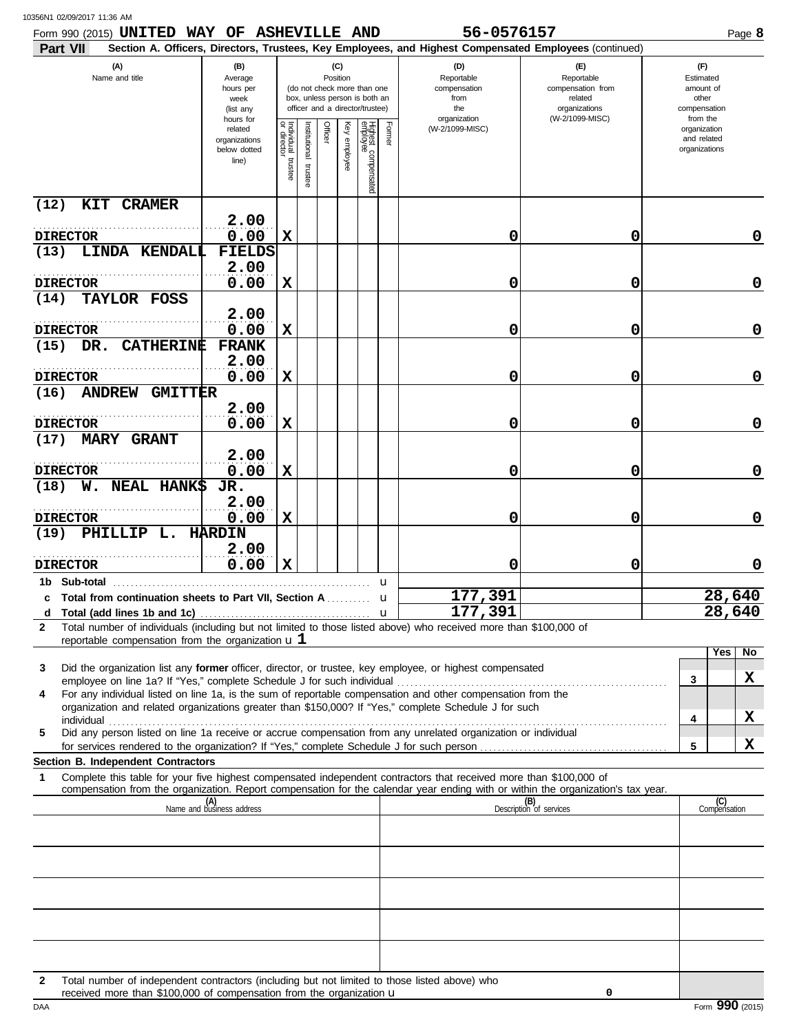|  | 10356N1 02/09/2017 11:36 AM |  |  |
|--|-----------------------------|--|--|
|--|-----------------------------|--|--|

| Form 990 (2015) UNITED WAY OF ASHEVILLE AND<br><b>Part VII</b>                                                                                                                                                                                                                                                                                       |                                                                |                                                                                                                    |                          |         |                 |                                 |        | 56-0576157<br>Section A. Officers, Directors, Trustees, Key Employees, and Highest Compensated Employees (continued) |                                                                    |  |                                                          | Page 8           |  |
|------------------------------------------------------------------------------------------------------------------------------------------------------------------------------------------------------------------------------------------------------------------------------------------------------------------------------------------------------|----------------------------------------------------------------|--------------------------------------------------------------------------------------------------------------------|--------------------------|---------|-----------------|---------------------------------|--------|----------------------------------------------------------------------------------------------------------------------|--------------------------------------------------------------------|--|----------------------------------------------------------|------------------|--|
| (A)<br>Name and title                                                                                                                                                                                                                                                                                                                                | (B)<br>Average<br>hours per<br>week<br>(list any               | (C)<br>Position<br>(do not check more than one<br>box, unless person is both an<br>officer and a director/trustee) |                          |         |                 |                                 |        | (D)<br>Reportable<br>compensation<br>from<br>the                                                                     | (E)<br>Reportable<br>compensation from<br>related<br>organizations |  | (F)<br>Estimated<br>amount of<br>other<br>compensation   |                  |  |
|                                                                                                                                                                                                                                                                                                                                                      | hours for<br>related<br>organizations<br>below dotted<br>line) | Individual trustee<br>or director                                                                                  | Institutional<br>trustee | Officer | Key<br>employee | Highest compensated<br>employee | Former | organization<br>(W-2/1099-MISC)                                                                                      | (W-2/1099-MISC)                                                    |  | from the<br>organization<br>and related<br>organizations |                  |  |
| (12)<br>KIT CRAMER                                                                                                                                                                                                                                                                                                                                   |                                                                |                                                                                                                    |                          |         |                 |                                 |        |                                                                                                                      |                                                                    |  |                                                          |                  |  |
| <b>DIRECTOR</b>                                                                                                                                                                                                                                                                                                                                      | 2.00<br>0.00                                                   | X                                                                                                                  |                          |         |                 |                                 |        | 0                                                                                                                    | 0                                                                  |  |                                                          | 0                |  |
| LINDA KENDALI<br>(13)                                                                                                                                                                                                                                                                                                                                | <b>FIELDS</b>                                                  |                                                                                                                    |                          |         |                 |                                 |        |                                                                                                                      |                                                                    |  |                                                          |                  |  |
| <b>DIRECTOR</b>                                                                                                                                                                                                                                                                                                                                      | 2.00<br>0.00                                                   | X                                                                                                                  |                          |         |                 |                                 |        | 0                                                                                                                    | 0                                                                  |  |                                                          | $\mathbf 0$      |  |
| TAYLOR FOSS<br>(14)                                                                                                                                                                                                                                                                                                                                  |                                                                |                                                                                                                    |                          |         |                 |                                 |        |                                                                                                                      |                                                                    |  |                                                          |                  |  |
| <b>DIRECTOR</b>                                                                                                                                                                                                                                                                                                                                      | 2.00<br>0.00                                                   | $\mathbf x$                                                                                                        |                          |         |                 |                                 |        | 0                                                                                                                    | 0                                                                  |  |                                                          | $\mathbf 0$      |  |
| DR. CATHERINE<br>(15)                                                                                                                                                                                                                                                                                                                                | <b>FRANK</b>                                                   |                                                                                                                    |                          |         |                 |                                 |        |                                                                                                                      |                                                                    |  |                                                          |                  |  |
| <b>DIRECTOR</b>                                                                                                                                                                                                                                                                                                                                      | 2.00<br>0.00                                                   | X                                                                                                                  |                          |         |                 |                                 |        | 0                                                                                                                    | 0                                                                  |  |                                                          | $\mathbf 0$      |  |
| (16)<br><b>ANDREW GMITTER</b>                                                                                                                                                                                                                                                                                                                        |                                                                |                                                                                                                    |                          |         |                 |                                 |        |                                                                                                                      |                                                                    |  |                                                          |                  |  |
| .<br><b>DIRECTOR</b>                                                                                                                                                                                                                                                                                                                                 | 2.00<br>0.00                                                   | X                                                                                                                  |                          |         |                 |                                 |        | 0                                                                                                                    | 0                                                                  |  |                                                          | $\mathbf 0$      |  |
| <b>MARY GRANT</b><br>(17)                                                                                                                                                                                                                                                                                                                            |                                                                |                                                                                                                    |                          |         |                 |                                 |        |                                                                                                                      |                                                                    |  |                                                          |                  |  |
| <b>DIRECTOR</b>                                                                                                                                                                                                                                                                                                                                      | 2.00<br>0.00                                                   | $\mathbf x$                                                                                                        |                          |         |                 |                                 |        | 0                                                                                                                    | 0                                                                  |  |                                                          | $\mathbf 0$      |  |
| W. NEAL HANK\$<br>(18)                                                                                                                                                                                                                                                                                                                               | JR.                                                            |                                                                                                                    |                          |         |                 |                                 |        |                                                                                                                      |                                                                    |  |                                                          |                  |  |
| .<br><b>DIRECTOR</b>                                                                                                                                                                                                                                                                                                                                 | 2.00<br>0.00                                                   | $\mathbf x$                                                                                                        |                          |         |                 |                                 |        | 0                                                                                                                    | 0                                                                  |  |                                                          | $\mathbf 0$      |  |
| PHILLIP L. HARDIN<br>(19)                                                                                                                                                                                                                                                                                                                            |                                                                |                                                                                                                    |                          |         |                 |                                 |        |                                                                                                                      |                                                                    |  |                                                          |                  |  |
| <b>DIRECTOR</b>                                                                                                                                                                                                                                                                                                                                      | 2.00<br>0.00                                                   | X                                                                                                                  |                          |         |                 |                                 |        | 0                                                                                                                    | 0                                                                  |  |                                                          | 0                |  |
|                                                                                                                                                                                                                                                                                                                                                      |                                                                |                                                                                                                    |                          |         |                 |                                 | u      |                                                                                                                      |                                                                    |  |                                                          |                  |  |
| c Total from continuation sheets to Part VII. Section A<br>d                                                                                                                                                                                                                                                                                         |                                                                |                                                                                                                    |                          |         |                 |                                 | u.     | 177,391<br>177,391                                                                                                   |                                                                    |  |                                                          | 28,640<br>28,640 |  |
| Total number of individuals (including but not limited to those listed above) who received more than \$100,000 of<br>$\mathbf{2}$<br>reportable compensation from the organization $\mathbf{u} \mathbf{1}$                                                                                                                                           |                                                                |                                                                                                                    |                          |         |                 |                                 |        |                                                                                                                      |                                                                    |  |                                                          |                  |  |
|                                                                                                                                                                                                                                                                                                                                                      |                                                                |                                                                                                                    |                          |         |                 |                                 |        |                                                                                                                      |                                                                    |  | Yes                                                      | No               |  |
| Did the organization list any former officer, director, or trustee, key employee, or highest compensated<br>3<br>employee on line 1a? If "Yes," complete Schedule J for such individual                                                                                                                                                              |                                                                |                                                                                                                    |                          |         |                 |                                 |        |                                                                                                                      |                                                                    |  | 3                                                        | x                |  |
| For any individual listed on line 1a, is the sum of reportable compensation and other compensation from the<br>4<br>organization and related organizations greater than \$150,000? If "Yes," complete Schedule J for such                                                                                                                            |                                                                |                                                                                                                    |                          |         |                 |                                 |        |                                                                                                                      |                                                                    |  |                                                          |                  |  |
| individual with a construction of the construction of the construction of the construction of the construction of the construction of the construction of the construction of the construction of the construction of the cons<br>Did any person listed on line 1a receive or accrue compensation from any unrelated organization or individual<br>5 |                                                                |                                                                                                                    |                          |         |                 |                                 |        |                                                                                                                      |                                                                    |  | 4                                                        | X                |  |
|                                                                                                                                                                                                                                                                                                                                                      |                                                                |                                                                                                                    |                          |         |                 |                                 |        |                                                                                                                      |                                                                    |  | 5                                                        | X                |  |
| Section B. Independent Contractors<br>Complete this table for your five highest compensated independent contractors that received more than \$100,000 of<br>1                                                                                                                                                                                        |                                                                |                                                                                                                    |                          |         |                 |                                 |        |                                                                                                                      |                                                                    |  |                                                          |                  |  |
| compensation from the organization. Report compensation for the calendar year ending with or within the organization's tax year.                                                                                                                                                                                                                     | (A)<br>Name and business address                               |                                                                                                                    |                          |         |                 |                                 |        |                                                                                                                      | (B)<br>Description of services                                     |  | (C)<br>Compensation                                      |                  |  |
|                                                                                                                                                                                                                                                                                                                                                      |                                                                |                                                                                                                    |                          |         |                 |                                 |        |                                                                                                                      |                                                                    |  |                                                          |                  |  |
|                                                                                                                                                                                                                                                                                                                                                      |                                                                |                                                                                                                    |                          |         |                 |                                 |        |                                                                                                                      |                                                                    |  |                                                          |                  |  |
|                                                                                                                                                                                                                                                                                                                                                      |                                                                |                                                                                                                    |                          |         |                 |                                 |        |                                                                                                                      |                                                                    |  |                                                          |                  |  |
|                                                                                                                                                                                                                                                                                                                                                      |                                                                |                                                                                                                    |                          |         |                 |                                 |        |                                                                                                                      |                                                                    |  |                                                          |                  |  |
|                                                                                                                                                                                                                                                                                                                                                      |                                                                |                                                                                                                    |                          |         |                 |                                 |        |                                                                                                                      |                                                                    |  |                                                          |                  |  |
|                                                                                                                                                                                                                                                                                                                                                      |                                                                |                                                                                                                    |                          |         |                 |                                 |        |                                                                                                                      |                                                                    |  |                                                          |                  |  |
|                                                                                                                                                                                                                                                                                                                                                      |                                                                |                                                                                                                    |                          |         |                 |                                 |        |                                                                                                                      |                                                                    |  |                                                          |                  |  |
| Total number of independent contractors (including but not limited to those listed above) who<br>$\mathbf{2}$<br>received more than \$100,000 of compensation from the organization u                                                                                                                                                                |                                                                |                                                                                                                    |                          |         |                 |                                 |        |                                                                                                                      | 0                                                                  |  |                                                          |                  |  |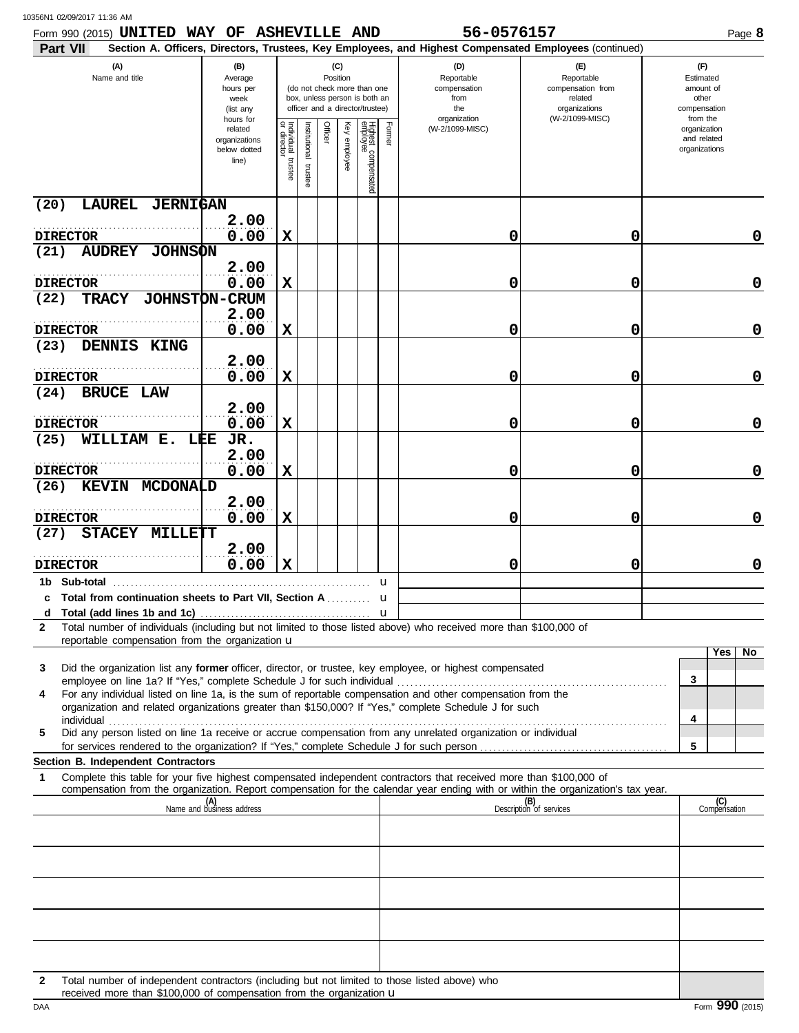| Form 990 (2015) UNITED WAY OF ASHEVILLE AND                                                                                                                                                                                                                                                                                                          |                                                                |                       |                         |         |                 |                                                                                                 |              | 56-0576157                                                                                                                                                 |                                                                    | Page 8                                                   |
|------------------------------------------------------------------------------------------------------------------------------------------------------------------------------------------------------------------------------------------------------------------------------------------------------------------------------------------------------|----------------------------------------------------------------|-----------------------|-------------------------|---------|-----------------|-------------------------------------------------------------------------------------------------|--------------|------------------------------------------------------------------------------------------------------------------------------------------------------------|--------------------------------------------------------------------|----------------------------------------------------------|
| Part VII<br>(A)<br>Name and title                                                                                                                                                                                                                                                                                                                    | (B)<br>Average<br>hours per<br>week<br>(list any               |                       |                         |         | (C)<br>Position | (do not check more than one<br>box, unless person is both an<br>officer and a director/trustee) |              | Section A. Officers, Directors, Trustees, Key Employees, and Highest Compensated Employees (continued)<br>(D)<br>Reportable<br>compensation<br>from<br>the | (F)<br>Reportable<br>compensation from<br>related<br>organizations | (F)<br>Estimated<br>amount of<br>other<br>compensation   |
|                                                                                                                                                                                                                                                                                                                                                      | hours for<br>related<br>organizations<br>below dotted<br>line) | Individual<br>trustee | nstitutional<br>trustee | Officer | Key<br>employee | Highest compensated<br>employee                                                                 | Former       | organization<br>(W-2/1099-MISC)                                                                                                                            | (W-2/1099-MISC)                                                    | from the<br>organization<br>and related<br>organizations |
| LAUREL JERNIGAN<br>(20)                                                                                                                                                                                                                                                                                                                              | 2.00                                                           |                       |                         |         |                 |                                                                                                 |              |                                                                                                                                                            |                                                                    |                                                          |
| <b>DIRECTOR</b><br><b>AUDREY JOHNSON</b><br>(21)                                                                                                                                                                                                                                                                                                     | 0.00                                                           | X                     |                         |         |                 |                                                                                                 |              | 0                                                                                                                                                          | 0                                                                  |                                                          |
|                                                                                                                                                                                                                                                                                                                                                      | 2.00                                                           |                       |                         |         |                 |                                                                                                 |              |                                                                                                                                                            |                                                                    |                                                          |
| <b>DIRECTOR</b><br>(22)<br>TRACY                                                                                                                                                                                                                                                                                                                     | 0.00<br><b>JOHNSTON-CRUM</b>                                   | X                     |                         |         |                 |                                                                                                 |              | 0                                                                                                                                                          | 0                                                                  |                                                          |
| <b>DIRECTOR</b>                                                                                                                                                                                                                                                                                                                                      | 2.00<br>0.00                                                   | X                     |                         |         |                 |                                                                                                 |              | 0                                                                                                                                                          | 0                                                                  |                                                          |
| (23)<br>DENNIS KING                                                                                                                                                                                                                                                                                                                                  | 2.00                                                           |                       |                         |         |                 |                                                                                                 |              |                                                                                                                                                            |                                                                    |                                                          |
| <b>DIRECTOR</b><br>(24)<br><b>BRUCE LAW</b>                                                                                                                                                                                                                                                                                                          | 0.00                                                           | X                     |                         |         |                 |                                                                                                 |              | 0                                                                                                                                                          | 0                                                                  |                                                          |
| <b>DIRECTOR</b>                                                                                                                                                                                                                                                                                                                                      | 2.00<br>0.00                                                   | X                     |                         |         |                 |                                                                                                 |              | 0                                                                                                                                                          | 0                                                                  |                                                          |
| WILLIAM E. LEE<br>(25)                                                                                                                                                                                                                                                                                                                               | JR.<br>2.00                                                    |                       |                         |         |                 |                                                                                                 |              |                                                                                                                                                            |                                                                    |                                                          |
| <b>DIRECTOR</b><br>(26)<br><b>KEVIN MCDONALD</b>                                                                                                                                                                                                                                                                                                     | 0.00                                                           | X                     |                         |         |                 |                                                                                                 |              | 0                                                                                                                                                          | 0                                                                  |                                                          |
| <b>DIRECTOR</b><br>STACEY MILLETT<br>(27)                                                                                                                                                                                                                                                                                                            | 2.00<br>0.00                                                   | X                     |                         |         |                 |                                                                                                 |              | 0                                                                                                                                                          | 0                                                                  |                                                          |
| <b>DIRECTOR</b>                                                                                                                                                                                                                                                                                                                                      | 2.00<br>0.00                                                   | X                     |                         |         |                 |                                                                                                 |              | 0                                                                                                                                                          | 0                                                                  |                                                          |
| 1b Sub-total                                                                                                                                                                                                                                                                                                                                         |                                                                |                       |                         |         |                 |                                                                                                 | u            |                                                                                                                                                            |                                                                    |                                                          |
| Total from continuation sheets to Part VII, Section A  u<br>c<br>d                                                                                                                                                                                                                                                                                   |                                                                |                       |                         |         |                 |                                                                                                 | $\mathbf{u}$ |                                                                                                                                                            |                                                                    |                                                          |
| Total number of individuals (including but not limited to those listed above) who received more than \$100,000 of<br>2<br>reportable compensation from the organization u                                                                                                                                                                            |                                                                |                       |                         |         |                 |                                                                                                 |              |                                                                                                                                                            |                                                                    | Yes<br>No.                                               |
| Did the organization list any former officer, director, or trustee, key employee, or highest compensated<br>3                                                                                                                                                                                                                                        |                                                                |                       |                         |         |                 |                                                                                                 |              |                                                                                                                                                            |                                                                    | 3                                                        |
| For any individual listed on line 1a, is the sum of reportable compensation and other compensation from the<br>4<br>organization and related organizations greater than \$150,000? If "Yes," complete Schedule J for such                                                                                                                            |                                                                |                       |                         |         |                 |                                                                                                 |              |                                                                                                                                                            |                                                                    | 4                                                        |
| individual with a construction of the construction of the construction of the construction of the construction of the construction of the construction of the construction of the construction of the construction of the cons<br>Did any person listed on line 1a receive or accrue compensation from any unrelated organization or individual<br>5 |                                                                |                       |                         |         |                 |                                                                                                 |              |                                                                                                                                                            |                                                                    | 5                                                        |
| Section B. Independent Contractors                                                                                                                                                                                                                                                                                                                   |                                                                |                       |                         |         |                 |                                                                                                 |              |                                                                                                                                                            |                                                                    |                                                          |
| Complete this table for your five highest compensated independent contractors that received more than \$100,000 of<br>1<br>compensation from the organization. Report compensation for the calendar year ending with or within the organization's tax year.                                                                                          |                                                                |                       |                         |         |                 |                                                                                                 |              |                                                                                                                                                            |                                                                    |                                                          |
|                                                                                                                                                                                                                                                                                                                                                      | (A)<br>Name and business address                               |                       |                         |         |                 |                                                                                                 |              |                                                                                                                                                            | (B)<br>Description of services                                     | (C)<br>Compensation                                      |
|                                                                                                                                                                                                                                                                                                                                                      |                                                                |                       |                         |         |                 |                                                                                                 |              |                                                                                                                                                            |                                                                    |                                                          |
|                                                                                                                                                                                                                                                                                                                                                      |                                                                |                       |                         |         |                 |                                                                                                 |              |                                                                                                                                                            |                                                                    |                                                          |
|                                                                                                                                                                                                                                                                                                                                                      |                                                                |                       |                         |         |                 |                                                                                                 |              |                                                                                                                                                            |                                                                    |                                                          |
|                                                                                                                                                                                                                                                                                                                                                      |                                                                |                       |                         |         |                 |                                                                                                 |              |                                                                                                                                                            |                                                                    |                                                          |
|                                                                                                                                                                                                                                                                                                                                                      |                                                                |                       |                         |         |                 |                                                                                                 |              | Total number of independent contractors (including but not limited to those listed above) who                                                              |                                                                    |                                                          |

received more than \$100,000 of compensation from the organization u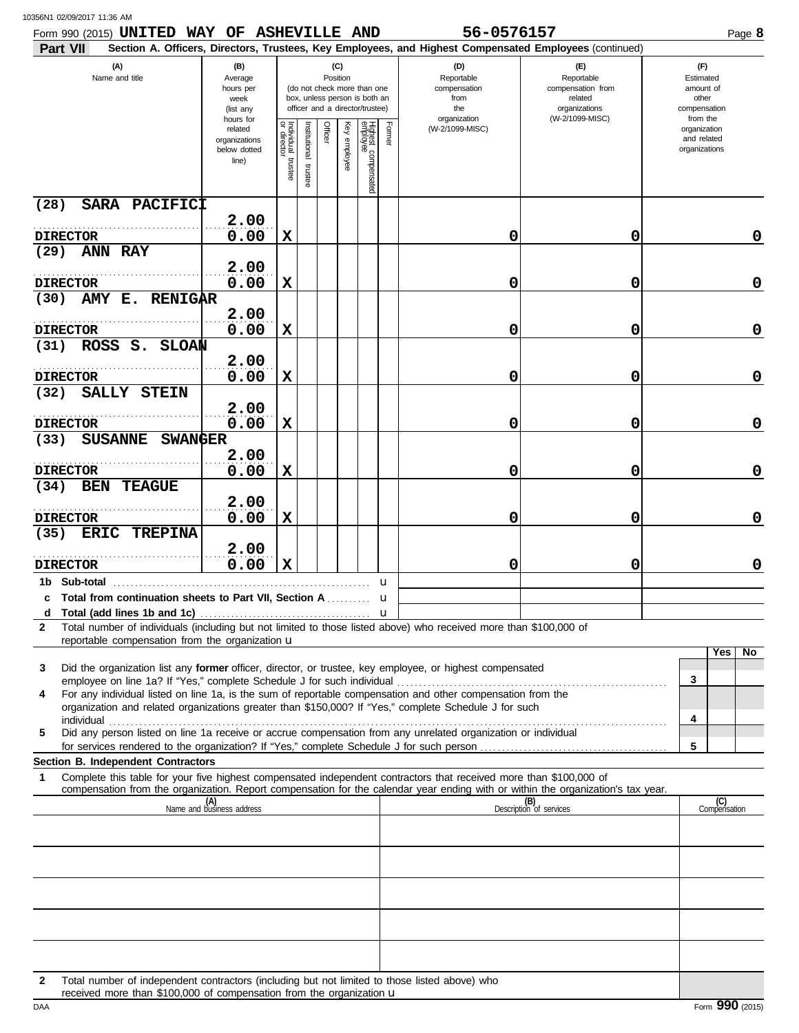| 10356N1 02/09/2017 11:36 AM |  |
|-----------------------------|--|
|                             |  |

| Form 990 (2015) UNITED WAY OF ASHEVILLE AND<br>Part VII                                                                                                                                                                   |                                                                                                                                                                        |                                   |                         |                                                                  |                 |                                                                                       |        | 56-0576157<br>Section A. Officers, Directors, Trustees, Key Employees, and Highest Compensated Employees (continued) |                                |                                              |                     | Page 8      |
|---------------------------------------------------------------------------------------------------------------------------------------------------------------------------------------------------------------------------|------------------------------------------------------------------------------------------------------------------------------------------------------------------------|-----------------------------------|-------------------------|------------------------------------------------------------------|-----------------|---------------------------------------------------------------------------------------|--------|----------------------------------------------------------------------------------------------------------------------|--------------------------------|----------------------------------------------|---------------------|-------------|
| (A)<br>Name and title                                                                                                                                                                                                     | (B)<br>(C)<br>Position<br>Average<br>(do not check more than one<br>hours per<br>box, unless person is both an<br>week<br>officer and a director/trustee)<br>(list any |                                   |                         | (D)<br>Reportable<br>compensation<br>from<br>the<br>organization |                 | (E)<br>Reportable<br>compensation from<br>related<br>organizations<br>(W-2/1099-MISC) |        | (F)<br>Estimated<br>amount of<br>other<br>compensation<br>from the                                                   |                                |                                              |                     |             |
|                                                                                                                                                                                                                           | hours for<br>related<br>organizations<br>below dotted<br>line)                                                                                                         | Individual trustee<br>or director | nstitutional<br>trustee | Officer                                                          | Key<br>enployee | Highest compensated<br>employee                                                       | Former | (W-2/1099-MISC)                                                                                                      |                                | organization<br>and related<br>organizations |                     |             |
| SARA PACIFICI<br>(28)                                                                                                                                                                                                     |                                                                                                                                                                        |                                   |                         |                                                                  |                 |                                                                                       |        |                                                                                                                      |                                |                                              |                     |             |
| <b>DIRECTOR</b>                                                                                                                                                                                                           | 2.00<br>0.00                                                                                                                                                           | X                                 |                         |                                                                  |                 |                                                                                       |        | 0                                                                                                                    | 0                              |                                              |                     | $\mathbf 0$ |
| (29)<br><b>ANN RAY</b>                                                                                                                                                                                                    |                                                                                                                                                                        |                                   |                         |                                                                  |                 |                                                                                       |        |                                                                                                                      |                                |                                              |                     |             |
| <b>DIRECTOR</b>                                                                                                                                                                                                           | 2.00<br>0.00                                                                                                                                                           | X                                 |                         |                                                                  |                 |                                                                                       |        | 0                                                                                                                    | 0                              |                                              |                     | $\mathbf 0$ |
| AMY E. RENIGAR<br>(30)                                                                                                                                                                                                    | 2.00                                                                                                                                                                   |                                   |                         |                                                                  |                 |                                                                                       |        |                                                                                                                      |                                |                                              |                     |             |
| <b>DIRECTOR</b><br>ROSS S. SLOAN<br>(31)                                                                                                                                                                                  | 0.00                                                                                                                                                                   | X                                 |                         |                                                                  |                 |                                                                                       |        | 0                                                                                                                    | 0                              |                                              |                     | $\mathbf 0$ |
|                                                                                                                                                                                                                           | 2.00                                                                                                                                                                   |                                   |                         |                                                                  |                 |                                                                                       |        |                                                                                                                      |                                |                                              |                     |             |
| <b>DIRECTOR</b><br>SALLY STEIN<br>(32)                                                                                                                                                                                    | 0.00                                                                                                                                                                   | X                                 |                         |                                                                  |                 |                                                                                       |        | 0                                                                                                                    | 0                              |                                              |                     | $\mathbf 0$ |
| <b>DIRECTOR</b>                                                                                                                                                                                                           | 2.00<br>0.00                                                                                                                                                           | X                                 |                         |                                                                  |                 |                                                                                       |        | 0                                                                                                                    | 0                              |                                              |                     | $\mathbf 0$ |
| SUSANNE SWANGER<br>(33)                                                                                                                                                                                                   |                                                                                                                                                                        |                                   |                         |                                                                  |                 |                                                                                       |        |                                                                                                                      |                                |                                              |                     |             |
| <b>DIRECTOR</b>                                                                                                                                                                                                           | 2.00<br>0.00                                                                                                                                                           | X                                 |                         |                                                                  |                 |                                                                                       |        | 0                                                                                                                    | 0                              |                                              |                     | $\mathbf 0$ |
| (34)<br>BEN<br><b>TEAGUE</b>                                                                                                                                                                                              |                                                                                                                                                                        |                                   |                         |                                                                  |                 |                                                                                       |        |                                                                                                                      |                                |                                              |                     |             |
|                                                                                                                                                                                                                           | 2.00                                                                                                                                                                   |                                   |                         |                                                                  |                 |                                                                                       |        |                                                                                                                      |                                |                                              |                     |             |
| <b>DIRECTOR</b><br>(35)<br>ERIC TREPINA                                                                                                                                                                                   | 0.00<br>2.00                                                                                                                                                           | X                                 |                         |                                                                  |                 |                                                                                       |        | 0                                                                                                                    | 0                              |                                              |                     | $\mathbf 0$ |
| <b>DIRECTOR</b>                                                                                                                                                                                                           | 0.00                                                                                                                                                                   | X                                 |                         |                                                                  |                 |                                                                                       |        | 0                                                                                                                    | 0                              |                                              |                     | $\mathbf 0$ |
|                                                                                                                                                                                                                           |                                                                                                                                                                        |                                   |                         |                                                                  |                 |                                                                                       | u      |                                                                                                                      |                                |                                              |                     |             |
| c Total from continuation sheets to Part VII. Section A                                                                                                                                                                   |                                                                                                                                                                        |                                   |                         |                                                                  |                 |                                                                                       | u      |                                                                                                                      |                                |                                              |                     |             |
| Total number of individuals (including but not limited to those listed above) who received more than \$100,000 of<br>$\mathbf{2}$                                                                                         |                                                                                                                                                                        |                                   |                         |                                                                  |                 |                                                                                       |        |                                                                                                                      |                                |                                              |                     |             |
| reportable compensation from the organization u                                                                                                                                                                           |                                                                                                                                                                        |                                   |                         |                                                                  |                 |                                                                                       |        |                                                                                                                      |                                |                                              | Yes                 | No          |
| Did the organization list any former officer, director, or trustee, key employee, or highest compensated<br>3<br>employee on line 1a? If "Yes," complete Schedule J for such individual                                   |                                                                                                                                                                        |                                   |                         |                                                                  |                 |                                                                                       |        |                                                                                                                      |                                | 3                                            |                     |             |
| For any individual listed on line 1a, is the sum of reportable compensation and other compensation from the<br>4<br>organization and related organizations greater than \$150,000? If "Yes," complete Schedule J for such |                                                                                                                                                                        |                                   |                         |                                                                  |                 |                                                                                       |        |                                                                                                                      |                                |                                              |                     |             |
| individual<br>Did any person listed on line 1a receive or accrue compensation from any unrelated organization or individual<br>5                                                                                          |                                                                                                                                                                        |                                   |                         |                                                                  |                 |                                                                                       |        |                                                                                                                      |                                | 4                                            |                     |             |
| Section B. Independent Contractors                                                                                                                                                                                        |                                                                                                                                                                        |                                   |                         |                                                                  |                 |                                                                                       |        |                                                                                                                      |                                | 5                                            |                     |             |
| Complete this table for your five highest compensated independent contractors that received more than \$100,000 of<br>1                                                                                                   |                                                                                                                                                                        |                                   |                         |                                                                  |                 |                                                                                       |        |                                                                                                                      |                                |                                              |                     |             |
| compensation from the organization. Report compensation for the calendar year ending with or within the organization's tax year.                                                                                          | (A)<br>Name and business address                                                                                                                                       |                                   |                         |                                                                  |                 |                                                                                       |        |                                                                                                                      | (B)<br>Description of services |                                              | (C)<br>Compensation |             |
|                                                                                                                                                                                                                           |                                                                                                                                                                        |                                   |                         |                                                                  |                 |                                                                                       |        |                                                                                                                      |                                |                                              |                     |             |
|                                                                                                                                                                                                                           |                                                                                                                                                                        |                                   |                         |                                                                  |                 |                                                                                       |        |                                                                                                                      |                                |                                              |                     |             |
|                                                                                                                                                                                                                           |                                                                                                                                                                        |                                   |                         |                                                                  |                 |                                                                                       |        |                                                                                                                      |                                |                                              |                     |             |
|                                                                                                                                                                                                                           |                                                                                                                                                                        |                                   |                         |                                                                  |                 |                                                                                       |        |                                                                                                                      |                                |                                              |                     |             |
|                                                                                                                                                                                                                           |                                                                                                                                                                        |                                   |                         |                                                                  |                 |                                                                                       |        |                                                                                                                      |                                |                                              |                     |             |
|                                                                                                                                                                                                                           |                                                                                                                                                                        |                                   |                         |                                                                  |                 |                                                                                       |        |                                                                                                                      |                                |                                              |                     |             |

received more than \$100,000 of compensation from the organization **u Example 2016** Form 990 (2015) received more than \$100,000 of compensation from the organization u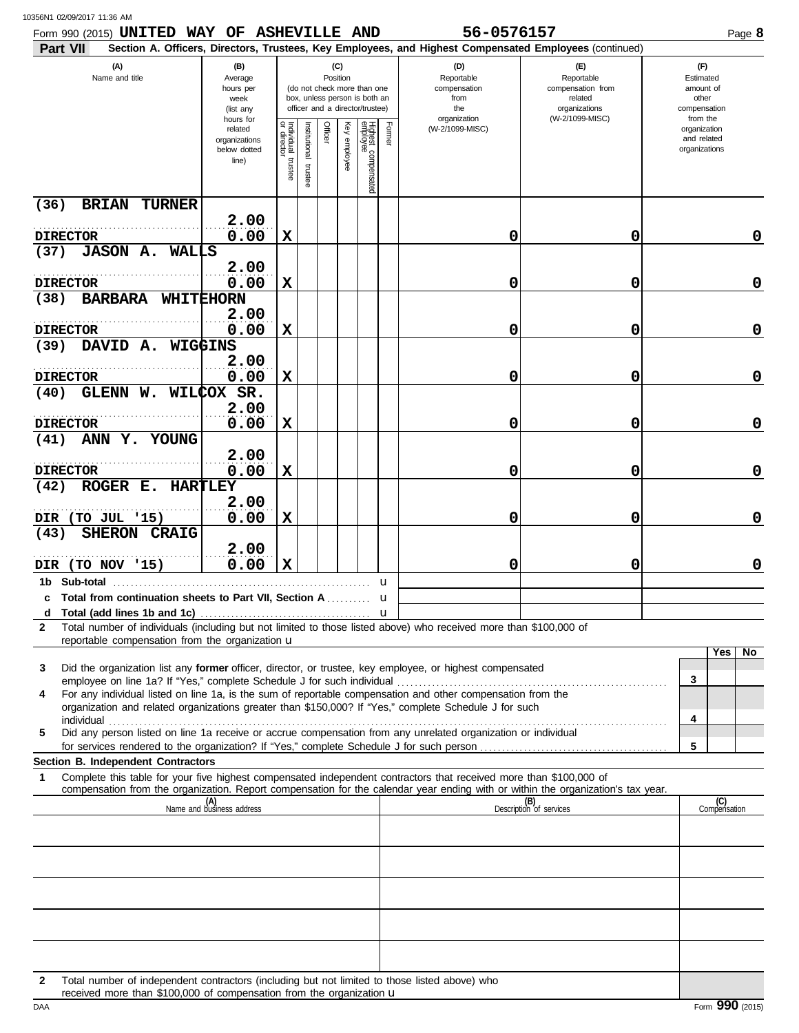| 10356N1 02/09/2017 11:36 AM |  |
|-----------------------------|--|
|                             |  |

| Form 990 (2015) UNITED WAY OF ASHEVILLE AND<br>Part VII                                                                                                                                                                                                     |                                                               |                                   |                      |                 |                 |                                                                                                 |        | 56-0576157<br>Section A. Officers, Directors, Trustees, Key Employees, and Highest Compensated Employees (continued) |                                                                                       | Page 8                                                             |
|-------------------------------------------------------------------------------------------------------------------------------------------------------------------------------------------------------------------------------------------------------------|---------------------------------------------------------------|-----------------------------------|----------------------|-----------------|-----------------|-------------------------------------------------------------------------------------------------|--------|----------------------------------------------------------------------------------------------------------------------|---------------------------------------------------------------------------------------|--------------------------------------------------------------------|
| (A)<br>Name and title                                                                                                                                                                                                                                       | (B)<br>Average<br>hours per<br>week<br>(list any<br>hours for |                                   |                      | (C)<br>Position |                 | (do not check more than one<br>box, unless person is both an<br>officer and a director/trustee) |        | (D)<br>Reportable<br>compensation<br>from<br>the<br>organization                                                     | (E)<br>Reportable<br>compensation from<br>related<br>organizations<br>(W-2/1099-MISC) | (F)<br>Estimated<br>amount of<br>other<br>compensation<br>from the |
|                                                                                                                                                                                                                                                             | related<br>organizations<br>below dotted<br>line)             | Individual trustee<br>or director | nstitutional trustee | Officer         | Key<br>employee | Highest compensated<br>employee                                                                 | Former | (W-2/1099-MISC)                                                                                                      |                                                                                       | organization<br>and related<br>organizations                       |
| (36)<br><b>BRIAN</b><br><b>TURNER</b>                                                                                                                                                                                                                       |                                                               |                                   |                      |                 |                 |                                                                                                 |        |                                                                                                                      |                                                                                       |                                                                    |
| <b>DIRECTOR</b>                                                                                                                                                                                                                                             | 2.00<br>0.00                                                  | X                                 |                      |                 |                 |                                                                                                 |        | 0                                                                                                                    | 0                                                                                     | 0                                                                  |
| <b>JASON A. WALLS</b><br>(37)                                                                                                                                                                                                                               |                                                               |                                   |                      |                 |                 |                                                                                                 |        |                                                                                                                      |                                                                                       |                                                                    |
|                                                                                                                                                                                                                                                             | 2.00                                                          |                                   |                      |                 |                 |                                                                                                 |        |                                                                                                                      |                                                                                       |                                                                    |
| <b>DIRECTOR</b><br><b>BARBARA WHITEHORN</b><br>(38)                                                                                                                                                                                                         | 0.00                                                          | X                                 |                      |                 |                 |                                                                                                 |        | 0                                                                                                                    | 0                                                                                     | 0                                                                  |
|                                                                                                                                                                                                                                                             | 2.00                                                          |                                   |                      |                 |                 |                                                                                                 |        |                                                                                                                      |                                                                                       |                                                                    |
| <b>DIRECTOR</b><br>DAVID A. WIGGINS<br>(39)                                                                                                                                                                                                                 | 0.00                                                          | X                                 |                      |                 |                 |                                                                                                 |        | 0                                                                                                                    | 0                                                                                     | 0                                                                  |
|                                                                                                                                                                                                                                                             | 2.00                                                          |                                   |                      |                 |                 |                                                                                                 |        |                                                                                                                      |                                                                                       |                                                                    |
| <b>DIRECTOR</b>                                                                                                                                                                                                                                             | 0.00                                                          | X                                 |                      |                 |                 |                                                                                                 |        | 0                                                                                                                    | 0                                                                                     | 0                                                                  |
| GLENN W. WILCOX SR.<br>(40)                                                                                                                                                                                                                                 | 2.00                                                          |                                   |                      |                 |                 |                                                                                                 |        |                                                                                                                      |                                                                                       |                                                                    |
| <b>DIRECTOR</b>                                                                                                                                                                                                                                             | 0.00                                                          | X                                 |                      |                 |                 |                                                                                                 |        | 0                                                                                                                    | 0                                                                                     | 0                                                                  |
| ANN Y. YOUNG<br>(41)                                                                                                                                                                                                                                        |                                                               |                                   |                      |                 |                 |                                                                                                 |        |                                                                                                                      |                                                                                       |                                                                    |
| <b>DIRECTOR</b>                                                                                                                                                                                                                                             | 2.00<br>0.00                                                  | X                                 |                      |                 |                 |                                                                                                 |        | 0                                                                                                                    | 0                                                                                     | 0                                                                  |
| ROGER E. HARTLEY<br>(42)                                                                                                                                                                                                                                    |                                                               |                                   |                      |                 |                 |                                                                                                 |        |                                                                                                                      |                                                                                       |                                                                    |
|                                                                                                                                                                                                                                                             | 2.00                                                          |                                   |                      |                 |                 |                                                                                                 |        |                                                                                                                      |                                                                                       |                                                                    |
| DIR (TO JUL '15)<br>SHERON CRAIG<br>(43)                                                                                                                                                                                                                    | 0.00                                                          | X                                 |                      |                 |                 |                                                                                                 |        | 0                                                                                                                    | 0                                                                                     | 0                                                                  |
|                                                                                                                                                                                                                                                             | 2.00                                                          |                                   |                      |                 |                 |                                                                                                 |        |                                                                                                                      |                                                                                       |                                                                    |
| DIR (TO NOV '15)                                                                                                                                                                                                                                            | 0.00                                                          | X                                 |                      |                 |                 |                                                                                                 |        | 0                                                                                                                    | 0                                                                                     | 0                                                                  |
| c Total from continuation sheets to Part VII, Section A                                                                                                                                                                                                     |                                                               |                                   |                      |                 |                 |                                                                                                 | u<br>u |                                                                                                                      |                                                                                       |                                                                    |
|                                                                                                                                                                                                                                                             |                                                               |                                   |                      |                 |                 |                                                                                                 |        |                                                                                                                      |                                                                                       |                                                                    |
| Total number of individuals (including but not limited to those listed above) who received more than \$100,000 of<br>$\mathbf{2}$<br>reportable compensation from the organization u                                                                        |                                                               |                                   |                      |                 |                 |                                                                                                 |        |                                                                                                                      |                                                                                       |                                                                    |
|                                                                                                                                                                                                                                                             |                                                               |                                   |                      |                 |                 |                                                                                                 |        |                                                                                                                      |                                                                                       | Yes<br>No                                                          |
| Did the organization list any former officer, director, or trustee, key employee, or highest compensated<br>3<br>employee on line 1a? If "Yes," complete Schedule J for such individual                                                                     |                                                               |                                   |                      |                 |                 |                                                                                                 |        |                                                                                                                      |                                                                                       | 3                                                                  |
| For any individual listed on line 1a, is the sum of reportable compensation and other compensation from the<br>4<br>organization and related organizations greater than \$150,000? If "Yes," complete Schedule J for such                                   |                                                               |                                   |                      |                 |                 |                                                                                                 |        |                                                                                                                      |                                                                                       |                                                                    |
| individual<br>Did any person listed on line 1a receive or accrue compensation from any unrelated organization or individual<br>5                                                                                                                            |                                                               |                                   |                      |                 |                 |                                                                                                 |        |                                                                                                                      |                                                                                       | 4                                                                  |
|                                                                                                                                                                                                                                                             |                                                               |                                   |                      |                 |                 |                                                                                                 |        |                                                                                                                      |                                                                                       | 5                                                                  |
| Section B. Independent Contractors                                                                                                                                                                                                                          |                                                               |                                   |                      |                 |                 |                                                                                                 |        |                                                                                                                      |                                                                                       |                                                                    |
| Complete this table for your five highest compensated independent contractors that received more than \$100,000 of<br>1<br>compensation from the organization. Report compensation for the calendar year ending with or within the organization's tax year. |                                                               |                                   |                      |                 |                 |                                                                                                 |        |                                                                                                                      |                                                                                       |                                                                    |
|                                                                                                                                                                                                                                                             | (A)<br>Name and business address                              |                                   |                      |                 |                 |                                                                                                 |        |                                                                                                                      | (B)<br>Description of services                                                        | (C)<br>Compensation                                                |
|                                                                                                                                                                                                                                                             |                                                               |                                   |                      |                 |                 |                                                                                                 |        |                                                                                                                      |                                                                                       |                                                                    |
|                                                                                                                                                                                                                                                             |                                                               |                                   |                      |                 |                 |                                                                                                 |        |                                                                                                                      |                                                                                       |                                                                    |
|                                                                                                                                                                                                                                                             |                                                               |                                   |                      |                 |                 |                                                                                                 |        |                                                                                                                      |                                                                                       |                                                                    |
|                                                                                                                                                                                                                                                             |                                                               |                                   |                      |                 |                 |                                                                                                 |        |                                                                                                                      |                                                                                       |                                                                    |
|                                                                                                                                                                                                                                                             |                                                               |                                   |                      |                 |                 |                                                                                                 |        |                                                                                                                      |                                                                                       |                                                                    |
|                                                                                                                                                                                                                                                             |                                                               |                                   |                      |                 |                 |                                                                                                 |        |                                                                                                                      |                                                                                       |                                                                    |
|                                                                                                                                                                                                                                                             |                                                               |                                   |                      |                 |                 |                                                                                                 |        |                                                                                                                      |                                                                                       |                                                                    |
| Total number of independent contractors (including but not limited to those listed above) who                                                                                                                                                               |                                                               |                                   |                      |                 |                 |                                                                                                 |        |                                                                                                                      |                                                                                       |                                                                    |

received more than \$100,000 of compensation from the organization **u Example 2016** Form 990 (2015) received more than \$100,000 of compensation from the organization u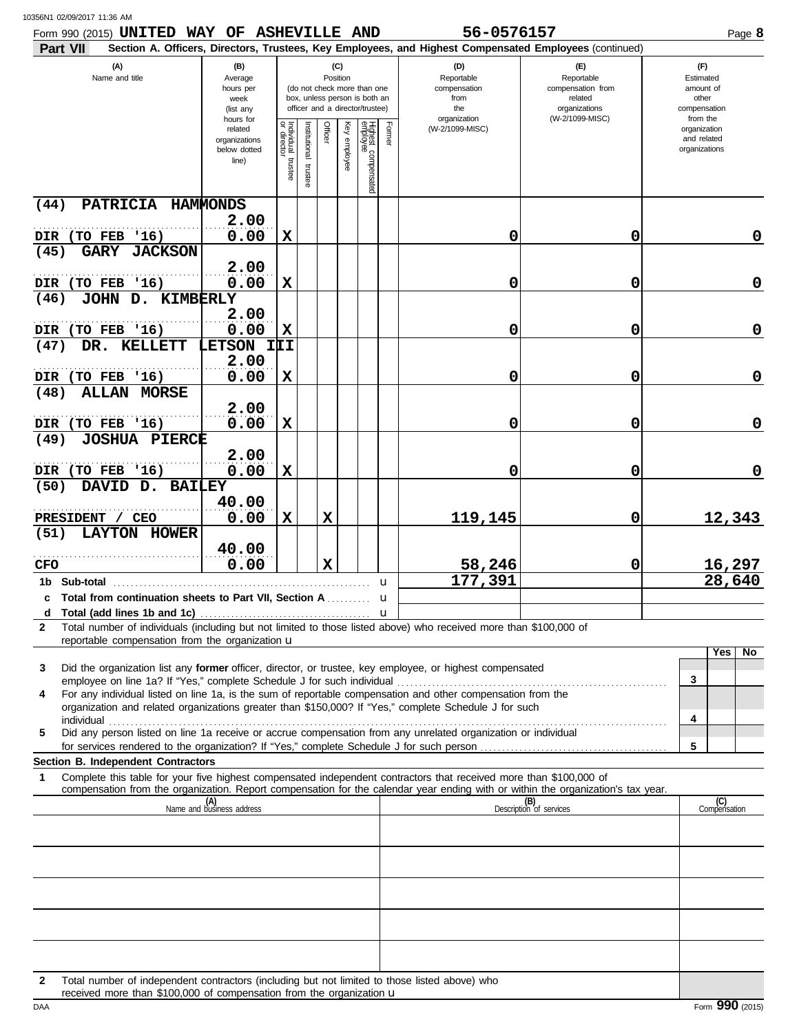| Form 990 (2015) UNITED WAY OF ASHEVILLE AND<br>Part VII                                                                                                                                                                                                                                                           |                                                               |                                   |                          |                 |                   |                                                                                                 | 56-0576157<br>Section A. Officers, Directors, Trustees, Key Employees, and Highest Compensated Employees (continued) |                                                                                       | Page 8                                                             |
|-------------------------------------------------------------------------------------------------------------------------------------------------------------------------------------------------------------------------------------------------------------------------------------------------------------------|---------------------------------------------------------------|-----------------------------------|--------------------------|-----------------|-------------------|-------------------------------------------------------------------------------------------------|----------------------------------------------------------------------------------------------------------------------|---------------------------------------------------------------------------------------|--------------------------------------------------------------------|
| (A)<br>Name and title                                                                                                                                                                                                                                                                                             | (B)<br>Average<br>hours per<br>week<br>(list any<br>hours for |                                   |                          | (C)<br>Position |                   | (do not check more than one<br>box, unless person is both an<br>officer and a director/trustee) | (D)<br>Reportable<br>compensation<br>from<br>the<br>organization                                                     | (E)<br>Reportable<br>compensation from<br>related<br>organizations<br>(W-2/1099-MISC) | (F)<br>Estimated<br>amount of<br>other<br>compensation<br>from the |
|                                                                                                                                                                                                                                                                                                                   | related<br>organizations<br>below dotted<br>line)             | Individual trustee<br>or director | Institutional<br>trustee | Officer         | Key<br>v employee | Highest compensated<br>employee<br>Former                                                       | (W-2/1099-MISC)                                                                                                      |                                                                                       | organization<br>and related<br>organizations                       |
| PATRICIA HAMMONDS<br>(44)                                                                                                                                                                                                                                                                                         | 2.00                                                          |                                   |                          |                 |                   |                                                                                                 |                                                                                                                      |                                                                                       |                                                                    |
| DIR (TO FEB '16)<br>(45)<br><b>GARY</b><br><b>JACKSON</b>                                                                                                                                                                                                                                                         | 0.00                                                          | X                                 |                          |                 |                   |                                                                                                 | 0                                                                                                                    | 0                                                                                     | 0                                                                  |
| DIR (TO FEB '16)                                                                                                                                                                                                                                                                                                  | 2.00<br>0.00                                                  | $\mathbf x$                       |                          |                 |                   |                                                                                                 | 0                                                                                                                    | 0                                                                                     | $\mathbf 0$                                                        |
| (46)<br>JOHN D. KIMBERLY                                                                                                                                                                                                                                                                                          | 2.00                                                          |                                   |                          |                 |                   |                                                                                                 |                                                                                                                      |                                                                                       |                                                                    |
| DIR (TO FEB '16)<br>(47)<br>KELLETT<br>DR.                                                                                                                                                                                                                                                                        | 0.00<br>LETSON III                                            | X                                 |                          |                 |                   |                                                                                                 | 0                                                                                                                    | 0                                                                                     | $\mathbf 0$                                                        |
| (TO FEB '16)<br>DIR                                                                                                                                                                                                                                                                                               | 2.00<br>0.00                                                  | $\mathbf x$                       |                          |                 |                   |                                                                                                 | 0                                                                                                                    | 0                                                                                     | $\mathbf 0$                                                        |
| (48)<br><b>ALLAN MORSE</b>                                                                                                                                                                                                                                                                                        | 2.00                                                          |                                   |                          |                 |                   |                                                                                                 |                                                                                                                      |                                                                                       |                                                                    |
| DIR (TO FEB '16)<br>(49)<br><b>JOSHUA PIERCE</b>                                                                                                                                                                                                                                                                  | 0.00                                                          | X                                 |                          |                 |                   |                                                                                                 | 0                                                                                                                    | 0                                                                                     | $\mathbf 0$                                                        |
| DIR (TO FEB '16)                                                                                                                                                                                                                                                                                                  | 2.00<br>0.00                                                  | X                                 |                          |                 |                   |                                                                                                 | 0                                                                                                                    | 0                                                                                     | 0                                                                  |
| DAVID D. BAILEY<br>(50)<br>PRESIDENT / CEO                                                                                                                                                                                                                                                                        | 40.00<br>0.00                                                 | $\mathbf x$                       |                          | X               |                   |                                                                                                 | 119,145                                                                                                              | 0                                                                                     | 12,343                                                             |
| <b>LAYTON HOWER</b><br>(51)                                                                                                                                                                                                                                                                                       | 40.00                                                         |                                   |                          |                 |                   |                                                                                                 |                                                                                                                      |                                                                                       |                                                                    |
| <b>CFO</b><br>1b Sub-total                                                                                                                                                                                                                                                                                        | 0.00                                                          |                                   |                          | X               |                   | u                                                                                               | 58,246<br>177,391                                                                                                    | 0                                                                                     | 16,297<br>28,640                                                   |
| c Total from continuation sheets to Part VII. Section A<br>d                                                                                                                                                                                                                                                      |                                                               |                                   |                          |                 |                   | u                                                                                               |                                                                                                                      |                                                                                       |                                                                    |
| Total number of individuals (including but not limited to those listed above) who received more than \$100,000 of<br>2<br>reportable compensation from the organization u                                                                                                                                         |                                                               |                                   |                          |                 |                   |                                                                                                 |                                                                                                                      |                                                                                       |                                                                    |
| Did the organization list any former officer, director, or trustee, key employee, or highest compensated<br>3                                                                                                                                                                                                     |                                                               |                                   |                          |                 |                   |                                                                                                 |                                                                                                                      |                                                                                       | Yes<br>No.                                                         |
| employee on line 1a? If "Yes," complete Schedule J for such individual<br>For any individual listed on line 1a, is the sum of reportable compensation and other compensation from the<br>4<br>organization and related organizations greater than \$150,000? If "Yes," complete Schedule J for such<br>individual |                                                               |                                   |                          |                 |                   |                                                                                                 |                                                                                                                      |                                                                                       | 3<br>4                                                             |
| Did any person listed on line 1a receive or accrue compensation from any unrelated organization or individual<br>5                                                                                                                                                                                                |                                                               |                                   |                          |                 |                   |                                                                                                 |                                                                                                                      |                                                                                       | 5                                                                  |
| Section B. Independent Contractors<br>Complete this table for your five highest compensated independent contractors that received more than \$100,000 of<br>1                                                                                                                                                     |                                                               |                                   |                          |                 |                   |                                                                                                 |                                                                                                                      |                                                                                       |                                                                    |
| compensation from the organization. Report compensation for the calendar year ending with or within the organization's tax year.                                                                                                                                                                                  | (A)<br>Name and business address                              |                                   |                          |                 |                   |                                                                                                 |                                                                                                                      | (B)<br>Description of services                                                        | (C)<br>Compensation                                                |
|                                                                                                                                                                                                                                                                                                                   |                                                               |                                   |                          |                 |                   |                                                                                                 |                                                                                                                      |                                                                                       |                                                                    |
|                                                                                                                                                                                                                                                                                                                   |                                                               |                                   |                          |                 |                   |                                                                                                 |                                                                                                                      |                                                                                       |                                                                    |
|                                                                                                                                                                                                                                                                                                                   |                                                               |                                   |                          |                 |                   |                                                                                                 |                                                                                                                      |                                                                                       |                                                                    |
|                                                                                                                                                                                                                                                                                                                   |                                                               |                                   |                          |                 |                   |                                                                                                 |                                                                                                                      |                                                                                       |                                                                    |
|                                                                                                                                                                                                                                                                                                                   |                                                               |                                   |                          |                 |                   |                                                                                                 |                                                                                                                      |                                                                                       |                                                                    |

received more than \$100,000 of compensation from the organization u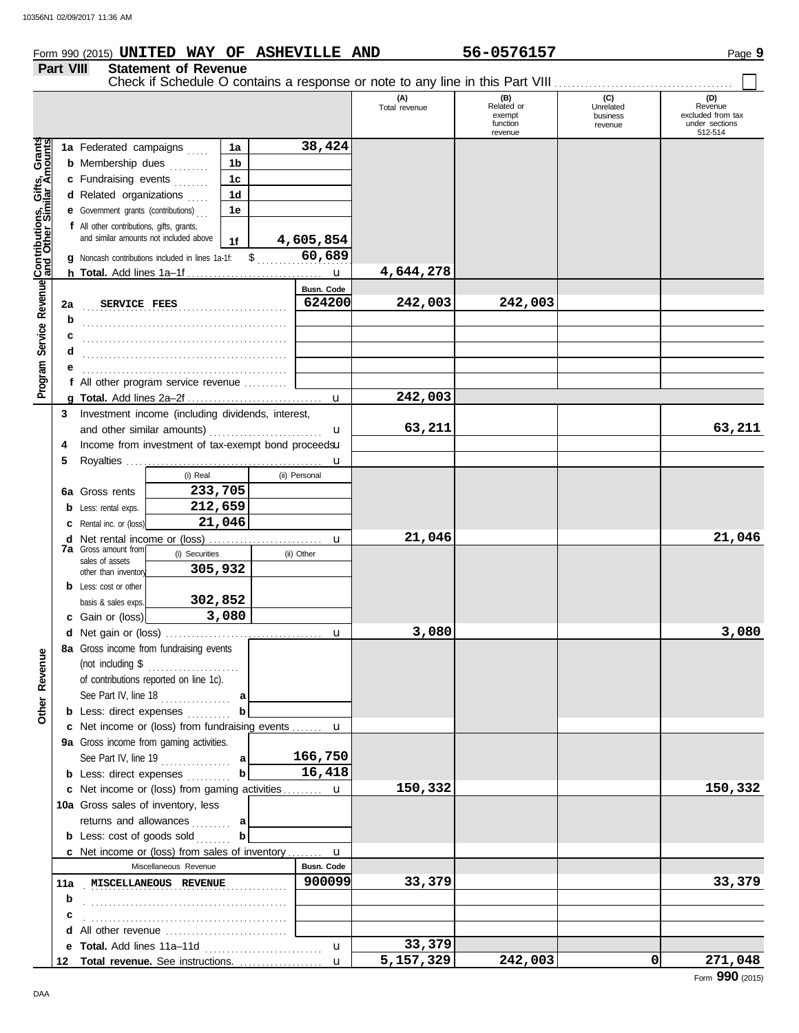## **Form 990 (2015) UNITED WAY OF ASHEVILLE AND 56-0576157** Page 9

**Part VIII Statement of Revenue**

Check if Schedule O contains a response or note to any line in this Part VIII . . . . . . . . . . . . . . . . . . . . . . . . . . . . . . . . . . . . . . . . .

|                                                      |     |                                                                                             |               | (A)<br>Total revenue | (B)<br>Related or<br>exempt<br>function<br>revenue | (C)<br>Unrelated<br>business<br>revenue | (D)<br>Revenue<br>excluded from tax<br>under sections<br>512-514 |
|------------------------------------------------------|-----|---------------------------------------------------------------------------------------------|---------------|----------------------|----------------------------------------------------|-----------------------------------------|------------------------------------------------------------------|
|                                                      |     | 1a<br>1a Federated campaigns                                                                | 38,424        |                      |                                                    |                                         |                                                                  |
|                                                      |     | <b>b</b> Membership dues<br>1b                                                              |               |                      |                                                    |                                         |                                                                  |
| Program Service Revenue Contributions, Gifts, Grants |     | c Fundraising events<br>1c                                                                  |               |                      |                                                    |                                         |                                                                  |
|                                                      |     | 1 <sub>d</sub><br>d Related organizations                                                   |               |                      |                                                    |                                         |                                                                  |
|                                                      |     | e Government grants (contributions)<br>1e                                                   |               |                      |                                                    |                                         |                                                                  |
|                                                      |     | f All other contributions, gifts, grants,                                                   |               |                      |                                                    |                                         |                                                                  |
|                                                      |     | and similar amounts not included above<br>1f                                                | 4,605,854     |                      |                                                    |                                         |                                                                  |
|                                                      |     | <b>q</b> Noncash contributions included in lines 1a-1f: $\$\ldots$                          | 60,689        |                      |                                                    |                                         |                                                                  |
|                                                      |     |                                                                                             | u             | 4,644,278            |                                                    |                                         |                                                                  |
|                                                      |     |                                                                                             | Busn. Code    |                      |                                                    |                                         |                                                                  |
|                                                      | 2a  | SERVICE FEES                                                                                | 624200        | 242,003              | 242,003                                            |                                         |                                                                  |
|                                                      | b   |                                                                                             |               |                      |                                                    |                                         |                                                                  |
|                                                      | c   |                                                                                             |               |                      |                                                    |                                         |                                                                  |
|                                                      | d   |                                                                                             |               |                      |                                                    |                                         |                                                                  |
|                                                      | е   |                                                                                             |               |                      |                                                    |                                         |                                                                  |
|                                                      |     | f All other program service revenue                                                         |               | 242,003              |                                                    |                                         |                                                                  |
|                                                      | 3   | Investment income (including dividends, interest,                                           | $\mathbf{u}$  |                      |                                                    |                                         |                                                                  |
|                                                      |     | and other similar amounts)                                                                  | u             | 63,211               |                                                    |                                         | 63,211                                                           |
|                                                      | 4   | Income from investment of tax-exempt bond proceedsu                                         |               |                      |                                                    |                                         |                                                                  |
|                                                      | 5   |                                                                                             | u             |                      |                                                    |                                         |                                                                  |
|                                                      |     | (i) Real                                                                                    | (ii) Personal |                      |                                                    |                                         |                                                                  |
|                                                      |     | 233,705<br>6a Gross rents                                                                   |               |                      |                                                    |                                         |                                                                  |
|                                                      | b   | 212,659<br>Less: rental exps.                                                               |               |                      |                                                    |                                         |                                                                  |
|                                                      |     | 21,046<br>Rental inc. or (loss)                                                             |               |                      |                                                    |                                         |                                                                  |
|                                                      | d   |                                                                                             | u             | 21,046               |                                                    |                                         | 21,046                                                           |
|                                                      |     | <b>7a</b> Gross amount from<br>(i) Securities                                               | (ii) Other    |                      |                                                    |                                         |                                                                  |
|                                                      |     | sales of assets<br>305,932<br>other than inventory                                          |               |                      |                                                    |                                         |                                                                  |
|                                                      |     | <b>b</b> Less: cost or other                                                                |               |                      |                                                    |                                         |                                                                  |
|                                                      |     | 302,852<br>basis & sales exps.                                                              |               |                      |                                                    |                                         |                                                                  |
|                                                      |     | 3,080<br>c Gain or (loss)                                                                   |               |                      |                                                    |                                         |                                                                  |
|                                                      |     |                                                                                             | u             | 3,080                |                                                    |                                         | 3,080                                                            |
|                                                      |     | 8a Gross income from fundraising events                                                     |               |                      |                                                    |                                         |                                                                  |
| venue                                                |     | (not including \$                                                                           |               |                      |                                                    |                                         |                                                                  |
| Re                                                   |     | of contributions reported on line 1c).                                                      |               |                      |                                                    |                                         |                                                                  |
|                                                      |     | See Part IV, line 18<br>a                                                                   |               |                      |                                                    |                                         |                                                                  |
| Other                                                |     | <b>b</b> Less: direct expenses<br>b                                                         |               |                      |                                                    |                                         |                                                                  |
|                                                      |     | c Net income or (loss) from fundraising events  u                                           |               |                      |                                                    |                                         |                                                                  |
|                                                      |     | 9a Gross income from gaming activities.                                                     |               |                      |                                                    |                                         |                                                                  |
|                                                      |     | See Part IV, line 19 $\ldots$                                                               | 166,750       |                      |                                                    |                                         |                                                                  |
|                                                      |     | $\mathbf{b}$<br><b>b</b> Less: direct expenses                                              | 16,418        |                      |                                                    |                                         |                                                                  |
|                                                      |     | c Net income or (loss) from gaming activities  u                                            |               | 150,332              |                                                    |                                         | 150,332                                                          |
|                                                      |     | 10a Gross sales of inventory, less                                                          |               |                      |                                                    |                                         |                                                                  |
|                                                      |     | returns and allowances  a<br>b                                                              |               |                      |                                                    |                                         |                                                                  |
|                                                      |     | <b>b</b> Less: cost of goods sold                                                           |               |                      |                                                    |                                         |                                                                  |
|                                                      |     | <b>c</b> Net income or (loss) from sales of inventory $\mathbf{u}$<br>Miscellaneous Revenue | Busn. Code    |                      |                                                    |                                         |                                                                  |
|                                                      | 11a | MISCELLANEOUS REVENUE                                                                       | 900099        | 33,379               |                                                    |                                         | 33,379                                                           |
|                                                      | b   |                                                                                             |               |                      |                                                    |                                         |                                                                  |
|                                                      | с   |                                                                                             |               |                      |                                                    |                                         |                                                                  |
|                                                      | d   |                                                                                             |               |                      |                                                    |                                         |                                                                  |
|                                                      | е   | Total. Add lines 11a-11d                                                                    | $\mathbf{u}$  | 33,379               |                                                    |                                         |                                                                  |
|                                                      | 12  | Total revenue. See instructions.                                                            | $\mathbf{u}$  | 5,157,329            | 242,003                                            | $\Omega$                                | 271,048                                                          |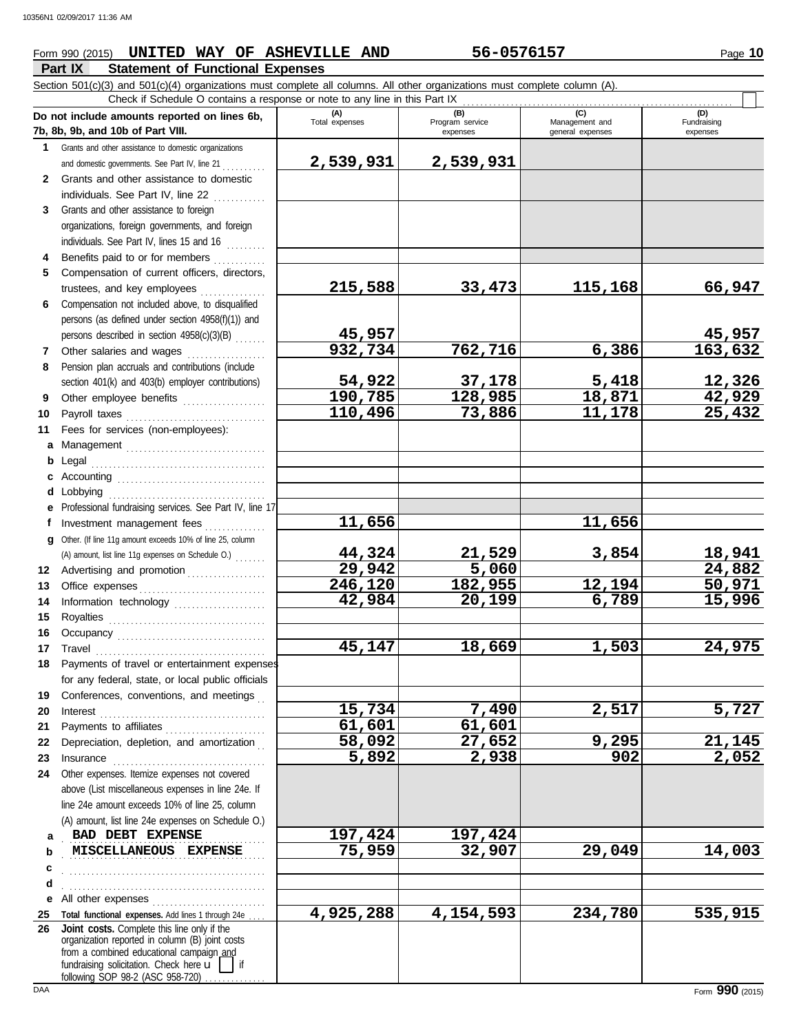# **Form 990 (2015) UNITED WAY OF ASHEVILLE AND 56-0576157** Page 10

## **Part IX Statement of Functional Expenses**

**215,588 33,473 115,168 66,947**

**45,957 45,957**

**54,922 37,178 5,418 12,326**

**110,496 73,886 11,178 25,432**

**44,324 21,529 3,854 18,941**

**246,120 182,955 12,194 50,971**

**45,147 18,669 1,503 24,975**

**15,734 7,490 2,517 5,727**

**58,092 27,652 9,295 21,145 5,892 2,938 902 2,052**

**4,925,288 4,154,593 234,780 535,915**

**190,785 128,985 18,871 42,929**

**11,656 11,656**

**29,942 5,060 24,882**

Fundraising expenses

Section 501(c)(3) and 501(c)(4) organizations must complete all columns. All other organizations must complete column (A). **Do not include amounts reported on lines 6b, 7b, 8b, 9b, and 10b of Part VIII. 1 2 3** Grants and other assistance to foreign Grants and other assistance to domestic organizations and domestic governments. See Part IV, line 21 . . . . . . . . . Grants and other assistance to domestic individuals. See Part IV, line 22 organizations, foreign governments, and foreign **(A) (B) (B) (C) (C) (C) (D) (D) Total expenses Program service Management and Fundrais** Management and expenses **general** expenses Check if Schedule O contains a response or note to any line in this Part IX **2,539,931 2,539,931**

**932,734 762,716 6,386 163,632**

**42,984 20,199 6,789 15,996**

**61,601 61,601**

- **4 5** Compensation of current officers, directors, individuals. See Part IV, lines 15 and 16  $\ldots$ Benefits paid to or for members ............. trustees, and key employees ...............
- **6** Compensation not included above, to disqualified persons (as defined under section 4958(f)(1)) and persons described in section 4958(c)(3)(B) . . . . . . .
- **7 8** Other salaries and wages .................. Pension plan accruals and contributions (include section 401(k) and 403(b) employer contributions)
- **9** Other employee benefits ...................
- **11** Fees for services (non-employees):
- **10 a** Management . . . . . . . . . . . . . . . . . . . . . . . . . . . . . . . . **b** Legal . . . . . . . . . . . . . . . . . . . . . . . . . . . . . . . . . . . . . . . . Payroll taxes . . . . . . . . . . . . . . . . . . . . . . . . . . . . . . . .
	- **c** Accounting . . . . . . . . . . . . . . . . . . . . . . . . . . . . . . . . . . **d** Lobbying . . . . . . . . . . . . . . . . . . . . . . . . . . . . . . . . . . . . **e** Professional fundraising services. See Part IV, line 17 **f g** Other. (If line 11g amount exceeds 10% of line 25, column Investment management fees .............. (A) amount, list line 11g expenses on Schedule O.) . . . . . . .
- **12** Advertising and promotion . . . . . . . . . . . . . . . . **15** Royalties . . . . . . . . . . . . . . . . . . . . . . . . . . . . . . . . . . . . Office expenses . . . . . . . . . . . . . . . . . . . . . . . . . . . . . Information technology ..................... Occupancy . . . . . . . . . . . . . . . . . . . . . . . . . . . . . . . . . . Travel . . . . . . . . . . . . . . . . . . . . . . . . . . . . . . . . . . . . . . . Payments of travel or entertainment expenses
- **19 20 21 22** Depreciation, depletion, and amortization . . **23 24** Other expenses. Itemize expenses not covered for any federal, state, or local public officials Conferences, conventions, and meetings Interest . . . . . . . . . . . . . . . . . . . . . . . . . . . . . . . . . . . . . . Payments to affiliates ........................ Insurance . . . . . . . . . . . . . . . . . . . . . . . . . . . . . . . . . . . above (List miscellaneous expenses in line 24e. If line 24e amount exceeds 10% of line 25, column (A) amount, list line 24e expenses on Schedule O.)
- **a b c d e** All other expenses . . . . . . . . . . . . . . . . . . . . . . . . . . **BAD DEBT EXPENSE 197,424 197,424** . . . . . . . . . . . . . . . . . . . . . . . . . . . . . . . . . . . . . . . . . . . . . . **MISCELLANEOUS EXPENSE 75,959 32,907 29,049 14,003** . . . . . . . . . . . . . . . . . . . . . . . . . . . . . . . . . . . . . . . . . . . . . . . . . . . . . . . . . . . . . . . . . . . . . . . . . . . . . . . . . . . . . . . . . . . .
- **25 Total functional expenses.** Add lines 1 through 24e . . . . **26** fundraising solicitation. Check here  $\mathbf{u}$  | if organization reported in column (B) joint costs from a combined educational campaign and following SOP 98-2 (ASC 958-720) **Joint costs.** Complete this line only if the

**13 14**

**16 17 18**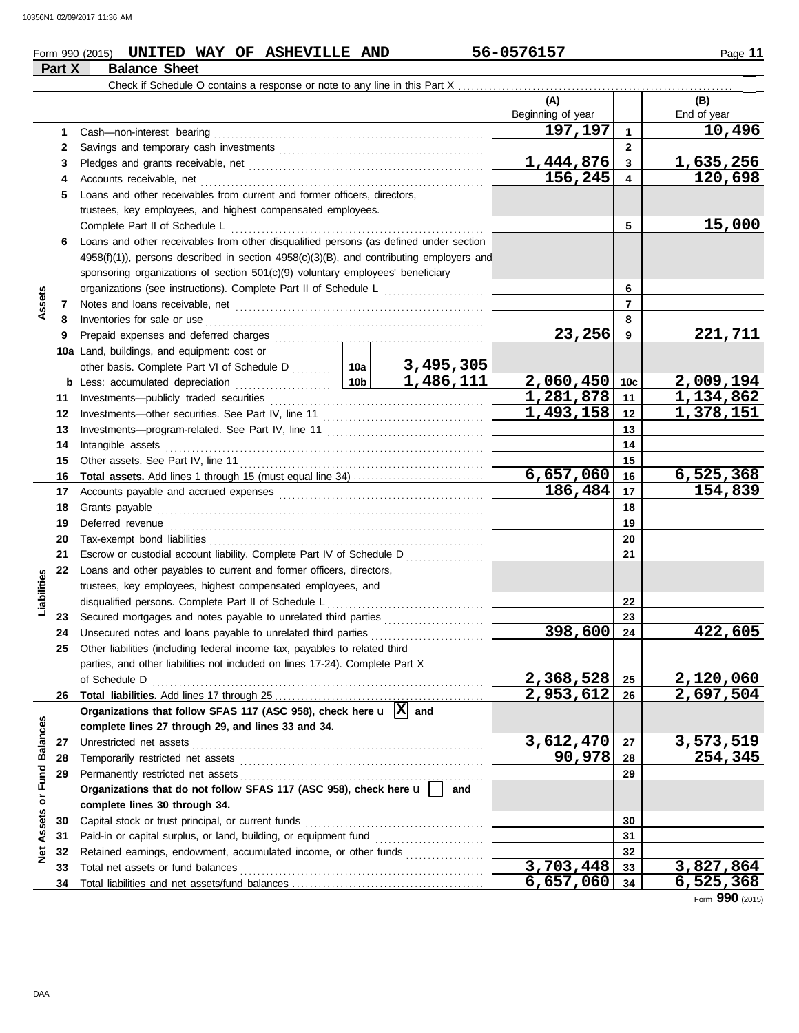## **Form 990 (2015) UNITED WAY OF ASHEVILLE AND 56-0576157** Page 11 **Part X Balance Sheet**

|                         | Γαιι Λ       | הסווט סטוומם                                                                                                                                                                                                                        |  |                     |                          |                                   |                        |
|-------------------------|--------------|-------------------------------------------------------------------------------------------------------------------------------------------------------------------------------------------------------------------------------------|--|---------------------|--------------------------|-----------------------------------|------------------------|
|                         |              |                                                                                                                                                                                                                                     |  |                     |                          |                                   |                        |
|                         |              |                                                                                                                                                                                                                                     |  |                     | (A)<br>Beginning of year |                                   | (B)<br>End of year     |
|                         | 1            |                                                                                                                                                                                                                                     |  |                     | 197,197                  | $\blacktriangleleft$              | 10,496                 |
|                         | $\mathbf{2}$ |                                                                                                                                                                                                                                     |  |                     |                          | $\overline{2}$                    |                        |
|                         | 3            |                                                                                                                                                                                                                                     |  |                     | 1,444,876                | $\mathbf{3}$                      | 1,635,256              |
|                         | 4            |                                                                                                                                                                                                                                     |  |                     | 156,245                  | $\overline{\mathbf{4}}$           | 120,698                |
|                         | 5.           | Loans and other receivables from current and former officers, directors,                                                                                                                                                            |  |                     |                          |                                   |                        |
|                         |              | trustees, key employees, and highest compensated employees.                                                                                                                                                                         |  |                     |                          |                                   |                        |
|                         |              | Complete Part II of Schedule L                                                                                                                                                                                                      |  |                     |                          | 5                                 | 15,000                 |
|                         | 6.           | Loans and other receivables from other disqualified persons (as defined under section                                                                                                                                               |  |                     |                          |                                   |                        |
|                         |              | 4958(f)(1)), persons described in section 4958(c)(3)(B), and contributing employers and                                                                                                                                             |  |                     |                          |                                   |                        |
|                         |              | sponsoring organizations of section 501(c)(9) voluntary employees' beneficiary                                                                                                                                                      |  |                     |                          |                                   |                        |
|                         |              | organizations (see instructions). Complete Part II of Schedule L                                                                                                                                                                    |  |                     |                          | 6                                 |                        |
| Assets                  | 7            |                                                                                                                                                                                                                                     |  |                     |                          | $\overline{7}$                    |                        |
|                         | 8            | Inventories for sale or use <i>communication</i> and the state or use of the state or use of the state or use of the state or use of the state or use of the state or use of the state of the state of the state or the state or th |  |                     |                          | 8                                 |                        |
|                         | 9            | Prepaid expenses and deferred charges                                                                                                                                                                                               |  |                     | 23,256                   | 9                                 | 221,711                |
|                         |              | 10a Land, buildings, and equipment: cost or                                                                                                                                                                                         |  |                     |                          |                                   |                        |
|                         |              | other basis. Complete Part VI of Schedule D  10a                                                                                                                                                                                    |  | 3,495,305           |                          |                                   |                        |
|                         |              |                                                                                                                                                                                                                                     |  | 1,486,111           | 2,060,450                | 10 <sub>c</sub>                   | 2,009,194              |
|                         | 11           | Investments-publicly traded securities                                                                                                                                                                                              |  |                     | 1,281,878                | 11                                | $\overline{1,134,862}$ |
|                         | 12           |                                                                                                                                                                                                                                     |  |                     | 1,493,158                | 12                                | $\overline{1,378,151}$ |
|                         | 13           |                                                                                                                                                                                                                                     |  |                     |                          | 13                                |                        |
|                         | 14           |                                                                                                                                                                                                                                     |  |                     |                          | 14                                |                        |
|                         | 15           |                                                                                                                                                                                                                                     |  |                     | 6,657,060                | 15<br>16                          | 6, 525, 368            |
|                         | 16<br>17     |                                                                                                                                                                                                                                     |  |                     | $\overline{186, 484}$    | 17                                | 154,839                |
|                         | 18           |                                                                                                                                                                                                                                     |  |                     | 18                       |                                   |                        |
|                         | 19           |                                                                                                                                                                                                                                     |  |                     |                          | 19                                |                        |
|                         | 20           | Tax-exempt bond liabilities                                                                                                                                                                                                         |  |                     |                          | 20                                |                        |
|                         | 21           | Escrow or custodial account liability. Complete Part IV of Schedule D                                                                                                                                                               |  |                     |                          | 21                                |                        |
|                         | 22           | Loans and other payables to current and former officers, directors,                                                                                                                                                                 |  |                     |                          |                                   |                        |
|                         |              | trustees, key employees, highest compensated employees, and                                                                                                                                                                         |  |                     |                          |                                   |                        |
| Liabilities             |              |                                                                                                                                                                                                                                     |  |                     |                          | 22                                |                        |
|                         | 23           |                                                                                                                                                                                                                                     |  |                     |                          | 23                                |                        |
|                         | 24           | Unsecured notes and loans payable to unrelated third parties                                                                                                                                                                        |  |                     | 398,600                  | 24                                | 422,605                |
|                         | 25           | Other liabilities (including federal income tax, payables to related third                                                                                                                                                          |  |                     |                          |                                   |                        |
|                         |              | parties, and other liabilities not included on lines 17-24). Complete Part X                                                                                                                                                        |  |                     |                          |                                   |                        |
|                         |              | of Schedule D                                                                                                                                                                                                                       |  |                     | 2,368,528                | 25                                | 2,120,060              |
|                         | 26           |                                                                                                                                                                                                                                     |  |                     | 2,953,612                | 26                                | 2,697,504              |
|                         |              | Organizations that follow SFAS 117 (ASC 958), check here $\mathbf{u}$ $ \mathbf{X} $ and                                                                                                                                            |  |                     |                          |                                   |                        |
|                         |              | complete lines 27 through 29, and lines 33 and 34.                                                                                                                                                                                  |  |                     |                          |                                   |                        |
|                         | 27           |                                                                                                                                                                                                                                     |  | 3,612,470<br>90,978 | 27                       | 3,573,519<br>$\overline{254,345}$ |                        |
|                         | 28           |                                                                                                                                                                                                                                     |  |                     | 28                       |                                   |                        |
|                         | 29           | Organizations that do not follow SFAS 117 (ASC 958), check here $\mathbf{u}$                                                                                                                                                        |  |                     | 29                       |                                   |                        |
|                         |              |                                                                                                                                                                                                                                     |  | and                 |                          |                                   |                        |
| Assets or Fund Balances | 30           | complete lines 30 through 34.<br>Capital stock or trust principal, or current funds                                                                                                                                                 |  |                     |                          | 30                                |                        |
|                         | 31           |                                                                                                                                                                                                                                     |  |                     |                          | 31                                |                        |
| $\breve{\mathbf{z}}$    | 32           | Retained earnings, endowment, accumulated income, or other funds                                                                                                                                                                    |  |                     |                          | 32                                |                        |
|                         | 33           |                                                                                                                                                                                                                                     |  |                     | 3,703,448                | 33                                | 3,827,864              |
|                         | 34           |                                                                                                                                                                                                                                     |  |                     | 6,657,060                | 34                                | 6, 525, 368            |

Form **990** (2015)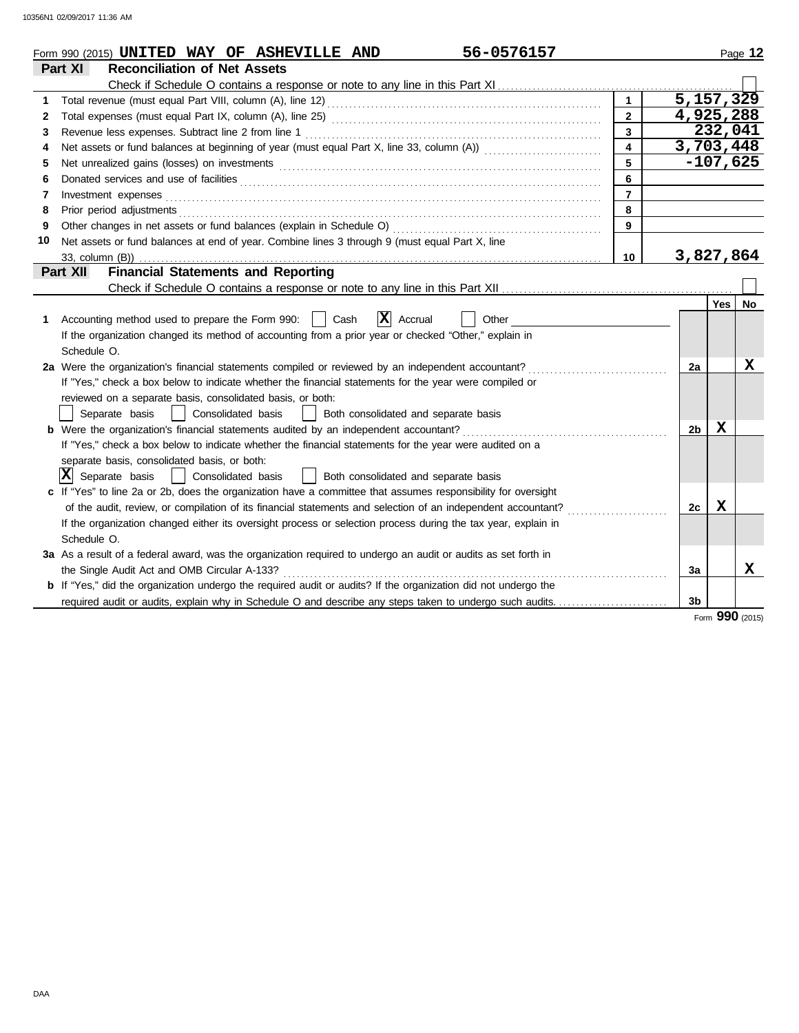|    | 56-0576157<br>Form 990 (2015) UNITED WAY OF ASHEVILLE AND                                                                                                                                                                      |                |                |             | Page 12   |  |  |  |  |
|----|--------------------------------------------------------------------------------------------------------------------------------------------------------------------------------------------------------------------------------|----------------|----------------|-------------|-----------|--|--|--|--|
|    | <b>Reconciliation of Net Assets</b><br>Part XI                                                                                                                                                                                 |                |                |             |           |  |  |  |  |
|    |                                                                                                                                                                                                                                |                |                |             |           |  |  |  |  |
| 1  |                                                                                                                                                                                                                                | $\mathbf{1}$   | 5,157,329      |             |           |  |  |  |  |
| 2  |                                                                                                                                                                                                                                | $\overline{2}$ | 4,925,288      |             |           |  |  |  |  |
| 3  | $\overline{3}$                                                                                                                                                                                                                 |                |                |             |           |  |  |  |  |
| 4  | $\overline{4}$                                                                                                                                                                                                                 |                |                |             |           |  |  |  |  |
| 5  | 5                                                                                                                                                                                                                              |                |                |             |           |  |  |  |  |
| 6  |                                                                                                                                                                                                                                | 6              |                |             |           |  |  |  |  |
| 7  |                                                                                                                                                                                                                                | $\overline{7}$ |                |             |           |  |  |  |  |
| 8  | Prior period adjustments entertainments and a series of the series of the series of the series of the series of the series of the series of the series of the series of the series of the series of the series of the series o | 8              |                |             |           |  |  |  |  |
| 9  |                                                                                                                                                                                                                                | $\overline{9}$ |                |             |           |  |  |  |  |
| 10 | Net assets or fund balances at end of year. Combine lines 3 through 9 (must equal Part X, line                                                                                                                                 |                |                |             |           |  |  |  |  |
|    | 33, column (B))                                                                                                                                                                                                                | 10             | 3,827,864      |             |           |  |  |  |  |
|    | <b>Financial Statements and Reporting</b><br>Part XII                                                                                                                                                                          |                |                |             |           |  |  |  |  |
|    |                                                                                                                                                                                                                                |                |                |             |           |  |  |  |  |
|    |                                                                                                                                                                                                                                |                |                | Yes $ $     | <b>No</b> |  |  |  |  |
| 1. | $\mathbf{X}$ Accrual<br>Accounting method used to prepare the Form 990:    <br>Cash<br>Other                                                                                                                                   |                |                |             |           |  |  |  |  |
|    | If the organization changed its method of accounting from a prior year or checked "Other," explain in                                                                                                                          |                |                |             |           |  |  |  |  |
|    | Schedule O.                                                                                                                                                                                                                    |                |                |             |           |  |  |  |  |
|    | 2a Were the organization's financial statements compiled or reviewed by an independent accountant?                                                                                                                             |                | 2a             |             | х         |  |  |  |  |
|    | If "Yes," check a box below to indicate whether the financial statements for the year were compiled or                                                                                                                         |                |                |             |           |  |  |  |  |
|    | reviewed on a separate basis, consolidated basis, or both:                                                                                                                                                                     |                |                |             |           |  |  |  |  |
|    | Consolidated basis<br>Separate basis<br>Both consolidated and separate basis                                                                                                                                                   |                |                |             |           |  |  |  |  |
|    | <b>b</b> Were the organization's financial statements audited by an independent accountant?                                                                                                                                    |                | 2 <sub>b</sub> | X           |           |  |  |  |  |
|    | If "Yes," check a box below to indicate whether the financial statements for the year were audited on a                                                                                                                        |                |                |             |           |  |  |  |  |
|    | separate basis, consolidated basis, or both:                                                                                                                                                                                   |                |                |             |           |  |  |  |  |
|    | x <br>Separate basis<br>Consolidated basis<br>Both consolidated and separate basis                                                                                                                                             |                |                |             |           |  |  |  |  |
|    | c If "Yes" to line 2a or 2b, does the organization have a committee that assumes responsibility for oversight                                                                                                                  |                |                |             |           |  |  |  |  |
|    |                                                                                                                                                                                                                                |                | 2c             | $\mathbf x$ |           |  |  |  |  |
|    | If the organization changed either its oversight process or selection process during the tax year, explain in                                                                                                                  |                |                |             |           |  |  |  |  |
|    | Schedule O.                                                                                                                                                                                                                    |                |                |             |           |  |  |  |  |
|    | 3a As a result of a federal award, was the organization required to undergo an audit or audits as set forth in                                                                                                                 |                |                |             |           |  |  |  |  |
|    | the Single Audit Act and OMB Circular A-133?                                                                                                                                                                                   |                | За             |             | x         |  |  |  |  |
|    | b If "Yes," did the organization undergo the required audit or audits? If the organization did not undergo the                                                                                                                 |                |                |             |           |  |  |  |  |
|    | required audit or audits, explain why in Schedule O and describe any steps taken to undergo such audits                                                                                                                        |                | 3 <sub>b</sub> |             |           |  |  |  |  |

Form **990** (2015)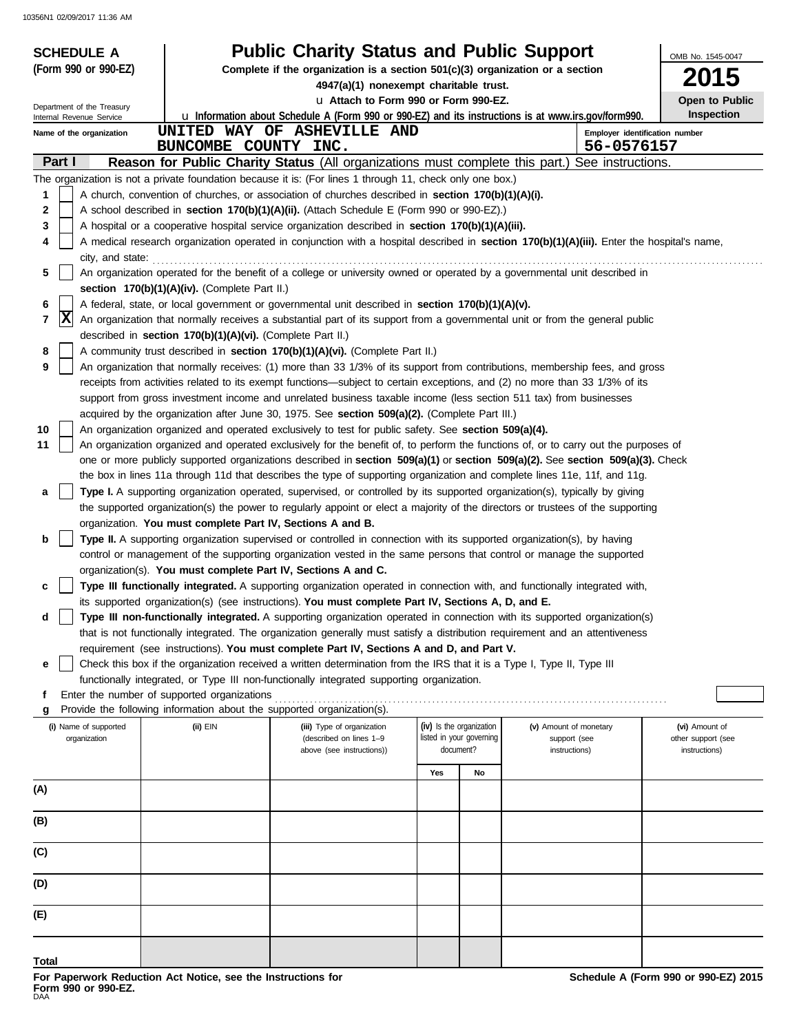| <b>Public Charity Status and Public Support</b><br><b>SCHEDULE A</b> |                                                                                                                                                                |                                                                                                                                     |                                                                                 |                                                                                                                                       |                        | OMB No. 1545-0047 |                                     |  |  |  |
|----------------------------------------------------------------------|----------------------------------------------------------------------------------------------------------------------------------------------------------------|-------------------------------------------------------------------------------------------------------------------------------------|---------------------------------------------------------------------------------|---------------------------------------------------------------------------------------------------------------------------------------|------------------------|-------------------|-------------------------------------|--|--|--|
| (Form 990 or 990-EZ)                                                 |                                                                                                                                                                |                                                                                                                                     | Complete if the organization is a section $501(c)(3)$ organization or a section |                                                                                                                                       |                        |                   |                                     |  |  |  |
|                                                                      |                                                                                                                                                                | 4947(a)(1) nonexempt charitable trust.                                                                                              |                                                                                 |                                                                                                                                       |                        |                   | 5                                   |  |  |  |
| Department of the Treasury                                           |                                                                                                                                                                | La Attach to Form 990 or Form 990-EZ.                                                                                               |                                                                                 |                                                                                                                                       |                        |                   | Open to Public<br><b>Inspection</b> |  |  |  |
| Internal Revenue Service<br>Name of the organization                 |                                                                                                                                                                | UNITED WAY OF ASHEVILLE AND                                                                                                         |                                                                                 | u Information about Schedule A (Form 990 or 990-EZ) and its instructions is at www.irs.gov/form990.<br>Employer identification number |                        |                   |                                     |  |  |  |
|                                                                      | BUNCOMBE COUNTY INC.                                                                                                                                           |                                                                                                                                     |                                                                                 |                                                                                                                                       |                        | 56-0576157        |                                     |  |  |  |
| Part I                                                               |                                                                                                                                                                | Reason for Public Charity Status (All organizations must complete this part.) See instructions.                                     |                                                                                 |                                                                                                                                       |                        |                   |                                     |  |  |  |
|                                                                      |                                                                                                                                                                | The organization is not a private foundation because it is: (For lines 1 through 11, check only one box.)                           |                                                                                 |                                                                                                                                       |                        |                   |                                     |  |  |  |
| 1                                                                    |                                                                                                                                                                | A church, convention of churches, or association of churches described in section 170(b)(1)(A)(i).                                  |                                                                                 |                                                                                                                                       |                        |                   |                                     |  |  |  |
| 2                                                                    |                                                                                                                                                                | A school described in section 170(b)(1)(A)(ii). (Attach Schedule E (Form 990 or 990-EZ).)                                           |                                                                                 |                                                                                                                                       |                        |                   |                                     |  |  |  |
| 3                                                                    |                                                                                                                                                                | A hospital or a cooperative hospital service organization described in section 170(b)(1)(A)(iii).                                   |                                                                                 |                                                                                                                                       |                        |                   |                                     |  |  |  |
| 4                                                                    | A medical research organization operated in conjunction with a hospital described in section 170(b)(1)(A)(iii). Enter the hospital's name,<br>city, and state: |                                                                                                                                     |                                                                                 |                                                                                                                                       |                        |                   |                                     |  |  |  |
| 5                                                                    |                                                                                                                                                                | An organization operated for the benefit of a college or university owned or operated by a governmental unit described in           |                                                                                 |                                                                                                                                       |                        |                   |                                     |  |  |  |
|                                                                      | section 170(b)(1)(A)(iv). (Complete Part II.)                                                                                                                  |                                                                                                                                     |                                                                                 |                                                                                                                                       |                        |                   |                                     |  |  |  |
| 6                                                                    |                                                                                                                                                                | A federal, state, or local government or governmental unit described in section 170(b)(1)(A)(v).                                    |                                                                                 |                                                                                                                                       |                        |                   |                                     |  |  |  |
| X<br>7                                                               | described in section 170(b)(1)(A)(vi). (Complete Part II.)                                                                                                     | An organization that normally receives a substantial part of its support from a governmental unit or from the general public        |                                                                                 |                                                                                                                                       |                        |                   |                                     |  |  |  |
| 8                                                                    |                                                                                                                                                                | A community trust described in section 170(b)(1)(A)(vi). (Complete Part II.)                                                        |                                                                                 |                                                                                                                                       |                        |                   |                                     |  |  |  |
| 9                                                                    |                                                                                                                                                                | An organization that normally receives: (1) more than 33 1/3% of its support from contributions, membership fees, and gross         |                                                                                 |                                                                                                                                       |                        |                   |                                     |  |  |  |
|                                                                      |                                                                                                                                                                | receipts from activities related to its exempt functions—subject to certain exceptions, and (2) no more than 33 1/3% of its         |                                                                                 |                                                                                                                                       |                        |                   |                                     |  |  |  |
|                                                                      |                                                                                                                                                                | support from gross investment income and unrelated business taxable income (less section 511 tax) from businesses                   |                                                                                 |                                                                                                                                       |                        |                   |                                     |  |  |  |
|                                                                      |                                                                                                                                                                | acquired by the organization after June 30, 1975. See section 509(a)(2). (Complete Part III.)                                       |                                                                                 |                                                                                                                                       |                        |                   |                                     |  |  |  |
| 10                                                                   |                                                                                                                                                                | An organization organized and operated exclusively to test for public safety. See section 509(a)(4).                                |                                                                                 |                                                                                                                                       |                        |                   |                                     |  |  |  |
| 11                                                                   |                                                                                                                                                                | An organization organized and operated exclusively for the benefit of, to perform the functions of, or to carry out the purposes of |                                                                                 |                                                                                                                                       |                        |                   |                                     |  |  |  |
|                                                                      |                                                                                                                                                                | one or more publicly supported organizations described in section 509(a)(1) or section 509(a)(2). See section 509(a)(3). Check      |                                                                                 |                                                                                                                                       |                        |                   |                                     |  |  |  |
|                                                                      |                                                                                                                                                                | the box in lines 11a through 11d that describes the type of supporting organization and complete lines 11e, 11f, and 11g.           |                                                                                 |                                                                                                                                       |                        |                   |                                     |  |  |  |
| a                                                                    |                                                                                                                                                                | Type I. A supporting organization operated, supervised, or controlled by its supported organization(s), typically by giving         |                                                                                 |                                                                                                                                       |                        |                   |                                     |  |  |  |
|                                                                      | organization. You must complete Part IV, Sections A and B.                                                                                                     | the supported organization(s) the power to regularly appoint or elect a majority of the directors or trustees of the supporting     |                                                                                 |                                                                                                                                       |                        |                   |                                     |  |  |  |
| b                                                                    |                                                                                                                                                                | Type II. A supporting organization supervised or controlled in connection with its supported organization(s), by having             |                                                                                 |                                                                                                                                       |                        |                   |                                     |  |  |  |
|                                                                      |                                                                                                                                                                | control or management of the supporting organization vested in the same persons that control or manage the supported                |                                                                                 |                                                                                                                                       |                        |                   |                                     |  |  |  |
|                                                                      | organization(s). You must complete Part IV, Sections A and C.                                                                                                  |                                                                                                                                     |                                                                                 |                                                                                                                                       |                        |                   |                                     |  |  |  |
| c                                                                    |                                                                                                                                                                | Type III functionally integrated. A supporting organization operated in connection with, and functionally integrated with,          |                                                                                 |                                                                                                                                       |                        |                   |                                     |  |  |  |
|                                                                      |                                                                                                                                                                | its supported organization(s) (see instructions). You must complete Part IV, Sections A, D, and E.                                  |                                                                                 |                                                                                                                                       |                        |                   |                                     |  |  |  |
| d                                                                    |                                                                                                                                                                | Type III non-functionally integrated. A supporting organization operated in connection with its supported organization(s)           |                                                                                 |                                                                                                                                       |                        |                   |                                     |  |  |  |
|                                                                      |                                                                                                                                                                | that is not functionally integrated. The organization generally must satisfy a distribution requirement and an attentiveness        |                                                                                 |                                                                                                                                       |                        |                   |                                     |  |  |  |
|                                                                      |                                                                                                                                                                | requirement (see instructions). You must complete Part IV, Sections A and D, and Part V.                                            |                                                                                 |                                                                                                                                       |                        |                   |                                     |  |  |  |
| е                                                                    |                                                                                                                                                                | Check this box if the organization received a written determination from the IRS that it is a Type I, Type II, Type III             |                                                                                 |                                                                                                                                       |                        |                   |                                     |  |  |  |
|                                                                      | Enter the number of supported organizations                                                                                                                    | functionally integrated, or Type III non-functionally integrated supporting organization.                                           |                                                                                 |                                                                                                                                       |                        |                   |                                     |  |  |  |
| g                                                                    | Provide the following information about the supported organization(s).                                                                                         |                                                                                                                                     |                                                                                 |                                                                                                                                       |                        |                   |                                     |  |  |  |
| (i) Name of supported                                                | $(ii)$ EIN                                                                                                                                                     | (iii) Type of organization                                                                                                          | (iv) Is the organization                                                        |                                                                                                                                       | (v) Amount of monetary |                   | (vi) Amount of                      |  |  |  |
| organization                                                         |                                                                                                                                                                | (described on lines 1-9                                                                                                             | listed in your governing                                                        |                                                                                                                                       | support (see           |                   | other support (see                  |  |  |  |
|                                                                      |                                                                                                                                                                | above (see instructions))                                                                                                           | document?                                                                       |                                                                                                                                       | instructions)          |                   | instructions)                       |  |  |  |
|                                                                      |                                                                                                                                                                |                                                                                                                                     | Yes                                                                             | No                                                                                                                                    |                        |                   |                                     |  |  |  |
| (A)                                                                  |                                                                                                                                                                |                                                                                                                                     |                                                                                 |                                                                                                                                       |                        |                   |                                     |  |  |  |
| (B)                                                                  |                                                                                                                                                                |                                                                                                                                     |                                                                                 |                                                                                                                                       |                        |                   |                                     |  |  |  |
|                                                                      |                                                                                                                                                                |                                                                                                                                     |                                                                                 |                                                                                                                                       |                        |                   |                                     |  |  |  |
| (C)                                                                  |                                                                                                                                                                |                                                                                                                                     |                                                                                 |                                                                                                                                       |                        |                   |                                     |  |  |  |
| (D)                                                                  |                                                                                                                                                                |                                                                                                                                     |                                                                                 |                                                                                                                                       |                        |                   |                                     |  |  |  |
| (E)                                                                  |                                                                                                                                                                |                                                                                                                                     |                                                                                 |                                                                                                                                       |                        |                   |                                     |  |  |  |
|                                                                      |                                                                                                                                                                |                                                                                                                                     |                                                                                 |                                                                                                                                       |                        |                   |                                     |  |  |  |
| Total                                                                |                                                                                                                                                                |                                                                                                                                     |                                                                                 |                                                                                                                                       |                        |                   |                                     |  |  |  |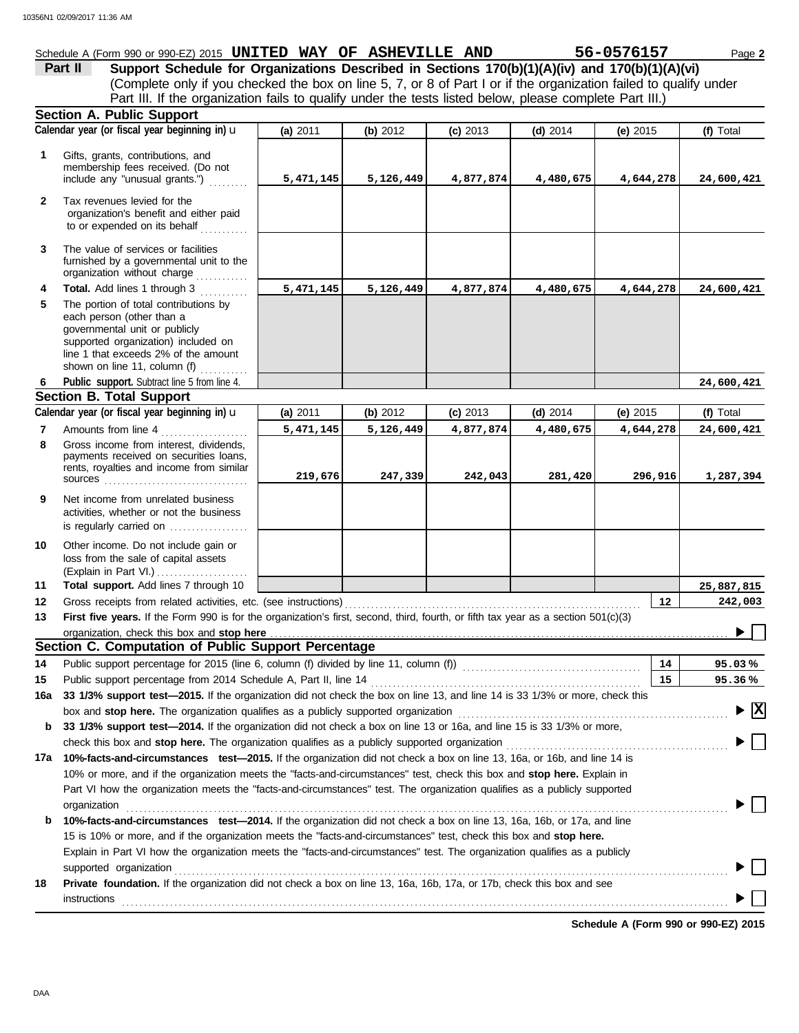|         | Schedule A (Form 990 or 990-EZ) 2015 UNITED WAY OF ASHEVILLE AND                                        |  |  | 56-0576157                                                                                                        | Page 2 |
|---------|---------------------------------------------------------------------------------------------------------|--|--|-------------------------------------------------------------------------------------------------------------------|--------|
| Part II |                                                                                                         |  |  | Support Schedule for Organizations Described in Sections 170(b)(1)(A)(iv) and 170(b)(1)(A)(vi)                    |        |
|         |                                                                                                         |  |  | (Complete only if you checked the box on line 5, 7, or 8 of Part I or if the organization failed to qualify under |        |
|         | Part III. If the organization fails to qualify under the tests listed below, please complete Part III.) |  |  |                                                                                                                   |        |
|         | <b>Section A. Public Support</b>                                                                        |  |  |                                                                                                                   |        |

|              | oconon a. i upilo oupport                                                                                                                                                                                                      |           |           |            |            |            |                                               |
|--------------|--------------------------------------------------------------------------------------------------------------------------------------------------------------------------------------------------------------------------------|-----------|-----------|------------|------------|------------|-----------------------------------------------|
|              | Calendar year (or fiscal year beginning in) <b>u</b>                                                                                                                                                                           | (a) 2011  | (b) 2012  | $(c)$ 2013 | $(d)$ 2014 | (e) $2015$ | (f) Total                                     |
| 1            | Gifts, grants, contributions, and<br>membership fees received. (Do not<br>include any "unusual grants.")                                                                                                                       | 5,471,145 | 5,126,449 | 4,877,874  | 4,480,675  | 4,644,278  | 24,600,421                                    |
| $\mathbf{2}$ | Tax revenues levied for the<br>organization's benefit and either paid<br>to or expended on its behalf                                                                                                                          |           |           |            |            |            |                                               |
| 3            | The value of services or facilities<br>furnished by a governmental unit to the<br>organization without charge                                                                                                                  |           |           |            |            |            |                                               |
| 4            | Total. Add lines 1 through 3                                                                                                                                                                                                   | 5,471,145 | 5,126,449 | 4,877,874  | 4,480,675  | 4,644,278  | 24,600,421                                    |
| 5            | The portion of total contributions by<br>each person (other than a<br>governmental unit or publicly<br>supported organization) included on<br>line 1 that exceeds 2% of the amount<br>shown on line 11, column (f)             |           |           |            |            |            |                                               |
| -6           | Public support. Subtract line 5 from line 4.                                                                                                                                                                                   |           |           |            |            |            | 24,600,421                                    |
|              | <b>Section B. Total Support</b>                                                                                                                                                                                                |           |           |            |            |            |                                               |
|              | Calendar year (or fiscal year beginning in) $\mathbf u$                                                                                                                                                                        | (a) 2011  | (b) 2012  | (c) 2013   | $(d)$ 2014 | (e) $2015$ | (f) Total                                     |
| 7            | Amounts from line 4                                                                                                                                                                                                            | 5,471,145 | 5,126,449 | 4,877,874  | 4,480,675  | 4,644,278  | 24,600,421                                    |
| 8            | Gross income from interest, dividends,<br>payments received on securities loans,<br>rents, royalties and income from similar                                                                                                   | 219,676   | 247,339   | 242,043    | 281,420    | 296,916    | 1,287,394                                     |
| 9            | Net income from unrelated business<br>activities, whether or not the business<br>is regularly carried on                                                                                                                       |           |           |            |            |            |                                               |
| 10<br>11     | Other income. Do not include gain or<br>loss from the sale of capital assets<br>(Explain in Part VI.)<br>Total support. Add lines 7 through 10                                                                                 |           |           |            |            |            | 25,887,815                                    |
| 12           |                                                                                                                                                                                                                                |           |           |            |            | 12         | 242,003                                       |
| 13           | First five years. If the Form 990 is for the organization's first, second, third, fourth, or fifth tax year as a section 501(c)(3)                                                                                             |           |           |            |            |            |                                               |
|              |                                                                                                                                                                                                                                |           |           |            |            |            |                                               |
|              | Section C. Computation of Public Support Percentage                                                                                                                                                                            |           |           |            |            |            |                                               |
| 14           |                                                                                                                                                                                                                                |           |           |            |            | 14         | 95.03%                                        |
| 15           | Public support percentage from 2014 Schedule A, Part II, line 14                                                                                                                                                               |           |           |            |            | 15         | 95.36%                                        |
| 16a          | 33 1/3% support test-2015. If the organization did not check the box on line 13, and line 14 is 33 1/3% or more, check this                                                                                                    |           |           |            |            |            |                                               |
|              | box and stop here. The organization qualifies as a publicly supported organization [11] content content content content of the content of the content of the content of the content of the content of the content of the conte |           |           |            |            |            | $\blacktriangleright$ $\overline{\mathtt{x}}$ |
| b            | 33 1/3% support test-2014. If the organization did not check a box on line 13 or 16a, and line 15 is 33 1/3% or more,                                                                                                          |           |           |            |            |            |                                               |
|              |                                                                                                                                                                                                                                |           |           |            |            |            |                                               |
|              | 17a 10%-facts-and-circumstances test-2015. If the organization did not check a box on line 13, 16a, or 16b, and line 14 is                                                                                                     |           |           |            |            |            |                                               |
|              | 10% or more, and if the organization meets the "facts-and-circumstances" test, check this box and stop here. Explain in                                                                                                        |           |           |            |            |            |                                               |
|              | Part VI how the organization meets the "facts-and-circumstances" test. The organization qualifies as a publicly supported                                                                                                      |           |           |            |            |            |                                               |
|              | organization                                                                                                                                                                                                                   |           |           |            |            |            |                                               |
| b            | 10%-facts-and-circumstances test-2014. If the organization did not check a box on line 13, 16a, 16b, or 17a, and line                                                                                                          |           |           |            |            |            |                                               |
|              | 15 is 10% or more, and if the organization meets the "facts-and-circumstances" test, check this box and stop here.                                                                                                             |           |           |            |            |            |                                               |
|              | Explain in Part VI how the organization meets the "facts-and-circumstances" test. The organization qualifies as a publicly                                                                                                     |           |           |            |            |            |                                               |
|              | supported organization                                                                                                                                                                                                         |           |           |            |            |            |                                               |
| 18           | Private foundation. If the organization did not check a box on line 13, 16a, 16b, 17a, or 17b, check this box and see                                                                                                          |           |           |            |            |            |                                               |
|              | instructions                                                                                                                                                                                                                   |           |           |            |            |            |                                               |
|              |                                                                                                                                                                                                                                |           |           |            |            |            |                                               |

**Schedule A (Form 990 or 990-EZ) 2015**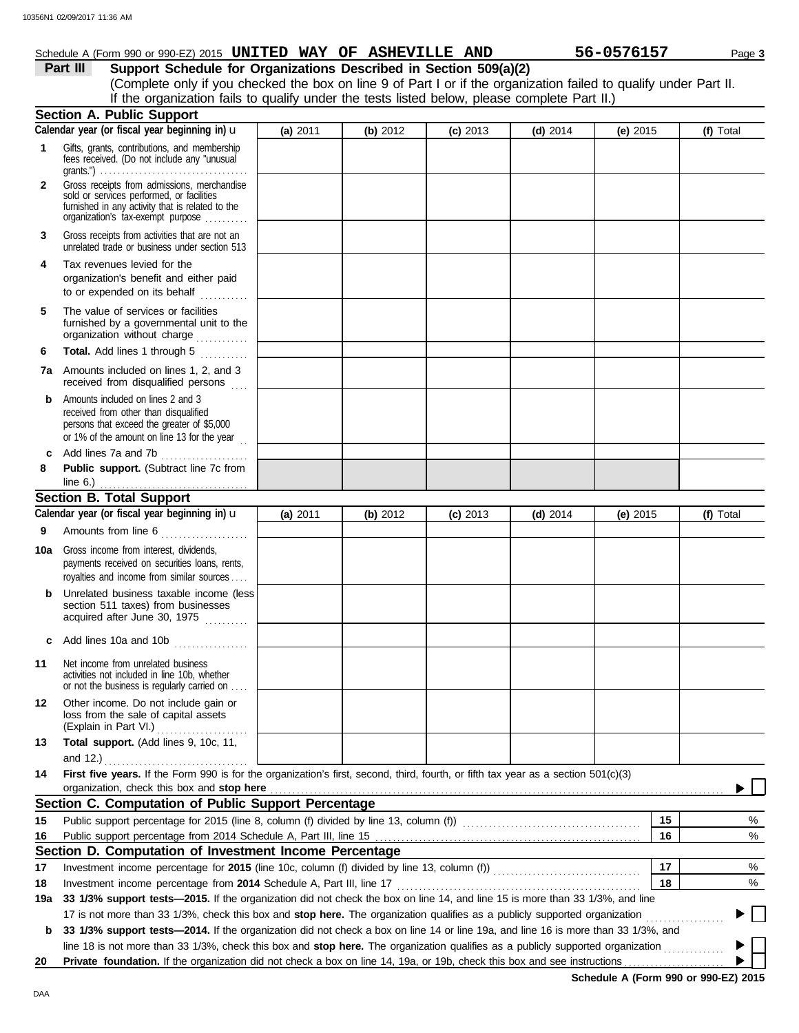## Schedule A (Form 990 or 990-EZ) 2015 **UNITED WAY OF ASHEVILLE AND** 56-0576157 Page 3

| Part III | Support Schedule for Organizations Described in Section 509(a)(2)                                                 |
|----------|-------------------------------------------------------------------------------------------------------------------|
|          | (Complete only if you checked the box on line 9 of Part I or if the organization failed to qualify under Part II. |
|          | If the organization fails to qualify under the tests listed below, please complete Part II.)                      |
|          | Cootion A Dublic Cunnort                                                                                          |

|     | Section A. Public Support                                                                                                                                                |          |          |            |            |            |           |
|-----|--------------------------------------------------------------------------------------------------------------------------------------------------------------------------|----------|----------|------------|------------|------------|-----------|
|     | Calendar year (or fiscal year beginning in) <b>u</b>                                                                                                                     | (a) 2011 | (b) 2012 | $(c)$ 2013 | $(d)$ 2014 | (e) $2015$ | (f) Total |
| 1   | Gifts, grants, contributions, and membership<br>fees received. (Do not include any "unusual                                                                              |          |          |            |            |            |           |
|     | grants.") $\ldots \ldots \ldots \ldots \ldots \ldots \ldots \ldots \ldots \ldots \ldots \ldots$<br>Gross receipts from admissions, merchandise                           |          |          |            |            |            |           |
| 2   | sold or services performed, or facilities<br>furnished in any activity that is related to the<br>organization's tax-exempt purpose                                       |          |          |            |            |            |           |
| 3   | Gross receipts from activities that are not an<br>unrelated trade or business under section 513                                                                          |          |          |            |            |            |           |
| 4   | Tax revenues levied for the<br>organization's benefit and either paid<br>to or expended on its behalf<br>.                                                               |          |          |            |            |            |           |
| 5   | The value of services or facilities<br>furnished by a governmental unit to the<br>organization without charge                                                            |          |          |            |            |            |           |
| 6   | Total. Add lines 1 through 5                                                                                                                                             |          |          |            |            |            |           |
| 7a  | Amounts included on lines 1, 2, and 3<br>received from disqualified persons                                                                                              |          |          |            |            |            |           |
| b   | Amounts included on lines 2 and 3<br>received from other than disqualified<br>persons that exceed the greater of \$5,000<br>or 1% of the amount on line 13 for the year. |          |          |            |            |            |           |
| c   | Add lines 7a and 7b                                                                                                                                                      |          |          |            |            |            |           |
| 8   | Public support. (Subtract line 7c from                                                                                                                                   |          |          |            |            |            |           |
|     | line $6.$ )                                                                                                                                                              |          |          |            |            |            |           |
|     | <b>Section B. Total Support</b><br>Calendar year (or fiscal year beginning in) $\mathbf u$                                                                               |          |          |            |            |            |           |
|     |                                                                                                                                                                          | (a) 2011 | (b) 2012 | $(c)$ 2013 | (d) $2014$ | (e) $2015$ | (f) Total |
| 9   | Amounts from line 6                                                                                                                                                      |          |          |            |            |            |           |
| 10a | Gross income from interest, dividends,<br>payments received on securities loans, rents,<br>royalties and income from similar sources                                     |          |          |            |            |            |           |
| b   | Unrelated business taxable income (less<br>section 511 taxes) from businesses<br>acquired after June 30, 1975                                                            |          |          |            |            |            |           |
| с   | Add lines 10a and 10b                                                                                                                                                    |          |          |            |            |            |           |
| 11  | Net income from unrelated business<br>activities not included in line 10b, whether<br>or not the business is regularly carried on                                        |          |          |            |            |            |           |
| 12  | Other income. Do not include gain or<br>loss from the sale of capital assets<br>(Explain in Part VI.)                                                                    |          |          |            |            |            |           |
| 13  | Total support. (Add lines 9, 10c, 11,<br>and 12.) $\ldots$                                                                                                               |          |          |            |            |            |           |
| 14  | First five years. If the Form 990 is for the organization's first, second, third, fourth, or fifth tax year as a section 501(c)(3)                                       |          |          |            |            |            |           |
|     | organization, check this box and stop here                                                                                                                               |          |          |            |            |            |           |
|     | Section C. Computation of Public Support Percentage                                                                                                                      |          |          |            |            |            |           |
| 15  |                                                                                                                                                                          |          |          |            |            | 15         | %         |
| 16  |                                                                                                                                                                          |          |          |            |            | 16         | %         |
|     | Section D. Computation of Investment Income Percentage                                                                                                                   |          |          |            |            |            |           |
| 17  | Investment income percentage for 2015 (line 10c, column (f) divided by line 13, column (f)) [[[[[[[[[[[[[[[[[                                                            |          |          |            |            | 17         | %         |
| 18  |                                                                                                                                                                          |          |          |            |            | 18         | %         |
| 19a | 33 1/3% support tests-2015. If the organization did not check the box on line 14, and line 15 is more than 33 1/3%, and line                                             |          |          |            |            |            |           |
|     | 17 is not more than 33 1/3%, check this box and stop here. The organization qualifies as a publicly supported organization                                               |          |          |            |            |            |           |
| b   | 33 1/3% support tests-2014. If the organization did not check a box on line 14 or line 19a, and line 16 is more than 33 1/3%, and                                        |          |          |            |            |            |           |
|     | line 18 is not more than 33 1/3%, check this box and stop here. The organization qualifies as a publicly supported organization                                          |          |          |            |            |            |           |
| 20  | Private foundation. If the organization did not check a box on line 14, 19a, or 19b, check this box and see instructions                                                 |          |          |            |            |            |           |

**Schedule A (Form 990 or 990-EZ) 2015**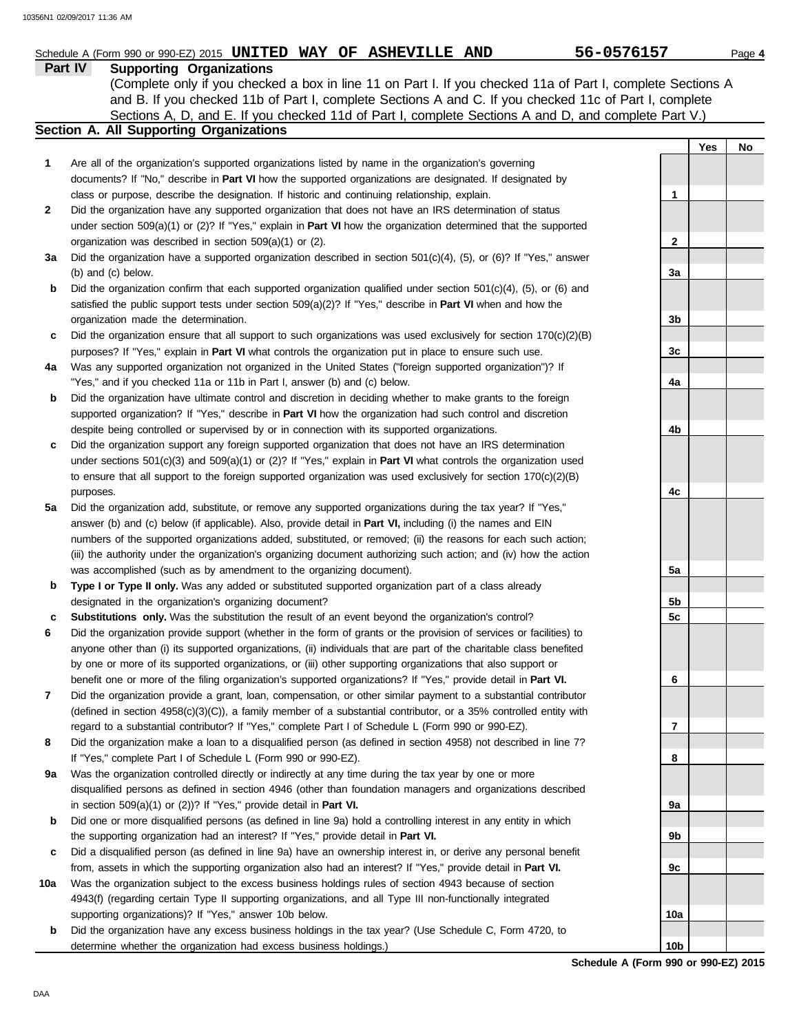|    | Schedule A (Form 990 or 990-EZ) 2015 UNITED WAY OF ASHEVILLE AND                                                                                                                                                         | 56-0576157   |     | Page 4 |
|----|--------------------------------------------------------------------------------------------------------------------------------------------------------------------------------------------------------------------------|--------------|-----|--------|
|    | Part IV<br><b>Supporting Organizations</b>                                                                                                                                                                               |              |     |        |
|    | (Complete only if you checked a box in line 11 on Part I. If you checked 11a of Part I, complete Sections A                                                                                                              |              |     |        |
|    | and B. If you checked 11b of Part I, complete Sections A and C. If you checked 11c of Part I, complete                                                                                                                   |              |     |        |
|    | Sections A, D, and E. If you checked 11d of Part I, complete Sections A and D, and complete Part V.)<br>Section A. All Supporting Organizations                                                                          |              |     |        |
|    |                                                                                                                                                                                                                          |              | Yes |        |
| 1  | Are all of the organization's supported organizations listed by name in the organization's governing                                                                                                                     |              |     | No     |
|    | documents? If "No," describe in Part VI how the supported organizations are designated. If designated by                                                                                                                 |              |     |        |
|    | class or purpose, describe the designation. If historic and continuing relationship, explain.                                                                                                                            | 1            |     |        |
| 2  | Did the organization have any supported organization that does not have an IRS determination of status                                                                                                                   |              |     |        |
|    | under section $509(a)(1)$ or (2)? If "Yes," explain in <b>Part VI</b> how the organization determined that the supported                                                                                                 |              |     |        |
|    | organization was described in section 509(a)(1) or (2).                                                                                                                                                                  | $\mathbf{2}$ |     |        |
| За | Did the organization have a supported organization described in section $501(c)(4)$ , $(5)$ , or $(6)$ ? If "Yes," answer                                                                                                |              |     |        |
|    | (b) and (c) below.                                                                                                                                                                                                       | 3a           |     |        |
| b  | Did the organization confirm that each supported organization qualified under section $501(c)(4)$ , $(5)$ , or $(6)$ and                                                                                                 |              |     |        |
|    | satisfied the public support tests under section 509(a)(2)? If "Yes," describe in Part VI when and how the                                                                                                               |              |     |        |
|    | organization made the determination.                                                                                                                                                                                     | 3b           |     |        |
| c  | Did the organization ensure that all support to such organizations was used exclusively for section $170(c)(2)(B)$                                                                                                       |              |     |        |
|    | purposes? If "Yes," explain in Part VI what controls the organization put in place to ensure such use.                                                                                                                   | 3c           |     |        |
| 4a | Was any supported organization not organized in the United States ("foreign supported organization")? If                                                                                                                 |              |     |        |
|    | "Yes," and if you checked 11a or 11b in Part I, answer (b) and (c) below.                                                                                                                                                | 4a           |     |        |
| b  | Did the organization have ultimate control and discretion in deciding whether to make grants to the foreign                                                                                                              |              |     |        |
|    | supported organization? If "Yes," describe in Part VI how the organization had such control and discretion                                                                                                               |              |     |        |
|    | despite being controlled or supervised by or in connection with its supported organizations.                                                                                                                             | 4b           |     |        |
| c  | Did the organization support any foreign supported organization that does not have an IRS determination                                                                                                                  |              |     |        |
|    | under sections $501(c)(3)$ and $509(a)(1)$ or (2)? If "Yes," explain in <b>Part VI</b> what controls the organization used                                                                                               |              |     |        |
|    | to ensure that all support to the foreign supported organization was used exclusively for section $170(c)(2)(B)$                                                                                                         |              |     |        |
|    | purposes.                                                                                                                                                                                                                | 4c           |     |        |
| 5a | Did the organization add, substitute, or remove any supported organizations during the tax year? If "Yes,"                                                                                                               |              |     |        |
|    | answer (b) and (c) below (if applicable). Also, provide detail in Part VI, including (i) the names and EIN                                                                                                               |              |     |        |
|    | numbers of the supported organizations added, substituted, or removed; (ii) the reasons for each such action;                                                                                                            |              |     |        |
|    | (iii) the authority under the organization's organizing document authorizing such action; and (iv) how the action                                                                                                        |              |     |        |
|    | was accomplished (such as by amendment to the organizing document).                                                                                                                                                      | 5a           |     |        |
| b  | Type I or Type II only. Was any added or substituted supported organization part of a class already                                                                                                                      |              |     |        |
|    | designated in the organization's organizing document?                                                                                                                                                                    | 5b           |     |        |
| c  | Substitutions only. Was the substitution the result of an event beyond the organization's control?<br>Did the organization provide support (whether in the form of grants or the provision of services or facilities) to | 5c           |     |        |
| 6  | anyone other than (i) its supported organizations, (ii) individuals that are part of the charitable class benefited                                                                                                      |              |     |        |
|    | by one or more of its supported organizations, or (iii) other supporting organizations that also support or                                                                                                              |              |     |        |
|    | benefit one or more of the filing organization's supported organizations? If "Yes," provide detail in Part VI.                                                                                                           | 6            |     |        |
| 7  | Did the organization provide a grant, loan, compensation, or other similar payment to a substantial contributor                                                                                                          |              |     |        |
|    | (defined in section 4958(c)(3)(C)), a family member of a substantial contributor, or a 35% controlled entity with                                                                                                        |              |     |        |
|    | regard to a substantial contributor? If "Yes," complete Part I of Schedule L (Form 990 or 990-EZ).                                                                                                                       | 7            |     |        |
| 8  | Did the organization make a loan to a disqualified person (as defined in section 4958) not described in line 7?                                                                                                          |              |     |        |
|    | If "Yes," complete Part I of Schedule L (Form 990 or 990-EZ).                                                                                                                                                            | 8            |     |        |
| 9а | Was the organization controlled directly or indirectly at any time during the tax year by one or more                                                                                                                    |              |     |        |
|    | disqualified persons as defined in section 4946 (other than foundation managers and organizations described                                                                                                              |              |     |        |
|    | in section $509(a)(1)$ or $(2)$ ? If "Yes," provide detail in Part VI.                                                                                                                                                   | 9а           |     |        |
| b  | Did one or more disqualified persons (as defined in line 9a) hold a controlling interest in any entity in which                                                                                                          |              |     |        |
|    | the supporting organization had an interest? If "Yes," provide detail in Part VI.                                                                                                                                        | 9b           |     |        |
|    | Did a digauglified person (as defined in line 00) house an eurorship interest in ar derive any personal benefit                                                                                                          |              |     |        |

- **c** Did a disqualified person (as defined in line 9a) have an ownership interest in, or derive any personal benefit from, assets in which the supporting organization also had an interest? If "Yes," provide detail in **Part VI.**
- **10a** Was the organization subject to the excess business holdings rules of section 4943 because of section 4943(f) (regarding certain Type II supporting organizations, and all Type III non-functionally integrated supporting organizations)? If "Yes," answer 10b below.
- **b** Did the organization have any excess business holdings in the tax year? (Use Schedule C, Form 4720, to determine whether the organization had excess business holdings.)

**Schedule A (Form 990 or 990-EZ) 2015 10b**

**9c**

**10a**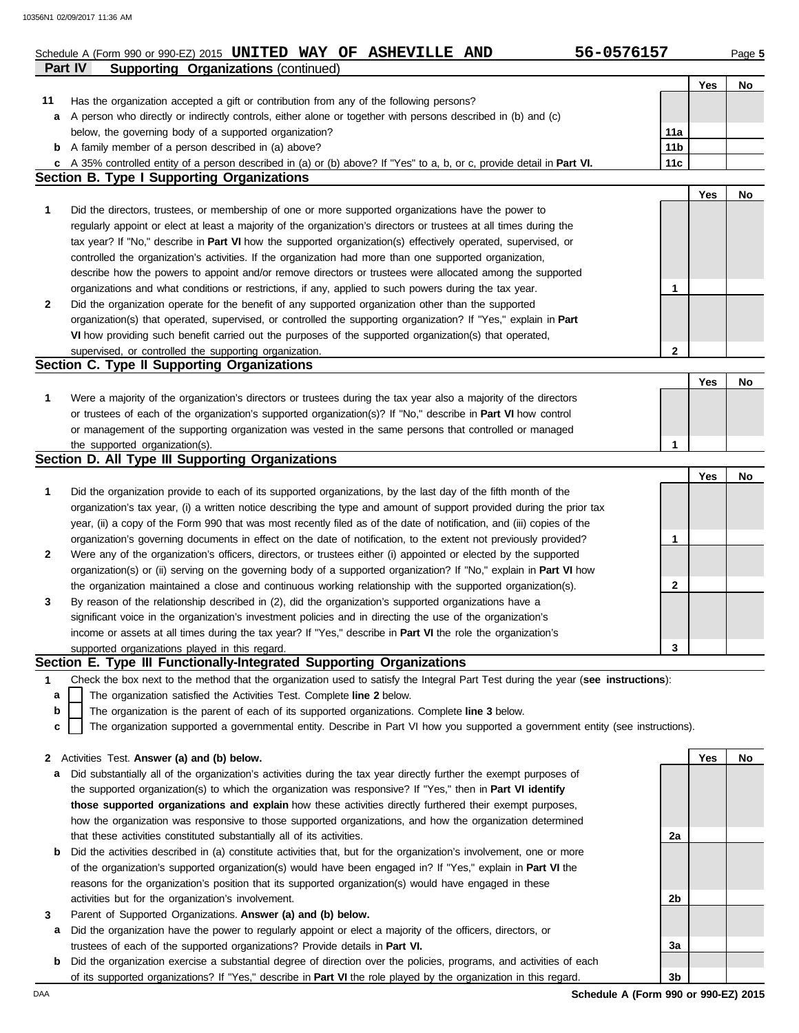**11**

## **Part IV Supporting Organizations** (continued) Schedule A (Form 990 or 990-EZ) 2015 **UNITED WAY OF ASHEVILLE AND** 56-0576157 Page 5

Has the organization accepted a gift or contribution from any of the following persons?

| 5-0576157 |  |  |  |  |
|-----------|--|--|--|--|
|           |  |  |  |  |

**Yes No**

|   | A person who directly or indirectly controls, either alone or together with persons described in (b) and (c)                      |                 |     |    |
|---|-----------------------------------------------------------------------------------------------------------------------------------|-----------------|-----|----|
|   | below, the governing body of a supported organization?                                                                            | 11a             |     |    |
|   | <b>b</b> A family member of a person described in (a) above?                                                                      | 11 <sub>b</sub> |     |    |
| c | A 35% controlled entity of a person described in (a) or (b) above? If "Yes" to a, b, or c, provide detail in Part VI.             | 11c             |     |    |
|   | <b>Section B. Type I Supporting Organizations</b>                                                                                 |                 |     |    |
|   |                                                                                                                                   |                 | Yes | No |
| 1 | Did the directors, trustees, or membership of one or more supported organizations have the power to                               |                 |     |    |
|   | regularly appoint or elect at least a majority of the organization's directors or trustees at all times during the                |                 |     |    |
|   | tax year? If "No," describe in Part VI how the supported organization(s) effectively operated, supervised, or                     |                 |     |    |
|   | controlled the organization's activities. If the organization had more than one supported organization,                           |                 |     |    |
|   | describe how the powers to appoint and/or remove directors or trustees were allocated among the supported                         |                 |     |    |
|   |                                                                                                                                   | 1               |     |    |
|   | organizations and what conditions or restrictions, if any, applied to such powers during the tax year.                            |                 |     |    |
| 2 | Did the organization operate for the benefit of any supported organization other than the supported                               |                 |     |    |
|   | organization(s) that operated, supervised, or controlled the supporting organization? If "Yes," explain in Part                   |                 |     |    |
|   | VI how providing such benefit carried out the purposes of the supported organization(s) that operated,                            |                 |     |    |
|   | supervised, or controlled the supporting organization.                                                                            | $\mathbf{2}$    |     |    |
|   | Section C. Type II Supporting Organizations                                                                                       |                 |     |    |
|   |                                                                                                                                   |                 | Yes | No |
| 1 | Were a majority of the organization's directors or trustees during the tax year also a majority of the directors                  |                 |     |    |
|   | or trustees of each of the organization's supported organization(s)? If "No," describe in Part VI how control                     |                 |     |    |
|   | or management of the supporting organization was vested in the same persons that controlled or managed                            |                 |     |    |
|   | the supported organization(s).                                                                                                    | 1               |     |    |
|   | Section D. All Type III Supporting Organizations                                                                                  |                 |     |    |
|   |                                                                                                                                   |                 | Yes | No |
| 1 | Did the organization provide to each of its supported organizations, by the last day of the fifth month of the                    |                 |     |    |
|   | organization's tax year, (i) a written notice describing the type and amount of support provided during the prior tax             |                 |     |    |
|   | year, (ii) a copy of the Form 990 that was most recently filed as of the date of notification, and (iii) copies of the            |                 |     |    |
|   | organization's governing documents in effect on the date of notification, to the extent not previously provided?                  | 1               |     |    |
| 2 | Were any of the organization's officers, directors, or trustees either (i) appointed or elected by the supported                  |                 |     |    |
|   | organization(s) or (ii) serving on the governing body of a supported organization? If "No," explain in Part VI how                |                 |     |    |
|   | the organization maintained a close and continuous working relationship with the supported organization(s).                       | 2               |     |    |
| 3 | By reason of the relationship described in (2), did the organization's supported organizations have a                             |                 |     |    |
|   | significant voice in the organization's investment policies and in directing the use of the organization's                        |                 |     |    |
|   | income or assets at all times during the tax year? If "Yes," describe in Part VI the role the organization's                      |                 |     |    |
|   | supported organizations played in this regard.                                                                                    | 3               |     |    |
|   | Section E. Type III Functionally-Integrated Supporting Organizations                                                              |                 |     |    |
| 1 | Check the box next to the method that the organization used to satisfy the Integral Part Test during the year (see instructions): |                 |     |    |
| a | The organization satisfied the Activities Test. Complete line 2 below.                                                            |                 |     |    |
| b | The organization is the parent of each of its supported organizations. Complete line 3 below.                                     |                 |     |    |
| c | The organization supported a governmental entity. Describe in Part VI how you supported a government entity (see instructions).   |                 |     |    |
|   |                                                                                                                                   |                 |     |    |
|   | 2 Activities Test. Answer (a) and (b) below.                                                                                      |                 | Yes | No |
| a | Did substantially all of the organization's activities during the tax year directly further the exempt purposes of                |                 |     |    |
|   | the supported organization(s) to which the organization was responsive? If "Yes," then in Part VI identify                        |                 |     |    |
|   | those supported organizations and explain how these activities directly furthered their exempt purposes,                          |                 |     |    |
|   | how the organization was responsive to those supported organizations, and how the organization determined                         |                 |     |    |
|   | that these activities constituted substantially all of its activities.                                                            | 2a              |     |    |
|   |                                                                                                                                   |                 |     |    |
| b | Did the activities described in (a) constitute activities that, but for the organization's involvement, one or more               |                 |     |    |
|   | of the organization's supported organization(s) would have been engaged in? If "Yes," explain in Part VI the                      |                 |     |    |
|   | reasons for the organization's position that its supported organization(s) would have engaged in these                            |                 |     |    |
|   | activities but for the organization's involvement.                                                                                | 2b              |     |    |
| 3 | Parent of Supported Organizations. Answer (a) and (b) below.                                                                      |                 |     |    |
| а | Did the organization have the power to regularly appoint or elect a majority of the officers, directors, or                       |                 |     |    |
|   | trustees of each of the supported organizations? Provide details in <b>Part VI.</b>                                               | 3a              |     |    |
|   | Did the organization exercise a substantial degree of direction over the policies, programs, and activities of each               | 3b              |     |    |
| b | of its supported organizations? If "Yes," describe in Part VI the role played by the organization in this regard.                 |                 |     |    |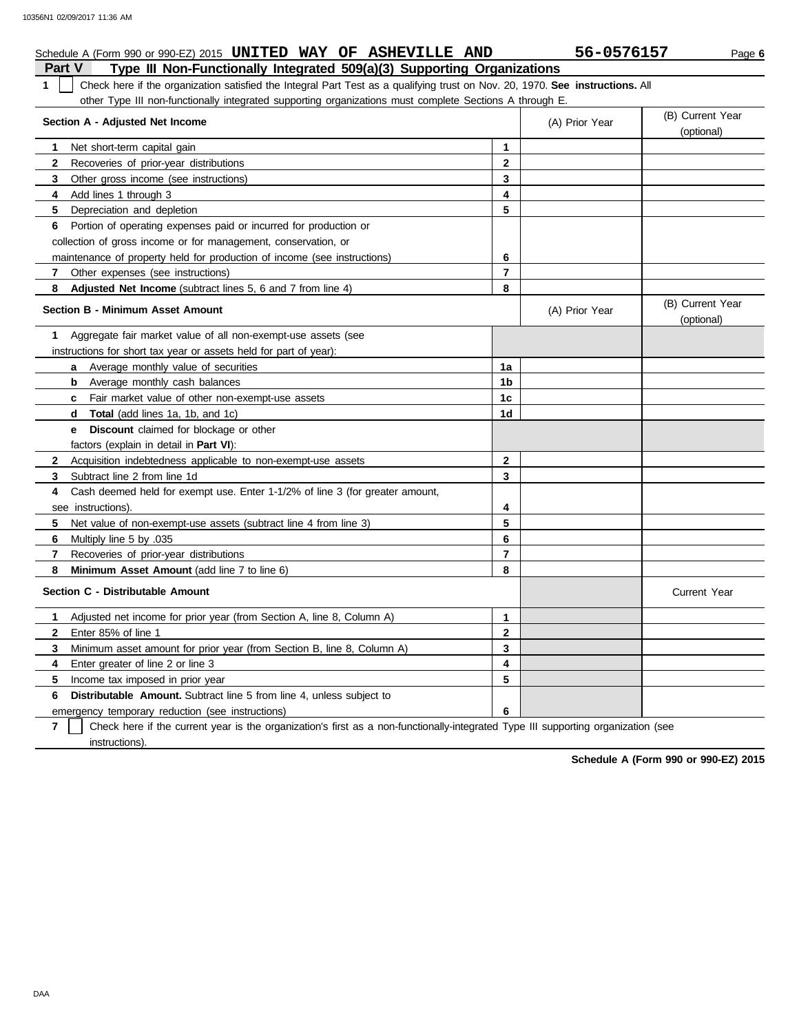|                | Schedule A (Form 990 or 990-EZ) 2015 UNITED WAY OF ASHEVILLE AND                                                              |                | 56-0576157     | Page 6                         |  |  |  |  |  |  |
|----------------|-------------------------------------------------------------------------------------------------------------------------------|----------------|----------------|--------------------------------|--|--|--|--|--|--|
| <b>Part V</b>  | Type III Non-Functionally Integrated 509(a)(3) Supporting Organizations                                                       |                |                |                                |  |  |  |  |  |  |
| $\mathbf 1$    | Check here if the organization satisfied the Integral Part Test as a qualifying trust on Nov. 20, 1970. See instructions. All |                |                |                                |  |  |  |  |  |  |
|                | other Type III non-functionally integrated supporting organizations must complete Sections A through E.                       |                |                |                                |  |  |  |  |  |  |
|                | Section A - Adjusted Net Income                                                                                               |                | (A) Prior Year | (B) Current Year<br>(optional) |  |  |  |  |  |  |
| 1              | Net short-term capital gain                                                                                                   | $\mathbf{1}$   |                |                                |  |  |  |  |  |  |
| $\mathbf{2}$   | Recoveries of prior-year distributions                                                                                        | $\mathbf{2}$   |                |                                |  |  |  |  |  |  |
| 3              | Other gross income (see instructions)                                                                                         | 3              |                |                                |  |  |  |  |  |  |
| 4              | Add lines 1 through 3                                                                                                         | 4              |                |                                |  |  |  |  |  |  |
| 5              | Depreciation and depletion                                                                                                    | 5              |                |                                |  |  |  |  |  |  |
|                | 6 Portion of operating expenses paid or incurred for production or                                                            |                |                |                                |  |  |  |  |  |  |
|                | collection of gross income or for management, conservation, or                                                                |                |                |                                |  |  |  |  |  |  |
|                | maintenance of property held for production of income (see instructions)                                                      | 6              |                |                                |  |  |  |  |  |  |
| $\overline{7}$ | Other expenses (see instructions)                                                                                             | $\overline{7}$ |                |                                |  |  |  |  |  |  |
| 8              | Adjusted Net Income (subtract lines 5, 6 and 7 from line 4)                                                                   | 8              |                |                                |  |  |  |  |  |  |
|                | <b>Section B - Minimum Asset Amount</b>                                                                                       |                | (A) Prior Year | (B) Current Year<br>(optional) |  |  |  |  |  |  |
| 1.             | Aggregate fair market value of all non-exempt-use assets (see                                                                 |                |                |                                |  |  |  |  |  |  |
|                | instructions for short tax year or assets held for part of year):                                                             |                |                |                                |  |  |  |  |  |  |
|                | <b>a</b> Average monthly value of securities                                                                                  | 1a             |                |                                |  |  |  |  |  |  |
|                | Average monthly cash balances<br>b                                                                                            | 1b             |                |                                |  |  |  |  |  |  |
|                | <b>c</b> Fair market value of other non-exempt-use assets                                                                     | 1c             |                |                                |  |  |  |  |  |  |
|                | <b>Total</b> (add lines 1a, 1b, and 1c)<br>d                                                                                  | 1d             |                |                                |  |  |  |  |  |  |
|                | <b>Discount</b> claimed for blockage or other<br>e –                                                                          |                |                |                                |  |  |  |  |  |  |
|                | factors (explain in detail in <b>Part VI)</b> :                                                                               |                |                |                                |  |  |  |  |  |  |
| $\mathbf{2}$   | Acquisition indebtedness applicable to non-exempt-use assets                                                                  | $\mathbf{2}$   |                |                                |  |  |  |  |  |  |
| 3              | Subtract line 2 from line 1d                                                                                                  | 3              |                |                                |  |  |  |  |  |  |
| 4              | Cash deemed held for exempt use. Enter 1-1/2% of line 3 (for greater amount,                                                  |                |                |                                |  |  |  |  |  |  |
|                | see instructions).                                                                                                            | 4              |                |                                |  |  |  |  |  |  |
| 5              | Net value of non-exempt-use assets (subtract line 4 from line 3)                                                              | 5              |                |                                |  |  |  |  |  |  |
| 6              | Multiply line 5 by .035                                                                                                       | 6              |                |                                |  |  |  |  |  |  |
| $\overline{7}$ | Recoveries of prior-year distributions                                                                                        | $\overline{7}$ |                |                                |  |  |  |  |  |  |
| 8              | Minimum Asset Amount (add line 7 to line 6)                                                                                   | 8              |                |                                |  |  |  |  |  |  |
|                | Section C - Distributable Amount                                                                                              |                |                | <b>Current Year</b>            |  |  |  |  |  |  |
| 1.             | Adjusted net income for prior year (from Section A, line 8, Column A)                                                         | $\mathbf{1}$   |                |                                |  |  |  |  |  |  |
| $\mathbf{2}$   | Enter 85% of line 1                                                                                                           | $\mathbf 2$    |                |                                |  |  |  |  |  |  |
| 3              | Minimum asset amount for prior year (from Section B, line 8, Column A)                                                        | 3              |                |                                |  |  |  |  |  |  |
| 4              | Enter greater of line 2 or line 3                                                                                             | 4              |                |                                |  |  |  |  |  |  |
| 5.             | Income tax imposed in prior year                                                                                              | 5              |                |                                |  |  |  |  |  |  |
| 6              | <b>Distributable Amount.</b> Subtract line 5 from line 4, unless subject to                                                   |                |                |                                |  |  |  |  |  |  |
|                | emergency temporary reduction (see instructions)                                                                              | 6              |                |                                |  |  |  |  |  |  |

**7** instructions). Check here if the current year is the organization's first as a non-functionally-integrated Type III supporting organization (see

**Schedule A (Form 990 or 990-EZ) 2015**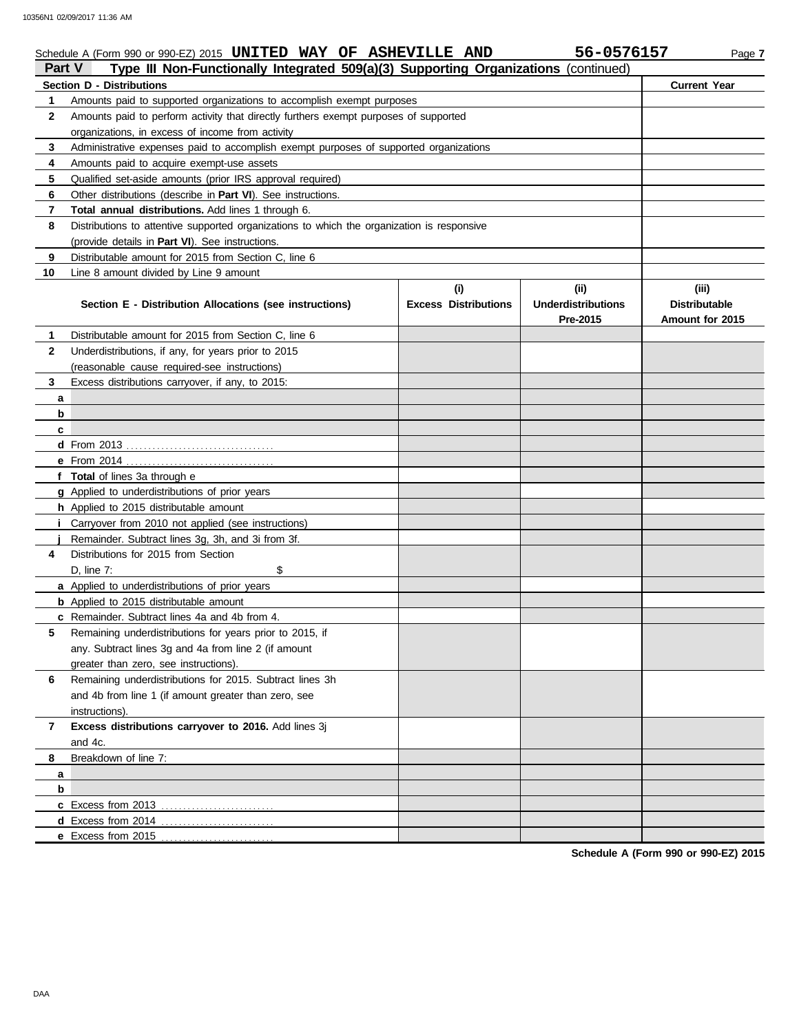| Part V<br>Type III Non-Functionally Integrated 509(a)(3) Supporting Organizations (continued) |                                                                                            |                             |                                       |                                         |  |  |  |  |
|-----------------------------------------------------------------------------------------------|--------------------------------------------------------------------------------------------|-----------------------------|---------------------------------------|-----------------------------------------|--|--|--|--|
|                                                                                               | <b>Section D - Distributions</b>                                                           |                             |                                       | <b>Current Year</b>                     |  |  |  |  |
| 1                                                                                             | Amounts paid to supported organizations to accomplish exempt purposes                      |                             |                                       |                                         |  |  |  |  |
| 2                                                                                             | Amounts paid to perform activity that directly furthers exempt purposes of supported       |                             |                                       |                                         |  |  |  |  |
|                                                                                               | organizations, in excess of income from activity                                           |                             |                                       |                                         |  |  |  |  |
| 3                                                                                             | Administrative expenses paid to accomplish exempt purposes of supported organizations      |                             |                                       |                                         |  |  |  |  |
| 4                                                                                             | Amounts paid to acquire exempt-use assets                                                  |                             |                                       |                                         |  |  |  |  |
| 5                                                                                             | Qualified set-aside amounts (prior IRS approval required)                                  |                             |                                       |                                         |  |  |  |  |
| 6                                                                                             | Other distributions (describe in Part VI). See instructions.                               |                             |                                       |                                         |  |  |  |  |
| 7                                                                                             | Total annual distributions. Add lines 1 through 6.                                         |                             |                                       |                                         |  |  |  |  |
| 8                                                                                             | Distributions to attentive supported organizations to which the organization is responsive |                             |                                       |                                         |  |  |  |  |
|                                                                                               | (provide details in Part VI). See instructions.                                            |                             |                                       |                                         |  |  |  |  |
| 9                                                                                             | Distributable amount for 2015 from Section C, line 6                                       |                             |                                       |                                         |  |  |  |  |
| 10                                                                                            | Line 8 amount divided by Line 9 amount                                                     |                             |                                       |                                         |  |  |  |  |
|                                                                                               |                                                                                            | (i)                         | (ii)                                  | (iii)                                   |  |  |  |  |
|                                                                                               | Section E - Distribution Allocations (see instructions)                                    | <b>Excess Distributions</b> | <b>Underdistributions</b><br>Pre-2015 | <b>Distributable</b><br>Amount for 2015 |  |  |  |  |
| 1                                                                                             | Distributable amount for 2015 from Section C, line 6                                       |                             |                                       |                                         |  |  |  |  |
| 2                                                                                             | Underdistributions, if any, for years prior to 2015                                        |                             |                                       |                                         |  |  |  |  |
|                                                                                               | (reasonable cause required-see instructions)                                               |                             |                                       |                                         |  |  |  |  |
| 3                                                                                             | Excess distributions carryover, if any, to 2015:                                           |                             |                                       |                                         |  |  |  |  |
| a                                                                                             |                                                                                            |                             |                                       |                                         |  |  |  |  |
| b                                                                                             |                                                                                            |                             |                                       |                                         |  |  |  |  |
| c                                                                                             |                                                                                            |                             |                                       |                                         |  |  |  |  |
|                                                                                               |                                                                                            |                             |                                       |                                         |  |  |  |  |
|                                                                                               |                                                                                            |                             |                                       |                                         |  |  |  |  |
|                                                                                               | f Total of lines 3a through e                                                              |                             |                                       |                                         |  |  |  |  |
|                                                                                               | g Applied to underdistributions of prior years                                             |                             |                                       |                                         |  |  |  |  |
|                                                                                               | h Applied to 2015 distributable amount                                                     |                             |                                       |                                         |  |  |  |  |
|                                                                                               | <i>i</i> Carryover from 2010 not applied (see instructions)                                |                             |                                       |                                         |  |  |  |  |
|                                                                                               | Remainder. Subtract lines 3g, 3h, and 3i from 3f.                                          |                             |                                       |                                         |  |  |  |  |
| 4                                                                                             | Distributions for 2015 from Section                                                        |                             |                                       |                                         |  |  |  |  |
|                                                                                               | D. line 7:<br>\$                                                                           |                             |                                       |                                         |  |  |  |  |
|                                                                                               | a Applied to underdistributions of prior years                                             |                             |                                       |                                         |  |  |  |  |
|                                                                                               | <b>b</b> Applied to 2015 distributable amount                                              |                             |                                       |                                         |  |  |  |  |
|                                                                                               | c Remainder. Subtract lines 4a and 4b from 4.                                              |                             |                                       |                                         |  |  |  |  |
| 5                                                                                             | Remaining underdistributions for years prior to 2015, if                                   |                             |                                       |                                         |  |  |  |  |
|                                                                                               | any. Subtract lines 3g and 4a from line 2 (if amount                                       |                             |                                       |                                         |  |  |  |  |
|                                                                                               | greater than zero, see instructions).                                                      |                             |                                       |                                         |  |  |  |  |
| 6                                                                                             | Remaining underdistributions for 2015. Subtract lines 3h                                   |                             |                                       |                                         |  |  |  |  |
|                                                                                               | and 4b from line 1 (if amount greater than zero, see                                       |                             |                                       |                                         |  |  |  |  |
|                                                                                               |                                                                                            |                             |                                       |                                         |  |  |  |  |
|                                                                                               | instructions).                                                                             |                             |                                       |                                         |  |  |  |  |
| $\overline{7}$                                                                                | Excess distributions carryover to 2016. Add lines 3j<br>and 4c.                            |                             |                                       |                                         |  |  |  |  |
| 8                                                                                             | Breakdown of line 7:                                                                       |                             |                                       |                                         |  |  |  |  |
| a                                                                                             |                                                                                            |                             |                                       |                                         |  |  |  |  |
| b                                                                                             |                                                                                            |                             |                                       |                                         |  |  |  |  |
|                                                                                               |                                                                                            |                             |                                       |                                         |  |  |  |  |
|                                                                                               |                                                                                            |                             |                                       |                                         |  |  |  |  |
|                                                                                               |                                                                                            |                             |                                       |                                         |  |  |  |  |
|                                                                                               |                                                                                            |                             |                                       |                                         |  |  |  |  |

Schedule A (Form 990 or 990-EZ) 2015 **UNITED WAY OF ASHEVILLE AND** 56-0576157 Page 7

**UNITED WAY OF ASHEVILLE AND 56-0576157**

**Schedule A (Form 990 or 990-EZ) 2015**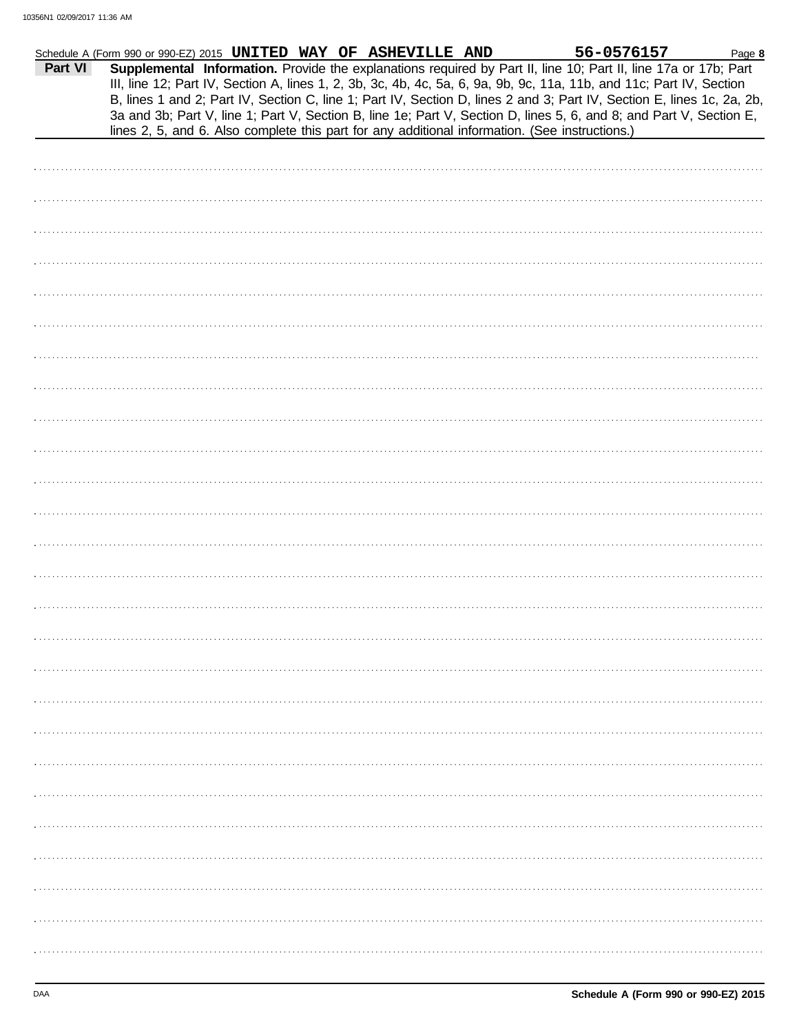| Part VI<br>Supplemental Information. Provide the explanations required by Part II, line 10; Part II, line 17a or 17b; Part<br>III, line 12; Part IV, Section A, lines 1, 2, 3b, 3c, 4b, 4c, 5a, 6, 9a, 9b, 9c, 11a, 11b, and 11c; Part IV, Section<br>B, lines 1 and 2; Part IV, Section C, line 1; Part IV, Section D, lines 2 and 3; Part IV, Section E, lines 1c, 2a, 2b,<br>3a and 3b; Part V, line 1; Part V, Section B, line 1e; Part V, Section D, lines 5, 6, and 8; and Part V, Section E,<br>lines 2, 5, and 6. Also complete this part for any additional information. (See instructions.) | Schedule A (Form 990 or 990-EZ) 2015 UNITED WAY OF ASHEVILLE AND |  |  | 56-0576157 | Page 8 |
|-------------------------------------------------------------------------------------------------------------------------------------------------------------------------------------------------------------------------------------------------------------------------------------------------------------------------------------------------------------------------------------------------------------------------------------------------------------------------------------------------------------------------------------------------------------------------------------------------------|------------------------------------------------------------------|--|--|------------|--------|
|                                                                                                                                                                                                                                                                                                                                                                                                                                                                                                                                                                                                       |                                                                  |  |  |            |        |
|                                                                                                                                                                                                                                                                                                                                                                                                                                                                                                                                                                                                       |                                                                  |  |  |            |        |
|                                                                                                                                                                                                                                                                                                                                                                                                                                                                                                                                                                                                       |                                                                  |  |  |            |        |
|                                                                                                                                                                                                                                                                                                                                                                                                                                                                                                                                                                                                       |                                                                  |  |  |            |        |
|                                                                                                                                                                                                                                                                                                                                                                                                                                                                                                                                                                                                       |                                                                  |  |  |            |        |
|                                                                                                                                                                                                                                                                                                                                                                                                                                                                                                                                                                                                       |                                                                  |  |  |            |        |
|                                                                                                                                                                                                                                                                                                                                                                                                                                                                                                                                                                                                       |                                                                  |  |  |            |        |
|                                                                                                                                                                                                                                                                                                                                                                                                                                                                                                                                                                                                       |                                                                  |  |  |            |        |
|                                                                                                                                                                                                                                                                                                                                                                                                                                                                                                                                                                                                       |                                                                  |  |  |            |        |
|                                                                                                                                                                                                                                                                                                                                                                                                                                                                                                                                                                                                       |                                                                  |  |  |            |        |
|                                                                                                                                                                                                                                                                                                                                                                                                                                                                                                                                                                                                       |                                                                  |  |  |            |        |
|                                                                                                                                                                                                                                                                                                                                                                                                                                                                                                                                                                                                       |                                                                  |  |  |            |        |
|                                                                                                                                                                                                                                                                                                                                                                                                                                                                                                                                                                                                       |                                                                  |  |  |            |        |
|                                                                                                                                                                                                                                                                                                                                                                                                                                                                                                                                                                                                       |                                                                  |  |  |            |        |
|                                                                                                                                                                                                                                                                                                                                                                                                                                                                                                                                                                                                       |                                                                  |  |  |            |        |
|                                                                                                                                                                                                                                                                                                                                                                                                                                                                                                                                                                                                       |                                                                  |  |  |            |        |
|                                                                                                                                                                                                                                                                                                                                                                                                                                                                                                                                                                                                       |                                                                  |  |  |            |        |
|                                                                                                                                                                                                                                                                                                                                                                                                                                                                                                                                                                                                       |                                                                  |  |  |            |        |
|                                                                                                                                                                                                                                                                                                                                                                                                                                                                                                                                                                                                       |                                                                  |  |  |            |        |
|                                                                                                                                                                                                                                                                                                                                                                                                                                                                                                                                                                                                       |                                                                  |  |  |            |        |
|                                                                                                                                                                                                                                                                                                                                                                                                                                                                                                                                                                                                       |                                                                  |  |  |            |        |
|                                                                                                                                                                                                                                                                                                                                                                                                                                                                                                                                                                                                       |                                                                  |  |  |            |        |
|                                                                                                                                                                                                                                                                                                                                                                                                                                                                                                                                                                                                       |                                                                  |  |  |            |        |
|                                                                                                                                                                                                                                                                                                                                                                                                                                                                                                                                                                                                       |                                                                  |  |  |            |        |
|                                                                                                                                                                                                                                                                                                                                                                                                                                                                                                                                                                                                       |                                                                  |  |  |            |        |
|                                                                                                                                                                                                                                                                                                                                                                                                                                                                                                                                                                                                       |                                                                  |  |  |            |        |
|                                                                                                                                                                                                                                                                                                                                                                                                                                                                                                                                                                                                       |                                                                  |  |  |            |        |
|                                                                                                                                                                                                                                                                                                                                                                                                                                                                                                                                                                                                       |                                                                  |  |  |            |        |
|                                                                                                                                                                                                                                                                                                                                                                                                                                                                                                                                                                                                       |                                                                  |  |  |            |        |
|                                                                                                                                                                                                                                                                                                                                                                                                                                                                                                                                                                                                       |                                                                  |  |  |            |        |
|                                                                                                                                                                                                                                                                                                                                                                                                                                                                                                                                                                                                       |                                                                  |  |  |            |        |
|                                                                                                                                                                                                                                                                                                                                                                                                                                                                                                                                                                                                       |                                                                  |  |  |            |        |
|                                                                                                                                                                                                                                                                                                                                                                                                                                                                                                                                                                                                       |                                                                  |  |  |            |        |
|                                                                                                                                                                                                                                                                                                                                                                                                                                                                                                                                                                                                       |                                                                  |  |  |            |        |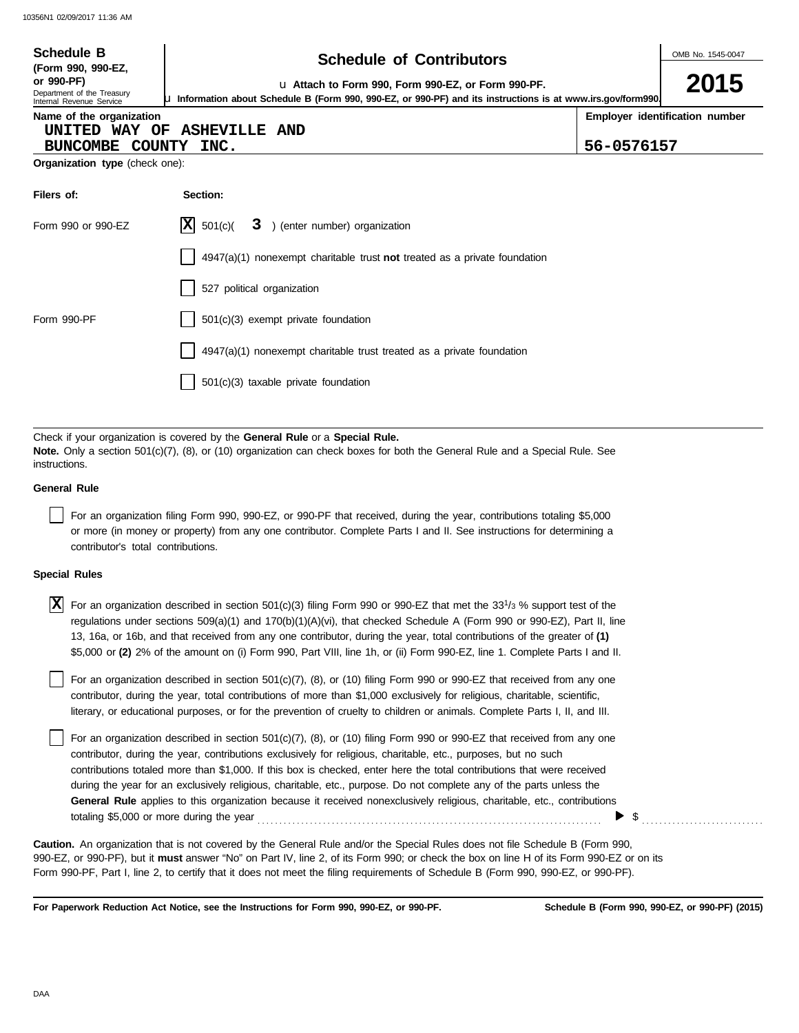| <b>Schedule B</b><br>(Form 990, 990-EZ,                                                                                                                                                                                                      | <b>Schedule of Contributors</b>                                                    |            |                                |  |  |  |  |
|----------------------------------------------------------------------------------------------------------------------------------------------------------------------------------------------------------------------------------------------|------------------------------------------------------------------------------------|------------|--------------------------------|--|--|--|--|
| or 990-PF)<br>La Attach to Form 990, Form 990-EZ, or Form 990-PF.<br>Department of the Treasury<br>La Information about Schedule B (Form 990, 990-EZ, or 990-PF) and its instructions is at www.irs.gov/form990.<br>Internal Revenue Service |                                                                                    |            |                                |  |  |  |  |
| Name of the organization<br>UNITED WAY OF<br>BUNCOMBE COUNTY                                                                                                                                                                                 | <b>ASHEVILLE AND</b><br>INC.                                                       | 56-0576157 | Employer identification number |  |  |  |  |
| Organization type (check one):                                                                                                                                                                                                               |                                                                                    |            |                                |  |  |  |  |
| Filers of:                                                                                                                                                                                                                                   | Section:                                                                           |            |                                |  |  |  |  |
| Form 990 or 990-EZ                                                                                                                                                                                                                           | $ \mathbf{X} $ 501(c)(<br>3 ) (enter number) organization                          |            |                                |  |  |  |  |
|                                                                                                                                                                                                                                              | $4947(a)(1)$ nonexempt charitable trust <b>not</b> treated as a private foundation |            |                                |  |  |  |  |
|                                                                                                                                                                                                                                              | 527 political organization                                                         |            |                                |  |  |  |  |
| Form 990-PF                                                                                                                                                                                                                                  | 501(c)(3) exempt private foundation                                                |            |                                |  |  |  |  |
|                                                                                                                                                                                                                                              | 4947(a)(1) nonexempt charitable trust treated as a private foundation              |            |                                |  |  |  |  |
|                                                                                                                                                                                                                                              | 501(c)(3) taxable private foundation                                               |            |                                |  |  |  |  |
|                                                                                                                                                                                                                                              |                                                                                    |            |                                |  |  |  |  |
| Check if your organization is covered by the General Rule or a Special Rule.<br>Note. Only a section 501(c)(7), (8), or (10) organization can check boxes for both the General Rule and a Special Rule. See<br>instructions.                 |                                                                                    |            |                                |  |  |  |  |

#### **General Rule**

For an organization filing Form 990, 990-EZ, or 990-PF that received, during the year, contributions totaling \$5,000 or more (in money or property) from any one contributor. Complete Parts I and II. See instructions for determining a contributor's total contributions.

#### **Special Rules**

| <b>X</b> For an organization described in section 501(c)(3) filing Form 990 or 990-EZ that met the 33 <sup>1</sup> / <sub>3</sub> % support test of the |
|---------------------------------------------------------------------------------------------------------------------------------------------------------|
| regulations under sections 509(a)(1) and 170(b)(1)(A)(vi), that checked Schedule A (Form 990 or 990-EZ), Part II, line                                  |
| 13, 16a, or 16b, and that received from any one contributor, during the year, total contributions of the greater of (1)                                 |
| \$5,000 or (2) 2% of the amount on (i) Form 990, Part VIII, line 1h, or (ii) Form 990-EZ, line 1. Complete Parts I and II.                              |

literary, or educational purposes, or for the prevention of cruelty to children or animals. Complete Parts I, II, and III. For an organization described in section 501(c)(7), (8), or (10) filing Form 990 or 990-EZ that received from any one contributor, during the year, total contributions of more than \$1,000 exclusively for religious, charitable, scientific,

For an organization described in section 501(c)(7), (8), or (10) filing Form 990 or 990-EZ that received from any one contributor, during the year, contributions exclusively for religious, charitable, etc., purposes, but no such contributions totaled more than \$1,000. If this box is checked, enter here the total contributions that were received during the year for an exclusively religious, charitable, etc., purpose. Do not complete any of the parts unless the **General Rule** applies to this organization because it received nonexclusively religious, charitable, etc., contributions totaling \$5,000 or more during the year . . . . . . . . . . . . . . . . . . . . . . . . . . . . . . . . . . . . . . . . . . . . . . . . . . . . . . . . . . . . . . . . . . . . . . . . . . . . . . .  $\triangleright$  \$

990-EZ, or 990-PF), but it **must** answer "No" on Part IV, line 2, of its Form 990; or check the box on line H of its Form 990-EZ or on its Form 990-PF, Part I, line 2, to certify that it does not meet the filing requirements of Schedule B (Form 990, 990-EZ, or 990-PF). **Caution.** An organization that is not covered by the General Rule and/or the Special Rules does not file Schedule B (Form 990,

**For Paperwork Reduction Act Notice, see the Instructions for Form 990, 990-EZ, or 990-PF.**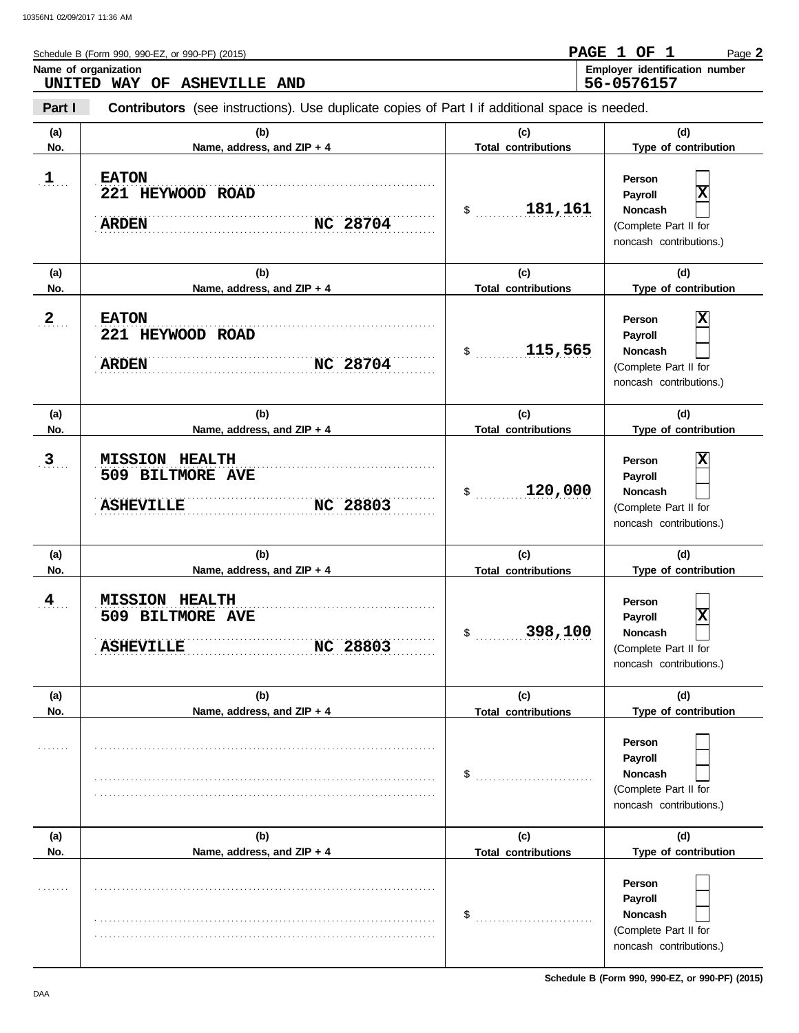|              | Schedule B (Form 990, 990-EZ, or 990-PF) (2015)                                                       |                                   | PAGE 1 OF 1<br>Page 2                                                                                              |
|--------------|-------------------------------------------------------------------------------------------------------|-----------------------------------|--------------------------------------------------------------------------------------------------------------------|
| UNITED       | Name of organization<br><b>WAY OF</b><br><b>ASHEVILLE AND</b>                                         |                                   | Employer identification number<br>56-0576157                                                                       |
| Part I       | <b>Contributors</b> (see instructions). Use duplicate copies of Part I if additional space is needed. |                                   |                                                                                                                    |
| (a)<br>No.   | (b)<br>Name, address, and ZIP + 4                                                                     | (c)<br><b>Total contributions</b> | (d)<br>Type of contribution                                                                                        |
| $\mathbf{1}$ | <b>EATON</b><br>221 HEYWOOD ROAD<br><b>NC 28704</b><br><b>ARDEN</b>                                   | 181,161<br>\$                     | Person<br>$\overline{\mathbf{x}}$<br>Payroll<br>Noncash<br>(Complete Part II for<br>noncash contributions.)        |
| (a)<br>No.   | (b)<br>Name, address, and ZIP + 4                                                                     | (c)<br><b>Total contributions</b> | (d)<br>Type of contribution                                                                                        |
| 2            | <b>EATON</b><br>221 HEYWOOD ROAD<br>NC 28704<br><b>ARDEN</b>                                          | 115,565<br>\$                     | х<br>Person<br>Payroll<br>Noncash<br>(Complete Part II for<br>noncash contributions.)                              |
| (a)<br>No.   | (b)<br>Name, address, and ZIP + 4                                                                     | (c)<br><b>Total contributions</b> | (d)<br>Type of contribution                                                                                        |
| 3            | <b>MISSION HEALTH</b><br>509 BILTMORE AVE<br><b>ASHEVILLE</b><br><b>NC 28803</b>                      | 120,000<br>\$                     | х<br>Person<br>Payroll<br><b>Noncash</b><br>(Complete Part II for<br>noncash contributions.)                       |
| (a)<br>No.   | (b)<br>Name, address, and ZIP + 4                                                                     | (c)<br><b>Total contributions</b> | (d)<br>Type of contribution                                                                                        |
| 4            | <b>MISSION HEALTH</b><br>509 BILTMORE AVE<br>NC 28803<br><b>ASHEVILLE</b>                             | 398,100                           | Person<br>$\overline{\textbf{x}}$<br>Payroll<br><b>Noncash</b><br>(Complete Part II for<br>noncash contributions.) |
| (a)<br>No.   | (b)<br>Name, address, and ZIP + 4                                                                     | (c)<br><b>Total contributions</b> | (d)<br>Type of contribution                                                                                        |
|              |                                                                                                       | \$                                | Person<br>Payroll<br><b>Noncash</b><br>(Complete Part II for<br>noncash contributions.)                            |
| (a)<br>No.   | (b)<br>Name, address, and ZIP + 4                                                                     | (c)<br><b>Total contributions</b> | (d)<br>Type of contribution                                                                                        |
|              |                                                                                                       | \$                                | Person<br>Payroll<br>Noncash<br>(Complete Part II for<br>noncash contributions.)                                   |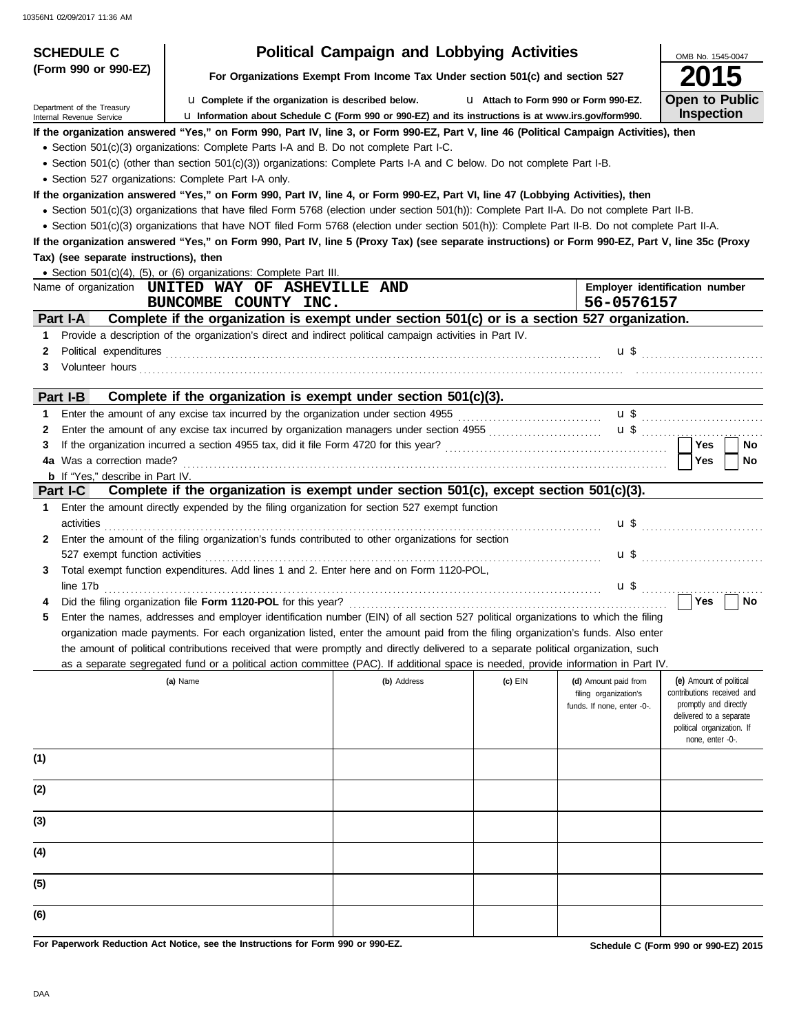| <b>SCHEDULE C</b>                                      | <b>Political Campaign and Lobbying Activities</b>                                                                                                                                                                                                                                              | OMB No. 1545-0047                                                             |                                       |                                                                             |                                                                                                                                                             |
|--------------------------------------------------------|------------------------------------------------------------------------------------------------------------------------------------------------------------------------------------------------------------------------------------------------------------------------------------------------|-------------------------------------------------------------------------------|---------------------------------------|-----------------------------------------------------------------------------|-------------------------------------------------------------------------------------------------------------------------------------------------------------|
| (Form 990 or 990-EZ)                                   |                                                                                                                                                                                                                                                                                                | For Organizations Exempt From Income Tax Under section 501(c) and section 527 |                                       |                                                                             |                                                                                                                                                             |
| Department of the Treasury<br>Internal Revenue Service | La Complete if the organization is described below.<br>La Information about Schedule C (Form 990 or 990-EZ) and its instructions is at www.irs.gov/form990.                                                                                                                                    |                                                                               | L1 Attach to Form 990 or Form 990-EZ. |                                                                             | <b>Open to Public</b><br><b>Inspection</b>                                                                                                                  |
|                                                        | If the organization answered "Yes," on Form 990, Part IV, line 3, or Form 990-EZ, Part V, line 46 (Political Campaign Activities), then                                                                                                                                                        |                                                                               |                                       |                                                                             |                                                                                                                                                             |
|                                                        | • Section 501(c)(3) organizations: Complete Parts I-A and B. Do not complete Part I-C.                                                                                                                                                                                                         |                                                                               |                                       |                                                                             |                                                                                                                                                             |
|                                                        | • Section 501(c) (other than section 501(c)(3)) organizations: Complete Parts I-A and C below. Do not complete Part I-B.                                                                                                                                                                       |                                                                               |                                       |                                                                             |                                                                                                                                                             |
|                                                        |                                                                                                                                                                                                                                                                                                |                                                                               |                                       |                                                                             |                                                                                                                                                             |
|                                                        | • Section 527 organizations: Complete Part I-A only.                                                                                                                                                                                                                                           |                                                                               |                                       |                                                                             |                                                                                                                                                             |
|                                                        | If the organization answered "Yes," on Form 990, Part IV, line 4, or Form 990-EZ, Part VI, line 47 (Lobbying Activities), then                                                                                                                                                                 |                                                                               |                                       |                                                                             |                                                                                                                                                             |
|                                                        | · Section 501(c)(3) organizations that have filed Form 5768 (election under section 501(h)): Complete Part II-A. Do not complete Part II-B.<br>• Section 501(c)(3) organizations that have NOT filed Form 5768 (election under section 501(h)): Complete Part II-B. Do not complete Part II-A. |                                                                               |                                       |                                                                             |                                                                                                                                                             |
|                                                        | If the organization answered "Yes," on Form 990, Part IV, line 5 (Proxy Tax) (see separate instructions) or Form 990-EZ, Part V, line 35c (Proxy                                                                                                                                               |                                                                               |                                       |                                                                             |                                                                                                                                                             |
| Tax) (see separate instructions), then                 |                                                                                                                                                                                                                                                                                                |                                                                               |                                       |                                                                             |                                                                                                                                                             |
|                                                        | • Section 501(c)(4), (5), or (6) organizations: Complete Part III.                                                                                                                                                                                                                             |                                                                               |                                       |                                                                             |                                                                                                                                                             |
|                                                        | Name of organization UNITED WAY OF ASHEVILLE AND                                                                                                                                                                                                                                               |                                                                               |                                       |                                                                             | Employer identification number                                                                                                                              |
|                                                        | BUNCOMBE COUNTY INC.                                                                                                                                                                                                                                                                           |                                                                               |                                       | 56-0576157                                                                  |                                                                                                                                                             |
| Part I-A                                               | Complete if the organization is exempt under section 501(c) or is a section 527 organization.                                                                                                                                                                                                  |                                                                               |                                       |                                                                             |                                                                                                                                                             |
|                                                        |                                                                                                                                                                                                                                                                                                |                                                                               |                                       |                                                                             |                                                                                                                                                             |
| 1                                                      | Provide a description of the organization's direct and indirect political campaign activities in Part IV.                                                                                                                                                                                      |                                                                               |                                       |                                                                             |                                                                                                                                                             |
| 2                                                      | Political expenditures with an arrangement of the contract of the contract of the contract of the contract of the contract of the contract of the contract of the contract of the contract of the contract of the contract of                                                                  |                                                                               |                                       |                                                                             |                                                                                                                                                             |
| 3                                                      |                                                                                                                                                                                                                                                                                                |                                                                               |                                       |                                                                             |                                                                                                                                                             |
| Part I-B                                               | Complete if the organization is exempt under section 501(c)(3).                                                                                                                                                                                                                                |                                                                               |                                       |                                                                             |                                                                                                                                                             |
| 1                                                      |                                                                                                                                                                                                                                                                                                |                                                                               |                                       |                                                                             |                                                                                                                                                             |
| 2                                                      | Enter the amount of any excise tax incurred by organization managers under section 4955                                                                                                                                                                                                        |                                                                               |                                       |                                                                             |                                                                                                                                                             |
| 3                                                      |                                                                                                                                                                                                                                                                                                |                                                                               |                                       |                                                                             | Yes<br>No                                                                                                                                                   |
| 4a Was a correction made?                              |                                                                                                                                                                                                                                                                                                |                                                                               |                                       |                                                                             | Yes<br><b>No</b>                                                                                                                                            |
| <b>b</b> If "Yes," describe in Part IV.                |                                                                                                                                                                                                                                                                                                |                                                                               |                                       |                                                                             |                                                                                                                                                             |
| <b>Part I-C</b>                                        | Complete if the organization is exempt under section 501(c), except section 501(c)(3).                                                                                                                                                                                                         |                                                                               |                                       |                                                                             |                                                                                                                                                             |
| 1.                                                     | Enter the amount directly expended by the filing organization for section 527 exempt function                                                                                                                                                                                                  |                                                                               |                                       |                                                                             |                                                                                                                                                             |
| activities                                             |                                                                                                                                                                                                                                                                                                |                                                                               |                                       |                                                                             |                                                                                                                                                             |
| 2                                                      | Enter the amount of the filing organization's funds contributed to other organizations for section                                                                                                                                                                                             |                                                                               |                                       |                                                                             |                                                                                                                                                             |
|                                                        |                                                                                                                                                                                                                                                                                                |                                                                               |                                       | $\mathbf{u} \mathbf{\$}$                                                    |                                                                                                                                                             |
| 3<br>line 17b                                          | Total exempt function expenditures. Add lines 1 and 2. Enter here and on Form 1120-POL,                                                                                                                                                                                                        |                                                                               |                                       | $\mathbf{u} \mathbf{\$}$                                                    |                                                                                                                                                             |
|                                                        | Did the filing organization file Form 1120-POL for this year?                                                                                                                                                                                                                                  |                                                                               |                                       |                                                                             | Yes<br>No                                                                                                                                                   |
| 5                                                      | Enter the names, addresses and employer identification number (EIN) of all section 527 political organizations to which the filing                                                                                                                                                             |                                                                               |                                       |                                                                             |                                                                                                                                                             |
|                                                        |                                                                                                                                                                                                                                                                                                |                                                                               |                                       |                                                                             |                                                                                                                                                             |
|                                                        | organization made payments. For each organization listed, enter the amount paid from the filing organization's funds. Also enter                                                                                                                                                               |                                                                               |                                       |                                                                             |                                                                                                                                                             |
|                                                        | the amount of political contributions received that were promptly and directly delivered to a separate political organization, such                                                                                                                                                            |                                                                               |                                       |                                                                             |                                                                                                                                                             |
|                                                        | as a separate segregated fund or a political action committee (PAC). If additional space is needed, provide information in Part IV.                                                                                                                                                            |                                                                               |                                       |                                                                             |                                                                                                                                                             |
|                                                        | (a) Name                                                                                                                                                                                                                                                                                       | (b) Address                                                                   | (c) EIN                               | (d) Amount paid from<br>filing organization's<br>funds. If none, enter -0-. | (e) Amount of political<br>contributions received and<br>promptly and directly<br>delivered to a separate<br>political organization. If<br>none, enter -0-. |
| (1)                                                    |                                                                                                                                                                                                                                                                                                |                                                                               |                                       |                                                                             |                                                                                                                                                             |
| (2)                                                    |                                                                                                                                                                                                                                                                                                |                                                                               |                                       |                                                                             |                                                                                                                                                             |
| (3)                                                    |                                                                                                                                                                                                                                                                                                |                                                                               |                                       |                                                                             |                                                                                                                                                             |
| (4)                                                    |                                                                                                                                                                                                                                                                                                |                                                                               |                                       |                                                                             |                                                                                                                                                             |
| (5)                                                    |                                                                                                                                                                                                                                                                                                |                                                                               |                                       |                                                                             |                                                                                                                                                             |
| (6)                                                    |                                                                                                                                                                                                                                                                                                |                                                                               |                                       |                                                                             |                                                                                                                                                             |

**For Paperwork Reduction Act Notice, see the Instructions for Form 990 or 990-EZ.**

**Schedule C (Form 990 or 990-EZ) 2015**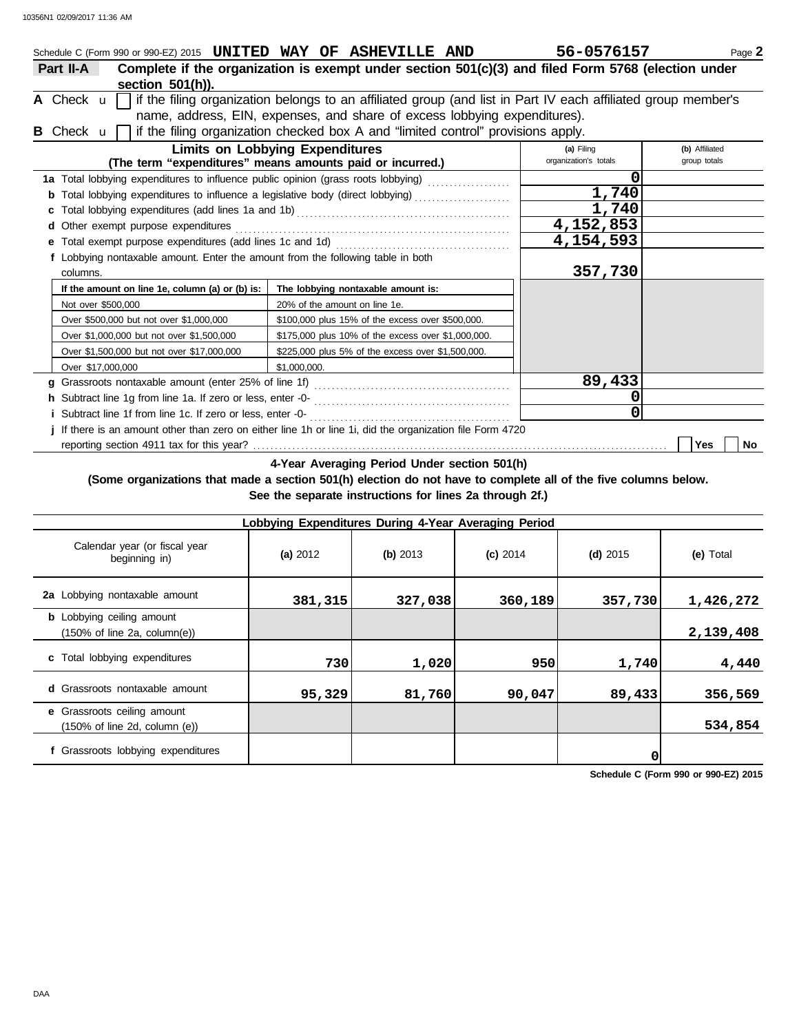|                                                                                                                 | Schedule C (Form 990 or 990-EZ) 2015 <b>UNITED WAY OF ASHEVILLE AND</b>                                                               |                               |                                                    |  |  | 56-0576157            | Page 2           |  |  |
|-----------------------------------------------------------------------------------------------------------------|---------------------------------------------------------------------------------------------------------------------------------------|-------------------------------|----------------------------------------------------|--|--|-----------------------|------------------|--|--|
| Complete if the organization is exempt under section 501(c)(3) and filed Form 5768 (election under<br>Part II-A |                                                                                                                                       |                               |                                                    |  |  |                       |                  |  |  |
| section 501(h)).                                                                                                |                                                                                                                                       |                               |                                                    |  |  |                       |                  |  |  |
|                                                                                                                 | if the filing organization belongs to an affiliated group (and list in Part IV each affiliated group member's<br>A Check $\mathbf{u}$ |                               |                                                    |  |  |                       |                  |  |  |
|                                                                                                                 | name, address, EIN, expenses, and share of excess lobbying expenditures).                                                             |                               |                                                    |  |  |                       |                  |  |  |
|                                                                                                                 | if the filing organization checked box A and "limited control" provisions apply.<br><b>B</b> Check <b>u</b> l                         |                               |                                                    |  |  |                       |                  |  |  |
|                                                                                                                 | <b>Limits on Lobbying Expenditures</b>                                                                                                |                               |                                                    |  |  | (a) Filing            | (b) Affiliated   |  |  |
|                                                                                                                 | (The term "expenditures" means amounts paid or incurred.)                                                                             |                               |                                                    |  |  | organization's totals | group totals     |  |  |
|                                                                                                                 | 1a Total lobbying expenditures to influence public opinion (grass roots lobbying)                                                     |                               |                                                    |  |  | 0                     |                  |  |  |
|                                                                                                                 |                                                                                                                                       |                               |                                                    |  |  | 1,740                 |                  |  |  |
|                                                                                                                 |                                                                                                                                       |                               |                                                    |  |  | 1,740                 |                  |  |  |
|                                                                                                                 | <b>d</b> Other exempt purpose expenditures                                                                                            |                               |                                                    |  |  | 4,152,853             |                  |  |  |
|                                                                                                                 | e Total exempt purpose expenditures (add lines 1c and 1d)                                                                             |                               |                                                    |  |  | 4,154,593             |                  |  |  |
|                                                                                                                 | f Lobbying nontaxable amount. Enter the amount from the following table in both                                                       |                               |                                                    |  |  |                       |                  |  |  |
|                                                                                                                 | columns.                                                                                                                              |                               |                                                    |  |  | 357,730               |                  |  |  |
|                                                                                                                 | If the amount on line 1e, column (a) or (b) is:                                                                                       |                               | The lobbying nontaxable amount is:                 |  |  |                       |                  |  |  |
|                                                                                                                 | Not over \$500,000                                                                                                                    | 20% of the amount on line 1e. |                                                    |  |  |                       |                  |  |  |
|                                                                                                                 | Over \$500,000 but not over \$1,000,000                                                                                               |                               | \$100,000 plus 15% of the excess over \$500,000.   |  |  |                       |                  |  |  |
|                                                                                                                 | Over \$1,000,000 but not over \$1,500,000                                                                                             |                               | \$175,000 plus 10% of the excess over \$1,000,000. |  |  |                       |                  |  |  |
|                                                                                                                 | Over \$1,500,000 but not over \$17,000,000                                                                                            |                               | \$225,000 plus 5% of the excess over \$1,500,000.  |  |  |                       |                  |  |  |
|                                                                                                                 | Over \$17,000,000                                                                                                                     | \$1,000,000.                  |                                                    |  |  |                       |                  |  |  |
|                                                                                                                 |                                                                                                                                       |                               |                                                    |  |  | 89,433                |                  |  |  |
|                                                                                                                 |                                                                                                                                       |                               |                                                    |  |  | 0                     |                  |  |  |
|                                                                                                                 |                                                                                                                                       |                               |                                                    |  |  | 0                     |                  |  |  |
|                                                                                                                 | j If there is an amount other than zero on either line 1h or line 1i, did the organization file Form 4720                             |                               |                                                    |  |  |                       |                  |  |  |
|                                                                                                                 |                                                                                                                                       |                               |                                                    |  |  |                       | <b>Yes</b><br>No |  |  |

**4-Year Averaging Period Under section 501(h)**

**(Some organizations that made a section 501(h) election do not have to complete all of the five columns below. See the separate instructions for lines 2a through 2f.)**

| Lobbying Expenditures During 4-Year Averaging Period                                 |          |          |            |            |           |  |  |  |  |  |  |  |  |
|--------------------------------------------------------------------------------------|----------|----------|------------|------------|-----------|--|--|--|--|--|--|--|--|
| Calendar year (or fiscal year<br>beginning in)                                       | (a) 2012 | (b) 2013 | $(c)$ 2014 | $(d)$ 2015 | (e) Total |  |  |  |  |  |  |  |  |
| 2a Lobbying nontaxable amount                                                        | 381,315  | 327,038  | 360,189    | 357,730    | 1,426,272 |  |  |  |  |  |  |  |  |
| <b>b</b> Lobbying ceiling amount<br>$(150\% \text{ of line } 2a, \text{ column}(e))$ |          |          |            |            | 2,139,408 |  |  |  |  |  |  |  |  |
| c Total lobbying expenditures                                                        | 730      | 1,020    | 950        | 1,740      | 4,440     |  |  |  |  |  |  |  |  |
| <b>d</b> Grassroots nontaxable amount                                                | 95,329   | 81,760   | 90,047     | 89,433     | 356,569   |  |  |  |  |  |  |  |  |
| e Grassroots ceiling amount<br>$(150\% \text{ of line } 2d, \text{ column } (e))$    |          |          |            |            | 534,854   |  |  |  |  |  |  |  |  |
| f Grassroots lobbying expenditures                                                   |          |          |            | 0          |           |  |  |  |  |  |  |  |  |

**Schedule C (Form 990 or 990-EZ) 2015**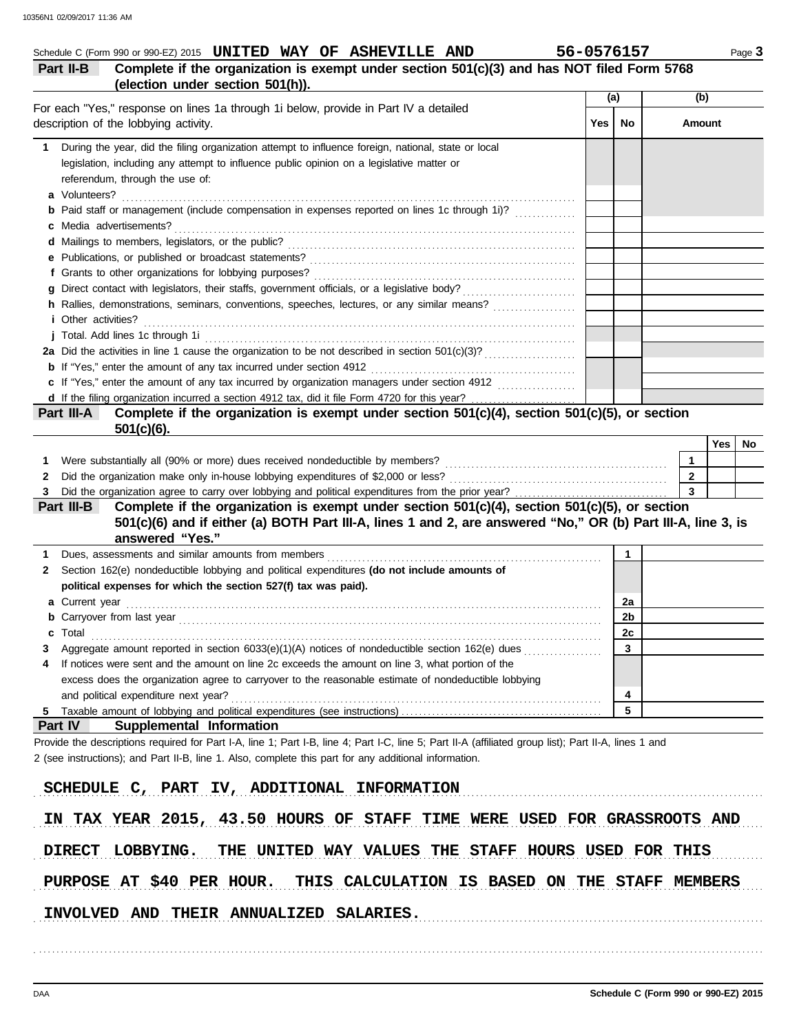|                                                                                                                                                            | (a) |              | (b)          |     |     |
|------------------------------------------------------------------------------------------------------------------------------------------------------------|-----|--------------|--------------|-----|-----|
| For each "Yes," response on lines 1a through 1i below, provide in Part IV a detailed<br>description of the lobbying activity.                              | Yes | No           | Amount       |     |     |
| During the year, did the filing organization attempt to influence foreign, national, state or local<br>$\mathbf{1}$                                        |     |              |              |     |     |
| legislation, including any attempt to influence public opinion on a legislative matter or                                                                  |     |              |              |     |     |
| referendum, through the use of:                                                                                                                            |     |              |              |     |     |
|                                                                                                                                                            |     |              |              |     |     |
| <b>b</b> Paid staff or management (include compensation in expenses reported on lines 1c through 1i)?                                                      |     |              |              |     |     |
|                                                                                                                                                            |     |              |              |     |     |
|                                                                                                                                                            |     |              |              |     |     |
|                                                                                                                                                            |     |              |              |     |     |
|                                                                                                                                                            |     |              |              |     |     |
| h Rallies, demonstrations, seminars, conventions, speeches, lectures, or any similar means?                                                                |     |              |              |     |     |
| <i>i</i> Other activities?                                                                                                                                 |     |              |              |     |     |
|                                                                                                                                                            |     |              |              |     |     |
|                                                                                                                                                            |     |              |              |     |     |
|                                                                                                                                                            |     |              |              |     |     |
| c If "Yes," enter the amount of any tax incurred by organization managers under section 4912                                                               |     |              |              |     |     |
| d If the filing organization incurred a section 4912 tax, did it file Form 4720 for this year?                                                             |     |              |              |     |     |
| Complete if the organization is exempt under section 501(c)(4), section 501(c)(5), or section<br>Part III-A                                                |     |              |              |     |     |
| $501(c)(6)$ .                                                                                                                                              |     |              |              |     |     |
|                                                                                                                                                            |     |              |              | Yes | No. |
|                                                                                                                                                            |     |              | $\mathbf{1}$ |     |     |
|                                                                                                                                                            |     |              | $\mathbf{2}$ |     |     |
|                                                                                                                                                            |     |              | $\mathbf{3}$ |     |     |
|                                                                                                                                                            |     |              |              |     |     |
| Complete if the organization is exempt under section $501(c)(4)$ , section $501(c)(5)$ , or section<br>Part III-B                                          |     |              |              |     |     |
| 501(c)(6) and if either (a) BOTH Part III-A, lines 1 and 2, are answered "No," OR (b) Part III-A, line 3, is                                               |     |              |              |     |     |
| answered "Yes."                                                                                                                                            |     |              |              |     |     |
|                                                                                                                                                            |     | $\mathbf{1}$ |              |     |     |
| Section 162(e) nondeductible lobbying and political expenditures (do not include amounts of                                                                |     |              |              |     |     |
| political expenses for which the section 527(f) tax was paid).                                                                                             |     |              |              |     |     |
|                                                                                                                                                            |     | 2a           |              |     |     |
|                                                                                                                                                            |     | 2b           |              |     |     |
| I otal                                                                                                                                                     |     | 2c           |              |     |     |
| Aggregate amount reported in section 6033(e)(1)(A) notices of nondeductible section 162(e) dues                                                            |     | $\mathbf{3}$ |              |     |     |
| If notices were sent and the amount on line 2c exceeds the amount on line 3, what portion of the                                                           |     |              |              |     |     |
| excess does the organization agree to carryover to the reasonable estimate of nondeductible lobbying                                                       |     |              |              |     |     |
| and political expenditure next year?                                                                                                                       |     | 4            |              |     |     |
|                                                                                                                                                            |     | 5            |              |     |     |
| <b>b</b> Carryover from last year <i>manual content content content of the carryover from last year</i><br>c<br>Part IV<br><b>Supplemental Information</b> |     |              |              |     |     |
| Provide the descriptions required for Part I-A, line 1; Part I-B, line 4; Part I-C, line 5; Part II-A (affiliated group list); Part II-A, lines 1 and      |     |              |              |     |     |
| 2 (see instructions); and Part II-B, line 1. Also, complete this part for any additional information.                                                      |     |              |              |     |     |
|                                                                                                                                                            |     |              |              |     |     |
| SCHEDULE C, PART IV, ADDITIONAL INFORMATION                                                                                                                |     |              |              |     |     |
| IN TAX YEAR 2015, 43.50 HOURS OF STAFF TIME WERE USED FOR GRASSROOTS AND                                                                                   |     |              |              |     |     |

PURPOSE AT \$40 PER HOUR. THIS CALCULATION IS BASED ON THE STAFF MEMBERS

. . . . . . . . . . . . . . . . . . . . . . . . . . . . . . . . . . . . . . . . . . . . . . . . . . . . . . . . . . . . . . . . . . . . . . . . . . . . . . . . . . . . . . . . . . . . . . . . . . . . . . . . . . . . . . . . . . . . . . . . . . . . . . . . . . . . . . . . . . . . . . . . . . . . . . . . . . . . . . . . . . . . . . .

INVOLVED AND THEIR ANNUALIZED SALARIES.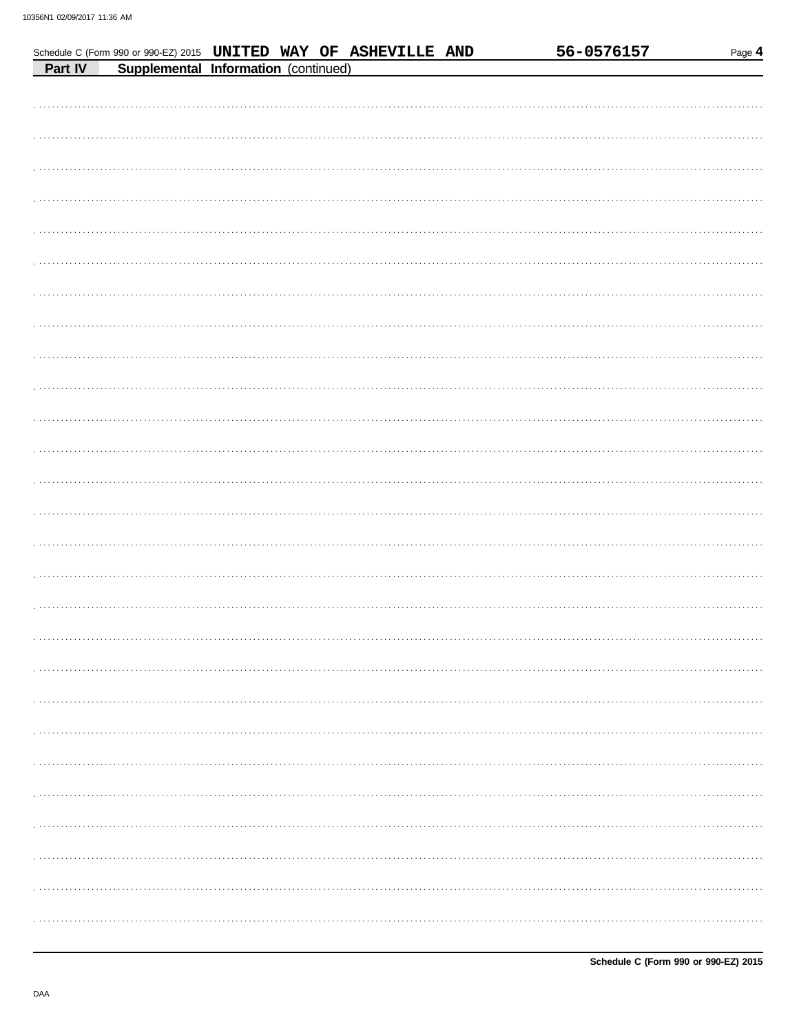|         | Schedule C (Form 990 or 990-EZ) 2015 UNITED WAY OF ASHEVILLE AND |  |  | 56-0576157 | Page 4 |
|---------|------------------------------------------------------------------|--|--|------------|--------|
| Part IV | Supplemental Information (continued)                             |  |  |            |        |
|         |                                                                  |  |  |            |        |
|         |                                                                  |  |  |            |        |
|         |                                                                  |  |  |            |        |
|         |                                                                  |  |  |            |        |
|         |                                                                  |  |  |            |        |
|         |                                                                  |  |  |            |        |
|         |                                                                  |  |  |            |        |
|         |                                                                  |  |  |            |        |
|         |                                                                  |  |  |            |        |
|         |                                                                  |  |  |            |        |
|         |                                                                  |  |  |            |        |
|         |                                                                  |  |  |            |        |
|         |                                                                  |  |  |            |        |
|         |                                                                  |  |  |            |        |
|         |                                                                  |  |  |            |        |
|         |                                                                  |  |  |            |        |
|         |                                                                  |  |  |            |        |
|         |                                                                  |  |  |            |        |
|         |                                                                  |  |  |            |        |
|         |                                                                  |  |  |            |        |
|         |                                                                  |  |  |            |        |
|         |                                                                  |  |  |            |        |
|         |                                                                  |  |  |            |        |
|         |                                                                  |  |  |            |        |
|         |                                                                  |  |  |            |        |
|         |                                                                  |  |  |            |        |
|         |                                                                  |  |  |            |        |
|         |                                                                  |  |  |            |        |
|         |                                                                  |  |  |            |        |
|         |                                                                  |  |  |            |        |
|         |                                                                  |  |  |            |        |
|         |                                                                  |  |  |            |        |
|         |                                                                  |  |  |            |        |
|         |                                                                  |  |  |            |        |
|         |                                                                  |  |  |            |        |
|         |                                                                  |  |  |            |        |
|         |                                                                  |  |  |            |        |
|         |                                                                  |  |  |            |        |
|         |                                                                  |  |  |            |        |
|         |                                                                  |  |  |            |        |
|         |                                                                  |  |  |            |        |
|         |                                                                  |  |  |            |        |
|         |                                                                  |  |  |            |        |
|         |                                                                  |  |  |            |        |
|         |                                                                  |  |  |            |        |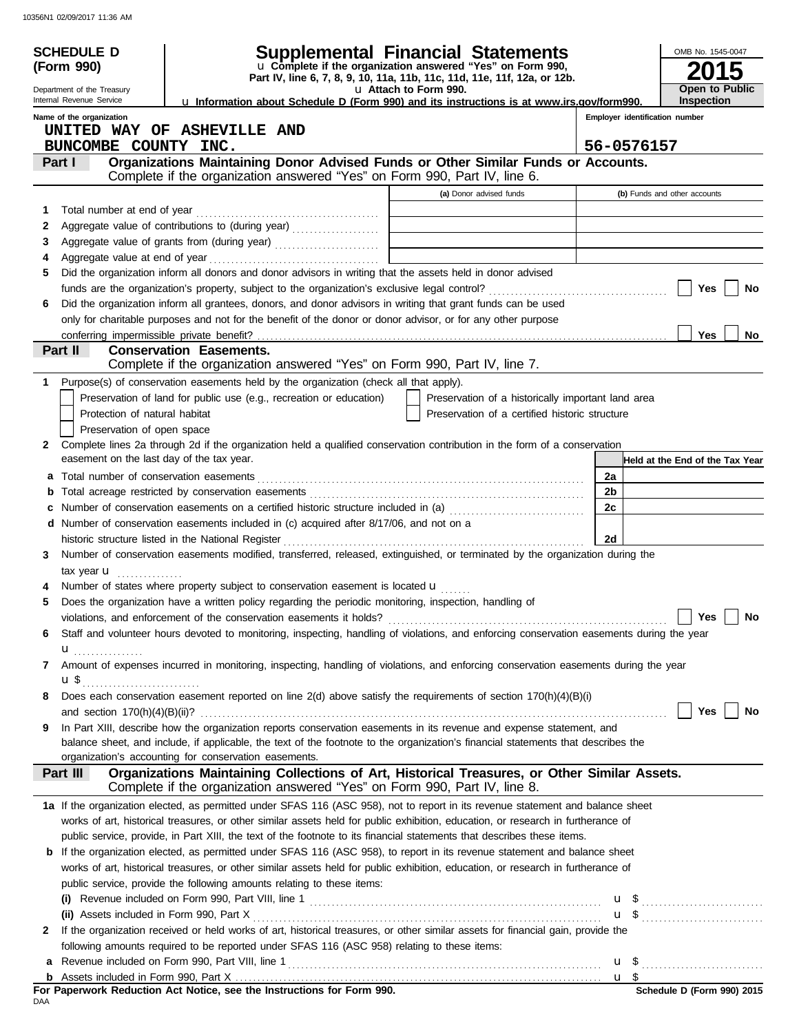|              | <b>SCHEDULE D</b>                         |                                                                                                                                                                                                                                                                     | <b>Supplemental Financial Statements</b>                                                          |                                | OMB No. 1545-0047               |
|--------------|-------------------------------------------|---------------------------------------------------------------------------------------------------------------------------------------------------------------------------------------------------------------------------------------------------------------------|---------------------------------------------------------------------------------------------------|--------------------------------|---------------------------------|
|              | (Form 990)                                |                                                                                                                                                                                                                                                                     | u Complete if the organization answered "Yes" on Form 990,                                        |                                |                                 |
|              | Department of the Treasury                |                                                                                                                                                                                                                                                                     | Part IV, line 6, 7, 8, 9, 10, 11a, 11b, 11c, 11d, 11e, 11f, 12a, or 12b.<br>u Attach to Form 990. |                                | Open to Public                  |
|              | Internal Revenue Service                  | La Information about Schedule D (Form 990) and its instructions is at www.irs.gov/form990.                                                                                                                                                                          |                                                                                                   |                                | <b>Inspection</b>               |
|              | Name of the organization                  |                                                                                                                                                                                                                                                                     |                                                                                                   | Employer identification number |                                 |
|              | BUNCOMBE COUNTY INC.                      | UNITED WAY OF ASHEVILLE AND                                                                                                                                                                                                                                         |                                                                                                   | 56-0576157                     |                                 |
|              | Part I                                    | Organizations Maintaining Donor Advised Funds or Other Similar Funds or Accounts.                                                                                                                                                                                   |                                                                                                   |                                |                                 |
|              |                                           | Complete if the organization answered "Yes" on Form 990, Part IV, line 6.                                                                                                                                                                                           |                                                                                                   |                                |                                 |
|              |                                           |                                                                                                                                                                                                                                                                     | (a) Donor advised funds                                                                           |                                | (b) Funds and other accounts    |
| 1            |                                           |                                                                                                                                                                                                                                                                     |                                                                                                   |                                |                                 |
| 2            |                                           |                                                                                                                                                                                                                                                                     |                                                                                                   |                                |                                 |
| 3            |                                           | Aggregate value of grants from (during year) Materian Material Material Material Materia and Materia Materia Ma                                                                                                                                                     |                                                                                                   |                                |                                 |
| 4            |                                           |                                                                                                                                                                                                                                                                     |                                                                                                   |                                |                                 |
| 5            |                                           | Did the organization inform all donors and donor advisors in writing that the assets held in donor advised                                                                                                                                                          |                                                                                                   |                                |                                 |
| 6            |                                           | Did the organization inform all grantees, donors, and donor advisors in writing that grant funds can be used                                                                                                                                                        |                                                                                                   |                                | Yes<br>No                       |
|              |                                           | only for charitable purposes and not for the benefit of the donor or donor advisor, or for any other purpose                                                                                                                                                        |                                                                                                   |                                |                                 |
|              |                                           |                                                                                                                                                                                                                                                                     |                                                                                                   |                                | <b>Yes</b><br>No                |
|              | Part II                                   | <b>Conservation Easements.</b>                                                                                                                                                                                                                                      |                                                                                                   |                                |                                 |
|              |                                           | Complete if the organization answered "Yes" on Form 990, Part IV, line 7.                                                                                                                                                                                           |                                                                                                   |                                |                                 |
| 1            |                                           | Purpose(s) of conservation easements held by the organization (check all that apply).                                                                                                                                                                               |                                                                                                   |                                |                                 |
|              |                                           | Preservation of land for public use (e.g., recreation or education)                                                                                                                                                                                                 | Preservation of a historically important land area                                                |                                |                                 |
|              | Protection of natural habitat             |                                                                                                                                                                                                                                                                     | Preservation of a certified historic structure                                                    |                                |                                 |
|              | Preservation of open space                |                                                                                                                                                                                                                                                                     |                                                                                                   |                                |                                 |
| $\mathbf{2}$ |                                           | Complete lines 2a through 2d if the organization held a qualified conservation contribution in the form of a conservation                                                                                                                                           |                                                                                                   |                                |                                 |
|              | easement on the last day of the tax year. |                                                                                                                                                                                                                                                                     |                                                                                                   |                                | Held at the End of the Tax Year |
|              |                                           |                                                                                                                                                                                                                                                                     |                                                                                                   | 2a<br>2b                       |                                 |
| b<br>c       |                                           | Number of conservation easements on a certified historic structure included in (a)                                                                                                                                                                                  |                                                                                                   | 2c                             |                                 |
|              |                                           | d Number of conservation easements included in (c) acquired after 8/17/06, and not on a                                                                                                                                                                             |                                                                                                   |                                |                                 |
|              |                                           | historic structure listed in the National Register                                                                                                                                                                                                                  |                                                                                                   | 2d                             |                                 |
| 3.           |                                           | Number of conservation easements modified, transferred, released, extinguished, or terminated by the organization during the                                                                                                                                        |                                                                                                   |                                |                                 |
|              | tax year $\mathbf u$                      |                                                                                                                                                                                                                                                                     |                                                                                                   |                                |                                 |
|              |                                           | Number of states where property subject to conservation easement is located u                                                                                                                                                                                       |                                                                                                   |                                |                                 |
| 5            |                                           | Does the organization have a written policy regarding the periodic monitoring, inspection, handling of                                                                                                                                                              |                                                                                                   |                                |                                 |
|              |                                           |                                                                                                                                                                                                                                                                     |                                                                                                   |                                | Yes No                          |
| 6            |                                           | Staff and volunteer hours devoted to monitoring, inspecting, handling of violations, and enforcing conservation easements during the year                                                                                                                           |                                                                                                   |                                |                                 |
|              |                                           | Amount of expenses incurred in monitoring, inspecting, handling of violations, and enforcing conservation easements during the year                                                                                                                                 |                                                                                                   |                                |                                 |
| 7            | $\mathbf{u}$ \$                           |                                                                                                                                                                                                                                                                     |                                                                                                   |                                |                                 |
| 8            |                                           | Does each conservation easement reported on line 2(d) above satisfy the requirements of section 170(h)(4)(B)(i)                                                                                                                                                     |                                                                                                   |                                |                                 |
|              |                                           |                                                                                                                                                                                                                                                                     |                                                                                                   |                                | Yes<br>No                       |
| 9            |                                           | In Part XIII, describe how the organization reports conservation easements in its revenue and expense statement, and                                                                                                                                                |                                                                                                   |                                |                                 |
|              |                                           | balance sheet, and include, if applicable, the text of the footnote to the organization's financial statements that describes the                                                                                                                                   |                                                                                                   |                                |                                 |
|              |                                           | organization's accounting for conservation easements.                                                                                                                                                                                                               |                                                                                                   |                                |                                 |
|              | Part III                                  | Organizations Maintaining Collections of Art, Historical Treasures, or Other Similar Assets.<br>Complete if the organization answered "Yes" on Form 990, Part IV, line 8.                                                                                           |                                                                                                   |                                |                                 |
|              |                                           |                                                                                                                                                                                                                                                                     |                                                                                                   |                                |                                 |
|              |                                           | 1a If the organization elected, as permitted under SFAS 116 (ASC 958), not to report in its revenue statement and balance sheet<br>works of art, historical treasures, or other similar assets held for public exhibition, education, or research in furtherance of |                                                                                                   |                                |                                 |
|              |                                           | public service, provide, in Part XIII, the text of the footnote to its financial statements that describes these items.                                                                                                                                             |                                                                                                   |                                |                                 |
|              |                                           | <b>b</b> If the organization elected, as permitted under SFAS 116 (ASC 958), to report in its revenue statement and balance sheet                                                                                                                                   |                                                                                                   |                                |                                 |
|              |                                           | works of art, historical treasures, or other similar assets held for public exhibition, education, or research in furtherance of                                                                                                                                    |                                                                                                   |                                |                                 |
|              |                                           | public service, provide the following amounts relating to these items:                                                                                                                                                                                              |                                                                                                   |                                |                                 |
|              |                                           |                                                                                                                                                                                                                                                                     |                                                                                                   |                                |                                 |
|              |                                           |                                                                                                                                                                                                                                                                     |                                                                                                   |                                |                                 |
| 2            |                                           | If the organization received or held works of art, historical treasures, or other similar assets for financial gain, provide the                                                                                                                                    |                                                                                                   |                                |                                 |
|              |                                           | following amounts required to be reported under SFAS 116 (ASC 958) relating to these items:                                                                                                                                                                         |                                                                                                   |                                |                                 |
| a            |                                           |                                                                                                                                                                                                                                                                     |                                                                                                   |                                |                                 |
|              |                                           |                                                                                                                                                                                                                                                                     |                                                                                                   |                                |                                 |

| For Paperwork Reduction Act Notice, see the Instructions for Form 990. |  |  |
|------------------------------------------------------------------------|--|--|
| DAA                                                                    |  |  |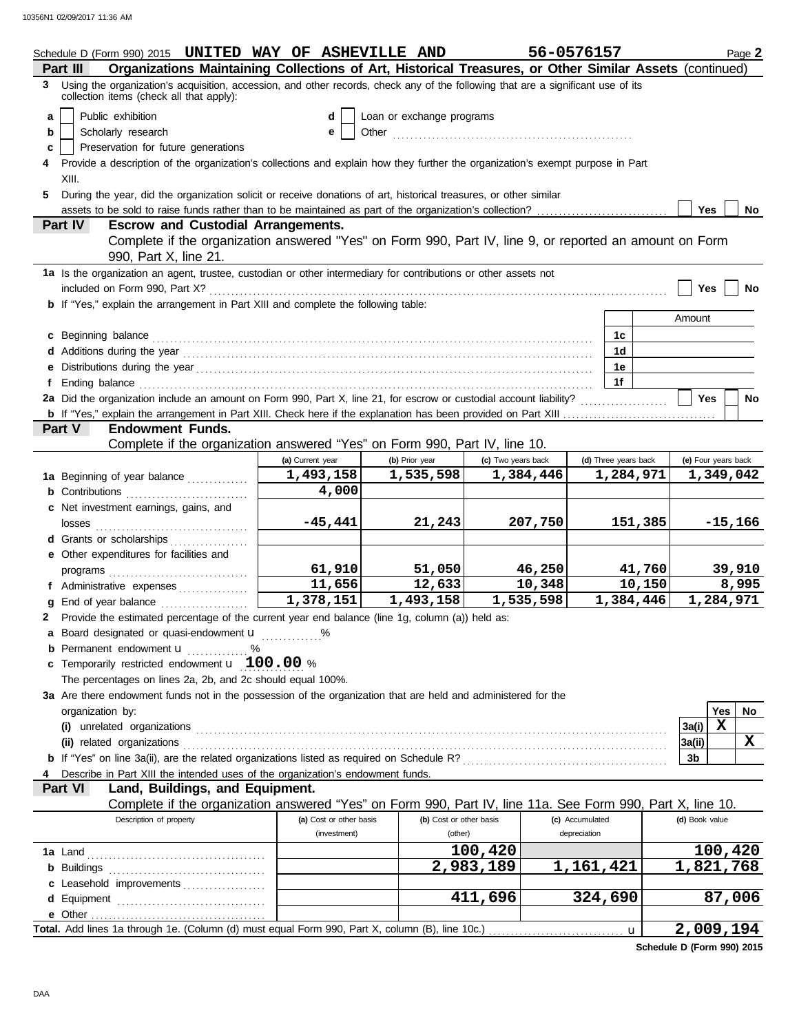|    | Schedule D (Form 990) 2015 UNITED WAY OF ASHEVILLE AND                                                                                                                                                                              |                         |                           |                    | 56-0576157           |              |                     |             | Page 2    |
|----|-------------------------------------------------------------------------------------------------------------------------------------------------------------------------------------------------------------------------------------|-------------------------|---------------------------|--------------------|----------------------|--------------|---------------------|-------------|-----------|
|    | Organizations Maintaining Collections of Art, Historical Treasures, or Other Similar Assets (continued)<br>Part III                                                                                                                 |                         |                           |                    |                      |              |                     |             |           |
| 3  | Using the organization's acquisition, accession, and other records, check any of the following that are a significant use of its<br>collection items (check all that apply):                                                        |                         |                           |                    |                      |              |                     |             |           |
| a  | Public exhibition                                                                                                                                                                                                                   | dl                      | Loan or exchange programs |                    |                      |              |                     |             |           |
| b  | Scholarly research                                                                                                                                                                                                                  |                         |                           |                    |                      |              |                     |             |           |
| c  | Preservation for future generations                                                                                                                                                                                                 |                         |                           |                    |                      |              |                     |             |           |
|    | 4 Provide a description of the organization's collections and explain how they further the organization's exempt purpose in Part                                                                                                    |                         |                           |                    |                      |              |                     |             |           |
|    | XIII.                                                                                                                                                                                                                               |                         |                           |                    |                      |              |                     |             |           |
| 5. | During the year, did the organization solicit or receive donations of art, historical treasures, or other similar                                                                                                                   |                         |                           |                    |                      |              |                     |             |           |
|    |                                                                                                                                                                                                                                     |                         |                           |                    |                      |              | <b>Yes</b>          |             | No        |
|    | Part IV<br><b>Escrow and Custodial Arrangements.</b>                                                                                                                                                                                |                         |                           |                    |                      |              |                     |             |           |
|    | Complete if the organization answered "Yes" on Form 990, Part IV, line 9, or reported an amount on Form<br>990, Part X, line 21.                                                                                                    |                         |                           |                    |                      |              |                     |             |           |
|    | 1a Is the organization an agent, trustee, custodian or other intermediary for contributions or other assets not                                                                                                                     |                         |                           |                    |                      |              |                     |             |           |
|    | included on Form 990, Part X?                                                                                                                                                                                                       |                         |                           |                    |                      |              | <b>Yes</b>          |             | <b>No</b> |
|    | <b>b</b> If "Yes," explain the arrangement in Part XIII and complete the following table:                                                                                                                                           |                         |                           |                    |                      |              |                     |             |           |
|    |                                                                                                                                                                                                                                     |                         |                           |                    |                      |              | Amount              |             |           |
|    | c Beginning balance encourance and a series of the series of the series of the series of the series of the series of the series of the series of the series of the series of the series of the series of the series of the ser      |                         |                           |                    | 1c                   |              |                     |             |           |
|    |                                                                                                                                                                                                                                     |                         |                           |                    | 1 <sub>d</sub>       |              |                     |             |           |
|    |                                                                                                                                                                                                                                     |                         |                           |                    | 1e                   |              |                     |             |           |
|    | Ending balance <i>communication</i> and the contract of the contract of the contract of the contract of the contract of the contract of the contract of the contract of the contract of the contract of the contract of the contrac |                         |                           |                    | 1f                   |              |                     |             |           |
|    | 2a Did the organization include an amount on Form 990, Part X, line 21, for escrow or custodial account liability?                                                                                                                  |                         |                           |                    |                      |              | <b>Yes</b>          |             | No        |
|    |                                                                                                                                                                                                                                     |                         |                           |                    |                      |              |                     |             |           |
|    | Part V<br><b>Endowment Funds.</b>                                                                                                                                                                                                   |                         |                           |                    |                      |              |                     |             |           |
|    | Complete if the organization answered "Yes" on Form 990, Part IV, line 10.                                                                                                                                                          |                         |                           |                    |                      |              |                     |             |           |
|    |                                                                                                                                                                                                                                     | (a) Current year        | (b) Prior year            | (c) Two years back | (d) Three years back |              | (e) Four years back |             |           |
|    | 1a Beginning of year balance                                                                                                                                                                                                        | 1,493,158               | 1,535,598                 | 1,384,446          |                      | 1,284,971    |                     | 1,349,042   |           |
|    | <b>b</b> Contributions                                                                                                                                                                                                              | 4,000                   |                           |                    |                      |              |                     |             |           |
|    | c Net investment earnings, gains, and                                                                                                                                                                                               |                         |                           |                    |                      |              |                     |             |           |
|    |                                                                                                                                                                                                                                     | $-45,441$               | 21,243                    | 207,750            |                      | 151,385      |                     | $-15,166$   |           |
|    | d Grants or scholarships                                                                                                                                                                                                            |                         |                           |                    |                      |              |                     |             |           |
|    | e Other expenditures for facilities and                                                                                                                                                                                             |                         |                           |                    |                      |              |                     |             |           |
|    |                                                                                                                                                                                                                                     | 61,910                  | 51,050                    | 46,250             |                      | 41,760       |                     |             | 39,910    |
|    | f Administrative expenses                                                                                                                                                                                                           | 11,656                  | 12,633                    | 10,348             |                      | 10,150       |                     |             | 8,995     |
|    | g End of year balance                                                                                                                                                                                                               | 1,378,151               | 1,493,158                 | 1,535,598          |                      | 1,384,446    |                     | 1,284,971   |           |
|    | 2 Provide the estimated percentage of the current year end balance (line 1g, column (a)) held as:                                                                                                                                   |                         |                           |                    |                      |              |                     |             |           |
|    | a Board designated or quasi-endowment <b>u</b> %                                                                                                                                                                                    |                         |                           |                    |                      |              |                     |             |           |
|    | <b>b</b> Permanent endowment <b>u</b><br>$\%$                                                                                                                                                                                       |                         |                           |                    |                      |              |                     |             |           |
|    | c Temporarily restricted endowment $\mathbf{u}$ 100.00 %                                                                                                                                                                            |                         |                           |                    |                      |              |                     |             |           |
|    | The percentages on lines 2a, 2b, and 2c should equal 100%.                                                                                                                                                                          |                         |                           |                    |                      |              |                     |             |           |
|    | 3a Are there endowment funds not in the possession of the organization that are held and administered for the                                                                                                                       |                         |                           |                    |                      |              |                     |             |           |
|    | organization by:                                                                                                                                                                                                                    |                         |                           |                    |                      |              |                     | Yes         | No        |
|    |                                                                                                                                                                                                                                     |                         |                           |                    |                      |              | 3a(i)               | $\mathbf x$ |           |
|    |                                                                                                                                                                                                                                     |                         |                           |                    |                      |              | 3a(ii)              |             | X         |
|    |                                                                                                                                                                                                                                     |                         |                           |                    |                      |              | 3b                  |             |           |
|    | Describe in Part XIII the intended uses of the organization's endowment funds.                                                                                                                                                      |                         |                           |                    |                      |              |                     |             |           |
|    | Land, Buildings, and Equipment.<br><b>Part VI</b>                                                                                                                                                                                   |                         |                           |                    |                      |              |                     |             |           |
|    | Complete if the organization answered "Yes" on Form 990, Part IV, line 11a. See Form 990, Part X, line 10.                                                                                                                          |                         |                           |                    |                      |              |                     |             |           |
|    | Description of property                                                                                                                                                                                                             | (a) Cost or other basis | (b) Cost or other basis   |                    | (c) Accumulated      |              | (d) Book value      |             |           |
|    |                                                                                                                                                                                                                                     | (investment)            | (other)                   |                    | depreciation         |              |                     |             |           |
|    |                                                                                                                                                                                                                                     |                         |                           | 100,420            |                      |              |                     | 100,420     |           |
|    | <b>b</b> Buildings <b>contained b</b> Buildings <b>contained b</b> Buildings <b>contained b b</b>                                                                                                                                   |                         |                           | 2,983,189          | 1,161,421            |              | 1,821,768           |             |           |
|    | c Leasehold improvements                                                                                                                                                                                                            |                         |                           |                    |                      |              |                     |             |           |
|    |                                                                                                                                                                                                                                     |                         |                           | 411,696            | 324,690              |              |                     | 87,006      |           |
|    |                                                                                                                                                                                                                                     |                         |                           |                    |                      |              |                     |             |           |
|    | Total. Add lines 1a through 1e. (Column (d) must equal Form 990, Part X, column (B), line 10c.)                                                                                                                                     |                         |                           |                    |                      | $\mathbf{u}$ | 2,009,194           |             |           |

**Schedule D (Form 990) 2015**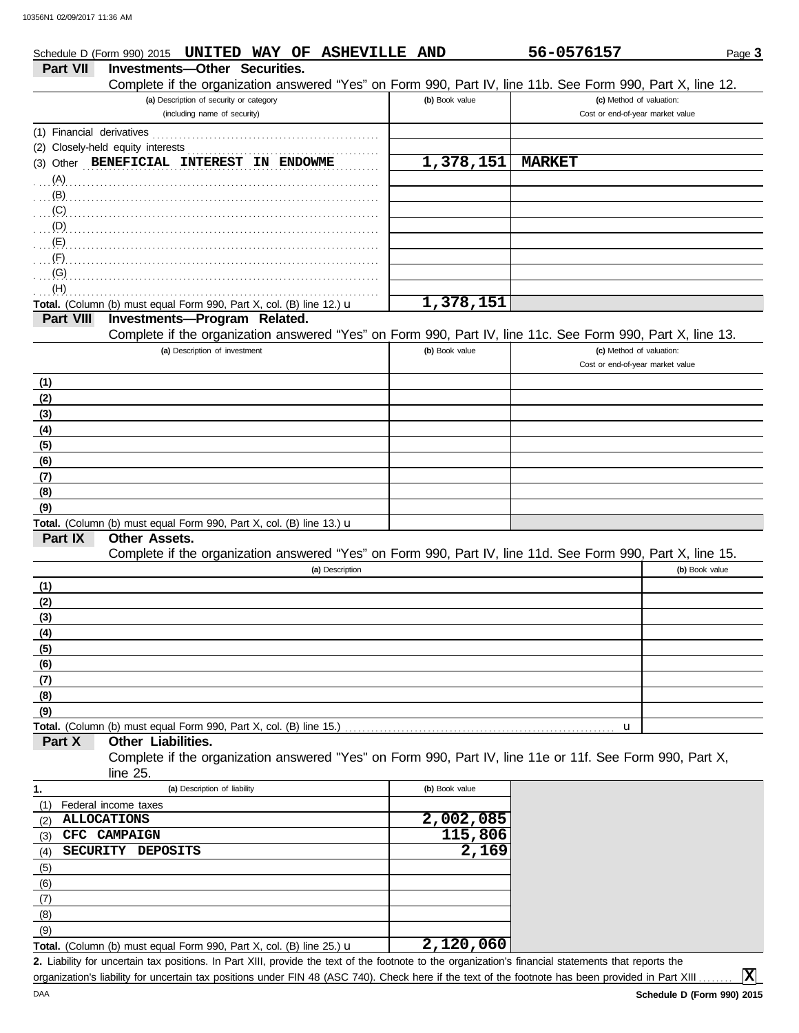|                  | Schedule D (Form 990) 2015 UNITED WAY OF ASHEVILLE AND                                                                                             |                | 56-0576157                       | Page 3         |
|------------------|----------------------------------------------------------------------------------------------------------------------------------------------------|----------------|----------------------------------|----------------|
| <b>Part VII</b>  | <b>Investments-Other Securities.</b><br>Complete if the organization answered "Yes" on Form 990, Part IV, line 11b. See Form 990, Part X, line 12. |                |                                  |                |
|                  | (a) Description of security or category                                                                                                            | (b) Book value | (c) Method of valuation:         |                |
|                  | (including name of security)                                                                                                                       |                | Cost or end-of-year market value |                |
|                  |                                                                                                                                                    |                |                                  |                |
|                  | Closely-held equity interests                                                                                                                      |                |                                  |                |
| (2)              | (3) Other BENEFICIAL INTEREST IN ENDOWME                                                                                                           | 1,378,151      | <b>MARKET</b>                    |                |
| (A)              |                                                                                                                                                    |                |                                  |                |
| (B)              |                                                                                                                                                    |                |                                  |                |
| (C)              |                                                                                                                                                    |                |                                  |                |
| (D)              |                                                                                                                                                    |                |                                  |                |
| (E)              |                                                                                                                                                    |                |                                  |                |
| (F)              |                                                                                                                                                    |                |                                  |                |
| (G)              |                                                                                                                                                    |                |                                  |                |
| (H)              |                                                                                                                                                    |                |                                  |                |
|                  | Total. (Column (b) must equal Form 990, Part X, col. (B) line 12.) u                                                                               | 1,378,151      |                                  |                |
| <b>Part VIII</b> | Investments-Program Related.                                                                                                                       |                |                                  |                |
|                  | Complete if the organization answered "Yes" on Form 990, Part IV, line 11c. See Form 990, Part X, line 13.                                         |                |                                  |                |
|                  | (a) Description of investment                                                                                                                      | (b) Book value | (c) Method of valuation:         |                |
|                  |                                                                                                                                                    |                | Cost or end-of-year market value |                |
| (1)              |                                                                                                                                                    |                |                                  |                |
| (2)              |                                                                                                                                                    |                |                                  |                |
| (3)              |                                                                                                                                                    |                |                                  |                |
| (4)              |                                                                                                                                                    |                |                                  |                |
| (5)              |                                                                                                                                                    |                |                                  |                |
| (6)              |                                                                                                                                                    |                |                                  |                |
| (7)              |                                                                                                                                                    |                |                                  |                |
| (8)              |                                                                                                                                                    |                |                                  |                |
| (9)              |                                                                                                                                                    |                |                                  |                |
|                  | Total. (Column (b) must equal Form 990, Part X, col. (B) line 13.) u                                                                               |                |                                  |                |
| Part IX          | Other Assets.                                                                                                                                      |                |                                  |                |
|                  | Complete if the organization answered "Yes" on Form 990, Part IV, line 11d. See Form 990, Part X, line 15.                                         |                |                                  |                |
|                  | (a) Description                                                                                                                                    |                |                                  | (b) Book value |
| (1)              |                                                                                                                                                    |                |                                  |                |
| (2)              |                                                                                                                                                    |                |                                  |                |
| (3)              |                                                                                                                                                    |                |                                  |                |
| (4)              |                                                                                                                                                    |                |                                  |                |
| (5)              |                                                                                                                                                    |                |                                  |                |
| (6)              |                                                                                                                                                    |                |                                  |                |
| (7)              |                                                                                                                                                    |                |                                  |                |
| (8)              |                                                                                                                                                    |                |                                  |                |
| (9)              |                                                                                                                                                    |                |                                  |                |
|                  | Total. (Column (b) must equal Form 990, Part X, col. (B) line 15.)                                                                                 |                | u                                |                |
| Part X           | <b>Other Liabilities.</b>                                                                                                                          |                |                                  |                |
|                  | Complete if the organization answered "Yes" on Form 990, Part IV, line 11e or 11f. See Form 990, Part X,                                           |                |                                  |                |
|                  | line 25.                                                                                                                                           |                |                                  |                |
| 1.               | (a) Description of liability                                                                                                                       | (b) Book value |                                  |                |
| (1)              | Federal income taxes                                                                                                                               |                |                                  |                |
| (2)              | <b>ALLOCATIONS</b>                                                                                                                                 | 2,002,085      |                                  |                |
| (3)              | CFC CAMPAIGN                                                                                                                                       | 115,806        |                                  |                |
| (4)              | SECURITY DEPOSITS                                                                                                                                  | 2,169          |                                  |                |
| (5)              |                                                                                                                                                    |                |                                  |                |
| (6)              |                                                                                                                                                    |                |                                  |                |
| (7)              |                                                                                                                                                    |                |                                  |                |
| (8)              |                                                                                                                                                    |                |                                  |                |
| (9)              |                                                                                                                                                    |                |                                  |                |
|                  | Total. (Column (b) must equal Form 990, Part X, col. (B) line 25.) u                                                                               | 2,120,060      |                                  |                |

Liability for uncertain tax positions. In Part XIII, provide the text of the footnote to the organization's financial statements that reports the **2.** organization's liability for uncertain tax positions under FIN 48 (ASC 740). Check here if the text of the footnote has been provided in Part XIII ...

**X**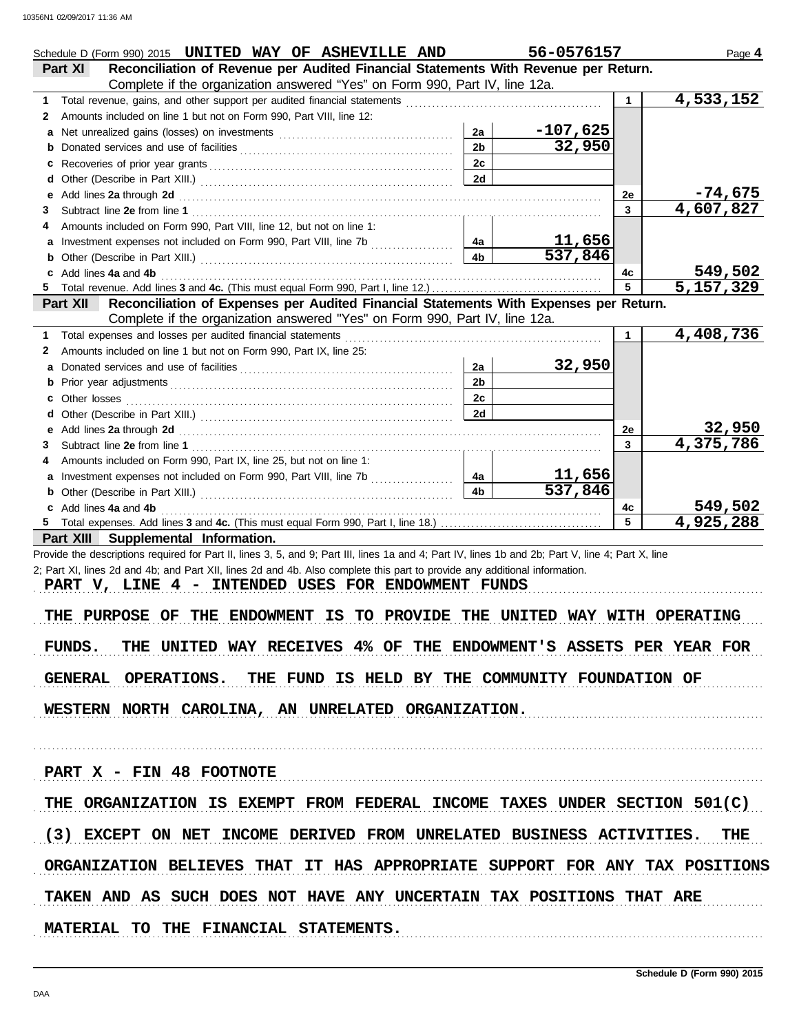| Schedule D (Form 990) 2015 UNITED WAY OF ASHEVILLE AND                                                                                                                                                                                                                                                     |                                                                                       |                | 56-0576157           |         | Page 4                 |
|------------------------------------------------------------------------------------------------------------------------------------------------------------------------------------------------------------------------------------------------------------------------------------------------------------|---------------------------------------------------------------------------------------|----------------|----------------------|---------|------------------------|
| Part XI                                                                                                                                                                                                                                                                                                    | Reconciliation of Revenue per Audited Financial Statements With Revenue per Return.   |                |                      |         |                        |
|                                                                                                                                                                                                                                                                                                            | Complete if the organization answered "Yes" on Form 990, Part IV, line 12a.           |                |                      |         |                        |
| Total revenue, gains, and other support per audited financial statements [[[[[[[[[[[[[[[[[[[[]]]]]]]]]]]]<br>1.                                                                                                                                                                                            |                                                                                       |                |                      |         | $\overline{4,533,152}$ |
| Amounts included on line 1 but not on Form 990, Part VIII, line 12:<br>2                                                                                                                                                                                                                                   |                                                                                       |                |                      |         |                        |
| a                                                                                                                                                                                                                                                                                                          |                                                                                       | 2a             | <u>-107,625</u>      |         |                        |
| b                                                                                                                                                                                                                                                                                                          |                                                                                       | 2 <sub>b</sub> | 32,950               |         |                        |
| c                                                                                                                                                                                                                                                                                                          |                                                                                       | 2c             |                      |         |                        |
| d                                                                                                                                                                                                                                                                                                          |                                                                                       | 2d             |                      |         |                        |
| Add lines 2a through 2d [11] March 2014 [12] March 2014 [12] March 2014 [12] March 2014 [12] March 2014 [12] March 2015 [12] March 2014 [12] March 2014 [12] March 2014 [12] March 2014 [12] March 2014 [12] March 2014 [12] M<br>е                                                                        |                                                                                       |                |                      | 2e      | $-74,675$              |
| З                                                                                                                                                                                                                                                                                                          |                                                                                       |                |                      | 3       | 4,607,827              |
| Amounts included on Form 990, Part VIII, line 12, but not on line 1:<br>4                                                                                                                                                                                                                                  |                                                                                       |                |                      |         |                        |
| Investment expenses not included on Form 990, Part VIII, line 7b [<br>а                                                                                                                                                                                                                                    |                                                                                       | 4a             | <u>11,656</u>        |         |                        |
|                                                                                                                                                                                                                                                                                                            |                                                                                       | 4b             | $\overline{537,846}$ |         |                        |
| b<br>Add lines 4a and 4b                                                                                                                                                                                                                                                                                   |                                                                                       |                |                      |         | <u>549,502</u>         |
| c                                                                                                                                                                                                                                                                                                          |                                                                                       |                |                      | 4c<br>5 | $\overline{5,157,329}$ |
| <b>Part XII</b>                                                                                                                                                                                                                                                                                            |                                                                                       |                |                      |         |                        |
|                                                                                                                                                                                                                                                                                                            | Reconciliation of Expenses per Audited Financial Statements With Expenses per Return. |                |                      |         |                        |
|                                                                                                                                                                                                                                                                                                            | Complete if the organization answered "Yes" on Form 990, Part IV, line 12a.           |                |                      |         | 4,408,736              |
| Total expenses and losses per audited financial statements<br>1                                                                                                                                                                                                                                            |                                                                                       |                |                      | 1       |                        |
| Amounts included on line 1 but not on Form 990, Part IX, line 25:<br>2                                                                                                                                                                                                                                     |                                                                                       |                |                      |         |                        |
| а                                                                                                                                                                                                                                                                                                          |                                                                                       | 2a             | 32,950               |         |                        |
| b                                                                                                                                                                                                                                                                                                          |                                                                                       | 2 <sub>b</sub> |                      |         |                        |
| Other losses <b>contracts</b> and <b>contracts</b> and <b>contracts</b> and <b>contracts</b> and <b>contracts</b> and <b>contracts</b> and <b>contracts</b> and <b>contracts</b> and <b>contracts</b> and <b>contracts</b> and <b>contracts</b> and <b>contracts</b> and <b>contracts</b> and <b></b><br>c |                                                                                       | 2c             |                      |         |                        |
| d                                                                                                                                                                                                                                                                                                          |                                                                                       | 2d             |                      |         |                        |
| Add lines 2a through 2d [11] March 2014 [12] March 2014 [12] March 2014 [12] March 2014 [12] March 2014 [12] March 2014 [12] March 2014 [12] March 2014 [12] March 2014 [12] March 2014 [12] March 2014 [12] March 2014 [12] M<br>е                                                                        |                                                                                       |                |                      | 2e      | 32,950<br>4,375,786    |
| 3                                                                                                                                                                                                                                                                                                          |                                                                                       |                |                      | 3       |                        |
| Amounts included on Form 990, Part IX, line 25, but not on line 1:                                                                                                                                                                                                                                         |                                                                                       |                |                      |         |                        |
| a                                                                                                                                                                                                                                                                                                          |                                                                                       | 4a             | <u>11,656</u>        |         |                        |
| b                                                                                                                                                                                                                                                                                                          |                                                                                       | 4 <sub>b</sub> | 537,846              |         |                        |
| c Add lines 4a and 4b                                                                                                                                                                                                                                                                                      |                                                                                       |                |                      | 4с      | 549,502                |
|                                                                                                                                                                                                                                                                                                            |                                                                                       |                |                      | 5       | 4,925,288              |
| Part XIII Supplemental Information.                                                                                                                                                                                                                                                                        |                                                                                       |                |                      |         |                        |
| Provide the descriptions required for Part II, lines 3, 5, and 9; Part III, lines 1a and 4; Part IV, lines 1b and 2b; Part V, line 4; Part X, line                                                                                                                                                         |                                                                                       |                |                      |         |                        |
| 2; Part XI, lines 2d and 4b; and Part XII, lines 2d and 4b. Also complete this part to provide any additional information.                                                                                                                                                                                 |                                                                                       |                |                      |         |                        |
| PART V, LINE 4 - INTENDED USES FOR ENDOWMENT FUNDS                                                                                                                                                                                                                                                         |                                                                                       |                |                      |         |                        |
|                                                                                                                                                                                                                                                                                                            |                                                                                       |                |                      |         |                        |
| PURPOSE OF THE ENDOWMENT<br>THE                                                                                                                                                                                                                                                                            | IS TO PROVIDE THE UNITED WAY WITH OPERATING                                           |                |                      |         |                        |
|                                                                                                                                                                                                                                                                                                            |                                                                                       |                |                      |         |                        |
| FUNDS. THE UNITED WAY RECEIVES 4% OF THE ENDOWMENT'S ASSETS PER YEAR FOR                                                                                                                                                                                                                                   |                                                                                       |                |                      |         |                        |
|                                                                                                                                                                                                                                                                                                            |                                                                                       |                |                      |         |                        |
| GENERAL OPERATIONS. THE FUND IS HELD BY THE COMMUNITY FOUNDATION OF                                                                                                                                                                                                                                        |                                                                                       |                |                      |         |                        |
|                                                                                                                                                                                                                                                                                                            |                                                                                       |                |                      |         |                        |
| WESTERN NORTH CAROLINA, AN UNRELATED ORGANIZATION.                                                                                                                                                                                                                                                         |                                                                                       |                |                      |         |                        |
|                                                                                                                                                                                                                                                                                                            |                                                                                       |                |                      |         |                        |
|                                                                                                                                                                                                                                                                                                            |                                                                                       |                |                      |         |                        |
|                                                                                                                                                                                                                                                                                                            |                                                                                       |                |                      |         |                        |
| PART X - FIN 48 FOOTNOTE                                                                                                                                                                                                                                                                                   |                                                                                       |                |                      |         |                        |
|                                                                                                                                                                                                                                                                                                            |                                                                                       |                |                      |         |                        |
| THE ORGANIZATION IS EXEMPT FROM FEDERAL INCOME TAXES UNDER SECTION 501(C)                                                                                                                                                                                                                                  |                                                                                       |                |                      |         |                        |
|                                                                                                                                                                                                                                                                                                            |                                                                                       |                |                      |         |                        |
| (3) EXCEPT ON NET INCOME DERIVED FROM UNRELATED BUSINESS ACTIVITIES. THE                                                                                                                                                                                                                                   |                                                                                       |                |                      |         |                        |
|                                                                                                                                                                                                                                                                                                            |                                                                                       |                |                      |         |                        |
| ORGANIZATION BELIEVES THAT IT HAS APPROPRIATE SUPPORT FOR ANY TAX POSITIONS                                                                                                                                                                                                                                |                                                                                       |                |                      |         |                        |
|                                                                                                                                                                                                                                                                                                            |                                                                                       |                |                      |         |                        |
| TAKEN AND AS SUCH DOES NOT HAVE ANY UNCERTAIN TAX POSITIONS THAT ARE                                                                                                                                                                                                                                       |                                                                                       |                |                      |         |                        |
|                                                                                                                                                                                                                                                                                                            |                                                                                       |                |                      |         |                        |
|                                                                                                                                                                                                                                                                                                            |                                                                                       |                |                      |         |                        |
| MATERIAL TO THE FINANCIAL STATEMENTS.                                                                                                                                                                                                                                                                      |                                                                                       |                |                      |         |                        |
|                                                                                                                                                                                                                                                                                                            |                                                                                       |                |                      |         |                        |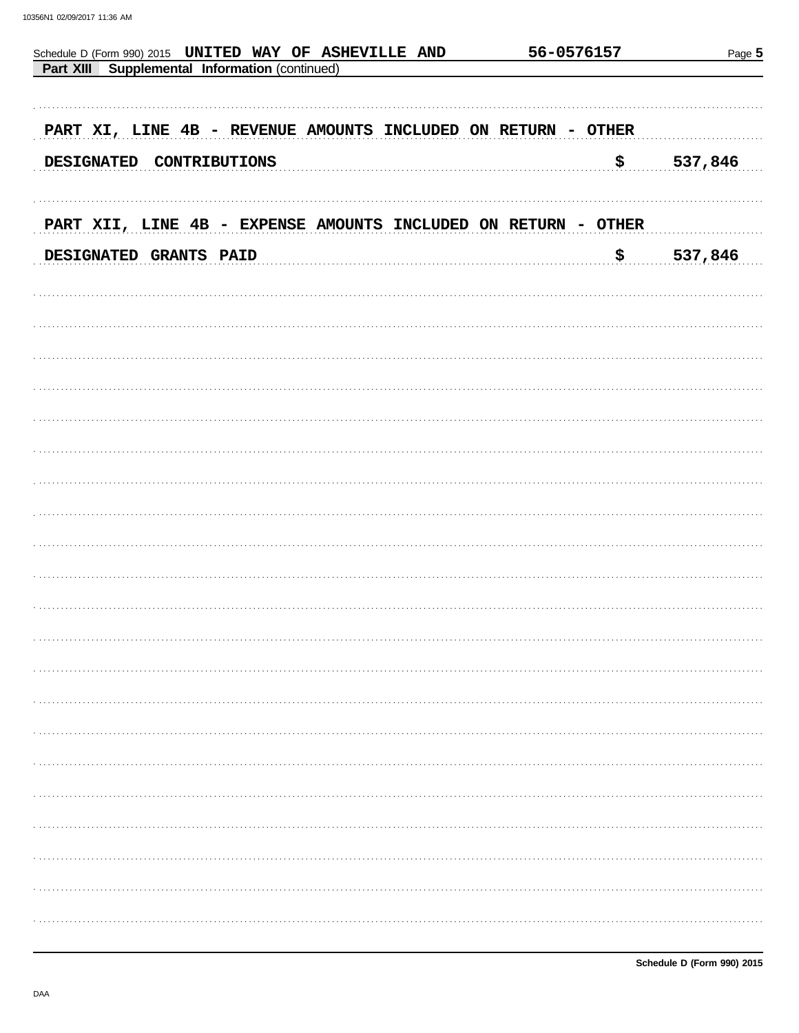| Schedule D (Form 990) 2015 UNITED WAY OF ASHEVILLE AND         | 56-0576157 | Page 5  |  |  |  |
|----------------------------------------------------------------|------------|---------|--|--|--|
| Supplemental Information (continued)<br>Part XIII              |            |         |  |  |  |
|                                                                |            |         |  |  |  |
| PART XI, LINE 4B - REVENUE AMOUNTS INCLUDED ON RETURN - OTHER  |            |         |  |  |  |
| <b>DESIGNATED</b><br>CONTRIBUTIONS                             | ₿          | 537,846 |  |  |  |
|                                                                |            |         |  |  |  |
|                                                                |            |         |  |  |  |
| PART XII, LINE 4B - EXPENSE AMOUNTS INCLUDED ON RETURN - OTHER |            |         |  |  |  |
| DESIGNATED GRANTS PAID                                         | \$.        | 537,846 |  |  |  |
|                                                                |            |         |  |  |  |
|                                                                |            |         |  |  |  |
|                                                                |            |         |  |  |  |
|                                                                |            |         |  |  |  |
|                                                                |            |         |  |  |  |
|                                                                |            |         |  |  |  |
|                                                                |            |         |  |  |  |
|                                                                |            |         |  |  |  |
|                                                                |            |         |  |  |  |
|                                                                |            |         |  |  |  |
|                                                                |            |         |  |  |  |
|                                                                |            |         |  |  |  |
|                                                                |            |         |  |  |  |
|                                                                |            |         |  |  |  |
|                                                                |            |         |  |  |  |
|                                                                |            |         |  |  |  |
|                                                                |            |         |  |  |  |
|                                                                |            |         |  |  |  |
|                                                                |            |         |  |  |  |
|                                                                |            |         |  |  |  |
|                                                                |            |         |  |  |  |
|                                                                |            |         |  |  |  |
|                                                                |            |         |  |  |  |
|                                                                |            |         |  |  |  |
|                                                                |            |         |  |  |  |
|                                                                |            |         |  |  |  |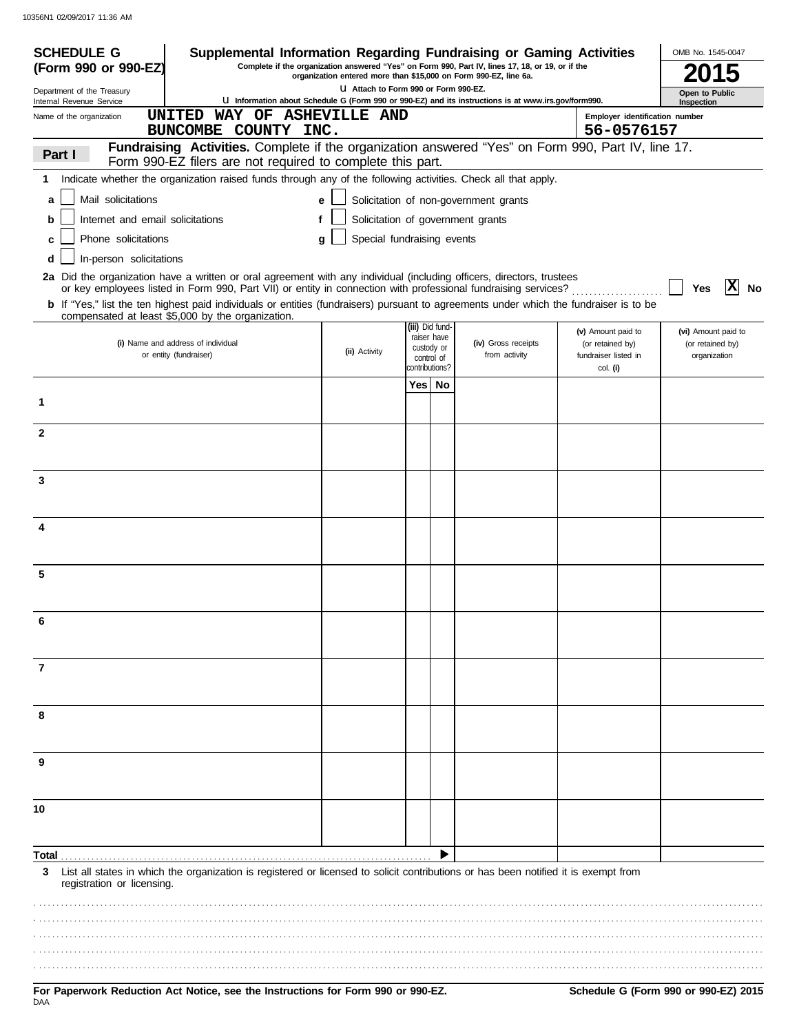| <b>SCHEDULE G</b>                                                                                                                                                                                                                       |                                                              |   |                                                                  |                                            | Supplemental Information Regarding Fundraising or Gaming Activities                                 |                                                      | OMB No. 1545-0047                |
|-----------------------------------------------------------------------------------------------------------------------------------------------------------------------------------------------------------------------------------------|--------------------------------------------------------------|---|------------------------------------------------------------------|--------------------------------------------|-----------------------------------------------------------------------------------------------------|------------------------------------------------------|----------------------------------|
| (Form 990 or 990-EZ)                                                                                                                                                                                                                    |                                                              |   | organization entered more than \$15,000 on Form 990-EZ, line 6a. |                                            | Complete if the organization answered "Yes" on Form 990, Part IV, lines 17, 18, or 19, or if the    |                                                      | 2015                             |
| Department of the Treasury<br>Internal Revenue Service                                                                                                                                                                                  |                                                              |   | LI Attach to Form 990 or Form 990-EZ.                            |                                            | U Information about Schedule G (Form 990 or 990-EZ) and its instructions is at www.irs.gov/form990. |                                                      | Open to Public<br>Inspection     |
| Name of the organization                                                                                                                                                                                                                | UNITED                                                       |   | WAY OF ASHEVILLE AND                                             |                                            |                                                                                                     | Employer identification number                       |                                  |
|                                                                                                                                                                                                                                         | BUNCOMBE COUNTY INC.                                         |   |                                                                  |                                            |                                                                                                     | 56-0576157                                           |                                  |
| Part I                                                                                                                                                                                                                                  | Form 990-EZ filers are not required to complete this part.   |   |                                                                  |                                            | Fundraising Activities. Complete if the organization answered "Yes" on Form 990, Part IV, line 17.  |                                                      |                                  |
| Indicate whether the organization raised funds through any of the following activities. Check all that apply.<br>1                                                                                                                      |                                                              |   |                                                                  |                                            |                                                                                                     |                                                      |                                  |
| Mail solicitations<br>a                                                                                                                                                                                                                 |                                                              |   | e                                                                |                                            | Solicitation of non-government grants                                                               |                                                      |                                  |
| Internet and email solicitations<br>b                                                                                                                                                                                                   |                                                              | f |                                                                  |                                            | Solicitation of government grants                                                                   |                                                      |                                  |
| Phone solicitations<br>c                                                                                                                                                                                                                |                                                              |   | Special fundraising events<br>g                                  |                                            |                                                                                                     |                                                      |                                  |
| In-person solicitations                                                                                                                                                                                                                 |                                                              |   |                                                                  |                                            |                                                                                                     |                                                      |                                  |
| 2a Did the organization have a written or oral agreement with any individual (including officers, directors, trustees<br>or key employees listed in Form 990, Part VII) or entity in connection with professional fundraising services? |                                                              |   |                                                                  |                                            |                                                                                                     |                                                      | X<br><b>No</b><br>Yes            |
| b If "Yes," list the ten highest paid individuals or entities (fundraisers) pursuant to agreements under which the fundraiser is to be<br>compensated at least \$5,000 by the organization.                                             |                                                              |   |                                                                  |                                            |                                                                                                     |                                                      |                                  |
|                                                                                                                                                                                                                                         |                                                              |   |                                                                  | (iii) Did fund-<br>raiser have             |                                                                                                     | (v) Amount paid to                                   | (vi) Amount paid to              |
|                                                                                                                                                                                                                                         | (i) Name and address of individual<br>or entity (fundraiser) |   | (ii) Activity                                                    | custody or<br>control of<br>contributions? | (iv) Gross receipts<br>from activity                                                                | (or retained by)<br>fundraiser listed in<br>col. (i) | (or retained by)<br>organization |
|                                                                                                                                                                                                                                         |                                                              |   |                                                                  | Yes No                                     |                                                                                                     |                                                      |                                  |
| 1                                                                                                                                                                                                                                       |                                                              |   |                                                                  |                                            |                                                                                                     |                                                      |                                  |
| $\mathbf{2}$                                                                                                                                                                                                                            |                                                              |   |                                                                  |                                            |                                                                                                     |                                                      |                                  |
|                                                                                                                                                                                                                                         |                                                              |   |                                                                  |                                            |                                                                                                     |                                                      |                                  |
| 3                                                                                                                                                                                                                                       |                                                              |   |                                                                  |                                            |                                                                                                     |                                                      |                                  |
|                                                                                                                                                                                                                                         |                                                              |   |                                                                  |                                            |                                                                                                     |                                                      |                                  |
| 4                                                                                                                                                                                                                                       |                                                              |   |                                                                  |                                            |                                                                                                     |                                                      |                                  |
|                                                                                                                                                                                                                                         |                                                              |   |                                                                  |                                            |                                                                                                     |                                                      |                                  |
| 5                                                                                                                                                                                                                                       |                                                              |   |                                                                  |                                            |                                                                                                     |                                                      |                                  |
|                                                                                                                                                                                                                                         |                                                              |   |                                                                  |                                            |                                                                                                     |                                                      |                                  |
| 6                                                                                                                                                                                                                                       |                                                              |   |                                                                  |                                            |                                                                                                     |                                                      |                                  |
| 7                                                                                                                                                                                                                                       |                                                              |   |                                                                  |                                            |                                                                                                     |                                                      |                                  |
|                                                                                                                                                                                                                                         |                                                              |   |                                                                  |                                            |                                                                                                     |                                                      |                                  |
| 8                                                                                                                                                                                                                                       |                                                              |   |                                                                  |                                            |                                                                                                     |                                                      |                                  |
|                                                                                                                                                                                                                                         |                                                              |   |                                                                  |                                            |                                                                                                     |                                                      |                                  |
| 9                                                                                                                                                                                                                                       |                                                              |   |                                                                  |                                            |                                                                                                     |                                                      |                                  |
|                                                                                                                                                                                                                                         |                                                              |   |                                                                  |                                            |                                                                                                     |                                                      |                                  |
| 10                                                                                                                                                                                                                                      |                                                              |   |                                                                  |                                            |                                                                                                     |                                                      |                                  |
|                                                                                                                                                                                                                                         |                                                              |   |                                                                  |                                            |                                                                                                     |                                                      |                                  |
| Total                                                                                                                                                                                                                                   |                                                              |   |                                                                  |                                            |                                                                                                     |                                                      |                                  |
| List all states in which the organization is registered or licensed to solicit contributions or has been notified it is exempt from<br>3<br>registration or licensing.                                                                  |                                                              |   |                                                                  |                                            |                                                                                                     |                                                      |                                  |
|                                                                                                                                                                                                                                         |                                                              |   |                                                                  |                                            |                                                                                                     |                                                      |                                  |
|                                                                                                                                                                                                                                         |                                                              |   |                                                                  |                                            |                                                                                                     |                                                      |                                  |
|                                                                                                                                                                                                                                         |                                                              |   |                                                                  |                                            |                                                                                                     |                                                      |                                  |
|                                                                                                                                                                                                                                         |                                                              |   |                                                                  |                                            |                                                                                                     |                                                      |                                  |

.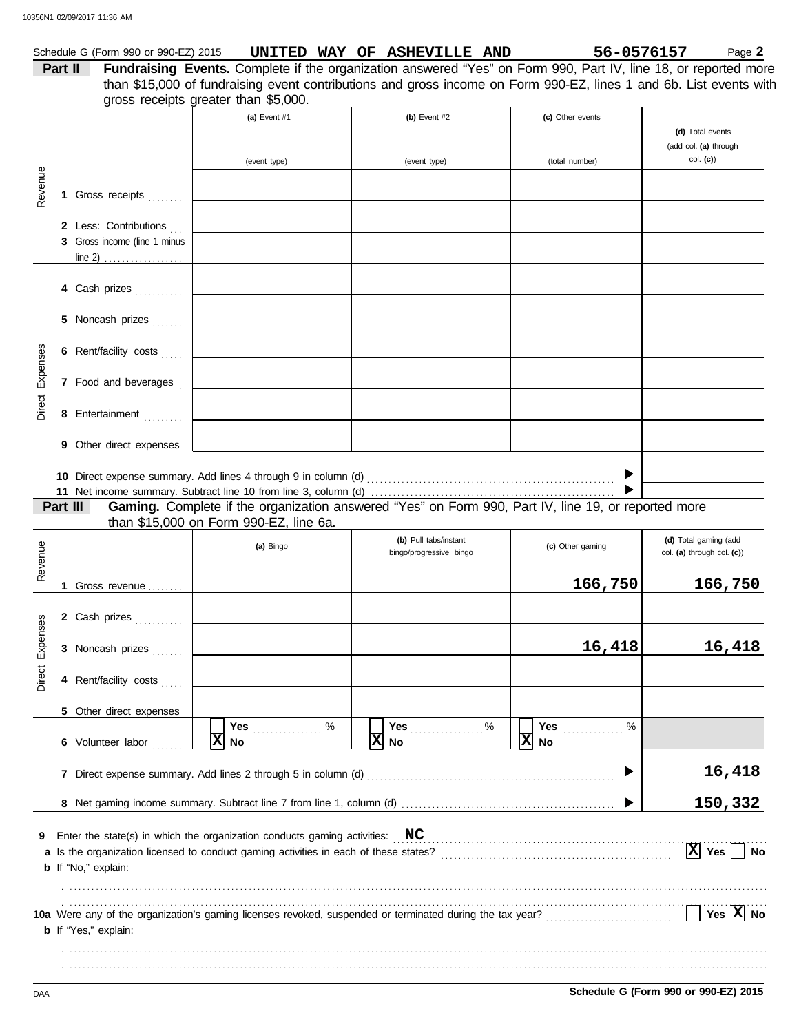|                 |         | Schedule G (Form 990 or 990-EZ) 2015 |                                                                                                                                               | UNITED WAY OF ASHEVILLE AND   |   | 56-0576157       | Page 2                      |
|-----------------|---------|--------------------------------------|-----------------------------------------------------------------------------------------------------------------------------------------------|-------------------------------|---|------------------|-----------------------------|
|                 | Part II |                                      | Fundraising Events. Complete if the organization answered "Yes" on Form 990, Part IV, line 18, or reported more                               |                               |   |                  |                             |
|                 |         |                                      | than \$15,000 of fundraising event contributions and gross income on Form 990-EZ, lines 1 and 6b. List events with                            |                               |   |                  |                             |
|                 |         |                                      | gross receipts greater than \$5,000.<br>(a) Event #1                                                                                          |                               |   |                  |                             |
|                 |         |                                      |                                                                                                                                               | (b) Event #2                  |   | (c) Other events | (d) Total events            |
|                 |         |                                      |                                                                                                                                               |                               |   |                  | (add col. (a) through       |
|                 |         |                                      | (event type)                                                                                                                                  | (event type)                  |   | (total number)   | col. (c)                    |
| Revenue         |         |                                      |                                                                                                                                               |                               |   |                  |                             |
|                 |         | 1 Gross receipts                     |                                                                                                                                               |                               |   |                  |                             |
|                 |         |                                      |                                                                                                                                               |                               |   |                  |                             |
|                 |         | 2 Less: Contributions                |                                                                                                                                               |                               |   |                  |                             |
|                 |         | 3 Gross income (line 1 minus         |                                                                                                                                               |                               |   |                  |                             |
|                 |         |                                      |                                                                                                                                               |                               |   |                  |                             |
|                 |         | 4 Cash prizes                        |                                                                                                                                               |                               |   |                  |                             |
|                 |         |                                      |                                                                                                                                               |                               |   |                  |                             |
|                 |         | 5 Noncash prizes                     |                                                                                                                                               |                               |   |                  |                             |
|                 |         |                                      |                                                                                                                                               |                               |   |                  |                             |
|                 |         | 6 Rent/facility costs                |                                                                                                                                               |                               |   |                  |                             |
|                 |         |                                      |                                                                                                                                               |                               |   |                  |                             |
|                 |         | 7 Food and beverages                 |                                                                                                                                               |                               |   |                  |                             |
| Direct Expenses |         | 8 Entertainment                      |                                                                                                                                               |                               |   |                  |                             |
|                 |         |                                      |                                                                                                                                               |                               |   |                  |                             |
|                 |         | 9 Other direct expenses              |                                                                                                                                               |                               |   |                  |                             |
|                 |         |                                      |                                                                                                                                               |                               |   |                  |                             |
|                 |         |                                      |                                                                                                                                               |                               |   | ▶                |                             |
|                 |         |                                      |                                                                                                                                               |                               |   |                  |                             |
|                 |         | Part III                             | Gaming. Complete if the organization answered "Yes" on Form 990, Part IV, line 19, or reported more<br>than \$15,000 on Form 990-EZ, line 6a. |                               |   |                  |                             |
|                 |         |                                      |                                                                                                                                               | (b) Pull tabs/instant         |   |                  | (d) Total gaming (add       |
|                 |         |                                      | (a) Bingo                                                                                                                                     | bingo/progressive bingo       |   | (c) Other gaming | col. (a) through col. (c))  |
| Revenue         |         |                                      |                                                                                                                                               |                               |   |                  |                             |
|                 |         | 1 Gross revenue                      |                                                                                                                                               |                               |   | 166,750          | 166,750                     |
|                 |         |                                      |                                                                                                                                               |                               |   |                  |                             |
| ses             |         | 2 Cash prizes                        |                                                                                                                                               |                               |   |                  |                             |
|                 |         |                                      |                                                                                                                                               |                               |   | 16,418           | 16,418                      |
| Expen           |         | 3 Noncash prizes                     |                                                                                                                                               |                               |   |                  |                             |
| Direct          |         | 4 Rent/facility costs                |                                                                                                                                               |                               |   |                  |                             |
|                 |         |                                      |                                                                                                                                               |                               |   |                  |                             |
|                 |         | 5 Other direct expenses              |                                                                                                                                               |                               |   |                  |                             |
|                 |         |                                      | Yes<br>%                                                                                                                                      | <b>Yes</b> %                  |   | %<br>Yes         |                             |
|                 |         | 6 Volunteer labor                    | $\overline{\mathbf{x}}$<br>No                                                                                                                 | $\overline{\mathbf{x}}$<br>No | X | No.              |                             |
|                 |         |                                      |                                                                                                                                               |                               |   |                  |                             |
|                 |         |                                      | 7 Direct expense summary. Add lines 2 through 5 in column (d)                                                                                 |                               |   | ▶                | 16,418                      |
|                 |         |                                      |                                                                                                                                               |                               |   |                  | 150,332                     |
|                 |         |                                      |                                                                                                                                               |                               |   |                  |                             |
| 9               |         |                                      | Enter the state(s) in which the organization conducts gaming activities: $\overline{MC}$                                                      |                               |   |                  |                             |
|                 |         |                                      |                                                                                                                                               |                               |   |                  | $ \mathbf{X} $ Yes<br>No    |
|                 |         | <b>b</b> If "No," explain:           |                                                                                                                                               |                               |   |                  |                             |
|                 |         |                                      |                                                                                                                                               |                               |   |                  |                             |
|                 |         |                                      |                                                                                                                                               |                               |   |                  |                             |
|                 |         |                                      | 10a Were any of the organization's gaming licenses revoked, suspended or terminated during the tax year?                                      |                               |   |                  | Yes $\boxed{\mathbf{X}}$ No |
|                 |         | <b>b</b> If "Yes," explain:          |                                                                                                                                               |                               |   |                  |                             |
|                 |         |                                      |                                                                                                                                               |                               |   |                  |                             |
|                 |         |                                      |                                                                                                                                               |                               |   |                  |                             |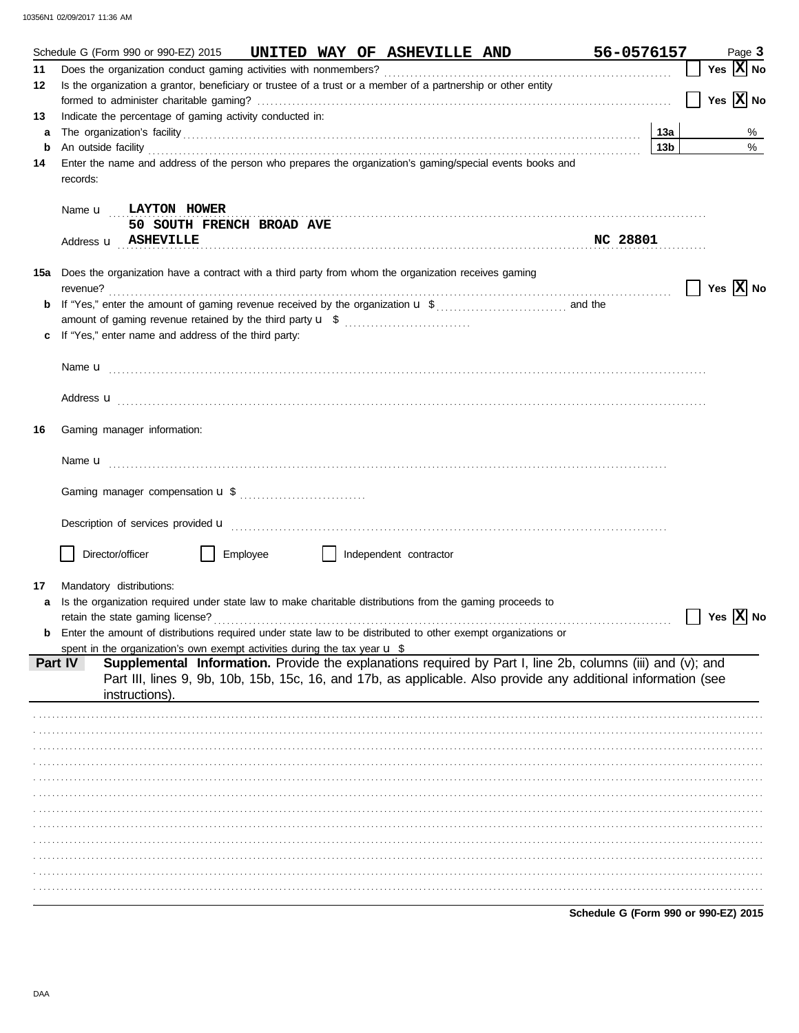|    |          | Schedule G (Form 990 or 990-EZ) 2015                                                                                                                                                                                                                                                                                                           |          |  | UNITED WAY OF ASHEVILLE AND |  |          | 56-0576157                           |                 |         | Page 3                             |
|----|----------|------------------------------------------------------------------------------------------------------------------------------------------------------------------------------------------------------------------------------------------------------------------------------------------------------------------------------------------------|----------|--|-----------------------------|--|----------|--------------------------------------|-----------------|---------|------------------------------------|
| 11 |          |                                                                                                                                                                                                                                                                                                                                                |          |  |                             |  |          |                                      |                 |         | Yes $X$ No                         |
| 12 |          | Is the organization a grantor, beneficiary or trustee of a trust or a member of a partnership or other entity                                                                                                                                                                                                                                  |          |  |                             |  |          |                                      |                 |         |                                    |
|    |          |                                                                                                                                                                                                                                                                                                                                                |          |  |                             |  |          |                                      |                 | $\perp$ | Yes $X$ No                         |
| 13 |          | Indicate the percentage of gaming activity conducted in:                                                                                                                                                                                                                                                                                       |          |  |                             |  |          |                                      |                 |         |                                    |
| а  |          |                                                                                                                                                                                                                                                                                                                                                |          |  |                             |  |          |                                      |                 |         | %                                  |
| b  |          |                                                                                                                                                                                                                                                                                                                                                |          |  |                             |  |          |                                      | 13 <sub>b</sub> |         | %                                  |
| 14 |          | An outside facility <b>contract and the contract of a contract and a</b> contract of a contract of a contract of a contract of a contract of a contract of a contract of a contract of a contract of a contract of a contract of a<br>Enter the name and address of the person who prepares the organization's gaming/special events books and |          |  |                             |  |          |                                      |                 |         |                                    |
|    | records: |                                                                                                                                                                                                                                                                                                                                                |          |  |                             |  |          |                                      |                 |         |                                    |
|    |          |                                                                                                                                                                                                                                                                                                                                                |          |  |                             |  |          |                                      |                 |         |                                    |
|    |          |                                                                                                                                                                                                                                                                                                                                                |          |  |                             |  |          |                                      |                 |         |                                    |
|    |          | Name <b>u</b> LAYTON HOWER                                                                                                                                                                                                                                                                                                                     |          |  |                             |  |          |                                      |                 |         |                                    |
|    |          | 50 SOUTH FRENCH BROAD AVE                                                                                                                                                                                                                                                                                                                      |          |  |                             |  |          |                                      |                 |         |                                    |
|    |          | Address <b>u</b> ASHEVILLE                                                                                                                                                                                                                                                                                                                     |          |  |                             |  | NC 28801 |                                      |                 |         |                                    |
|    |          |                                                                                                                                                                                                                                                                                                                                                |          |  |                             |  |          |                                      |                 |         |                                    |
|    |          | <b>15a</b> Does the organization have a contract with a third party from whom the organization receives gaming                                                                                                                                                                                                                                 |          |  |                             |  |          |                                      |                 |         |                                    |
|    | revenue? |                                                                                                                                                                                                                                                                                                                                                |          |  |                             |  |          |                                      |                 |         | $\vert$   Yes $\vert$ X $\vert$ No |
|    |          |                                                                                                                                                                                                                                                                                                                                                |          |  |                             |  |          |                                      |                 |         |                                    |
|    |          |                                                                                                                                                                                                                                                                                                                                                |          |  |                             |  |          |                                      |                 |         |                                    |
| c  |          | If "Yes," enter name and address of the third party:                                                                                                                                                                                                                                                                                           |          |  |                             |  |          |                                      |                 |         |                                    |
|    |          |                                                                                                                                                                                                                                                                                                                                                |          |  |                             |  |          |                                      |                 |         |                                    |
|    |          |                                                                                                                                                                                                                                                                                                                                                |          |  |                             |  |          |                                      |                 |         |                                    |
|    |          |                                                                                                                                                                                                                                                                                                                                                |          |  |                             |  |          |                                      |                 |         |                                    |
|    |          |                                                                                                                                                                                                                                                                                                                                                |          |  |                             |  |          |                                      |                 |         |                                    |
|    |          |                                                                                                                                                                                                                                                                                                                                                |          |  |                             |  |          |                                      |                 |         |                                    |
| 16 |          | Gaming manager information:                                                                                                                                                                                                                                                                                                                    |          |  |                             |  |          |                                      |                 |         |                                    |
|    |          |                                                                                                                                                                                                                                                                                                                                                |          |  |                             |  |          |                                      |                 |         |                                    |
|    |          |                                                                                                                                                                                                                                                                                                                                                |          |  |                             |  |          |                                      |                 |         |                                    |
|    |          |                                                                                                                                                                                                                                                                                                                                                |          |  |                             |  |          |                                      |                 |         |                                    |
|    |          |                                                                                                                                                                                                                                                                                                                                                |          |  |                             |  |          |                                      |                 |         |                                    |
|    |          |                                                                                                                                                                                                                                                                                                                                                |          |  |                             |  |          |                                      |                 |         |                                    |
|    |          |                                                                                                                                                                                                                                                                                                                                                |          |  |                             |  |          |                                      |                 |         |                                    |
|    |          |                                                                                                                                                                                                                                                                                                                                                |          |  |                             |  |          |                                      |                 |         |                                    |
|    |          |                                                                                                                                                                                                                                                                                                                                                |          |  |                             |  |          |                                      |                 |         |                                    |
|    |          | Director/officer                                                                                                                                                                                                                                                                                                                               | Employee |  | Independent contractor      |  |          |                                      |                 |         |                                    |
|    |          |                                                                                                                                                                                                                                                                                                                                                |          |  |                             |  |          |                                      |                 |         |                                    |
| 17 |          | Mandatory distributions:                                                                                                                                                                                                                                                                                                                       |          |  |                             |  |          |                                      |                 |         |                                    |
| а  |          | Is the organization required under state law to make charitable distributions from the gaming proceeds to                                                                                                                                                                                                                                      |          |  |                             |  |          |                                      |                 |         |                                    |
|    |          |                                                                                                                                                                                                                                                                                                                                                |          |  |                             |  |          |                                      |                 |         | Yes $ X $ No                       |
|    |          | Enter the amount of distributions required under state law to be distributed to other exempt organizations or                                                                                                                                                                                                                                  |          |  |                             |  |          |                                      |                 |         |                                    |
|    |          | spent in the organization's own exempt activities during the tax year $\mathbf u$ \$                                                                                                                                                                                                                                                           |          |  |                             |  |          |                                      |                 |         |                                    |
|    | Part IV  | Supplemental Information. Provide the explanations required by Part I, line 2b, columns (iii) and (v); and                                                                                                                                                                                                                                     |          |  |                             |  |          |                                      |                 |         |                                    |
|    |          | Part III, lines 9, 9b, 10b, 15b, 15c, 16, and 17b, as applicable. Also provide any additional information (see                                                                                                                                                                                                                                 |          |  |                             |  |          |                                      |                 |         |                                    |
|    |          | instructions)                                                                                                                                                                                                                                                                                                                                  |          |  |                             |  |          |                                      |                 |         |                                    |
|    |          |                                                                                                                                                                                                                                                                                                                                                |          |  |                             |  |          |                                      |                 |         |                                    |
|    |          |                                                                                                                                                                                                                                                                                                                                                |          |  |                             |  |          |                                      |                 |         |                                    |
|    |          |                                                                                                                                                                                                                                                                                                                                                |          |  |                             |  |          |                                      |                 |         |                                    |
|    |          |                                                                                                                                                                                                                                                                                                                                                |          |  |                             |  |          |                                      |                 |         |                                    |
|    |          |                                                                                                                                                                                                                                                                                                                                                |          |  |                             |  |          |                                      |                 |         |                                    |
|    |          |                                                                                                                                                                                                                                                                                                                                                |          |  |                             |  |          |                                      |                 |         |                                    |
|    |          |                                                                                                                                                                                                                                                                                                                                                |          |  |                             |  |          |                                      |                 |         |                                    |
|    |          |                                                                                                                                                                                                                                                                                                                                                |          |  |                             |  |          |                                      |                 |         |                                    |
|    |          |                                                                                                                                                                                                                                                                                                                                                |          |  |                             |  |          |                                      |                 |         |                                    |
|    |          |                                                                                                                                                                                                                                                                                                                                                |          |  |                             |  |          |                                      |                 |         |                                    |
|    |          |                                                                                                                                                                                                                                                                                                                                                |          |  |                             |  |          |                                      |                 |         |                                    |
|    |          |                                                                                                                                                                                                                                                                                                                                                |          |  |                             |  |          |                                      |                 |         |                                    |
|    |          |                                                                                                                                                                                                                                                                                                                                                |          |  |                             |  |          |                                      |                 |         |                                    |
|    |          |                                                                                                                                                                                                                                                                                                                                                |          |  |                             |  |          |                                      |                 |         |                                    |
|    |          |                                                                                                                                                                                                                                                                                                                                                |          |  |                             |  |          | Schedule G (Form 990 or 990-EZ) 2015 |                 |         |                                    |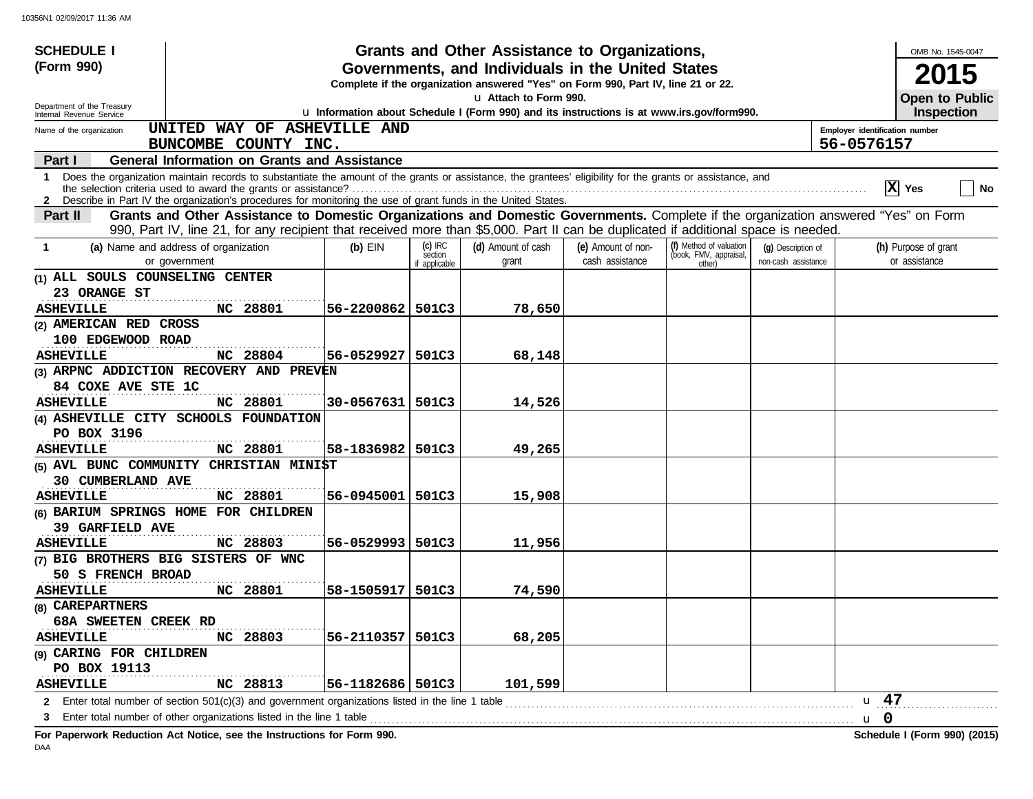| <b>SCHEDULE I</b>                                      |                                                                                                                                                                                                                                                                                 |                    |                          | Grants and Other Assistance to Organizations,                                                                                         |                    |                                  |                     |                                | OMB No. 1545-0047                          |
|--------------------------------------------------------|---------------------------------------------------------------------------------------------------------------------------------------------------------------------------------------------------------------------------------------------------------------------------------|--------------------|--------------------------|---------------------------------------------------------------------------------------------------------------------------------------|--------------------|----------------------------------|---------------------|--------------------------------|--------------------------------------------|
| (Form 990)                                             |                                                                                                                                                                                                                                                                                 |                    |                          | Governments, and Individuals in the United States<br>Complete if the organization answered "Yes" on Form 990, Part IV, line 21 or 22. |                    |                                  |                     |                                | <b>2015</b>                                |
| Department of the Treasury<br>Internal Revenue Service |                                                                                                                                                                                                                                                                                 |                    |                          | u Attach to Form 990.<br>u Information about Schedule I (Form 990) and its instructions is at www.irs.gov/form990.                    |                    |                                  |                     |                                | <b>Open to Public</b><br><b>Inspection</b> |
| Name of the organization                               | UNITED WAY OF ASHEVILLE AND                                                                                                                                                                                                                                                     |                    |                          |                                                                                                                                       |                    |                                  |                     | Employer identification number |                                            |
|                                                        | BUNCOMBE COUNTY INC.                                                                                                                                                                                                                                                            |                    |                          |                                                                                                                                       |                    |                                  |                     | 56-0576157                     |                                            |
| Part I                                                 | <b>General Information on Grants and Assistance</b>                                                                                                                                                                                                                             |                    |                          |                                                                                                                                       |                    |                                  |                     |                                |                                            |
|                                                        | 1 Does the organization maintain records to substantiate the amount of the grants or assistance, the grantees' eligibility for the grants or assistance, and<br>2 Describe in Part IV the organization's procedures for monitoring the use of grant funds in the United States. |                    |                          |                                                                                                                                       |                    |                                  |                     |                                | $ X $ Yes<br><b>No</b>                     |
| <b>Part II</b>                                         | Grants and Other Assistance to Domestic Organizations and Domestic Governments. Complete if the organization answered "Yes" on Form<br>990, Part IV, line 21, for any recipient that received more than \$5,000. Part II can be duplicated if additional space is needed.       |                    |                          |                                                                                                                                       |                    |                                  |                     |                                |                                            |
| -1                                                     | (a) Name and address of organization                                                                                                                                                                                                                                            | $(b)$ EIN          | $(c)$ IRC                | (d) Amount of cash                                                                                                                    | (e) Amount of non- | (f) Method of valuation          | (q) Description of  |                                | (h) Purpose of grant                       |
|                                                        | or government                                                                                                                                                                                                                                                                   |                    | section<br>if applicable | grant                                                                                                                                 | cash assistance    | (book, FMV, appraisal,<br>other) | non-cash assistance |                                | or assistance                              |
| (1) ALL SOULS COUNSELING CENTER                        |                                                                                                                                                                                                                                                                                 |                    |                          |                                                                                                                                       |                    |                                  |                     |                                |                                            |
| 23 ORANGE ST                                           |                                                                                                                                                                                                                                                                                 |                    |                          |                                                                                                                                       |                    |                                  |                     |                                |                                            |
| <b>ASHEVILLE</b>                                       | NC 28801                                                                                                                                                                                                                                                                        | 56-2200862   501C3 |                          | 78,650                                                                                                                                |                    |                                  |                     |                                |                                            |
| (2) AMERICAN RED CROSS                                 |                                                                                                                                                                                                                                                                                 |                    |                          |                                                                                                                                       |                    |                                  |                     |                                |                                            |
| 100 EDGEWOOD ROAD                                      |                                                                                                                                                                                                                                                                                 |                    |                          |                                                                                                                                       |                    |                                  |                     |                                |                                            |
| <b>ASHEVILLE</b>                                       | NC 28804                                                                                                                                                                                                                                                                        | 56-0529927         | 501C3                    | 68,148                                                                                                                                |                    |                                  |                     |                                |                                            |
|                                                        | (3) ARPNC ADDICTION RECOVERY AND PREVEN                                                                                                                                                                                                                                         |                    |                          |                                                                                                                                       |                    |                                  |                     |                                |                                            |
| 84 COXE AVE STE 1C                                     |                                                                                                                                                                                                                                                                                 |                    |                          |                                                                                                                                       |                    |                                  |                     |                                |                                            |
| <b>ASHEVILLE</b>                                       | NC 28801                                                                                                                                                                                                                                                                        | 30-0567631   501C3 |                          | 14,526                                                                                                                                |                    |                                  |                     |                                |                                            |
|                                                        | (4) ASHEVILLE CITY SCHOOLS FOUNDATION                                                                                                                                                                                                                                           |                    |                          |                                                                                                                                       |                    |                                  |                     |                                |                                            |
| PO BOX 3196<br><b>ASHEVILLE</b>                        | NC 28801                                                                                                                                                                                                                                                                        | 58-1836982   501C3 |                          | 49,265                                                                                                                                |                    |                                  |                     |                                |                                            |
|                                                        | (5) AVL BUNC COMMUNITY CHRISTIAN MINI\$T                                                                                                                                                                                                                                        |                    |                          |                                                                                                                                       |                    |                                  |                     |                                |                                            |
| 30 CUMBERLAND AVE                                      |                                                                                                                                                                                                                                                                                 |                    |                          |                                                                                                                                       |                    |                                  |                     |                                |                                            |
| <b>ASHEVILLE</b>                                       | NC 28801                                                                                                                                                                                                                                                                        | 56-0945001   501C3 |                          | 15,908                                                                                                                                |                    |                                  |                     |                                |                                            |
|                                                        | (6) BARIUM SPRINGS HOME FOR CHILDREN                                                                                                                                                                                                                                            |                    |                          |                                                                                                                                       |                    |                                  |                     |                                |                                            |
| <b>39 GARFIELD AVE</b>                                 |                                                                                                                                                                                                                                                                                 |                    |                          |                                                                                                                                       |                    |                                  |                     |                                |                                            |
| <b>ASHEVILLE</b>                                       | NC 28803                                                                                                                                                                                                                                                                        | 56-0529993 501C3   |                          | 11,956                                                                                                                                |                    |                                  |                     |                                |                                            |
|                                                        | (7) BIG BROTHERS BIG SISTERS OF WNC                                                                                                                                                                                                                                             |                    |                          |                                                                                                                                       |                    |                                  |                     |                                |                                            |
| 50 S FRENCH BROAD                                      |                                                                                                                                                                                                                                                                                 |                    |                          |                                                                                                                                       |                    |                                  |                     |                                |                                            |
| <b>ASHEVILLE</b>                                       | NC 28801                                                                                                                                                                                                                                                                        | 58-1505917   501C3 |                          | 74,590                                                                                                                                |                    |                                  |                     |                                |                                            |
| (8) CAREPARTNERS                                       |                                                                                                                                                                                                                                                                                 |                    |                          |                                                                                                                                       |                    |                                  |                     |                                |                                            |
| 68A SWEETEN CREEK RD                                   |                                                                                                                                                                                                                                                                                 |                    |                          |                                                                                                                                       |                    |                                  |                     |                                |                                            |
| <b>ASHEVILLE</b>                                       | NC 28803                                                                                                                                                                                                                                                                        | 56-2110357   501C3 |                          | 68,205                                                                                                                                |                    |                                  |                     |                                |                                            |
| (9) CARING FOR CHILDREN                                |                                                                                                                                                                                                                                                                                 |                    |                          |                                                                                                                                       |                    |                                  |                     |                                |                                            |
| PO BOX 19113                                           |                                                                                                                                                                                                                                                                                 |                    |                          |                                                                                                                                       |                    |                                  |                     |                                |                                            |
| <b>ASHEVILLE</b>                                       | NC 28813                                                                                                                                                                                                                                                                        | 56-1182686   501C3 |                          | 101,599                                                                                                                               |                    |                                  |                     |                                |                                            |
| $\mathbf{2}$                                           | Enter total number of section $501(c)(3)$ and government organizations listed in the line 1 table                                                                                                                                                                               |                    |                          |                                                                                                                                       |                    |                                  |                     | u 47                           |                                            |
| 3                                                      | Enter total number of other organizations listed in the line 1 table                                                                                                                                                                                                            |                    |                          |                                                                                                                                       |                    |                                  |                     | u 0                            |                                            |

**For Paperwork Reduction Act Notice, see the Instructions for Form 990. Schedule I (Form 990) (2015)**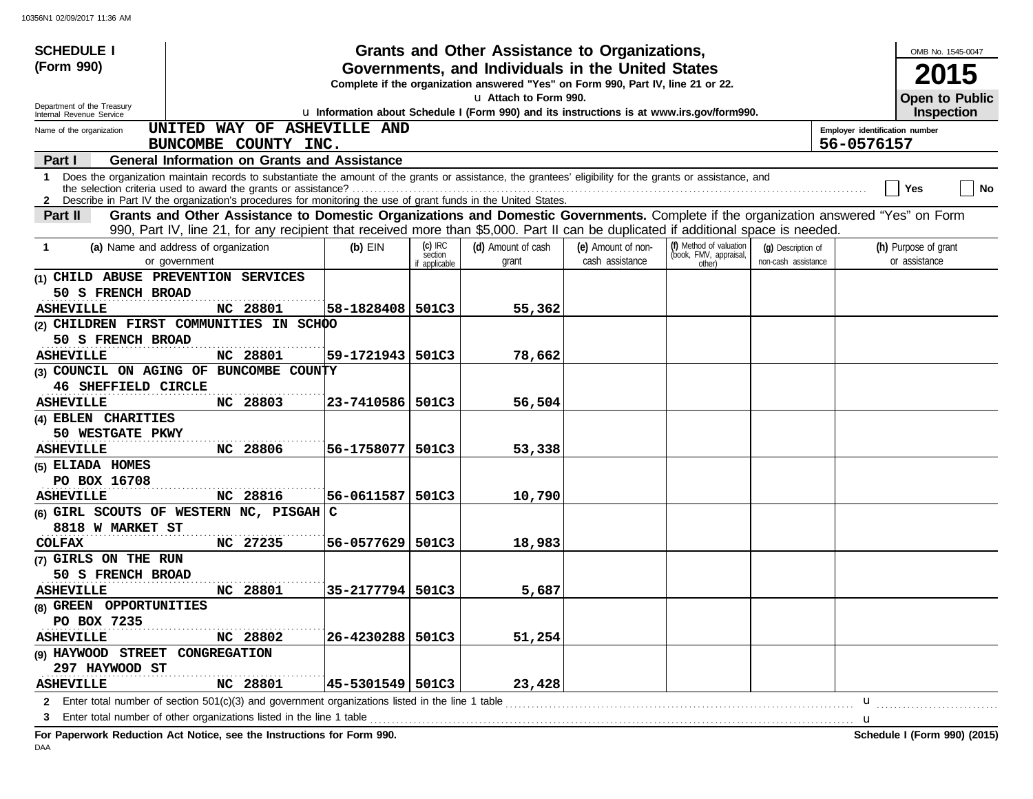| <b>SCHEDULE I</b>                                      |                                                                                                                                                                                                                                                                                 |                    |                          | Grants and Other Assistance to Organizations,                                                                                         |                    |                                  |                     |                                | OMB No. 1545-0047                          |           |
|--------------------------------------------------------|---------------------------------------------------------------------------------------------------------------------------------------------------------------------------------------------------------------------------------------------------------------------------------|--------------------|--------------------------|---------------------------------------------------------------------------------------------------------------------------------------|--------------------|----------------------------------|---------------------|--------------------------------|--------------------------------------------|-----------|
| (Form 990)                                             |                                                                                                                                                                                                                                                                                 |                    |                          | Governments, and Individuals in the United States<br>Complete if the organization answered "Yes" on Form 990, Part IV, line 21 or 22. |                    |                                  |                     |                                |                                            |           |
| Department of the Treasury<br>Internal Revenue Service |                                                                                                                                                                                                                                                                                 |                    |                          | u Attach to Form 990.<br>u Information about Schedule I (Form 990) and its instructions is at www.irs.gov/form990.                    |                    |                                  |                     |                                | <b>Open to Public</b><br><b>Inspection</b> |           |
| Name of the organization                               | UNITED WAY OF ASHEVILLE AND                                                                                                                                                                                                                                                     |                    |                          |                                                                                                                                       |                    |                                  |                     | Employer identification number |                                            |           |
|                                                        | BUNCOMBE COUNTY INC.                                                                                                                                                                                                                                                            |                    |                          |                                                                                                                                       |                    |                                  |                     | 56-0576157                     |                                            |           |
| Part I                                                 | <b>General Information on Grants and Assistance</b>                                                                                                                                                                                                                             |                    |                          |                                                                                                                                       |                    |                                  |                     |                                |                                            |           |
|                                                        | 1 Does the organization maintain records to substantiate the amount of the grants or assistance, the grantees' eligibility for the grants or assistance, and<br>2 Describe in Part IV the organization's procedures for monitoring the use of grant funds in the United States. |                    |                          |                                                                                                                                       |                    |                                  |                     |                                | Yes                                        | <b>No</b> |
| Part II                                                | Grants and Other Assistance to Domestic Organizations and Domestic Governments. Complete if the organization answered "Yes" on Form<br>990, Part IV, line 21, for any recipient that received more than \$5,000. Part II can be duplicated if additional space is needed.       |                    |                          |                                                                                                                                       |                    |                                  |                     |                                |                                            |           |
| -1                                                     | (a) Name and address of organization                                                                                                                                                                                                                                            | $(b)$ EIN          | $(c)$ IRC                | (d) Amount of cash                                                                                                                    | (e) Amount of non- | (f) Method of valuation          | (q) Description of  |                                | (h) Purpose of grant                       |           |
|                                                        | or government                                                                                                                                                                                                                                                                   |                    | section<br>if applicable | grant                                                                                                                                 | cash assistance    | (book, FMV, appraisal,<br>other) | non-cash assistance |                                | or assistance                              |           |
|                                                        | (1) CHILD ABUSE PREVENTION SERVICES                                                                                                                                                                                                                                             |                    |                          |                                                                                                                                       |                    |                                  |                     |                                |                                            |           |
| 50 S FRENCH BROAD                                      |                                                                                                                                                                                                                                                                                 |                    |                          |                                                                                                                                       |                    |                                  |                     |                                |                                            |           |
| <b>ASHEVILLE</b>                                       | .<br>NC 28801                                                                                                                                                                                                                                                                   | 58-1828408 501C3   |                          | 55,362                                                                                                                                |                    |                                  |                     |                                |                                            |           |
|                                                        | (2) CHILDREN FIRST COMMUNITIES IN SCHOO                                                                                                                                                                                                                                         |                    |                          |                                                                                                                                       |                    |                                  |                     |                                |                                            |           |
| 50 S FRENCH BROAD                                      |                                                                                                                                                                                                                                                                                 |                    |                          |                                                                                                                                       |                    |                                  |                     |                                |                                            |           |
| <b>ASHEVILLE</b>                                       | NC 28801                                                                                                                                                                                                                                                                        | 59-1721943   501C3 |                          | 78,662                                                                                                                                |                    |                                  |                     |                                |                                            |           |
|                                                        | (3) COUNCIL ON AGING OF BUNCOMBE COUNTY                                                                                                                                                                                                                                         |                    |                          |                                                                                                                                       |                    |                                  |                     |                                |                                            |           |
| 46 SHEFFIELD CIRCLE                                    |                                                                                                                                                                                                                                                                                 |                    |                          |                                                                                                                                       |                    |                                  |                     |                                |                                            |           |
| <b>ASHEVILLE</b>                                       | NC 28803                                                                                                                                                                                                                                                                        | 23-7410586   501C3 |                          | 56,504                                                                                                                                |                    |                                  |                     |                                |                                            |           |
| (4) EBLEN CHARITIES                                    |                                                                                                                                                                                                                                                                                 |                    |                          |                                                                                                                                       |                    |                                  |                     |                                |                                            |           |
| 50 WESTGATE PKWY                                       |                                                                                                                                                                                                                                                                                 |                    |                          |                                                                                                                                       |                    |                                  |                     |                                |                                            |           |
| <b>ASHEVILLE</b>                                       | NC 28806                                                                                                                                                                                                                                                                        | 56-1758077         | 501C3                    | 53,338                                                                                                                                |                    |                                  |                     |                                |                                            |           |
| (5) ELIADA HOMES                                       |                                                                                                                                                                                                                                                                                 |                    |                          |                                                                                                                                       |                    |                                  |                     |                                |                                            |           |
| PO BOX 16708                                           |                                                                                                                                                                                                                                                                                 |                    |                          |                                                                                                                                       |                    |                                  |                     |                                |                                            |           |
| <b>ASHEVILLE</b>                                       | NC 28816                                                                                                                                                                                                                                                                        | 56-0611587         | 501C3                    | 10,790                                                                                                                                |                    |                                  |                     |                                |                                            |           |
|                                                        | (6) GIRL SCOUTS OF WESTERN NC, PISGAH C                                                                                                                                                                                                                                         |                    |                          |                                                                                                                                       |                    |                                  |                     |                                |                                            |           |
| 8818 W MARKET ST                                       |                                                                                                                                                                                                                                                                                 |                    |                          |                                                                                                                                       |                    |                                  |                     |                                |                                            |           |
| <b>COLFAX</b>                                          | NC 27235                                                                                                                                                                                                                                                                        | 56-0577629 501C3   |                          | 18,983                                                                                                                                |                    |                                  |                     |                                |                                            |           |
| (7) GIRLS ON THE RUN                                   |                                                                                                                                                                                                                                                                                 |                    |                          |                                                                                                                                       |                    |                                  |                     |                                |                                            |           |
| 50 S FRENCH BROAD                                      |                                                                                                                                                                                                                                                                                 |                    |                          |                                                                                                                                       |                    |                                  |                     |                                |                                            |           |
| <b>ASHEVILLE</b>                                       | NC 28801                                                                                                                                                                                                                                                                        | 35-2177794 501C3   |                          | 5,687                                                                                                                                 |                    |                                  |                     |                                |                                            |           |
| (8) GREEN OPPORTUNITIES                                |                                                                                                                                                                                                                                                                                 |                    |                          |                                                                                                                                       |                    |                                  |                     |                                |                                            |           |
| PO BOX 7235                                            |                                                                                                                                                                                                                                                                                 |                    |                          |                                                                                                                                       |                    |                                  |                     |                                |                                            |           |
| <b>ASHEVILLE</b>                                       | NC 28802                                                                                                                                                                                                                                                                        | 26-4230288   501C3 |                          | 51,254                                                                                                                                |                    |                                  |                     |                                |                                            |           |
| (9) HAYWOOD STREET CONGREGATION                        |                                                                                                                                                                                                                                                                                 |                    |                          |                                                                                                                                       |                    |                                  |                     |                                |                                            |           |
| 297 HAYWOOD ST                                         | .                                                                                                                                                                                                                                                                               |                    |                          |                                                                                                                                       |                    |                                  |                     |                                |                                            |           |
| <b>ASHEVILLE</b>                                       | NC 28801                                                                                                                                                                                                                                                                        | 45-5301549  501C3  |                          | 23,428                                                                                                                                |                    |                                  |                     |                                |                                            |           |
|                                                        | 2 Enter total number of section 501(c)(3) and government organizations listed in the line 1 table                                                                                                                                                                               |                    |                          |                                                                                                                                       |                    |                                  |                     | u                              |                                            |           |
| 3                                                      | Enter total number of other organizations listed in the line 1 table                                                                                                                                                                                                            |                    |                          |                                                                                                                                       |                    |                                  |                     | u                              |                                            |           |
|                                                        | For Paperwork Reduction Act Notice, see the Instructions for Form 990.                                                                                                                                                                                                          |                    |                          |                                                                                                                                       |                    |                                  |                     |                                | Schedule I (Form 990) (2015)               |           |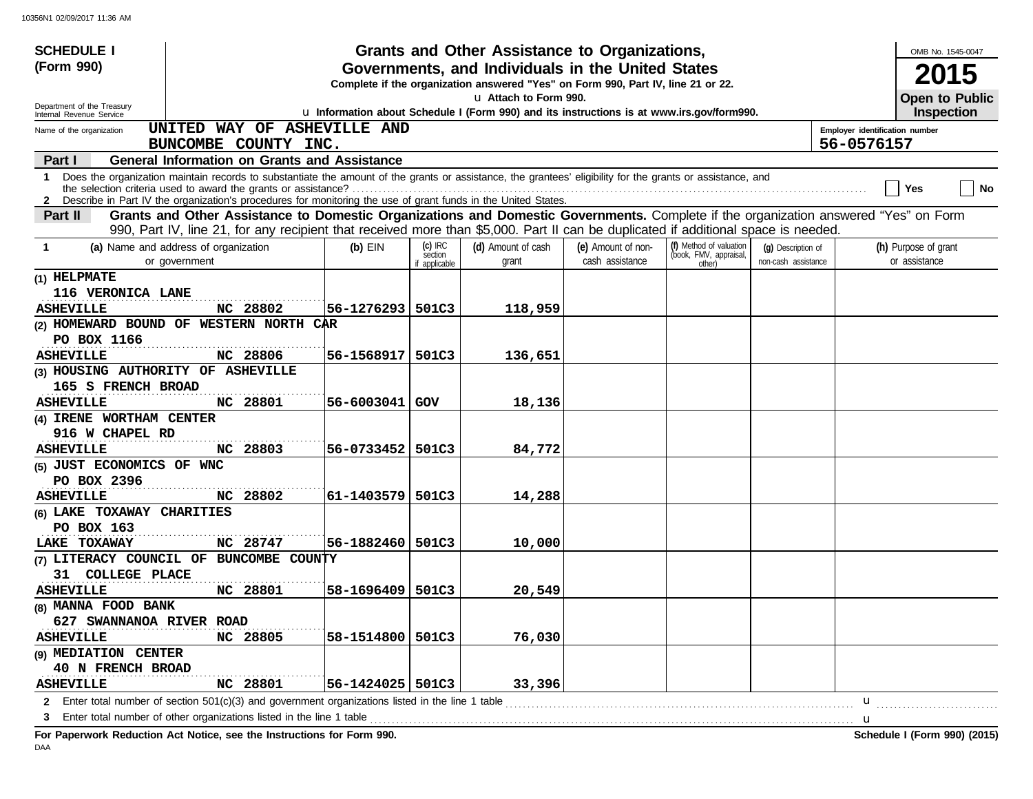| <b>SCHEDULE I</b>                                      |                                                                                                                                                                                                                                                        |                    |                                       | Grants and Other Assistance to Organizations,                                                                                         |                                       |                                                             |                                           |          |                                              | OMB No. 1545-0047                          |  |
|--------------------------------------------------------|--------------------------------------------------------------------------------------------------------------------------------------------------------------------------------------------------------------------------------------------------------|--------------------|---------------------------------------|---------------------------------------------------------------------------------------------------------------------------------------|---------------------------------------|-------------------------------------------------------------|-------------------------------------------|----------|----------------------------------------------|--------------------------------------------|--|
| (Form 990)                                             |                                                                                                                                                                                                                                                        |                    |                                       | Governments, and Individuals in the United States<br>Complete if the organization answered "Yes" on Form 990, Part IV, line 21 or 22. |                                       |                                                             |                                           |          |                                              | <b>2015</b>                                |  |
| Department of the Treasury<br>Internal Revenue Service |                                                                                                                                                                                                                                                        |                    |                                       | u Attach to Form 990.<br>u Information about Schedule I (Form 990) and its instructions is at www.irs.gov/form990.                    |                                       |                                                             |                                           |          |                                              | <b>Open to Public</b><br><b>Inspection</b> |  |
| Name of the organization                               | UNITED WAY OF ASHEVILLE AND                                                                                                                                                                                                                            |                    |                                       |                                                                                                                                       |                                       |                                                             |                                           |          | Employer identification number<br>56-0576157 |                                            |  |
| Part I                                                 | BUNCOMBE COUNTY INC.<br><b>General Information on Grants and Assistance</b>                                                                                                                                                                            |                    |                                       |                                                                                                                                       |                                       |                                                             |                                           |          |                                              |                                            |  |
|                                                        | 1 Does the organization maintain records to substantiate the amount of the grants or assistance, the grantees' eligibility for the grants or assistance, and                                                                                           |                    |                                       |                                                                                                                                       |                                       |                                                             |                                           |          | Yes                                          | <b>No</b>                                  |  |
| Part II                                                | 2 Describe in Part IV the organization's procedures for monitoring the use of grant funds in the United States.<br>Grants and Other Assistance to Domestic Organizations and Domestic Governments. Complete if the organization answered "Yes" on Form |                    |                                       |                                                                                                                                       |                                       |                                                             |                                           |          |                                              |                                            |  |
|                                                        | 990, Part IV, line 21, for any recipient that received more than \$5,000. Part II can be duplicated if additional space is needed.                                                                                                                     |                    |                                       |                                                                                                                                       |                                       |                                                             |                                           |          |                                              |                                            |  |
| -1                                                     | (a) Name and address of organization<br>or government                                                                                                                                                                                                  | $(b)$ EIN          | $(c)$ IRC<br>section<br>if applicable | (d) Amount of cash<br>grant                                                                                                           | (e) Amount of non-<br>cash assistance | (f) Method of valuation<br>(book, FMV, appraisal,<br>other) | (q) Description of<br>non-cash assistance |          | (h) Purpose of grant<br>or assistance        |                                            |  |
| (1) HELPMATE<br>116 VERONICA LANE<br><b>ASHEVILLE</b>  | NC 28802                                                                                                                                                                                                                                               | 56-1276293   501C3 |                                       | 118,959                                                                                                                               |                                       |                                                             |                                           |          |                                              |                                            |  |
|                                                        | (2) HOMEWARD BOUND OF WESTERN NORTH CAR                                                                                                                                                                                                                |                    |                                       |                                                                                                                                       |                                       |                                                             |                                           |          |                                              |                                            |  |
| PO BOX 1166                                            |                                                                                                                                                                                                                                                        |                    |                                       |                                                                                                                                       |                                       |                                                             |                                           |          |                                              |                                            |  |
| <b>ASHEVILLE</b>                                       | NC 28806                                                                                                                                                                                                                                               | 56-1568917   501C3 |                                       | 136,651                                                                                                                               |                                       |                                                             |                                           |          |                                              |                                            |  |
| (3) HOUSING AUTHORITY OF ASHEVILLE                     |                                                                                                                                                                                                                                                        |                    |                                       |                                                                                                                                       |                                       |                                                             |                                           |          |                                              |                                            |  |
| 165 S FRENCH BROAD<br><b>ASHEVILLE</b>                 | NC 28801                                                                                                                                                                                                                                               | 56-6003041   GOV   |                                       | 18,136                                                                                                                                |                                       |                                                             |                                           |          |                                              |                                            |  |
| (4) IRENE WORTHAM CENTER                               |                                                                                                                                                                                                                                                        |                    |                                       |                                                                                                                                       |                                       |                                                             |                                           |          |                                              |                                            |  |
| 916 W CHAPEL RD<br><b>ASHEVILLE</b>                    | NC 28803                                                                                                                                                                                                                                               | 56-0733452   501C3 |                                       | 84,772                                                                                                                                |                                       |                                                             |                                           |          |                                              |                                            |  |
| (5) JUST ECONOMICS OF WNC                              |                                                                                                                                                                                                                                                        |                    |                                       |                                                                                                                                       |                                       |                                                             |                                           |          |                                              |                                            |  |
| PO BOX 2396<br><b>ASHEVILLE</b>                        | NC 28802                                                                                                                                                                                                                                               | 61-1403579  501C3  |                                       | 14,288                                                                                                                                |                                       |                                                             |                                           |          |                                              |                                            |  |
| (6) LAKE TOXAWAY CHARITIES                             |                                                                                                                                                                                                                                                        |                    |                                       |                                                                                                                                       |                                       |                                                             |                                           |          |                                              |                                            |  |
| PO BOX 163                                             |                                                                                                                                                                                                                                                        |                    |                                       |                                                                                                                                       |                                       |                                                             |                                           |          |                                              |                                            |  |
| LAKE TOXAWAY                                           | NC 28747                                                                                                                                                                                                                                               | 56-1882460   501C3 |                                       | 10,000                                                                                                                                |                                       |                                                             |                                           |          |                                              |                                            |  |
|                                                        | (7) LITERACY COUNCIL OF BUNCOMBE COUNTY                                                                                                                                                                                                                |                    |                                       |                                                                                                                                       |                                       |                                                             |                                           |          |                                              |                                            |  |
| 31 COLLEGE PLACE                                       |                                                                                                                                                                                                                                                        |                    |                                       |                                                                                                                                       |                                       |                                                             |                                           |          |                                              |                                            |  |
| <b>ASHEVILLE</b><br>(8) MANNA FOOD BANK                | NC 28801                                                                                                                                                                                                                                               | 58-1696409   501C3 |                                       | 20,549                                                                                                                                |                                       |                                                             |                                           |          |                                              |                                            |  |
| 627 SWANNANOA RIVER ROAD                               |                                                                                                                                                                                                                                                        |                    |                                       |                                                                                                                                       |                                       |                                                             |                                           |          |                                              |                                            |  |
| <b>ASHEVILLE</b>                                       | NC 28805                                                                                                                                                                                                                                               | 58-1514800   501C3 |                                       | 76,030                                                                                                                                |                                       |                                                             |                                           |          |                                              |                                            |  |
| (9) MEDIATION CENTER                                   |                                                                                                                                                                                                                                                        |                    |                                       |                                                                                                                                       |                                       |                                                             |                                           |          |                                              |                                            |  |
| 40 N FRENCH BROAD                                      |                                                                                                                                                                                                                                                        |                    |                                       |                                                                                                                                       |                                       |                                                             |                                           |          |                                              |                                            |  |
| <b>ASHEVILLE</b>                                       | NC 28801                                                                                                                                                                                                                                               | 56-1424025   501C3 |                                       | 33,396                                                                                                                                |                                       |                                                             |                                           |          |                                              |                                            |  |
|                                                        | 2 Enter total number of section 501(c)(3) and government organizations listed in the line 1 table                                                                                                                                                      |                    |                                       |                                                                                                                                       |                                       |                                                             |                                           | u        |                                              |                                            |  |
|                                                        | 3 Enter total number of other organizations listed in the line 1 table                                                                                                                                                                                 |                    |                                       |                                                                                                                                       |                                       |                                                             |                                           | <b>u</b> |                                              |                                            |  |

**For Paperwork Reduction Act Notice, see the Instructions for Form 990. Schedule I (Form 990) (2015)**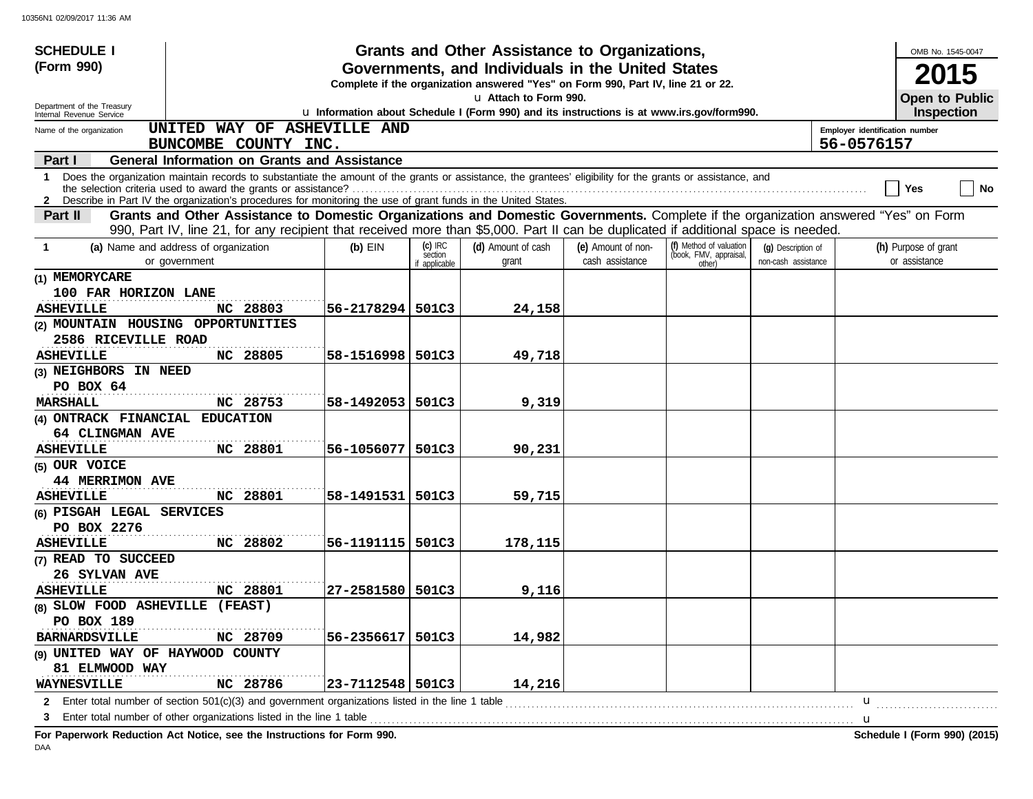| <b>SCHEDULE I</b>                                      |                                                                                                                                                                                                                                                                                 |                      |                          | Grants and Other Assistance to Organizations,                                                                                         |                    |                                                   |                     |                                | OMB No. 1545-0047                          |           |
|--------------------------------------------------------|---------------------------------------------------------------------------------------------------------------------------------------------------------------------------------------------------------------------------------------------------------------------------------|----------------------|--------------------------|---------------------------------------------------------------------------------------------------------------------------------------|--------------------|---------------------------------------------------|---------------------|--------------------------------|--------------------------------------------|-----------|
| (Form 990)                                             |                                                                                                                                                                                                                                                                                 |                      |                          | Governments, and Individuals in the United States<br>Complete if the organization answered "Yes" on Form 990, Part IV, line 21 or 22. |                    |                                                   |                     |                                | <b>2015</b>                                |           |
| Department of the Treasury<br>Internal Revenue Service |                                                                                                                                                                                                                                                                                 |                      |                          | u Attach to Form 990.<br>u Information about Schedule I (Form 990) and its instructions is at www.irs.gov/form990.                    |                    |                                                   |                     |                                | <b>Open to Public</b><br><b>Inspection</b> |           |
| Name of the organization                               | UNITED WAY OF ASHEVILLE AND                                                                                                                                                                                                                                                     |                      |                          |                                                                                                                                       |                    |                                                   |                     | Employer identification number |                                            |           |
|                                                        | BUNCOMBE COUNTY INC.                                                                                                                                                                                                                                                            |                      |                          |                                                                                                                                       |                    |                                                   |                     | 56-0576157                     |                                            |           |
| Part I                                                 | <b>General Information on Grants and Assistance</b>                                                                                                                                                                                                                             |                      |                          |                                                                                                                                       |                    |                                                   |                     |                                |                                            |           |
|                                                        | 1 Does the organization maintain records to substantiate the amount of the grants or assistance, the grantees' eligibility for the grants or assistance, and<br>2 Describe in Part IV the organization's procedures for monitoring the use of grant funds in the United States. |                      |                          |                                                                                                                                       |                    |                                                   |                     |                                | Yes                                        | <b>No</b> |
| Part II                                                | Grants and Other Assistance to Domestic Organizations and Domestic Governments. Complete if the organization answered "Yes" on Form<br>990, Part IV, line 21, for any recipient that received more than \$5,000. Part II can be duplicated if additional space is needed.       |                      |                          |                                                                                                                                       |                    |                                                   |                     |                                |                                            |           |
| -1                                                     | (a) Name and address of organization                                                                                                                                                                                                                                            | $(b)$ EIN            | $(c)$ IRC                | (d) Amount of cash                                                                                                                    | (e) Amount of non- | (f) Method of valuation<br>(book, FMV, appraisal, | (q) Description of  |                                | (h) Purpose of grant                       |           |
|                                                        | or government                                                                                                                                                                                                                                                                   |                      | section<br>if applicable | grant                                                                                                                                 | cash assistance    | other)                                            | non-cash assistance |                                | or assistance                              |           |
| (1) MEMORYCARE                                         |                                                                                                                                                                                                                                                                                 |                      |                          |                                                                                                                                       |                    |                                                   |                     |                                |                                            |           |
| 100 FAR HORIZON LANE                                   |                                                                                                                                                                                                                                                                                 |                      |                          |                                                                                                                                       |                    |                                                   |                     |                                |                                            |           |
| <b>ASHEVILLE</b>                                       | NC 28803                                                                                                                                                                                                                                                                        | 56-2178294 501C3     |                          | 24,158                                                                                                                                |                    |                                                   |                     |                                |                                            |           |
| (2) MOUNTAIN HOUSING OPPORTUNITIES                     |                                                                                                                                                                                                                                                                                 |                      |                          |                                                                                                                                       |                    |                                                   |                     |                                |                                            |           |
| 2586 RICEVILLE ROAD                                    |                                                                                                                                                                                                                                                                                 |                      |                          |                                                                                                                                       |                    |                                                   |                     |                                |                                            |           |
| <b>ASHEVILLE</b>                                       | NC 28805                                                                                                                                                                                                                                                                        | 58-1516998 501C3     |                          | 49,718                                                                                                                                |                    |                                                   |                     |                                |                                            |           |
| (3) NEIGHBORS IN NEED                                  |                                                                                                                                                                                                                                                                                 |                      |                          |                                                                                                                                       |                    |                                                   |                     |                                |                                            |           |
| PO BOX 64                                              |                                                                                                                                                                                                                                                                                 |                      |                          |                                                                                                                                       |                    |                                                   |                     |                                |                                            |           |
| <b>MARSHALL</b>                                        | NC 28753                                                                                                                                                                                                                                                                        | 58-1492053   501C3   |                          | 9,319                                                                                                                                 |                    |                                                   |                     |                                |                                            |           |
| (4) ONTRACK FINANCIAL EDUCATION                        |                                                                                                                                                                                                                                                                                 |                      |                          |                                                                                                                                       |                    |                                                   |                     |                                |                                            |           |
| 64 CLINGMAN AVE                                        |                                                                                                                                                                                                                                                                                 |                      |                          |                                                                                                                                       |                    |                                                   |                     |                                |                                            |           |
| <b>ASHEVILLE</b>                                       | NC 28801                                                                                                                                                                                                                                                                        | 56-1056077   501C3   |                          | 90,231                                                                                                                                |                    |                                                   |                     |                                |                                            |           |
| (5) OUR VOICE                                          |                                                                                                                                                                                                                                                                                 |                      |                          |                                                                                                                                       |                    |                                                   |                     |                                |                                            |           |
| <b>44 MERRIMON AVE</b>                                 |                                                                                                                                                                                                                                                                                 |                      |                          |                                                                                                                                       |                    |                                                   |                     |                                |                                            |           |
| <b>ASHEVILLE</b>                                       | NC 28801                                                                                                                                                                                                                                                                        | 58-1491531   501C3   |                          | 59,715                                                                                                                                |                    |                                                   |                     |                                |                                            |           |
| (6) PISGAH LEGAL SERVICES                              |                                                                                                                                                                                                                                                                                 |                      |                          |                                                                                                                                       |                    |                                                   |                     |                                |                                            |           |
| PO BOX 2276                                            |                                                                                                                                                                                                                                                                                 |                      |                          |                                                                                                                                       |                    |                                                   |                     |                                |                                            |           |
| <b>ASHEVILLE</b>                                       | NC 28802                                                                                                                                                                                                                                                                        | 56-1191115   501C3   |                          | 178,115                                                                                                                               |                    |                                                   |                     |                                |                                            |           |
| (7) READ TO SUCCEED                                    |                                                                                                                                                                                                                                                                                 |                      |                          |                                                                                                                                       |                    |                                                   |                     |                                |                                            |           |
| 26 SYLVAN AVE                                          |                                                                                                                                                                                                                                                                                 |                      |                          |                                                                                                                                       |                    |                                                   |                     |                                |                                            |           |
| <b>ASHEVILLE</b>                                       | NC 28801                                                                                                                                                                                                                                                                        | 27-2581580   501C3   |                          | 9,116                                                                                                                                 |                    |                                                   |                     |                                |                                            |           |
| (8) SLOW FOOD ASHEVILLE (FEAST)                        |                                                                                                                                                                                                                                                                                 |                      |                          |                                                                                                                                       |                    |                                                   |                     |                                |                                            |           |
| PO BOX 189                                             |                                                                                                                                                                                                                                                                                 |                      |                          |                                                                                                                                       |                    |                                                   |                     |                                |                                            |           |
| <b>BARNARDSVILLE</b>                                   | NC 28709                                                                                                                                                                                                                                                                        | $56 - 2356617$ 501C3 |                          | 14,982                                                                                                                                |                    |                                                   |                     |                                |                                            |           |
| (9) UNITED WAY OF HAYWOOD COUNTY                       |                                                                                                                                                                                                                                                                                 |                      |                          |                                                                                                                                       |                    |                                                   |                     |                                |                                            |           |
| 81 ELMWOOD WAY                                         |                                                                                                                                                                                                                                                                                 |                      |                          |                                                                                                                                       |                    |                                                   |                     |                                |                                            |           |
| <b>WAYNESVILLE</b>                                     | NC 28786                                                                                                                                                                                                                                                                        | 23-7112548   501C3   |                          | 14,216                                                                                                                                |                    |                                                   |                     |                                |                                            |           |
|                                                        | 2 Enter total number of section 501(c)(3) and government organizations listed in the line 1 table                                                                                                                                                                               |                      |                          |                                                                                                                                       |                    |                                                   |                     | u                              |                                            |           |
| 3                                                      | Enter total number of other organizations listed in the line 1 table                                                                                                                                                                                                            |                      |                          |                                                                                                                                       |                    |                                                   |                     | u                              |                                            |           |
|                                                        | For Paperwork Reduction Act Notice, see the Instructions for Form 990.                                                                                                                                                                                                          |                      |                          |                                                                                                                                       |                    |                                                   |                     |                                | Schedule I (Form 990) (2015)               |           |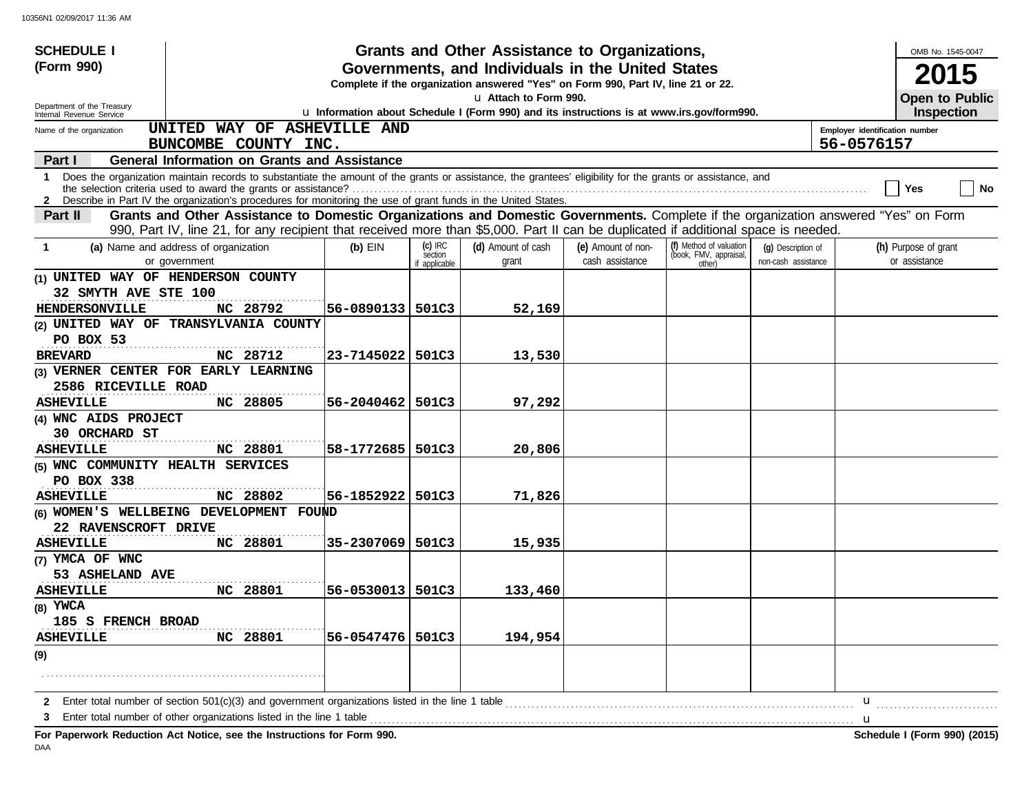| <b>SCHEDULE I</b>                                    |                                                                                                                                                                                                                                                                                 |                    |                                       | Grants and Other Assistance to Organizations,                                                                                         |                                       |                                                             |                                           |                                | OMB No. 1545-0047                          |           |
|------------------------------------------------------|---------------------------------------------------------------------------------------------------------------------------------------------------------------------------------------------------------------------------------------------------------------------------------|--------------------|---------------------------------------|---------------------------------------------------------------------------------------------------------------------------------------|---------------------------------------|-------------------------------------------------------------|-------------------------------------------|--------------------------------|--------------------------------------------|-----------|
| (Form 990)                                           |                                                                                                                                                                                                                                                                                 |                    |                                       | Governments, and Individuals in the United States<br>Complete if the organization answered "Yes" on Form 990, Part IV, line 21 or 22. |                                       |                                                             |                                           |                                |                                            |           |
| Department of the Treasury                           |                                                                                                                                                                                                                                                                                 |                    |                                       | u Attach to Form 990.<br>u Information about Schedule I (Form 990) and its instructions is at www.irs.gov/form990.                    |                                       |                                                             |                                           |                                | <b>Open to Public</b><br><b>Inspection</b> |           |
| Internal Revenue Service<br>Name of the organization | UNITED WAY OF ASHEVILLE AND                                                                                                                                                                                                                                                     |                    |                                       |                                                                                                                                       |                                       |                                                             |                                           | Employer identification number |                                            |           |
|                                                      | BUNCOMBE COUNTY INC.                                                                                                                                                                                                                                                            |                    |                                       |                                                                                                                                       |                                       |                                                             |                                           | 56-0576157                     |                                            |           |
| Part I                                               | <b>General Information on Grants and Assistance</b>                                                                                                                                                                                                                             |                    |                                       |                                                                                                                                       |                                       |                                                             |                                           |                                |                                            |           |
|                                                      | 1 Does the organization maintain records to substantiate the amount of the grants or assistance, the grantees' eligibility for the grants or assistance, and<br>2 Describe in Part IV the organization's procedures for monitoring the use of grant funds in the United States. |                    |                                       |                                                                                                                                       |                                       |                                                             |                                           |                                | Yes                                        | <b>No</b> |
| Part II                                              | Grants and Other Assistance to Domestic Organizations and Domestic Governments. Complete if the organization answered "Yes" on Form<br>990, Part IV, line 21, for any recipient that received more than \$5,000. Part II can be duplicated if additional space is needed.       |                    |                                       |                                                                                                                                       |                                       |                                                             |                                           |                                |                                            |           |
| -1                                                   | (a) Name and address of organization<br>or government                                                                                                                                                                                                                           | $(b)$ EIN          | $(c)$ IRC<br>section<br>if applicable | (d) Amount of cash<br>grant                                                                                                           | (e) Amount of non-<br>cash assistance | (f) Method of valuation<br>(book, FMV, appraisal,<br>other) | (q) Description of<br>non-cash assistance |                                | (h) Purpose of grant<br>or assistance      |           |
| (1) UNITED WAY OF HENDERSON COUNTY                   |                                                                                                                                                                                                                                                                                 |                    |                                       |                                                                                                                                       |                                       |                                                             |                                           |                                |                                            |           |
| 32 SMYTH AVE STE 100<br><b>HENDERSONVILLE</b>        | .<br>NC 28792                                                                                                                                                                                                                                                                   | 56-0890133   501C3 |                                       | 52,169                                                                                                                                |                                       |                                                             |                                           |                                |                                            |           |
|                                                      | (2) UNITED WAY OF TRANSYLVANIA COUNTY                                                                                                                                                                                                                                           |                    |                                       |                                                                                                                                       |                                       |                                                             |                                           |                                |                                            |           |
| PO BOX 53                                            |                                                                                                                                                                                                                                                                                 |                    |                                       |                                                                                                                                       |                                       |                                                             |                                           |                                |                                            |           |
| <b>BREVARD</b>                                       | NC 28712                                                                                                                                                                                                                                                                        | 23-7145022 501C3   |                                       | 13,530                                                                                                                                |                                       |                                                             |                                           |                                |                                            |           |
| 2586 RICEVILLE ROAD                                  | (3) VERNER CENTER FOR EARLY LEARNING                                                                                                                                                                                                                                            |                    |                                       |                                                                                                                                       |                                       |                                                             |                                           |                                |                                            |           |
| <b>ASHEVILLE</b>                                     | NC 28805                                                                                                                                                                                                                                                                        | 56-2040462   501C3 |                                       | 97,292                                                                                                                                |                                       |                                                             |                                           |                                |                                            |           |
| (4) WNC AIDS PROJECT                                 |                                                                                                                                                                                                                                                                                 |                    |                                       |                                                                                                                                       |                                       |                                                             |                                           |                                |                                            |           |
| 30 ORCHARD ST                                        |                                                                                                                                                                                                                                                                                 |                    |                                       |                                                                                                                                       |                                       |                                                             |                                           |                                |                                            |           |
| <b>ASHEVILLE</b>                                     | NC 28801                                                                                                                                                                                                                                                                        | 58-1772685   501C3 |                                       | 20,806                                                                                                                                |                                       |                                                             |                                           |                                |                                            |           |
| (5) WNC COMMUNITY HEALTH SERVICES                    |                                                                                                                                                                                                                                                                                 |                    |                                       |                                                                                                                                       |                                       |                                                             |                                           |                                |                                            |           |
| PO BOX 338                                           |                                                                                                                                                                                                                                                                                 |                    |                                       |                                                                                                                                       |                                       |                                                             |                                           |                                |                                            |           |
| <b>ASHEVILLE</b>                                     | NC 28802                                                                                                                                                                                                                                                                        | 56-1852922   501C3 |                                       | 71,826                                                                                                                                |                                       |                                                             |                                           |                                |                                            |           |
|                                                      | (6) WOMEN'S WELLBEING DEVELOPMENT FOUND                                                                                                                                                                                                                                         |                    |                                       |                                                                                                                                       |                                       |                                                             |                                           |                                |                                            |           |
| 22 RAVENSCROFT DRIVE                                 |                                                                                                                                                                                                                                                                                 |                    |                                       |                                                                                                                                       |                                       |                                                             |                                           |                                |                                            |           |
| <b>ASHEVILLE</b>                                     | NC 28801                                                                                                                                                                                                                                                                        | 35-2307069   501C3 |                                       | 15,935                                                                                                                                |                                       |                                                             |                                           |                                |                                            |           |
| (7) YMCA OF WNC                                      |                                                                                                                                                                                                                                                                                 |                    |                                       |                                                                                                                                       |                                       |                                                             |                                           |                                |                                            |           |
| 53 ASHELAND AVE                                      |                                                                                                                                                                                                                                                                                 |                    |                                       |                                                                                                                                       |                                       |                                                             |                                           |                                |                                            |           |
| <b>ASHEVILLE</b>                                     | NC 28801                                                                                                                                                                                                                                                                        | 56-0530013 501C3   |                                       | 133,460                                                                                                                               |                                       |                                                             |                                           |                                |                                            |           |
| $(8)$ YWCA                                           |                                                                                                                                                                                                                                                                                 |                    |                                       |                                                                                                                                       |                                       |                                                             |                                           |                                |                                            |           |
| 185 S FRENCH BROAD                                   |                                                                                                                                                                                                                                                                                 | 56-0547476 501C3   |                                       |                                                                                                                                       |                                       |                                                             |                                           |                                |                                            |           |
| <b>ASHEVILLE</b>                                     | NC 28801                                                                                                                                                                                                                                                                        |                    |                                       | 194,954                                                                                                                               |                                       |                                                             |                                           |                                |                                            |           |
| (9)                                                  |                                                                                                                                                                                                                                                                                 |                    |                                       |                                                                                                                                       |                                       |                                                             |                                           |                                |                                            |           |
|                                                      |                                                                                                                                                                                                                                                                                 |                    |                                       |                                                                                                                                       |                                       |                                                             |                                           |                                |                                            |           |
| $\mathbf{2}$                                         | Enter total number of section 501(c)(3) and government organizations listed in the line 1 table                                                                                                                                                                                 |                    |                                       |                                                                                                                                       |                                       |                                                             |                                           | $\mathbf u$                    |                                            |           |
|                                                      | Enter total number of other organizations listed in the line 1 table                                                                                                                                                                                                            |                    |                                       |                                                                                                                                       |                                       |                                                             |                                           | u                              |                                            |           |

**For Paperwork Reduction Act Notice, see the Instructions for Form 990. Schedule I (Form 990) (2015)** DAA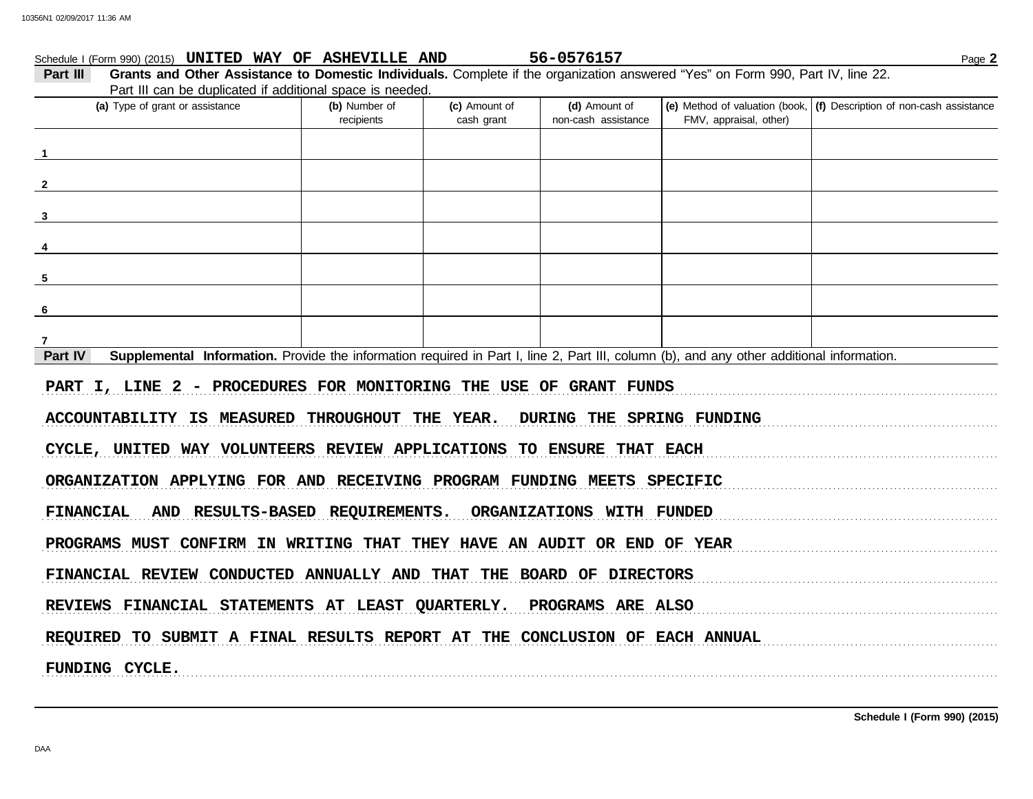# FMV, appraisal, other) **(d)** Amount of **(e)** Method of valuation (book, **(f)** Description of non-cash assistance cash grant **(a)** Type of grant or assistance **(b)** Number of **(c)** Amount of **Part III Grants and Other Assistance to Domestic Individuals.** Complete if the organization answered "Yes" on Form 990, Part IV, line 22. Part III can be duplicated if additional space is needed. Schedule I (Form 990) (2015) Page **2 UNITED WAY OF ASHEVILLE AND 56-0576157** recipients and the cash arant hon-cash assistance **Part IV** Supplemental Information. Provide the information required in Part I, line 2, Part III, column (b), and any other additional information. PART I, LINE 2 - PROCEDURES FOR MONITORING THE USE OF GRANT FUNDS ACCOUNTABILITY IS MEASURED THROUGHOUT THE YEAR. DURING THE SPRING FUNDING CYCLE, UNITED WAY VOLUNTEERS REVIEW APPLICATIONS TO ENSURE THAT EACH ORGANIZATION APPLYING FOR AND RECEIVING PROGRAM FUNDING MEETS SPECIFIC FINANCIAL AND RESULTS-BASED REQUIREMENTS. ORGANIZATIONS WITH FUNDED PROGRAMS MUST CONFIRM IN WRITING THAT THEY HAVE AN AUDIT OR END OF YEAR FINANCIAL REVIEW CONDUCTED ANNUALLY AND THAT THE BOARD OF DIRECTORS REVIEWS FINANCIAL STATEMENTS AT LEAST QUARTERLY. PROGRAMS ARE ALSO REQUIRED TO SUBMIT A FINAL RESULTS REPORT AT THE CONCLUSION OF EACH ANNUAL . . . . . . . . . . . . . . . . . . . . . . . . . . . . . . . . . . . . . . . . . . . . . . . . . . . . . . . . . . . . . . . . . . . . . . . . . . . . . . . . . . . . . . . . . . . . . . . . . . . . . . . . . . . . . . . . . . . . . . . . . . . . . . . . . . . . . . . . . . . . . . . . . . . . . . . . . . . . . . . . . . . . . . . . . . . . . . . . . . . . . . . . . . . . . . . . . . . . . . . . . . . . . . . . . . . . . . . . . . . **1 2 3 4 5 6 7 FUNDING CYCLE.**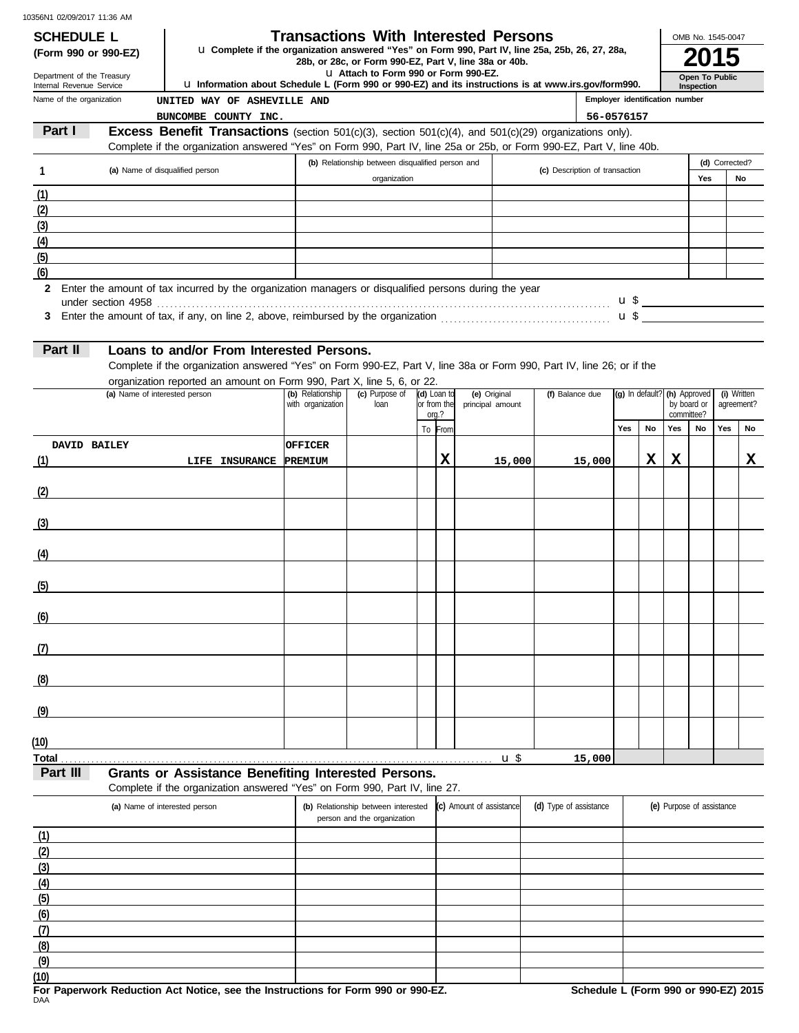| <b>SCHEDULE L</b>                                      |                                 |                                                                                                                                                                                                 |                                       |                                                  |             |             | <b>Transactions With Interested Persons</b>           |                                |                                |           |                             | OMB No. 1545-0047            |                           |    |
|--------------------------------------------------------|---------------------------------|-------------------------------------------------------------------------------------------------------------------------------------------------------------------------------------------------|---------------------------------------|--------------------------------------------------|-------------|-------------|-------------------------------------------------------|--------------------------------|--------------------------------|-----------|-----------------------------|------------------------------|---------------------------|----|
| (Form 990 or 990-EZ)                                   |                                 | La Complete if the organization answered "Yes" on Form 990, Part IV, line 25a, 25b, 26, 27, 28a,                                                                                                |                                       |                                                  |             |             | 28b, or 28c, or Form 990-EZ, Part V, line 38a or 40b. |                                |                                |           |                             |                              |                           |    |
| Department of the Treasury<br>Internal Revenue Service |                                 | La Information about Schedule L (Form 990 or 990-EZ) and its instructions is at www.irs.gov/form990.                                                                                            |                                       | L1 Attach to Form 990 or Form 990-EZ.            |             |             |                                                       |                                |                                |           |                             | Open To Public<br>Inspection |                           |    |
| Name of the organization                               |                                 | UNITED WAY OF ASHEVILLE AND                                                                                                                                                                     |                                       |                                                  |             |             |                                                       |                                | Employer identification number |           |                             |                              |                           |    |
|                                                        |                                 | BUNCOMBE COUNTY INC.                                                                                                                                                                            |                                       |                                                  |             |             |                                                       |                                | 56-0576157                     |           |                             |                              |                           |    |
| Part I                                                 |                                 | <b>Excess Benefit Transactions</b> (section $501(c)(3)$ , section $501(c)(4)$ , and $501(c)(29)$ organizations only).                                                                           |                                       |                                                  |             |             |                                                       |                                |                                |           |                             |                              |                           |    |
|                                                        |                                 | Complete if the organization answered "Yes" on Form 990, Part IV, line 25a or 25b, or Form 990-EZ, Part V, line 40b.                                                                            |                                       |                                                  |             |             |                                                       |                                |                                |           |                             |                              |                           |    |
| $\mathbf{1}$                                           | (a) Name of disqualified person |                                                                                                                                                                                                 |                                       | (b) Relationship between disqualified person and |             |             |                                                       | (c) Description of transaction |                                |           |                             |                              | (d) Corrected?            |    |
|                                                        |                                 |                                                                                                                                                                                                 |                                       | organization                                     |             |             |                                                       |                                |                                |           |                             | Yes                          |                           | No |
| (1)                                                    |                                 |                                                                                                                                                                                                 |                                       |                                                  |             |             |                                                       |                                |                                |           |                             |                              |                           |    |
| (2)                                                    |                                 |                                                                                                                                                                                                 |                                       |                                                  |             |             |                                                       |                                |                                |           |                             |                              |                           |    |
| (3)                                                    |                                 |                                                                                                                                                                                                 |                                       |                                                  |             |             |                                                       |                                |                                |           |                             |                              |                           |    |
| (4)                                                    |                                 |                                                                                                                                                                                                 |                                       |                                                  |             |             |                                                       |                                |                                |           |                             |                              |                           |    |
| (5)                                                    |                                 |                                                                                                                                                                                                 |                                       |                                                  |             |             |                                                       |                                |                                |           |                             |                              |                           |    |
| (6)                                                    |                                 |                                                                                                                                                                                                 |                                       |                                                  |             |             |                                                       |                                |                                |           |                             |                              |                           |    |
|                                                        |                                 | Loans to and/or From Interested Persons.                                                                                                                                                        |                                       |                                                  |             |             |                                                       |                                |                                |           |                             |                              |                           |    |
|                                                        | (a) Name of interested person   | Complete if the organization answered "Yes" on Form 990-EZ, Part V, line 38a or Form 990, Part IV, line 26; or if the<br>organization reported an amount on Form 990, Part X, line 5, 6, or 22. | (b) Relationship<br>with organization | (c) Purpose of<br>loan                           | (d) Loan to | or from the | (e) Original<br>principal amount                      | (f) Balance due                | (g) In default?                |           | (h) Approved<br>by board or |                              | (i) Written<br>agreement? |    |
| Part II                                                |                                 |                                                                                                                                                                                                 |                                       |                                                  |             | ora.?       |                                                       |                                |                                |           | committee?                  |                              |                           |    |
|                                                        |                                 |                                                                                                                                                                                                 |                                       |                                                  |             | To From     |                                                       |                                | Yes                            | <b>No</b> | Yes                         | <b>No</b>                    | Yes                       | No |
| DAVID BAILEY                                           |                                 |                                                                                                                                                                                                 | <b>OFFICER</b>                        |                                                  |             |             |                                                       |                                |                                |           |                             |                              |                           |    |
|                                                        |                                 | LIFE INSURANCE PREMIUM                                                                                                                                                                          |                                       |                                                  |             | X           | 15,000                                                | 15,000                         |                                | x         | X                           |                              |                           |    |
|                                                        |                                 |                                                                                                                                                                                                 |                                       |                                                  |             |             |                                                       |                                |                                |           |                             |                              |                           |    |
|                                                        |                                 |                                                                                                                                                                                                 |                                       |                                                  |             |             |                                                       |                                |                                |           |                             |                              |                           |    |
|                                                        |                                 |                                                                                                                                                                                                 |                                       |                                                  |             |             |                                                       |                                |                                |           |                             |                              |                           |    |
|                                                        |                                 |                                                                                                                                                                                                 |                                       |                                                  |             |             |                                                       |                                |                                |           |                             |                              |                           |    |
|                                                        |                                 |                                                                                                                                                                                                 |                                       |                                                  |             |             |                                                       |                                |                                |           |                             |                              |                           |    |
|                                                        |                                 |                                                                                                                                                                                                 |                                       |                                                  |             |             |                                                       |                                |                                |           |                             |                              |                           |    |
|                                                        |                                 |                                                                                                                                                                                                 |                                       |                                                  |             |             |                                                       |                                |                                |           |                             |                              |                           |    |
|                                                        |                                 |                                                                                                                                                                                                 |                                       |                                                  |             |             |                                                       |                                |                                |           |                             |                              |                           |    |
| (1)<br>(2)<br>(3)<br>(4)<br>(5)<br>(6)                 |                                 |                                                                                                                                                                                                 |                                       |                                                  |             |             |                                                       |                                |                                |           |                             |                              |                           |    |

| <b>Total</b>     |  | u | 15,000<br>15. |
|------------------|--|---|---------------|
| (10)             |  |   |               |
| $\left(9\right)$ |  |   |               |

# **Part III Grants or Assistance Benefiting Interested Persons.**

т

**(8)**

| Complete if the organization answered "Yes" on Form 990, Part IV, line 27. |  |
|----------------------------------------------------------------------------|--|
|                                                                            |  |

| (a) Name of interested person | (b) Relationship between interested<br>person and the organization | (c) Amount of assistance | (d) Type of assistance | (e) Purpose of assistance |
|-------------------------------|--------------------------------------------------------------------|--------------------------|------------------------|---------------------------|
| (1)                           |                                                                    |                          |                        |                           |
| (2)                           |                                                                    |                          |                        |                           |
| (3)                           |                                                                    |                          |                        |                           |
| (4)                           |                                                                    |                          |                        |                           |
| (5)                           |                                                                    |                          |                        |                           |
| (6)                           |                                                                    |                          |                        |                           |
| (7)                           |                                                                    |                          |                        |                           |
| (8)                           |                                                                    |                          |                        |                           |
| (9)                           |                                                                    |                          |                        |                           |
| (10)                          |                                                                    |                          |                        |                           |

Т ┱ Т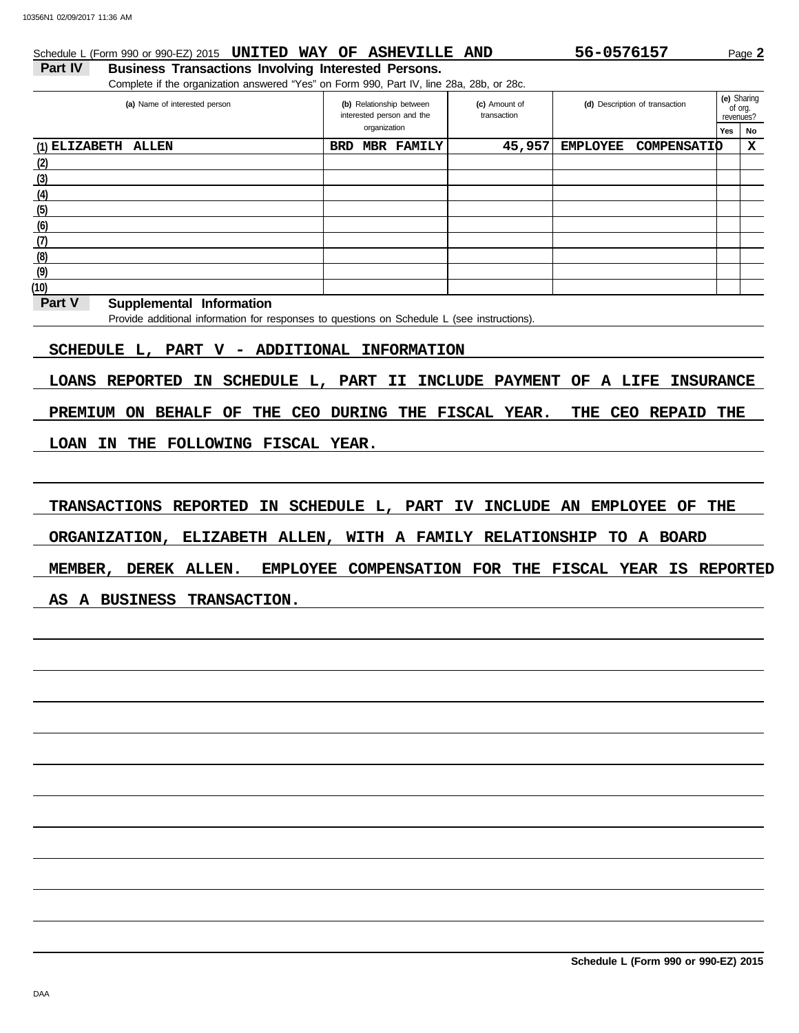## Schedule L (Form 990 or 990-EZ) 2015 **UNITED WAY OF ASHEVILLE AND** 56-0576157 Page 2

## Part IV Business Transactions Involving Interested Persons. Complete if the organization answered "Yes" on Form 990, Part IV, line 28a, 28b, or 28c.

| ັ<br>(a) Name of interested person |            | (b) Relationship between<br>(c) Amount of<br>interested person and the<br>transaction |        | (d) Description of transaction |                    |     | (e) Sharing<br>of org.<br>revenues? |
|------------------------------------|------------|---------------------------------------------------------------------------------------|--------|--------------------------------|--------------------|-----|-------------------------------------|
|                                    |            | organization                                                                          |        |                                |                    | Yes | No                                  |
| $(1)$ ELIZABETH ALLEN              | <b>BRD</b> | <b>MBR FAMILY</b>                                                                     | 45,957 | <b>EMPLOYEE</b>                | <b>COMPENSATIO</b> |     | X                                   |
| (2)                                |            |                                                                                       |        |                                |                    |     |                                     |
| (3)                                |            |                                                                                       |        |                                |                    |     |                                     |
| (4)                                |            |                                                                                       |        |                                |                    |     |                                     |
| (5)                                |            |                                                                                       |        |                                |                    |     |                                     |
| (6)                                |            |                                                                                       |        |                                |                    |     |                                     |
| (7)                                |            |                                                                                       |        |                                |                    |     |                                     |
| (8)                                |            |                                                                                       |        |                                |                    |     |                                     |
| (9)                                |            |                                                                                       |        |                                |                    |     |                                     |
| (10)                               |            |                                                                                       |        |                                |                    |     |                                     |

#### **Part V Supplemental Information**

Provide additional information for responses to questions on Schedule L (see instructions).

## **SCHEDULE L, PART V - ADDITIONAL INFORMATION**

**LOANS REPORTED IN SCHEDULE L, PART II INCLUDE PAYMENT OF A LIFE INSURANCE**

**PREMIUM ON BEHALF OF THE CEO DURING THE FISCAL YEAR. THE CEO REPAID THE**

## **LOAN IN THE FOLLOWING FISCAL YEAR.**

**TRANSACTIONS REPORTED IN SCHEDULE L, PART IV INCLUDE AN EMPLOYEE OF THE**

**ORGANIZATION, ELIZABETH ALLEN, WITH A FAMILY RELATIONSHIP TO A BOARD**

**MEMBER, DEREK ALLEN. EMPLOYEE COMPENSATION FOR THE FISCAL YEAR IS REPORTED**

### **AS A BUSINESS TRANSACTION.**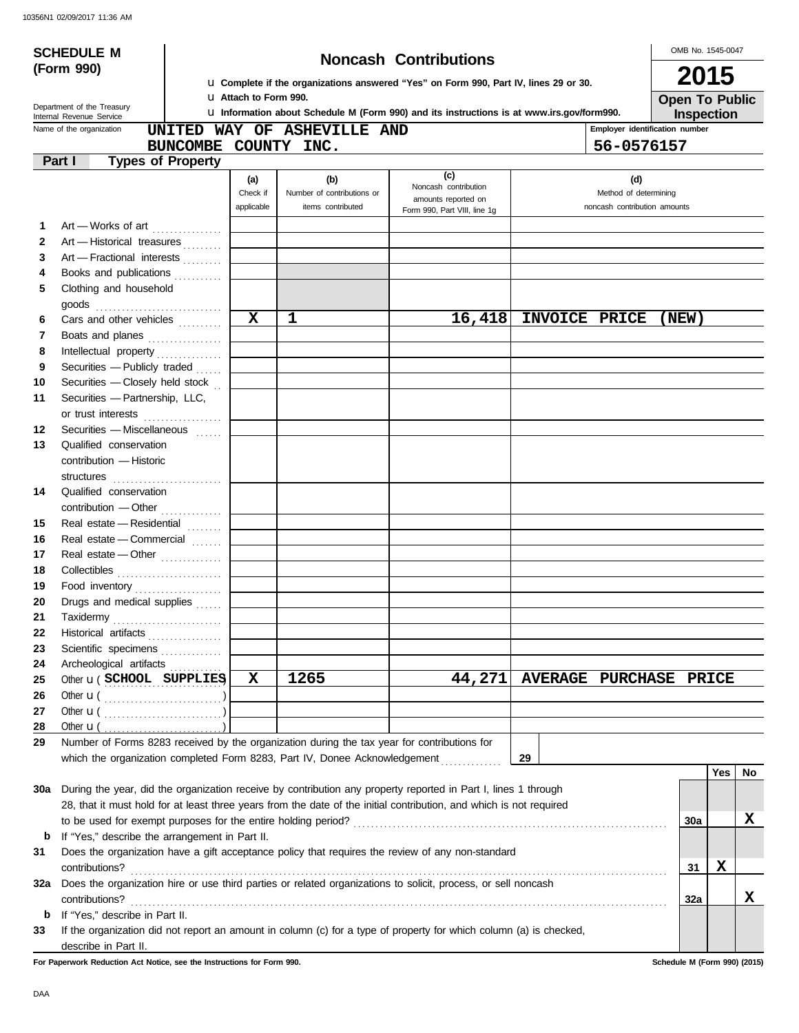|     | <b>SCHEDULE M</b>                                                                           |                               |                             |                                                                                                                     |                        |                                | OMB No. 1545-0047                   |     |    |
|-----|---------------------------------------------------------------------------------------------|-------------------------------|-----------------------------|---------------------------------------------------------------------------------------------------------------------|------------------------|--------------------------------|-------------------------------------|-----|----|
|     | (Form 990)                                                                                  |                               |                             | <b>Noncash Contributions</b>                                                                                        |                        |                                | 2015                                |     |    |
|     |                                                                                             |                               |                             | La Complete if the organizations answered "Yes" on Form 990, Part IV, lines 29 or 30.                               |                        |                                |                                     |     |    |
|     | Department of the Treasury                                                                  | <b>LI Attach to Form 990.</b> |                             | La Information about Schedule M (Form 990) and its instructions is at www.irs.gov/form990.                          |                        |                                | <b>Open To Public</b><br>Inspection |     |    |
|     | Internal Revenue Service<br>Name of the organization                                        |                               | UNITED WAY OF ASHEVILLE AND |                                                                                                                     |                        | Employer identification number |                                     |     |    |
|     |                                                                                             |                               | BUNCOMBE COUNTY INC.        |                                                                                                                     |                        | 56-0576157                     |                                     |     |    |
|     | Part I<br><b>Types of Property</b>                                                          |                               |                             |                                                                                                                     |                        |                                |                                     |     |    |
|     |                                                                                             | (a)                           | (b)                         | (c)                                                                                                                 |                        | (d)                            |                                     |     |    |
|     |                                                                                             | Check if                      | Number of contributions or  | Noncash contribution<br>amounts reported on                                                                         |                        | Method of determining          |                                     |     |    |
|     |                                                                                             | applicable                    | items contributed           | Form 990, Part VIII, line 1g                                                                                        |                        | noncash contribution amounts   |                                     |     |    |
| 1.  | Art - Works of art                                                                          |                               |                             |                                                                                                                     |                        |                                |                                     |     |    |
| 2   | Art - Historical treasures                                                                  |                               |                             |                                                                                                                     |                        |                                |                                     |     |    |
| 3   | Art - Fractional interests                                                                  |                               |                             |                                                                                                                     |                        |                                |                                     |     |    |
| 4   | Books and publications                                                                      |                               |                             |                                                                                                                     |                        |                                |                                     |     |    |
| 5   | Clothing and household                                                                      |                               |                             |                                                                                                                     |                        |                                |                                     |     |    |
|     |                                                                                             |                               |                             |                                                                                                                     |                        |                                |                                     |     |    |
| 6   | Cars and other vehicles                                                                     | $\overline{\mathbf{x}}$       | 1                           | 16,418                                                                                                              | INVOICE PRICE          |                                | (NEW)                               |     |    |
| 7   | Boats and planes                                                                            |                               |                             |                                                                                                                     |                        |                                |                                     |     |    |
| 8   | Intellectual property                                                                       |                               |                             |                                                                                                                     |                        |                                |                                     |     |    |
| 9   | Securities - Publicly traded                                                                |                               |                             |                                                                                                                     |                        |                                |                                     |     |    |
| 10  | Securities - Closely held stock                                                             |                               |                             |                                                                                                                     |                        |                                |                                     |     |    |
| 11  | Securities - Partnership, LLC,                                                              |                               |                             |                                                                                                                     |                        |                                |                                     |     |    |
|     | or trust interests                                                                          |                               |                             |                                                                                                                     |                        |                                |                                     |     |    |
| 12  | Securities - Miscellaneous                                                                  |                               |                             |                                                                                                                     |                        |                                |                                     |     |    |
| 13  | Qualified conservation                                                                      |                               |                             |                                                                                                                     |                        |                                |                                     |     |    |
|     | contribution - Historic                                                                     |                               |                             |                                                                                                                     |                        |                                |                                     |     |    |
|     | structures                                                                                  |                               |                             |                                                                                                                     |                        |                                |                                     |     |    |
| 14  | Qualified conservation                                                                      |                               |                             |                                                                                                                     |                        |                                |                                     |     |    |
|     | contribution - Other                                                                        |                               |                             |                                                                                                                     |                        |                                |                                     |     |    |
| 15  | Real estate - Residential                                                                   |                               |                             |                                                                                                                     |                        |                                |                                     |     |    |
| 16  | Real estate - Commercial                                                                    |                               |                             |                                                                                                                     |                        |                                |                                     |     |    |
| 17  | Real estate - Other                                                                         |                               |                             |                                                                                                                     |                        |                                |                                     |     |    |
| 18  |                                                                                             |                               |                             |                                                                                                                     |                        |                                |                                     |     |    |
| 19  | Food inventory                                                                              |                               |                             |                                                                                                                     |                        |                                |                                     |     |    |
| 20  | Drugs and medical supplies                                                                  |                               |                             |                                                                                                                     |                        |                                |                                     |     |    |
| 21  | Taxidermy                                                                                   |                               |                             |                                                                                                                     |                        |                                |                                     |     |    |
| 22  | Historical artifacts                                                                        |                               |                             |                                                                                                                     |                        |                                |                                     |     |    |
| 23  | Scientific specimens                                                                        |                               |                             |                                                                                                                     |                        |                                |                                     |     |    |
| 24  | Archeological artifacts                                                                     |                               |                             |                                                                                                                     |                        |                                |                                     |     |    |
| 25  | Other <b>u</b> (SCHOOL SUPPLIES)                                                            | X                             | 1265                        | 44,271                                                                                                              | AVERAGE PURCHASE PRICE |                                |                                     |     |    |
| 26  |                                                                                             |                               |                             |                                                                                                                     |                        |                                |                                     |     |    |
| 27  |                                                                                             |                               |                             |                                                                                                                     |                        |                                |                                     |     |    |
| 28  | Other $\mathbf{u}$ (                                                                        |                               |                             |                                                                                                                     |                        |                                |                                     |     |    |
| 29  | Number of Forms 8283 received by the organization during the tax year for contributions for |                               |                             |                                                                                                                     |                        |                                |                                     |     |    |
|     | which the organization completed Form 8283, Part IV, Donee Acknowledgement                  |                               |                             |                                                                                                                     | 29                     |                                |                                     |     |    |
|     |                                                                                             |                               |                             |                                                                                                                     |                        |                                |                                     | Yes | No |
| 30a |                                                                                             |                               |                             | During the year, did the organization receive by contribution any property reported in Part I, lines 1 through      |                        |                                |                                     |     |    |
|     |                                                                                             |                               |                             | 28, that it must hold for at least three years from the date of the initial contribution, and which is not required |                        |                                |                                     |     |    |
|     |                                                                                             |                               |                             |                                                                                                                     |                        |                                | <b>30a</b>                          |     | x  |
| b   | If "Yes," describe the arrangement in Part II.                                              |                               |                             |                                                                                                                     |                        |                                |                                     |     |    |
| 31  |                                                                                             |                               |                             | Does the organization have a gift acceptance policy that requires the review of any non-standard                    |                        |                                |                                     |     |    |
|     | contributions?                                                                              |                               |                             |                                                                                                                     |                        |                                | 31                                  | X   |    |
| 32a |                                                                                             |                               |                             | Does the organization hire or use third parties or related organizations to solicit, process, or sell noncash       |                        |                                |                                     |     |    |
|     | contributions?                                                                              |                               |                             |                                                                                                                     |                        |                                | 32a                                 |     | x  |
| b   | If "Yes," describe in Part II.                                                              |                               |                             |                                                                                                                     |                        |                                |                                     |     |    |
| 33  |                                                                                             |                               |                             | If the organization did not report an amount in column (c) for a type of property for which column (a) is checked,  |                        |                                |                                     |     |    |
|     | describe in Part II.                                                                        |                               |                             |                                                                                                                     |                        |                                |                                     |     |    |

**For Paperwork Reduction Act Notice, see the Instructions for Form 990. Schedule M (Form 990) (2015)**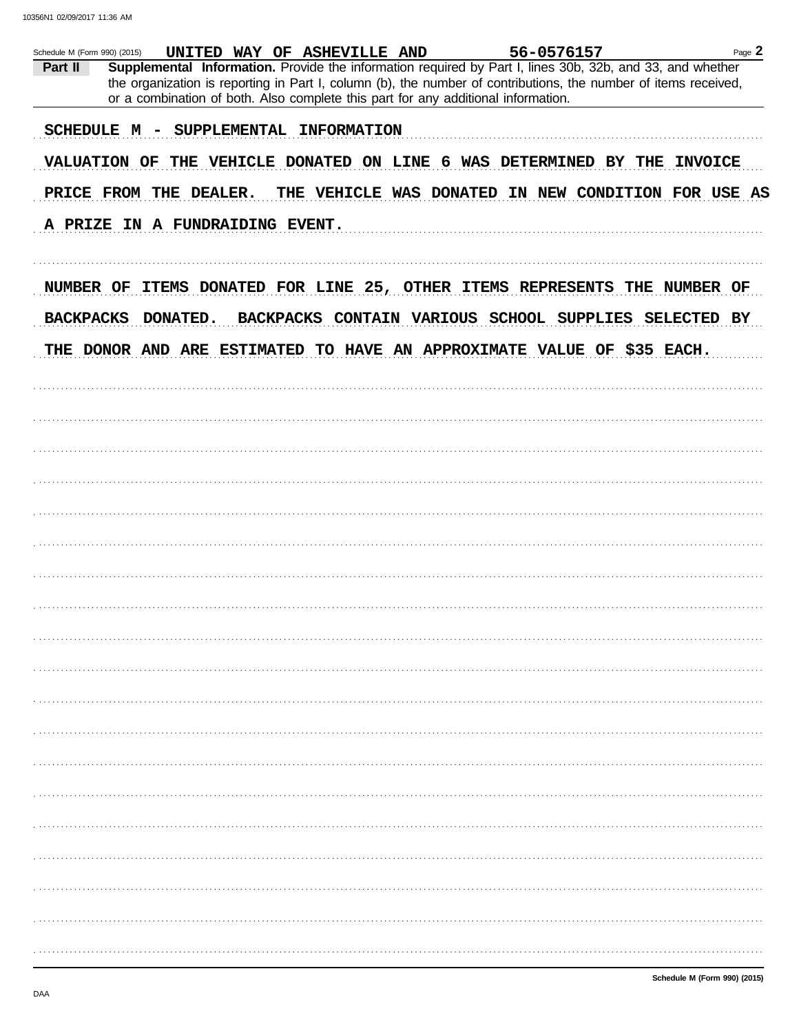10356N1 02/09/2017 11:36 AM

| Schedule M (Form 990) (2015) |                                                                                   | UNITED WAY OF ASHEVILLE AND | 56-0576157                                                                                                                                                                                                                   | Page 2             |
|------------------------------|-----------------------------------------------------------------------------------|-----------------------------|------------------------------------------------------------------------------------------------------------------------------------------------------------------------------------------------------------------------------|--------------------|
| Part II                      | or a combination of both. Also complete this part for any additional information. |                             | Supplemental Information. Provide the information required by Part I, lines 30b, 32b, and 33, and whether<br>the organization is reporting in Part I, column (b), the number of contributions, the number of items received, |                    |
|                              |                                                                                   |                             |                                                                                                                                                                                                                              |                    |
|                              | SCHEDULE M                                                                        | SUPPLEMENTAL INFORMATION    |                                                                                                                                                                                                                              |                    |
|                              | <b>VALUATION OF</b>                                                               |                             | THE VEHICLE DONATED ON LINE 6 WAS DETERMINED BY THE                                                                                                                                                                          | <b>INVOICE</b>     |
|                              | PRICE FROM THE DEALER.                                                            |                             | THE VEHICLE WAS DONATED IN NEW CONDITION FOR USE AS                                                                                                                                                                          |                    |
|                              | A PRIZE IN A FUNDRAIDING EVENT.                                                   |                             |                                                                                                                                                                                                                              |                    |
| NUMBER OF                    |                                                                                   |                             | ITEMS DONATED FOR LINE 25, OTHER ITEMS REPRESENTS<br>THE                                                                                                                                                                     | NUMBER OF          |
| <b>BACKPACKS</b>             | DONATED.                                                                          |                             | BACKPACKS CONTAIN VARIOUS SCHOOL SUPPLIES                                                                                                                                                                                    | <b>SELECTED BY</b> |
|                              |                                                                                   |                             | THE DONOR AND ARE ESTIMATED TO HAVE AN APPROXIMATE VALUE OF \$35 EACH.                                                                                                                                                       |                    |
|                              |                                                                                   |                             |                                                                                                                                                                                                                              |                    |
|                              |                                                                                   |                             |                                                                                                                                                                                                                              |                    |
|                              |                                                                                   |                             |                                                                                                                                                                                                                              |                    |
|                              |                                                                                   |                             |                                                                                                                                                                                                                              |                    |
|                              |                                                                                   |                             |                                                                                                                                                                                                                              |                    |
|                              |                                                                                   |                             |                                                                                                                                                                                                                              |                    |
|                              |                                                                                   |                             |                                                                                                                                                                                                                              |                    |
|                              |                                                                                   |                             |                                                                                                                                                                                                                              |                    |
|                              |                                                                                   |                             |                                                                                                                                                                                                                              |                    |
|                              |                                                                                   |                             |                                                                                                                                                                                                                              |                    |
|                              |                                                                                   |                             |                                                                                                                                                                                                                              |                    |
|                              |                                                                                   |                             |                                                                                                                                                                                                                              |                    |
|                              |                                                                                   |                             |                                                                                                                                                                                                                              |                    |
|                              |                                                                                   |                             |                                                                                                                                                                                                                              |                    |
|                              |                                                                                   |                             |                                                                                                                                                                                                                              |                    |
|                              |                                                                                   |                             |                                                                                                                                                                                                                              |                    |
|                              |                                                                                   |                             |                                                                                                                                                                                                                              |                    |
|                              |                                                                                   |                             |                                                                                                                                                                                                                              |                    |
|                              |                                                                                   |                             |                                                                                                                                                                                                                              |                    |
|                              |                                                                                   |                             |                                                                                                                                                                                                                              |                    |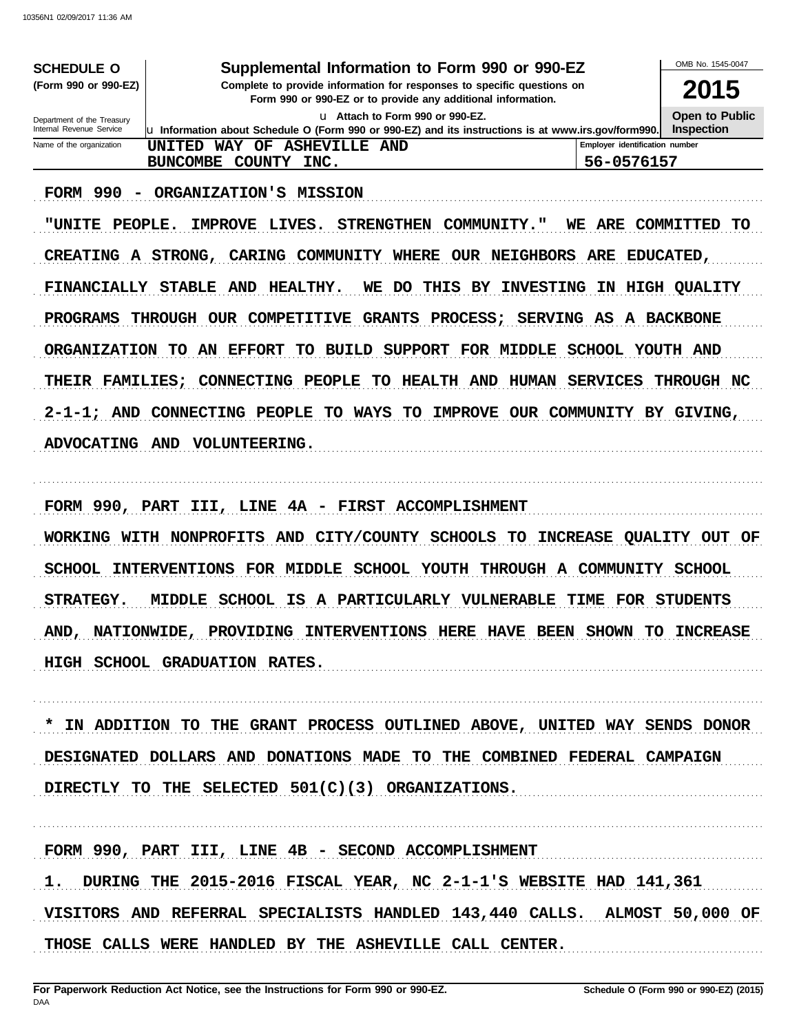| <b>SCHEDULE O</b>                                      | Supplemental Information to Form 990 or 990-EZ                                                                                              |                                              | OMB No. 1545-0047                   |
|--------------------------------------------------------|---------------------------------------------------------------------------------------------------------------------------------------------|----------------------------------------------|-------------------------------------|
| (Form 990 or 990-EZ)                                   | Complete to provide information for responses to specific questions on<br>Form 990 or 990-EZ or to provide any additional information.      |                                              |                                     |
| Department of the Treasury<br>Internal Revenue Service | Lu Attach to Form 990 or 990-EZ.<br>$\mu$ Information about Schedule O (Form 990 or 990-EZ) and its instructions is at www.irs.gov/form990. |                                              | Open to Public<br><b>Inspection</b> |
| Name of the organization                               | <b>ASHEVILLE AND</b><br>WAY OF<br>UNITED<br>COUNTY INC.<br>BUNCOMBE                                                                         | Employer identification number<br>56-0576157 |                                     |

FORM 990 - ORGANIZATION'S MISSION

"UNITE PEOPLE. IMPROVE LIVES. STRENGTHEN COMMUNITY." WE ARE COMMITTED TO CREATING A STRONG, CARING COMMUNITY WHERE OUR NEIGHBORS ARE EDUCATED, FINANCIALLY STABLE AND HEALTHY. WE DO THIS BY INVESTING IN HIGH QUALITY PROGRAMS THROUGH OUR COMPETITIVE GRANTS PROCESS; SERVING AS A BACKBONE ORGANIZATION TO AN EFFORT TO BUILD SUPPORT FOR MIDDLE SCHOOL YOUTH AND THEIR FAMILIES; CONNECTING PEOPLE TO HEALTH AND HUMAN SERVICES THROUGH NC 2-1-1; AND CONNECTING PEOPLE TO WAYS TO IMPROVE OUR COMMUNITY BY GIVING, ADVOCATING AND VOLUNTEERING.

FORM 990, PART III, LINE 4A - FIRST ACCOMPLISHMENT WORKING WITH NONPROFITS AND CITY/COUNTY SCHOOLS TO INCREASE QUALITY OUT OF SCHOOL INTERVENTIONS FOR MIDDLE SCHOOL YOUTH THROUGH A COMMUNITY SCHOOL STRATEGY. MIDDLE SCHOOL IS A PARTICULARLY VULNERABLE TIME FOR STUDENTS AND, NATIONWIDE, PROVIDING INTERVENTIONS HERE HAVE BEEN SHOWN TO INCREASE HIGH SCHOOL GRADUATION RATES.

\* IN ADDITION TO THE GRANT PROCESS OUTLINED ABOVE, UNITED WAY SENDS DONOR DESIGNATED DOLLARS AND DONATIONS MADE TO THE COMBINED FEDERAL CAMPAIGN DIRECTLY TO THE SELECTED  $501(C)(3)$  ORGANIZATIONS.

FORM 990, PART III, LINE 4B - SECOND ACCOMPLISHMENT

1. DURING THE 2015-2016 FISCAL YEAR, NC 2-1-1'S WEBSITE HAD 141,361 VISITORS AND REFERRAL SPECIALISTS HANDLED 143,440 CALLS. ALMOST 50,000 OF THOSE CALLS WERE HANDLED BY THE ASHEVILLE CALL CENTER.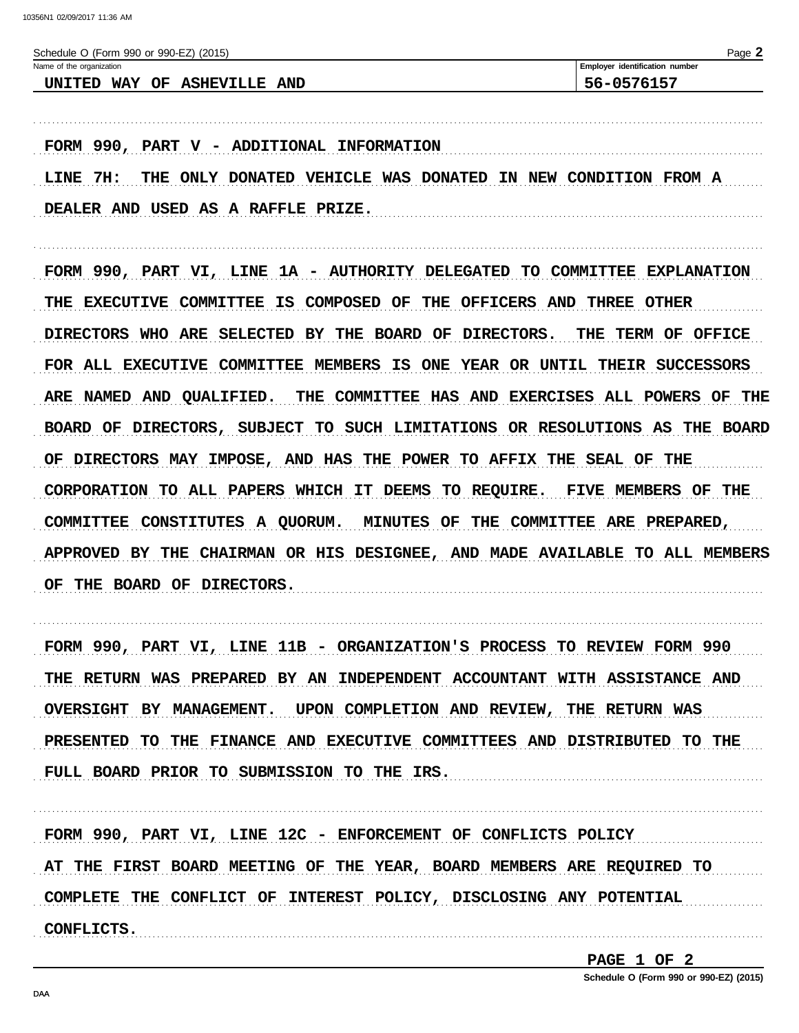| Page 2<br>Schedule O (Form 990 or 990-EZ) (2015) |                                       |  |
|--------------------------------------------------|---------------------------------------|--|
| Name of the organization                         | <b>Employer identification number</b> |  |
| UNITED WAY OF ASHEVILLE AND                      | 56-0576157                            |  |
|                                                  |                                       |  |
|                                                  |                                       |  |

FORM 990, PART  $V$  - ADDITIONAL INFORMATION LINE 7H: THE ONLY DONATED VEHICLE WAS DONATED IN NEW CONDITION FROM A DEALER AND USED AS A RAFFLE PRIZE.

FORM 990, PART VI, LINE 1A - AUTHORITY DELEGATED TO COMMITTEE EXPLANATION THE EXECUTIVE COMMITTEE IS COMPOSED OF THE OFFICERS AND THREE OTHER DIRECTORS WHO ARE SELECTED BY THE BOARD OF DIRECTORS. THE TERM OF OFFICE FOR ALL EXECUTIVE COMMITTEE MEMBERS IS ONE YEAR OR UNTIL THEIR SUCCESSORS ARE NAMED AND QUALIFIED. THE COMMITTEE HAS AND EXERCISES ALL POWERS OF THE BOARD OF DIRECTORS, SUBJECT TO SUCH LIMITATIONS OR RESOLUTIONS AS THE BOARD OF DIRECTORS MAY IMPOSE, AND HAS THE POWER TO AFFIX THE SEAL OF THE CORPORATION TO ALL PAPERS WHICH IT DEEMS TO REQUIRE. FIVE MEMBERS OF THE COMMITTEE CONSTITUTES A QUORUM. MINUTES OF THE COMMITTEE ARE PREPARED, APPROVED BY THE CHAIRMAN OR HIS DESIGNEE, AND MADE AVAILABLE TO ALL MEMBERS OF THE BOARD OF DIRECTORS.

FORM 990, PART VI, LINE 11B - ORGANIZATION'S PROCESS TO REVIEW FORM 990 THE RETURN WAS PREPARED BY AN INDEPENDENT ACCOUNTANT WITH ASSISTANCE AND OVERSIGHT BY MANAGEMENT. UPON COMPLETION AND REVIEW, THE RETURN WAS PRESENTED TO THE FINANCE AND EXECUTIVE COMMITTEES AND DISTRIBUTED TO THE FULL BOARD PRIOR TO SUBMISSION TO THE IRS. THE MANAGEMENT CONSERVATION CONTINUES.

FORM 990, PART VI, LINE 12C - ENFORCEMENT OF CONFLICTS POLICY AT THE FIRST BOARD MEETING OF THE YEAR, BOARD MEMBERS ARE REQUIRED TO COMPLETE THE CONFLICT OF INTEREST POLICY, DISCLOSING ANY POTENTIAL **CONFLICTS.** 

PAGE 1 OF 2

Schedule O (Form 990 or 990-EZ) (2015)